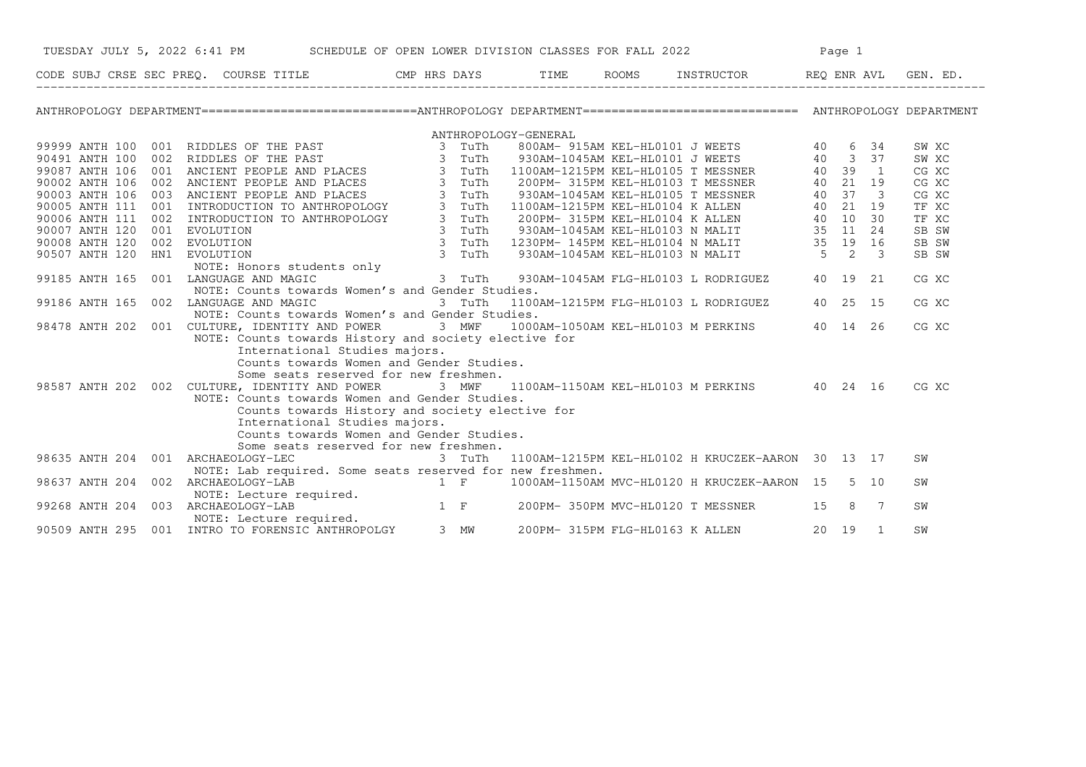| TUESDAY JULY 5, 2022 6:41 PM SCHEDULE OF OPEN LOWER DIVISION CLASSES FOR FALL 2022<br>Page 1 |  |                                                                                                                                                                                                                             |        |  |  |  |                                                          |  |       |                |       |
|----------------------------------------------------------------------------------------------|--|-----------------------------------------------------------------------------------------------------------------------------------------------------------------------------------------------------------------------------|--------|--|--|--|----------------------------------------------------------|--|-------|----------------|-------|
|                                                                                              |  | CODE SUBJ CRSE SEC PREQ. COURSE TITLE THE CMP HRS DAYS TIME                                                                                                                                                                 |        |  |  |  | ROOMS INSTRUCTOR REO ENR AVL GEN. ED.                    |  |       |                |       |
|                                                                                              |  | ANTHROPOLOGY DEPARTMENT============================ANTHROPOLOGY DEPARTMENT=============================== ANTHROPOLOGY DEPARTMENT                                                                                           |        |  |  |  |                                                          |  |       |                |       |
|                                                                                              |  |                                                                                                                                                                                                                             |        |  |  |  |                                                          |  |       |                |       |
|                                                                                              |  |                                                                                                                                                                                                                             |        |  |  |  |                                                          |  |       |                | SW XC |
|                                                                                              |  |                                                                                                                                                                                                                             |        |  |  |  |                                                          |  |       |                | SW XC |
|                                                                                              |  |                                                                                                                                                                                                                             |        |  |  |  |                                                          |  |       |                | CG XC |
|                                                                                              |  |                                                                                                                                                                                                                             |        |  |  |  |                                                          |  |       |                | CG XC |
|                                                                                              |  |                                                                                                                                                                                                                             |        |  |  |  |                                                          |  |       |                | CG XC |
|                                                                                              |  |                                                                                                                                                                                                                             |        |  |  |  |                                                          |  |       |                | TF XC |
|                                                                                              |  |                                                                                                                                                                                                                             |        |  |  |  |                                                          |  |       |                | TF XC |
|                                                                                              |  |                                                                                                                                                                                                                             |        |  |  |  |                                                          |  |       |                | SB SW |
|                                                                                              |  |                                                                                                                                                                                                                             |        |  |  |  |                                                          |  |       |                | SB SW |
|                                                                                              |  |                                                                                                                                                                                                                             |        |  |  |  |                                                          |  |       |                | SB SW |
|                                                                                              |  |                                                                                                                                                                                                                             |        |  |  |  |                                                          |  |       |                |       |
|                                                                                              |  |                                                                                                                                                                                                                             |        |  |  |  |                                                          |  |       |                | CG XC |
|                                                                                              |  | NOTE: Counts towards Women's and Gender Studies.                                                                                                                                                                            |        |  |  |  |                                                          |  |       |                |       |
|                                                                                              |  | 99186 ANTH 165 002 LANGUAGE AND MAGIC                                                                                                                                                                                       | 3 TuTh |  |  |  | 1100AM-1215PM FLG-HL0103 L RODRIGUEZ 40 25 15            |  |       |                | CG XC |
|                                                                                              |  | NOTE: Counts towards Women's and Gender Studies.                                                                                                                                                                            |        |  |  |  |                                                          |  |       |                |       |
|                                                                                              |  | 98478 ANTH 202 001 CULTURE, IDENTITY AND POWER 3 MWF 1000AM-1050AM KEL-HL0103 M PERKINS 40 14 26                                                                                                                            |        |  |  |  |                                                          |  |       |                | CG XC |
|                                                                                              |  | NOTE: Counts towards History and society elective for                                                                                                                                                                       |        |  |  |  |                                                          |  |       |                |       |
|                                                                                              |  | International Studies majors.                                                                                                                                                                                               |        |  |  |  |                                                          |  |       |                |       |
|                                                                                              |  | Counts towards Women and Gender Studies.                                                                                                                                                                                    |        |  |  |  |                                                          |  |       |                |       |
|                                                                                              |  | Some seats reserved for new freshmen.                                                                                                                                                                                       |        |  |  |  |                                                          |  |       |                |       |
|                                                                                              |  | 98587 ANTH 202 002 CULTURE, IDENTITY AND POWER 3 MWF 1100AM-1150AM KEL-HL0103 M PERKINS 40 24 16                                                                                                                            |        |  |  |  |                                                          |  |       |                | CG XC |
|                                                                                              |  | NOTE: Counts towards Women and Gender Studies.                                                                                                                                                                              |        |  |  |  |                                                          |  |       |                |       |
|                                                                                              |  | Counts towards History and society elective for                                                                                                                                                                             |        |  |  |  |                                                          |  |       |                |       |
|                                                                                              |  | International Studies majors.                                                                                                                                                                                               |        |  |  |  |                                                          |  |       |                |       |
|                                                                                              |  | Counts towards Women and Gender Studies.                                                                                                                                                                                    |        |  |  |  |                                                          |  |       |                |       |
|                                                                                              |  | Some seats reserved for new freshmen.                                                                                                                                                                                       |        |  |  |  |                                                          |  |       |                |       |
|                                                                                              |  | 98635 ANTH 204 001 ARCHAEOLOGY-LEC                                                                                                                                                                                          |        |  |  |  | 3 TuTh 1100AM-1215PM KEL-HL0102 H KRUCZEK-AARON 30 13 17 |  |       |                | SW    |
|                                                                                              |  | NOTE: Lab required. Some seats reserved for new freshmen.                                                                                                                                                                   |        |  |  |  |                                                          |  |       |                |       |
|                                                                                              |  |                                                                                                                                                                                                                             |        |  |  |  | 1000AM-1150AM MVC-HL0120 H KRUCZEK-AARON 15 5 10         |  |       |                | SW    |
|                                                                                              |  |                                                                                                                                                                                                                             |        |  |  |  |                                                          |  | 8     | $\overline{7}$ |       |
|                                                                                              |  |                                                                                                                                                                                                                             |        |  |  |  |                                                          |  |       |                | SW    |
|                                                                                              |  | 98637 ANTH 204 002 ARCHAEOLOGY-LAB<br>NOTE: Lecture required.<br>99268 ANTH 204 003 ARCHAEOLOGY-LAB<br>NOTE: Lecture required.<br>90509 ANTH 295 001 INTRO TO FORENSIC ANTHROPOLGY 3 MW 200PM-315PM FLG-HL0163 K ALLEN 20 1 |        |  |  |  |                                                          |  |       |                |       |
|                                                                                              |  |                                                                                                                                                                                                                             |        |  |  |  |                                                          |  | 20 19 | $\overline{1}$ | SW    |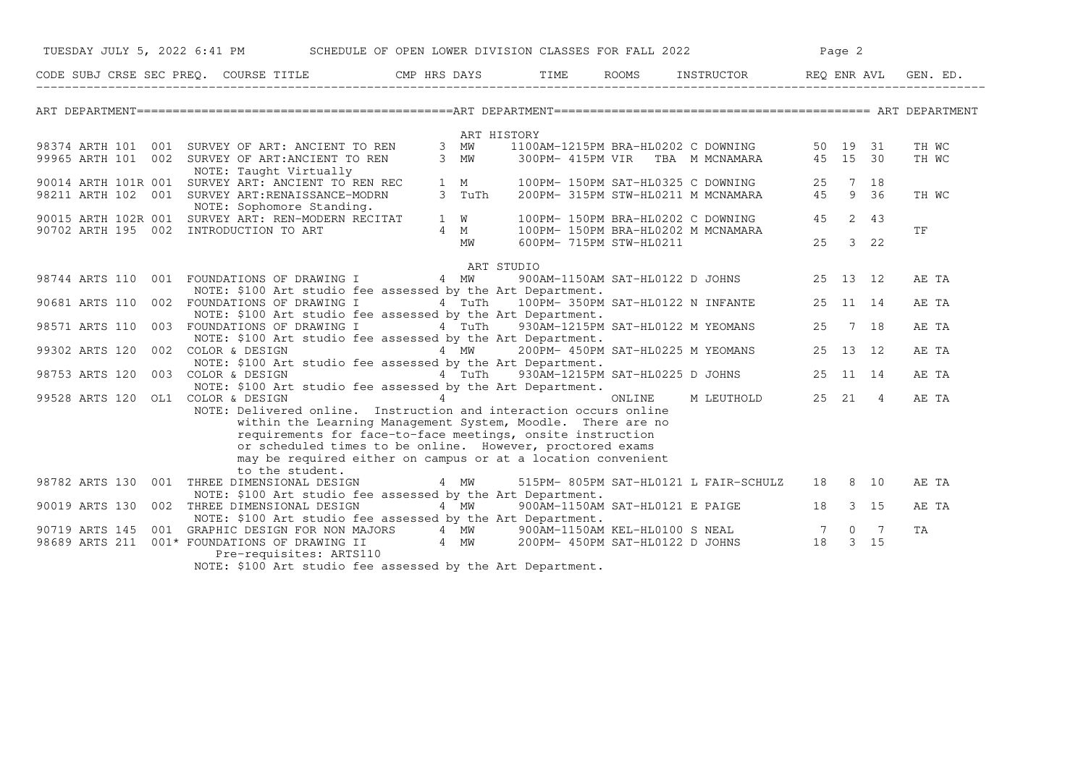| TUESDAY JULY 5, 2022 6:41 PM SCHEDULE OF OPEN LOWER DIVISION CLASSES FOR FALL 2022                                                                                                                  |                |             |                         |                                                                                         |    | Page 2   |              |       |
|-----------------------------------------------------------------------------------------------------------------------------------------------------------------------------------------------------|----------------|-------------|-------------------------|-----------------------------------------------------------------------------------------|----|----------|--------------|-------|
| CODE SUBJ CRSE SEC PREQ. COURSE TITLE THE REE PAYS TIME ROOMS INSTRUCTOR REQ ENR AVL GEN. ED.                                                                                                       |                |             |                         |                                                                                         |    |          |              |       |
|                                                                                                                                                                                                     |                |             |                         |                                                                                         |    |          |              |       |
|                                                                                                                                                                                                     |                | ART HISTORY |                         |                                                                                         |    |          |              |       |
| 98374 ARTH 101 001 SURVEY OF ART: ANCIENT TO REN 3 MW 99965 ARTH 101 002 SURVEY OF ART: ANCIENT TO REN 3 MW                                                                                         |                |             |                         |                                                                                         |    |          |              | TH WC |
|                                                                                                                                                                                                     |                |             |                         | 1100AM-1215PM BRA-HL0202 C DOWNING 50 19 31<br>300PM- 415PM VIR TBA M MCNAMARA 45 15 30 |    |          |              | TH WC |
| NOTE: Taught Virtually                                                                                                                                                                              |                |             |                         |                                                                                         |    |          |              |       |
| 90014 ARTH 101R 001 SURVEY ART: ANCIENT TO REN REC                                                                                                                                                  | 1 M            |             |                         | 100PM- 150PM SAT-HL0325 C DOWNING<br>200PM- 315PM STW-HL0211 M MCNAMARA                 |    | 25 7 18  |              |       |
| 98211 ARTH 102 001 SURVEY ART: RENAISSANCE-MODRN                                                                                                                                                    | 3 TuTh         |             |                         |                                                                                         | 45 |          | 9 36         | TH WC |
| NOTE: Sophomore Standing.                                                                                                                                                                           |                |             |                         |                                                                                         |    |          |              |       |
| 90015 ARTH 102R 001 SURVEY ART: REN-MODERN RECITAT                                                                                                                                                  | 1 W            |             |                         | 100PM- 150PM BRA-HL0202 C DOWNING                                                       | 45 |          | 2 43         |       |
| 90702 ARTH 195 002 INTRODUCTION TO ART                                                                                                                                                              | 4 M<br>MW      |             | 600PM- 715PM STW-HL0211 | 100PM- 150PM BRA-HL0202 M MCNAMARA                                                      | 25 |          | $3 \t22$     | TF    |
|                                                                                                                                                                                                     |                |             |                         |                                                                                         |    |          |              |       |
|                                                                                                                                                                                                     | ART STUDIO     |             |                         |                                                                                         |    |          |              |       |
| 98744 ARTS 110 001 FOUNDATIONS OF DRAWING I                                                                                                                                                         | 4 MW           |             |                         | 900AM-1150AM SAT-HL0122 D JOHNS 25 13 12                                                |    |          |              | AE TA |
| NOTE: \$100 Art studio fee assessed by the Art Department.                                                                                                                                          |                |             |                         |                                                                                         |    |          |              |       |
| 90681 ARTS 110 002 FOUNDATIONS OF DRAWING I                                                                                                                                                         | 4 TuTh         |             |                         | 100PM- 350PM SAT-HL0122 N INFANTE                                                       |    | 25 11 14 |              | AE TA |
| NOTE: \$100 Art studio fee assessed by the Art Department.                                                                                                                                          |                |             |                         |                                                                                         |    |          |              |       |
| 98571 ARTS 110 003 FOUNDATIONS OF DRAWING I                                                                                                                                                         | 4 TuTh         |             |                         | 930AM-1215PM SAT-HL0122 M YEOMANS                                                       | 25 | 7 18     |              | AE TA |
| NOTE: \$100 Art studio fee assessed by the Art Department.                                                                                                                                          |                |             |                         |                                                                                         |    |          |              |       |
| 99302 ARTS 120 002 COLOR & DESIGN                                                                                                                                                                   | $4$ MW         |             |                         | 200PM- 450PM SAT-HL0225 M YEOMANS                                                       |    | 25 13 12 |              | AE TA |
| NOTE: \$100 Art studio fee assessed by the Art Department.                                                                                                                                          |                |             |                         |                                                                                         |    |          |              |       |
| 98753 ARTS 120 003 COLOR & DESIGN 6 1999 1999 4 TuTh 930AM-1215PM SAT-HLO225 D JOHNS                                                                                                                |                |             |                         |                                                                                         |    | 25 11 14 |              | AE TA |
| NOTE: \$100 Art studio fee assessed by the Art Department.                                                                                                                                          | $\overline{4}$ |             |                         |                                                                                         |    | 25 21 4  |              |       |
| 99528 ARTS 120 OL1 COLOR & DESIGN<br>NOTE: Delivered online. Instruction and interaction occurs online                                                                                              |                |             | ONLINE                  | M LEUTHOLD                                                                              |    |          |              | AE TA |
| within the Learning Management System, Moodle. There are no                                                                                                                                         |                |             |                         |                                                                                         |    |          |              |       |
| requirements for face-to-face meetings, onsite instruction                                                                                                                                          |                |             |                         |                                                                                         |    |          |              |       |
| or scheduled times to be online. However, proctored exams                                                                                                                                           |                |             |                         |                                                                                         |    |          |              |       |
| may be required either on campus or at a location convenient                                                                                                                                        |                |             |                         |                                                                                         |    |          |              |       |
| to the student.                                                                                                                                                                                     |                |             |                         |                                                                                         |    |          |              |       |
| 98782 ARTS 130 001 THREE DIMENSIONAL DESIGN                                                                                                                                                         | 4 MW           |             |                         | 515PM- 805PM SAT-HL0121 L FAIR-SCHULZ 18 8 10                                           |    |          |              | AE TA |
| NOTE: \$100 Art studio fee assessed by the Art Department.                                                                                                                                          |                |             |                         |                                                                                         |    |          |              |       |
| 90019 ARTS 130 002 THREE DIMENSIONAL DESIGN                                                                                                                                                         | 4 MW           |             |                         | 900AM-1150AM SAT-HL0121 E PAIGE 18                                                      |    |          | $3 \quad 15$ | AE TA |
| NOTE: \$100 Art studio fee assessed by the Art Department.                                                                                                                                          |                |             |                         |                                                                                         |    |          |              |       |
|                                                                                                                                                                                                     |                |             |                         |                                                                                         |    |          |              | TA    |
| 90719 ARTS 145 001 GRAPHIC DESIGN FOR NON MAJORS $4 \text{ MW}$ 900AM-1150AM KEL-HL0100 S NEAL $7$ 0 7<br>98689 ARTS 211 001* FOUNDATIONS OF DRAWING II 4 MW 200PM-450PM SAT-HL0122 D JOHNS 18 3 15 |                |             |                         |                                                                                         |    |          |              |       |
| Pre-requisites: ARTS110                                                                                                                                                                             |                |             |                         |                                                                                         |    |          |              |       |
| NOTE: \$100 Art studio fee assessed by the Art Department.                                                                                                                                          |                |             |                         |                                                                                         |    |          |              |       |
|                                                                                                                                                                                                     |                |             |                         |                                                                                         |    |          |              |       |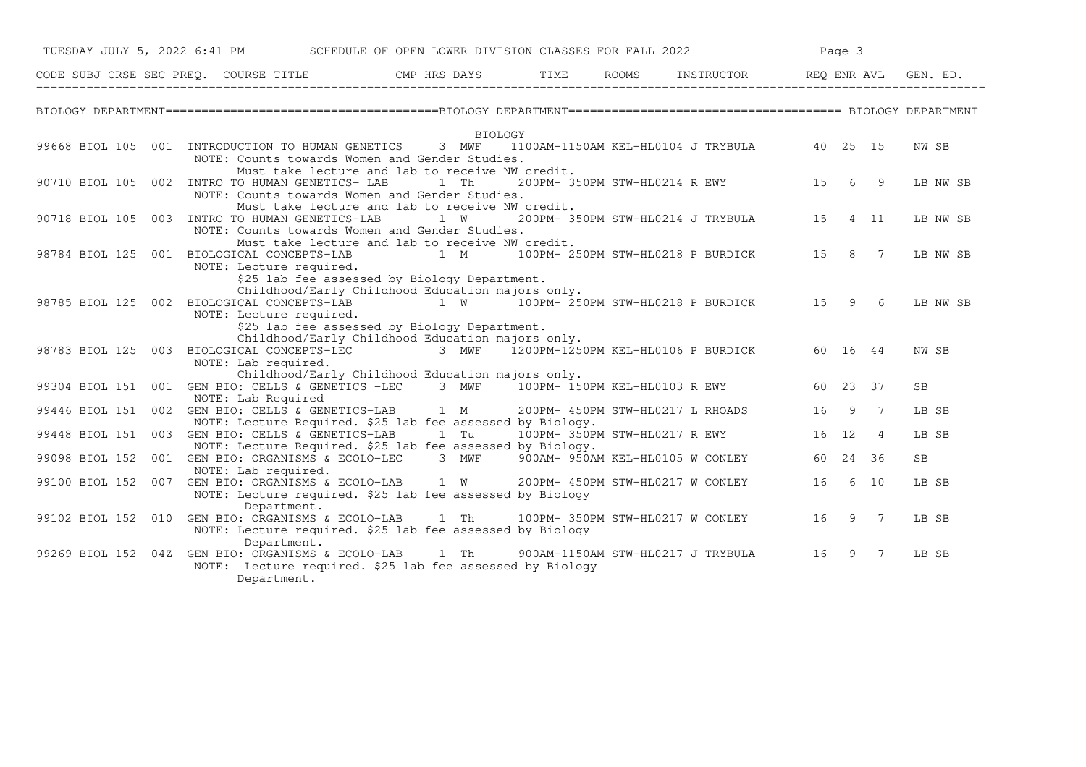| SCHEDULE OF OPEN LOWER DIVISION CLASSES FOR FALL 2022<br>TUESDAY JULY 5, 2022 6:41 PM<br>Page 3 |  |                                                                                                                                                                                                                       |       |                |  |  |                                             |       |          |                |           |
|-------------------------------------------------------------------------------------------------|--|-----------------------------------------------------------------------------------------------------------------------------------------------------------------------------------------------------------------------|-------|----------------|--|--|---------------------------------------------|-------|----------|----------------|-----------|
|                                                                                                 |  | CODE SUBJ CRSE SEC PREQ. COURSE TITLE THE CMP HRS DAYS TIME                                                                                                                                                           |       |                |  |  | ROOMS INSTRUCTOR REQ ENR AVL                |       |          |                | GEN. ED.  |
|                                                                                                 |  |                                                                                                                                                                                                                       |       |                |  |  |                                             |       |          |                |           |
|                                                                                                 |  | 99668 BIOL 105 001 INTRODUCTION TO HUMAN GENETICS 3 MWF<br>NOTE: Counts towards Women and Gender Studies.                                                                                                             |       | <b>BIOLOGY</b> |  |  | 1100AM-1150AM KEL-HL0104 J TRYBULA 40 25 15 |       |          |                | NW SB     |
|                                                                                                 |  | Must take lecture and lab to receive NW credit.<br>90710 BIOL 105 002 INTRO TO HUMAN GENETICS- LAB<br>NOTE: Counts towards Women and Gender Studies.                                                                  | 1 Th  |                |  |  | 200PM-350PM STW-HL0214 R EWY 15 6 9         |       |          |                | LB NW SB  |
|                                                                                                 |  | Must take lecture and lab to receive NW credit.<br>90718 BIOL 105 003 INTRO TO HUMAN GENETICS-LAB 1 W<br>NOTE: Counts towards Women and Gender Studies.                                                               |       |                |  |  | 200PM-350PM STW-HL0214 J TRYBULA 15 4 11    |       |          |                | LB NW SB  |
|                                                                                                 |  | Must take lecture and lab to receive NW credit.<br>98784 BIOL 125 001 BIOLOGICAL CONCEPTS-LAB<br>NOTE: Lecture required.                                                                                              |       |                |  |  |                                             |       |          |                | LB NW SB  |
|                                                                                                 |  | \$25 lab fee assessed by Biology Department.<br>Childhood/Early Childhood Education majors only.<br>98785 BIOL 125 002 BIOLOGICAL CONCEPTS-LAB 1 W 100PM-250PM STW-HL0218 P BURDICK 15 9 6<br>NOTE: Lecture required. |       |                |  |  |                                             |       |          |                | LB NW SB  |
|                                                                                                 |  | \$25 lab fee assessed by Biology Department.<br>Childhood/Early Childhood Education majors only.<br>98783 BIOL 125 003 BIOLOGICAL CONCEPTS-LEC<br>NOTE: Lab required.                                                 | 3 MWF |                |  |  | 1200PM-1250PM KEL-HL0106 P BURDICK 60 16 44 |       |          |                | NW SB     |
|                                                                                                 |  | Childhood/Early Childhood Education majors only.<br>99304 BIOL 151 001 GEN BIO: CELLS & GENETICS -LEC 3 MWF 100PM- 150PM KEL-HL0103 R EWY 60 23 37                                                                    |       |                |  |  |                                             |       |          |                | <b>SB</b> |
|                                                                                                 |  | NOTE: Lab Required<br>99446 BIOL 151 002 GEN BIO: CELLS & GENETICS-LAB 1 M<br>NOTE: Lecture Required. \$25 lab fee assessed by Biology.                                                                               |       |                |  |  | 200PM- 450PM STW-HL0217 L RHOADS            | 16    | 9        | $\overline{7}$ | LB SB     |
|                                                                                                 |  | 99448 BIOL 151 003 GEN BIO: CELLS & GENETICS-LAB 1 Tu<br>NOTE: Lecture Required. \$25 lab fee assessed by Biology.                                                                                                    |       |                |  |  | 100PM- 350PM STW-HL0217 R EWY               | 16 12 |          | $\overline{4}$ | LB SB     |
|                                                                                                 |  | 99098 BIOL 152 001 GEN BIO: ORGANISMS & ECOLO-LEC 3 MWF<br>NOTE: Lab required.                                                                                                                                        |       |                |  |  | 900AM- 950AM KEL-HL0105 W CONLEY            |       | 60 24 36 |                | <b>SB</b> |
|                                                                                                 |  | 99100 BIOL 152 007 GEN BIO: ORGANISMS & ECOLO-LAB 1 W 200PM-450PM STW-HL0217 W CONLEY 16 6 10<br>NOTE: Lecture required. \$25 lab fee assessed by Biology                                                             |       |                |  |  |                                             |       |          |                | LB SB     |
|                                                                                                 |  | Department.<br>99102 BIOL 152 010 GEN BIO: ORGANISMS & ECOLO-LAB 1 Th 100PM-350PM STW-HL0217 W CONLEY 16<br>NOTE: Lecture required. \$25 lab fee assessed by Biology                                                  |       |                |  |  |                                             |       |          | 9 7            | LB SB     |
|                                                                                                 |  | Department.<br>99269 BIOL 152 04Z GEN BIO: ORGANISMS & ECOLO-LAB 1 Th<br>NOTE: Lecture required. \$25 lab fee assessed by Biology<br>Department.                                                                      |       |                |  |  | 900AM-1150AM STW-HL0217 J TRYBULA 16        |       |          | 9 7            | LB SB     |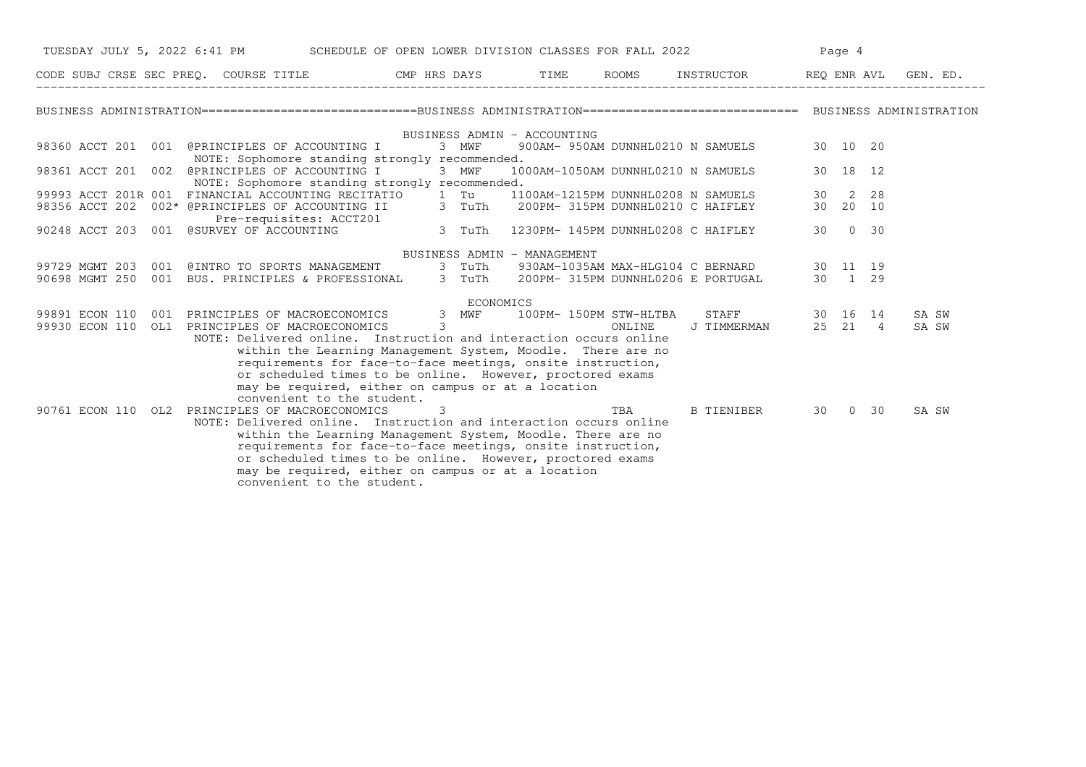| TUESDAY JULY 5, 2022 6:41 PM SCHEDULE OF OPEN LOWER DIVISION CLASSES FOR FALL 2022 |                     |  |     |  |                                                                                                                                                                                                                                                                                                                                                  |       |                             |                                            | Page 4              |                |    |                  |    |       |  |
|------------------------------------------------------------------------------------|---------------------|--|-----|--|--------------------------------------------------------------------------------------------------------------------------------------------------------------------------------------------------------------------------------------------------------------------------------------------------------------------------------------------------|-------|-----------------------------|--------------------------------------------|---------------------|----------------|----|------------------|----|-------|--|
|                                                                                    |                     |  |     |  | CODE SUBJ CRSE SEC PREQ. COURSE TITLE THE THE TIME ROOMS INSTRUCTOR THE REQ ENR AVL GEN. ED.                                                                                                                                                                                                                                                     |       |                             |                                            |                     |                |    |                  |    |       |  |
|                                                                                    |                     |  |     |  |                                                                                                                                                                                                                                                                                                                                                  |       |                             |                                            |                     |                |    |                  |    |       |  |
|                                                                                    |                     |  |     |  |                                                                                                                                                                                                                                                                                                                                                  |       | BUSINESS ADMIN - ACCOUNTING |                                            |                     |                |    |                  |    |       |  |
|                                                                                    |                     |  |     |  | 98360 ACCT 201 001 @PRINCIPLES OF ACCOUNTING I<br>NOTE: Sophomore standing strongly recommended.                                                                                                                                                                                                                                                 | 3 MWF |                             | 900AM- 950AM DUNNHL0210 N SAMUELS 30 10 20 |                     |                |    |                  |    |       |  |
|                                                                                    | 98361 ACCT 201      |  | 002 |  | @PRINCIPLES OF ACCOUNTING I                                                                                                                                                                                                                                                                                                                      | 3 MWF |                             | 1000AM-1050AM DUNNHL0210 N SAMUELS         |                     |                |    | 30 18 12         |    |       |  |
|                                                                                    |                     |  |     |  | NOTE: Sophomore standing strongly recommended.                                                                                                                                                                                                                                                                                                   |       |                             |                                            |                     |                |    |                  |    |       |  |
|                                                                                    | 99993 ACCT 201R 001 |  |     |  | FINANCIAL ACCOUNTING RECITATIO 1 Tu<br>98356 ACCT 202 002* @PRINCIPLES OF ACCOUNTING II 3 TuTh 200PM-315PM DUNNHL0210 C HAIFLEY                                                                                                                                                                                                                  |       |                             | 1100AM-1215PM DUNNHL0208 N SAMUELS         |                     |                |    | 30 2<br>30 20 10 | 28 |       |  |
|                                                                                    |                     |  |     |  | Pre-requisites: ACCT201<br>90248 ACCT 203 001 @SURVEY OF ACCOUNTING 3 TuTh                                                                                                                                                                                                                                                                       |       |                             | 1230PM- 145PM DUNNHL0208 C HAIFLEY         |                     |                | 30 | $0\quad 30$      |    |       |  |
|                                                                                    |                     |  |     |  |                                                                                                                                                                                                                                                                                                                                                  |       | BUSINESS ADMIN - MANAGEMENT |                                            |                     |                |    |                  |    |       |  |
|                                                                                    |                     |  |     |  | 99729 MGMT 203 001 @INTRO TO SPORTS MANAGEMENT 3 TuTh                                                                                                                                                                                                                                                                                            |       |                             | 930AM-1035AM MAX-HLG104 C BERNARD 30 11 19 |                     |                |    |                  |    |       |  |
|                                                                                    |                     |  |     |  | 90698 MGMT 250 001 BUS. PRINCIPLES & PROFESSIONAL 3 TuTh                                                                                                                                                                                                                                                                                         |       |                             | 200PM- 315PM DUNNHL0206 E PORTUGAL         |                     |                |    | 30 1 29          |    |       |  |
|                                                                                    |                     |  |     |  |                                                                                                                                                                                                                                                                                                                                                  |       | ECONOMICS                   |                                            |                     |                |    |                  |    |       |  |
|                                                                                    |                     |  |     |  | 99891 ECON 110 001 PRINCIPLES OF MACROECONOMICS 3 MWF 100PM-150PM STW-HLTBA                                                                                                                                                                                                                                                                      |       |                             |                                            |                     | STAFF 30 16 14 |    |                  |    | SA SW |  |
|                                                                                    | 99930 ECON 110 OL1  |  |     |  | PRINCIPLES OF MACROECONOMICS 3                                                                                                                                                                                                                                                                                                                   |       |                             | ONLINE                                     | J TIMMERMAN 25 21 4 |                |    |                  |    | SA SW |  |
|                                                                                    |                     |  |     |  | NOTE: Delivered online. Instruction and interaction occurs online<br>within the Learning Management System, Moodle. There are no<br>requirements for face-to-face meetings, onsite instruction,<br>or scheduled times to be online. However, proctored exams<br>may be required, either on campus or at a location<br>convenient to the student. |       |                             |                                            |                     |                |    |                  |    |       |  |
|                                                                                    | 90761 ECON 110 OL2  |  |     |  | PRINCIPLES OF MACROECONOMICS                                                                                                                                                                                                                                                                                                                     | -3    |                             | TBA                                        | B TIENIBER          |                |    | 30 0 30          |    | SA SW |  |
|                                                                                    |                     |  |     |  | NOTE: Delivered online. Instruction and interaction occurs online<br>within the Learning Management System, Moodle. There are no<br>requirements for face-to-face meetings, onsite instruction,<br>or scheduled times to be online. However, proctored exams<br>may be required, either on campus or at a location<br>convenient to the student. |       |                             |                                            |                     |                |    |                  |    |       |  |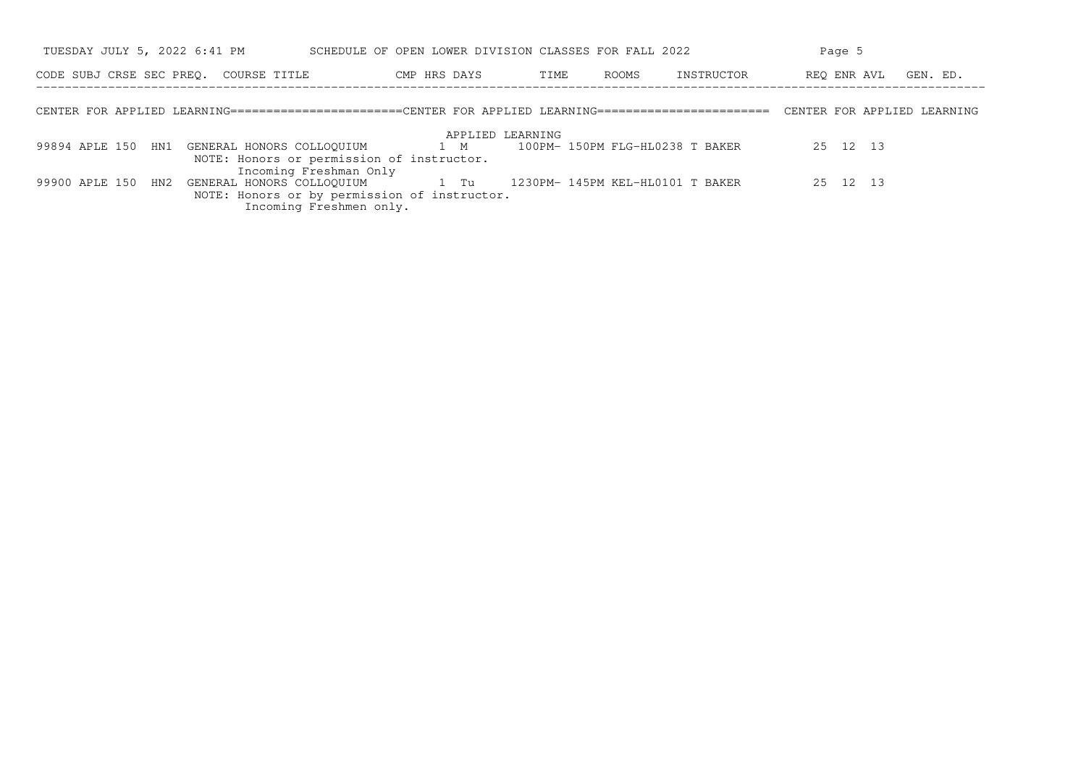| TUESDAY JULY 5, 2022 6:41 PM          |                                                                                                                                                                     |                  | SCHEDULE OF OPEN LOWER DIVISION CLASSES FOR FALL 2022 |            | Page 5      |          |
|---------------------------------------|---------------------------------------------------------------------------------------------------------------------------------------------------------------------|------------------|-------------------------------------------------------|------------|-------------|----------|
| CODE SUBJ CRSE SEC PREO. COURSE TITLE |                                                                                                                                                                     | CMP HRS DAYS     | TIME<br>ROOMS                                         | INSTRUCTOR | REO ENR AVL | GEN. ED. |
|                                       | CENTER FOR APPLIED LEARNING=======================CENTER FOR APPLIED LEARNING======================== CENTER FOR APPLIED LEARNING                                   |                  |                                                       |            |             |          |
|                                       |                                                                                                                                                                     | APPLIED LEARNING |                                                       |            |             |          |
|                                       | 99894 APLE 150 HN1 GENERAL HONORS COLLOOUIUM 1 M 100PM-150PM FLG-HL0238 T BAKER<br>NOTE: Honors or permission of instructor.                                        |                  |                                                       |            | 25 12 13    |          |
| 99900 APLE 150 HN2                    | Incoming Freshman Only<br>GENERAL HONORS COLLOQUIUM 1 Tu 1230PM-145PM KEL-HL0101 T BAKER<br>NOTE: Honors or by permission of instructor.<br>Incoming Freshmen only. |                  |                                                       |            | 25 12 13    |          |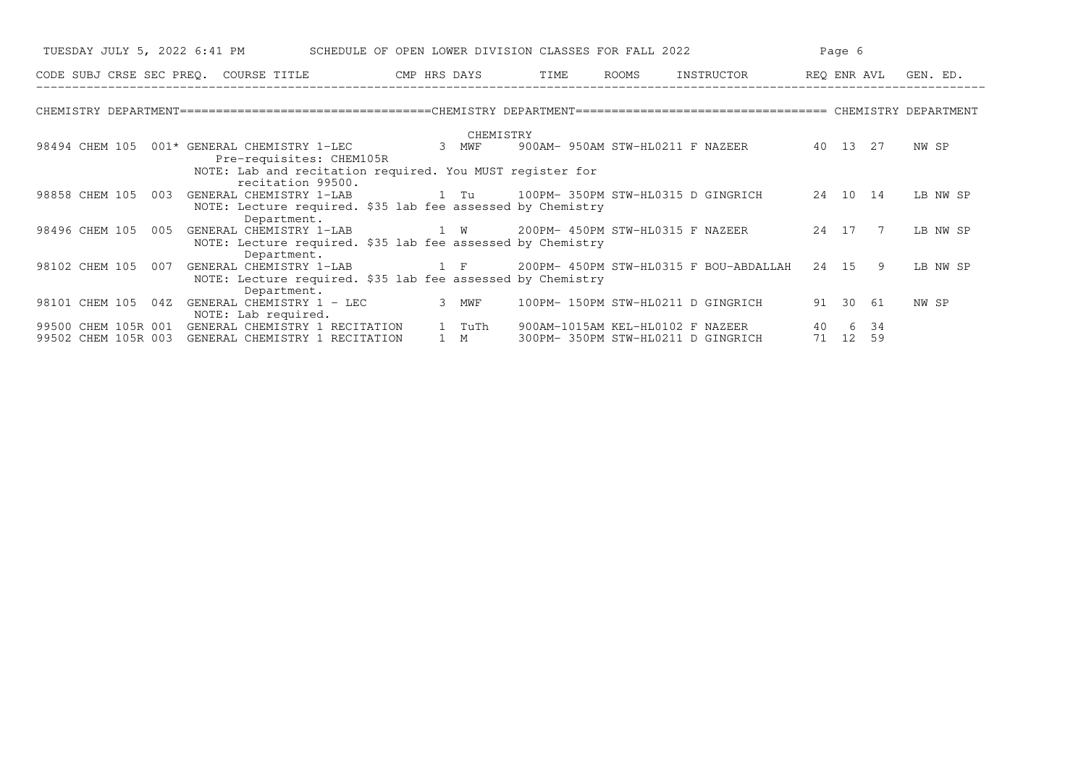| TUESDAY JULY 5, 2022 6:41 PM                                               | SCHEDULE OF OPEN LOWER DIVISION CLASSES FOR FALL 2022 |      |                                    |                                        | Page 6      |      |          |
|----------------------------------------------------------------------------|-------------------------------------------------------|------|------------------------------------|----------------------------------------|-------------|------|----------|
| CODE SUBJ CRSE SEC PREQ. COURSE TITLE                                      | CMP HRS DAYS                                          | TIME | ROOMS                              | INSTRUCTOR                             | REQ ENR AVL |      | GEN. ED. |
|                                                                            |                                                       |      |                                    |                                        |             |      |          |
|                                                                            | CHEMISTRY                                             |      |                                    |                                        |             |      |          |
| 98494 CHEM 105<br>001* GENERAL CHEMISTRY 1-LEC<br>Pre-requisites: CHEM105R | 3 MWF                                                 |      | 900AM- 950AM STW-HL0211 F NAZEER   |                                        | 40 13 27    |      | NW SP    |
| NOTE: Lab and recitation required. You MUST register for                   |                                                       |      |                                    |                                        |             |      |          |
| recitation 99500.                                                          |                                                       |      |                                    |                                        |             |      |          |
| GENERAL CHEMISTRY 1-LAB<br>98858 CHEM 105<br>003                           | $1$ Tu                                                |      |                                    | 100PM- 350PM STW-HL0315 D GINGRICH     | 24 10 14    |      | LB NW SP |
| NOTE: Lecture required. \$35 lab fee assessed by Chemistry                 |                                                       |      |                                    |                                        |             |      |          |
| Department.                                                                |                                                       |      |                                    |                                        |             |      |          |
| GENERAL CHEMISTRY 1-LAB<br>98496 CHEM 105<br>005                           | $1 \quad W$                                           |      |                                    | 200PM- 450PM STW-HL0315 F NAZEER       | 24 17 7     |      | LB NW SP |
| NOTE: Lecture required. \$35 lab fee assessed by Chemistry                 |                                                       |      |                                    |                                        |             |      |          |
| Department.<br>98102 CHEM 105<br>GENERAL CHEMISTRY 1-LAB<br>007            | $1 \tF$                                               |      |                                    | 200PM- 450PM STW-HL0315 F BOU-ABDALLAH | 24 15       | 9    | LB NW SP |
| NOTE: Lecture required. \$35 lab fee assessed by Chemistry                 |                                                       |      |                                    |                                        |             |      |          |
| Department.                                                                |                                                       |      |                                    |                                        |             |      |          |
| 98101 CHEM 105<br>GENERAL CHEMISTRY 1 - LEC<br>04Z                         | 3 MWF                                                 |      |                                    | 100PM- 150PM STW-HL0211 D GINGRICH     | 91 30 61    |      | NW SP    |
| NOTE: Lab required.                                                        |                                                       |      |                                    |                                        |             |      |          |
| 99500 CHEM 105R 001<br>GENERAL CHEMISTRY 1 RECITATION                      | 1 TuTh                                                |      | 900AM-1015AM KEL-HL0102 F NAZEER   |                                        | 40<br>- 6   | - 34 |          |
| GENERAL CHEMISTRY 1 RECITATION<br>99502 CHEM 105R 003                      | M                                                     |      | 300PM- 350PM STW-HL0211 D GINGRICH |                                        | 71 12 59    |      |          |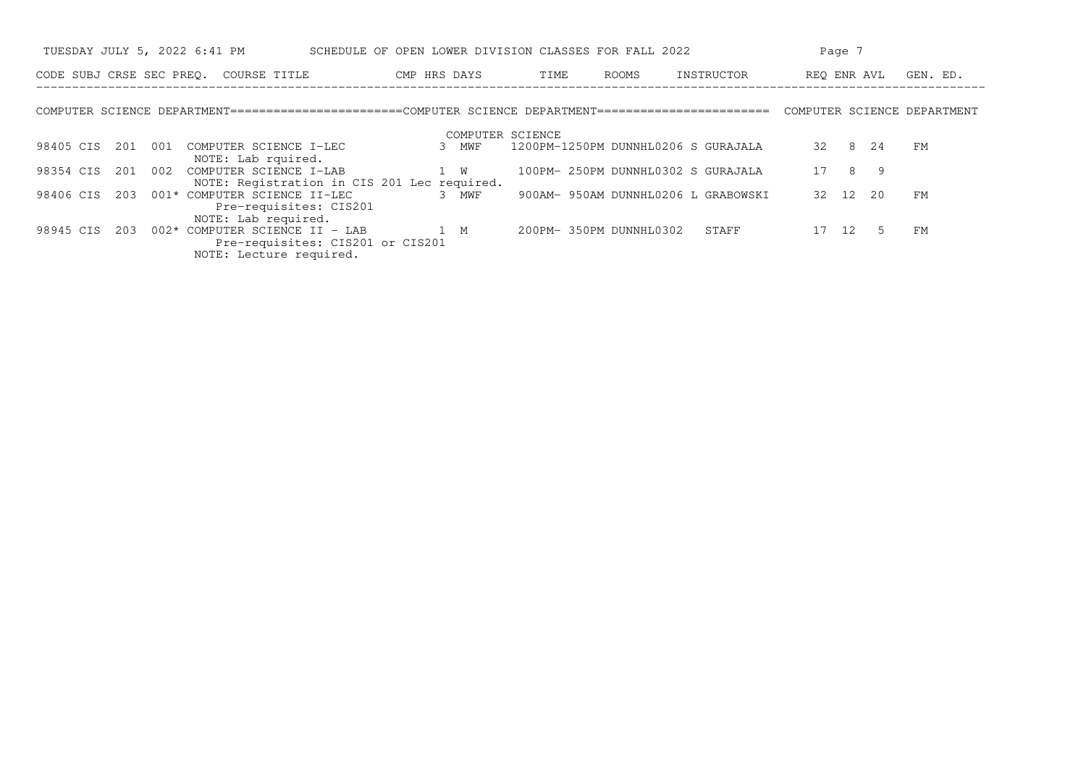|               |     |     | TUESDAY JULY 5, 2022 6:41 PM          |                                             |     |              |         | SCHEDULE OF OPEN LOWER DIVISION CLASSES FOR FALL 2022 |                                                                                                                                       |             | Page 7  |     |          |
|---------------|-----|-----|---------------------------------------|---------------------------------------------|-----|--------------|---------|-------------------------------------------------------|---------------------------------------------------------------------------------------------------------------------------------------|-------------|---------|-----|----------|
|               |     |     | CODE SUBJ CRSE SEC PREO. COURSE TITLE |                                             |     | CMP HRS DAYS | TIME    | ROOMS                                                 | INSTRUCTOR                                                                                                                            | REO ENR AVL |         |     | GEN. ED. |
|               |     |     |                                       |                                             |     |              |         |                                                       | COMPUTER SCIENCE DEPARTMENT=======================COMPUTER SCIENCE DEPARTMENT============================ COMPUTER SCIENCE DEPARTMENT |             |         |     |          |
|               |     |     |                                       |                                             |     | COMPUTER     | SCIENCE |                                                       |                                                                                                                                       |             |         |     |          |
| 98405 CIS     | 201 | 001 |                                       | COMPUTER SCIENCE I-LEC                      |     | 3 MWF        |         |                                                       | 1200PM-1250PM DUNNHL0206 S GURAJALA                                                                                                   |             | 32 8 24 |     | FМ       |
|               |     |     |                                       | NOTE: Lab rquired.                          |     |              |         |                                                       |                                                                                                                                       |             |         |     |          |
| 98354 CIS 201 |     | 002 |                                       | COMPUTER SCIENCE I-LAB                      |     | 1 W          |         |                                                       | 100PM- 250PM DUNNHL0302 S GURAJALA                                                                                                    | 17          | 8       | - 9 |          |
|               |     |     |                                       | NOTE: Registration in CIS 201 Lec required. |     |              |         |                                                       |                                                                                                                                       |             |         |     |          |
| 98406 CIS     | 203 |     |                                       | 001* COMPUTER SCIENCE II-LEC                |     | 3 MWF        |         |                                                       | 900AM- 950AM DUNNHL0206 L GRABOWSKI                                                                                                   | 32 12       |         | 20  | FМ       |
|               |     |     |                                       | Pre-requisites: CIS201                      |     |              |         |                                                       |                                                                                                                                       |             |         |     |          |
|               |     |     |                                       | NOTE: Lab required.                         |     |              |         |                                                       |                                                                                                                                       |             |         |     |          |
| 98945 CIS     | 203 |     |                                       | $002*$ COMPUTER SCIENCE II - LAB            | 1 M |              |         | 200PM- 350PM DUNNHL0302                               | STAFF                                                                                                                                 | 17 12       |         | -5  | FМ       |
|               |     |     |                                       | Pre-requisites: CIS201 or CIS201            |     |              |         |                                                       |                                                                                                                                       |             |         |     |          |
|               |     |     |                                       | NOTE: Lecture required.                     |     |              |         |                                                       |                                                                                                                                       |             |         |     |          |
|               |     |     |                                       |                                             |     |              |         |                                                       |                                                                                                                                       |             |         |     |          |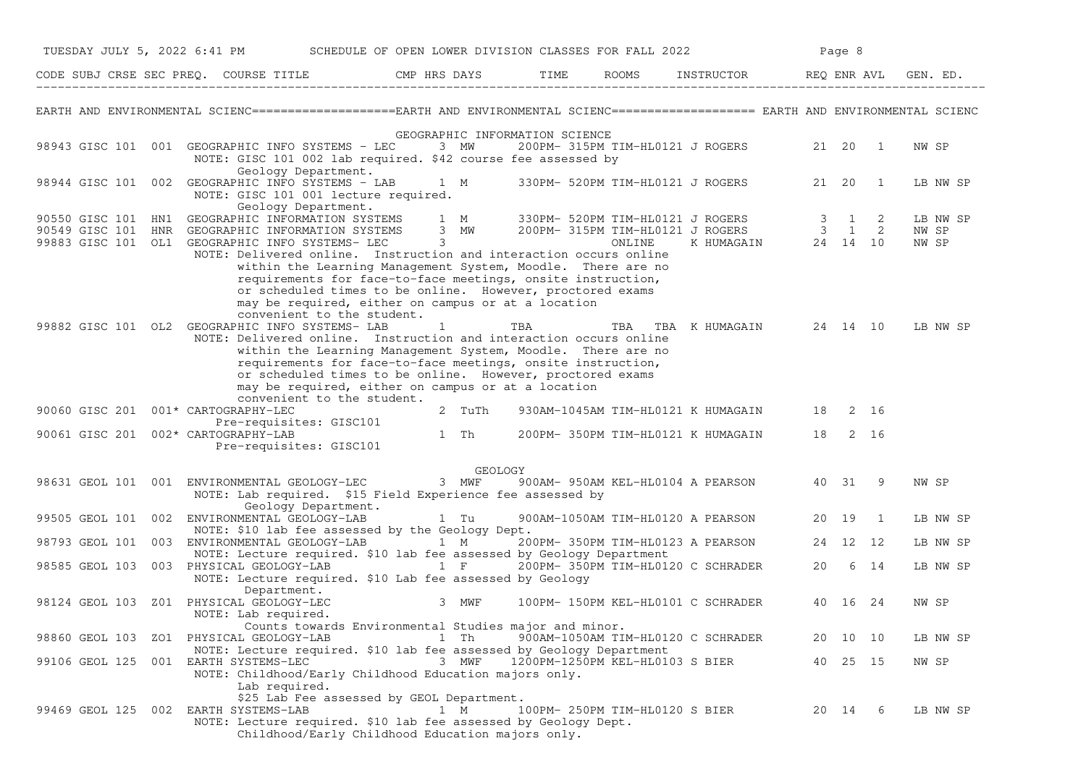| TUESDAY JULY 5, 2022 6:41 PM<br>SCHEDULE OF OPEN LOWER DIVISION CLASSES FOR FALL 2022<br>Page 8 |  |                                                                                                                                                                                                                                                                                                                                                                                                                                                                                                                                                                                                        |                |         |                                 |  |        |                                            |    |          |                |                |          |
|-------------------------------------------------------------------------------------------------|--|--------------------------------------------------------------------------------------------------------------------------------------------------------------------------------------------------------------------------------------------------------------------------------------------------------------------------------------------------------------------------------------------------------------------------------------------------------------------------------------------------------------------------------------------------------------------------------------------------------|----------------|---------|---------------------------------|--|--------|--------------------------------------------|----|----------|----------------|----------------|----------|
|                                                                                                 |  | CODE SUBJ CRSE SEC PREQ. COURSE TITLE THE CMP HRS DAYS TIME                                                                                                                                                                                                                                                                                                                                                                                                                                                                                                                                            |                |         |                                 |  |        | ROOMS INSTRUCTOR REQ ENR AVL               |    |          |                |                | GEN. ED. |
|                                                                                                 |  | EARTH AND ENVIRONMENTAL SCIENC===================EARTH AND ENVIRONMENTAL SCIENC==================== EARTH AND ENVIRONMENTAL SCIENC                                                                                                                                                                                                                                                                                                                                                                                                                                                                     |                |         |                                 |  |        |                                            |    |          |                |                |          |
|                                                                                                 |  | 98943 GISC 101 001 GEOGRAPHIC INFO SYSTEMS - LEC<br>NOTE: GISC 101 002 lab required. \$42 course fee assessed by<br>Geology Department.                                                                                                                                                                                                                                                                                                                                                                                                                                                                |                | 3 MW    | GEOGRAPHIC INFORMATION SCIENCE  |  |        | 200PM- 315PM TIM-HL0121 J ROGERS 21 20 1   |    |          |                | NW SP          |          |
| 98944 GISC 101 002                                                                              |  | GEOGRAPHIC INFO SYSTEMS - LAB 1 M<br>NOTE: GISC 101 001 lecture required.<br>Geology Department.                                                                                                                                                                                                                                                                                                                                                                                                                                                                                                       |                |         |                                 |  |        | 330PM- 520PM TIM-HL0121 J ROGERS           |    | 21 20    | $\overline{1}$ |                | LB NW SP |
|                                                                                                 |  | 90550 GISC 101 HN1 GEOGRAPHIC INFORMATION SYSTEMS 1 M 330PM- 520PM TIM-HL0121 J ROGERS 3 1 2<br>90549 GISC 101 HNR GEOGRAPHIC INFORMATION SYSTEMS 3 MW 200PM- 315PM TIM-HL0121 J ROGERS 3 1 2<br>99883 GISC 101 OL1 GEOGRAPHIC INFO SYSTEMS- LEC 3<br>NOTE: Delivered online. Instruction and interaction occurs online<br>within the Learning Management System, Moodle. There are no<br>requirements for face-to-face meetings, onsite instruction,<br>or scheduled times to be online. However, proctored exams<br>may be required, either on campus or at a location<br>convenient to the student. |                |         |                                 |  | ONLINE | K HUMAGAIN 24 14 10                        |    |          |                | NW SP<br>NW SP | LB NW SP |
|                                                                                                 |  | 99882 GISC 101 OL2 GEOGRAPHIC INFO SYSTEMS- LAB<br>NOTE: Delivered online. Instruction and interaction occurs online<br>within the Learning Management System, Moodle. There are no<br>requirements for face-to-face meetings, onsite instruction,<br>or scheduled times to be online. However, proctored exams<br>may be required, either on campus or at a location<br>convenient to the student.                                                                                                                                                                                                    | $\mathbf{1}$   |         | TBA                             |  |        | TBA TBA KHUMAGAIN 24 14 10                 |    |          |                |                | LB NW SP |
|                                                                                                 |  | 90060 GISC 201 001* CARTOGRAPHY-LEC<br>Pre-requisites: GISC101                                                                                                                                                                                                                                                                                                                                                                                                                                                                                                                                         |                | 2 TuTh  |                                 |  |        | 930AM-1045AM TIM-HL0121 K HUMAGAIN 18 2 16 |    |          |                |                |          |
|                                                                                                 |  | 90061 GISC 201 002* CARTOGRAPHY-LAB<br>Pre-requisites: GISC101                                                                                                                                                                                                                                                                                                                                                                                                                                                                                                                                         |                | 1 Th    |                                 |  |        | 200PM- 350PM TIM-HL0121 K HUMAGAIN         |    | 18 2 16  |                |                |          |
|                                                                                                 |  |                                                                                                                                                                                                                                                                                                                                                                                                                                                                                                                                                                                                        |                | GEOLOGY |                                 |  |        |                                            |    |          |                |                |          |
|                                                                                                 |  | 98631 GEOL 101 001 ENVIRONMENTAL GEOLOGY-LEC<br>NOTE: Lab required. \$15 Field Experience fee assessed by<br>Geology Department.                                                                                                                                                                                                                                                                                                                                                                                                                                                                       |                | 3 MWF   |                                 |  |        | 900AM- 950AM KEL-HL0104 A PEARSON          |    | 40 31 9  |                | NW SP          |          |
|                                                                                                 |  | 99505 GEOL 101 002 ENVIRONMENTAL GEOLOGY-LAB<br>NOTE: \$10 lab fee assessed by the Geology Dept.                                                                                                                                                                                                                                                                                                                                                                                                                                                                                                       |                | 1 Tu    |                                 |  |        | 900AM-1050AM TIM-HL0120 A PEARSON          |    | 20 19    | 1              |                | LB NW SP |
|                                                                                                 |  | 98793 GEOL 101 003 ENVIRONMENTAL GEOLOGY-LAB<br>NOTE: Lecture required. \$10 lab fee assessed by Geology Department                                                                                                                                                                                                                                                                                                                                                                                                                                                                                    | 1 M            |         |                                 |  |        | 200PM- 350PM TIM-HL0123 A PEARSON          |    | 24 12 12 |                |                | LB NW SP |
|                                                                                                 |  | 98585 GEOL 103 003 PHYSICAL GEOLOGY-LAB 1 F<br>NOTE: Lecture required. \$10 Lab fee assessed by Geology<br>Department.                                                                                                                                                                                                                                                                                                                                                                                                                                                                                 |                |         |                                 |  |        | 200PM- 350PM TIM-HL0120 C SCHRADER         | 20 |          | 6 14           |                | LB NW SP |
|                                                                                                 |  | 98124 GEOL 103 Z01 PHYSICAL GEOLOGY-LEC<br>NOTE: Lab required.                                                                                                                                                                                                                                                                                                                                                                                                                                                                                                                                         |                | 3 MWF   |                                 |  |        | 100PM- 150PM KEL-HL0101 C SCHRADER         |    | 40 16 24 |                | NW SP          |          |
| 98860 GEOL 103                                                                                  |  | Counts towards Environmental Studies major and minor.<br>ZO1 PHYSICAL GEOLOGY-LAB<br>NOTE: Lecture required. \$10 lab fee assessed by Geology Department                                                                                                                                                                                                                                                                                                                                                                                                                                               |                | 1 Th    |                                 |  |        | 900AM-1050AM TIM-HL0120 C SCHRADER         |    | 20 10 10 |                |                | LB NW SP |
| 99106 GEOL 125                                                                                  |  | 001 EARTH SYSTEMS-LEC<br>NOTE: Childhood/Early Childhood Education majors only.<br>Lab required.                                                                                                                                                                                                                                                                                                                                                                                                                                                                                                       |                | 3 MWF   | 1200PM-1250PM KEL-HL0103 S BIER |  |        |                                            |    | 40 25 15 |                | NW SP          |          |
|                                                                                                 |  | \$25 Lab Fee assessed by GEOL Department.<br>99469 GEOL 125 002 EARTH SYSTEMS-LAB<br>NOTE: Lecture required. \$10 lab fee assessed by Geology Dept.<br>Childhood/Early Childhood Education majors only.                                                                                                                                                                                                                                                                                                                                                                                                | $1 \mathsf{M}$ |         | 100PM- 250PM TIM-HL0120 S BIER  |  |        |                                            |    | 20 14    | 6              |                | LB NW SP |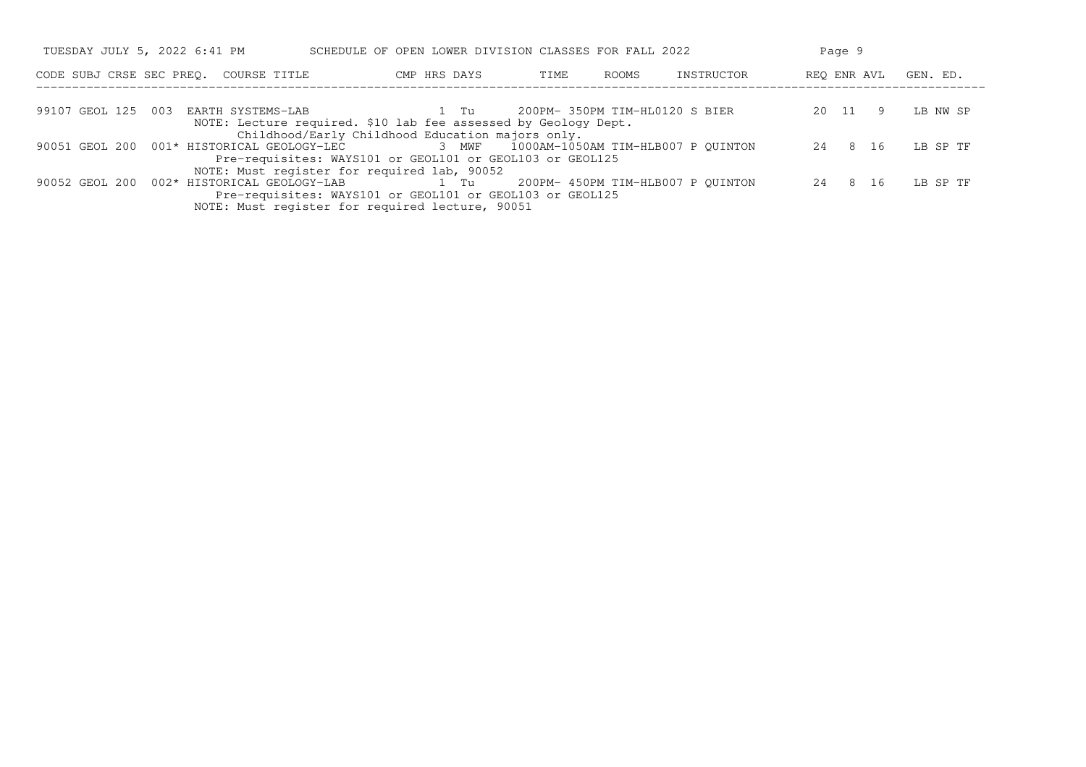| TUESDAY JULY 5, 2022 6:41 PM                                                                                                                                                                                                                   | SCHEDULE OF OPEN LOWER DIVISION CLASSES FOR FALL 2022 |                                |            | Page 9       |          |
|------------------------------------------------------------------------------------------------------------------------------------------------------------------------------------------------------------------------------------------------|-------------------------------------------------------|--------------------------------|------------|--------------|----------|
| CODE SUBJ CRSE SEC PREO. COURSE TITLE                                                                                                                                                                                                          | CMP HRS DAYS                                          | ROOMS<br>TIME                  | INSTRUCTOR | REO ENR AVL  | GEN. ED. |
| 99107 GEOL 125 003<br>EARTH SYSTEMS-LAB<br>NOTE: Lecture required. \$10 lab fee assessed by Geology Dept.                                                                                                                                      | nd 1 Tu                                               | 200PM- 350PM TIM-HL0120 S BIER |            | 20 11<br>- 9 | LB NW SP |
| Childhood/Early Childhood Education majors only.<br>90051 GEOL 200 001* HISTORICAL GEOLOGY-LEC 3 MWF 1000AM-1050AM TIM-HLB007 P OUINTON<br>Pre-requisites: WAYS101 or GEOL101 or GEOL103 or GEOL125                                            |                                                       |                                |            | 24 8 16      | LB SP TF |
| NOTE: Must register for required lab, 90052<br>90052 GEOL 200 002* HISTORICAL GEOLOGY-LAB 1 Tu 200PM-450PM TIM-HLB007 P OUINTON<br>Pre-requisites: WAYS101 or GEOL101 or GEOL103 or GEOL125<br>NOTE: Must register for required lecture, 90051 |                                                       |                                |            | 24 8 16      | LB SP TF |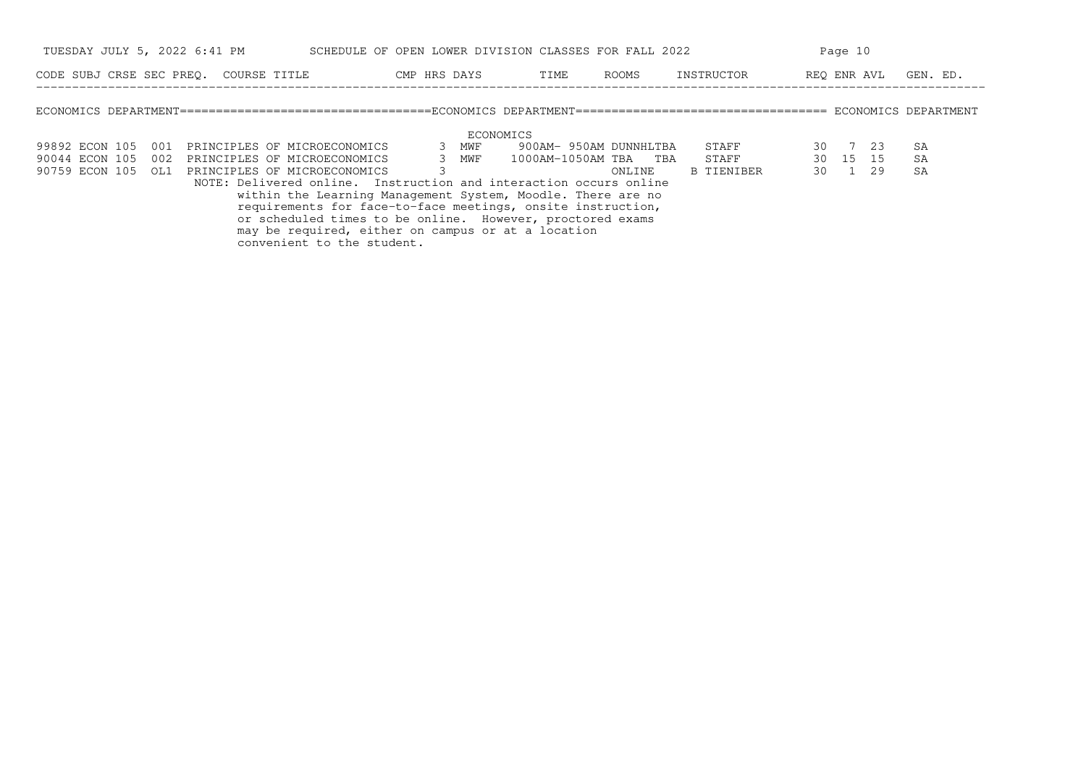|                |     | TUESDAY JULY 5, 2022 6:41 PM          |                                                                                                                                   |              |       | SCHEDULE OF OPEN LOWER DIVISION CLASSES FOR FALL 2022 |                        |                   |  | Page 10     |    |          |  |
|----------------|-----|---------------------------------------|-----------------------------------------------------------------------------------------------------------------------------------|--------------|-------|-------------------------------------------------------|------------------------|-------------------|--|-------------|----|----------|--|
|                |     | CODE SUBJ CRSE SEC PREO. COURSE TITLE |                                                                                                                                   | CMP HRS DAYS |       | TIME                                                  | ROOMS                  | INSTRUCTOR        |  | REO ENR AVL |    | GEN. ED. |  |
|                |     |                                       | ECONOMICS DEPARTMENT==================================ECONOMICS DEPARTMENT================================== ECONOMICS DEPARTMENT |              |       |                                                       |                        |                   |  |             |    |          |  |
|                |     |                                       |                                                                                                                                   |              |       | ECONOMICS                                             |                        |                   |  |             |    |          |  |
| 99892 ECON 105 | 001 |                                       | PRINCIPLES OF MICROECONOMICS                                                                                                      |              | 3 MWF |                                                       | 900AM- 950AM DUNNHLTBA | STAFF             |  | 30 7 23     |    | SA       |  |
| 90044 ECON 105 | 002 |                                       | PRINCIPLES OF MICROECONOMICS                                                                                                      |              | 3 MWF | 1000AM-1050AM TBA   TBA                               |                        | STAFF             |  | 30 15 15    |    | SA       |  |
| 90759 ECON 105 |     |                                       | OL1 PRINCIPLES OF MICROECONOMICS                                                                                                  |              |       |                                                       | ONLINE                 | <b>B TIENIBER</b> |  | 30 1        | 29 | SA       |  |
|                |     |                                       | NOTE: Delivered online. Instruction and interaction occurs online                                                                 |              |       |                                                       |                        |                   |  |             |    |          |  |
|                |     |                                       | within the Learning Management System, Moodle. There are no                                                                       |              |       |                                                       |                        |                   |  |             |    |          |  |
|                |     |                                       | requirements for face-to-face meetings, onsite instruction,                                                                       |              |       |                                                       |                        |                   |  |             |    |          |  |
|                |     |                                       | or scheduled times to be online. However, proctored exams                                                                         |              |       |                                                       |                        |                   |  |             |    |          |  |
|                |     |                                       | may be required, either on campus or at a location                                                                                |              |       |                                                       |                        |                   |  |             |    |          |  |
|                |     |                                       | convenient to the student.                                                                                                        |              |       |                                                       |                        |                   |  |             |    |          |  |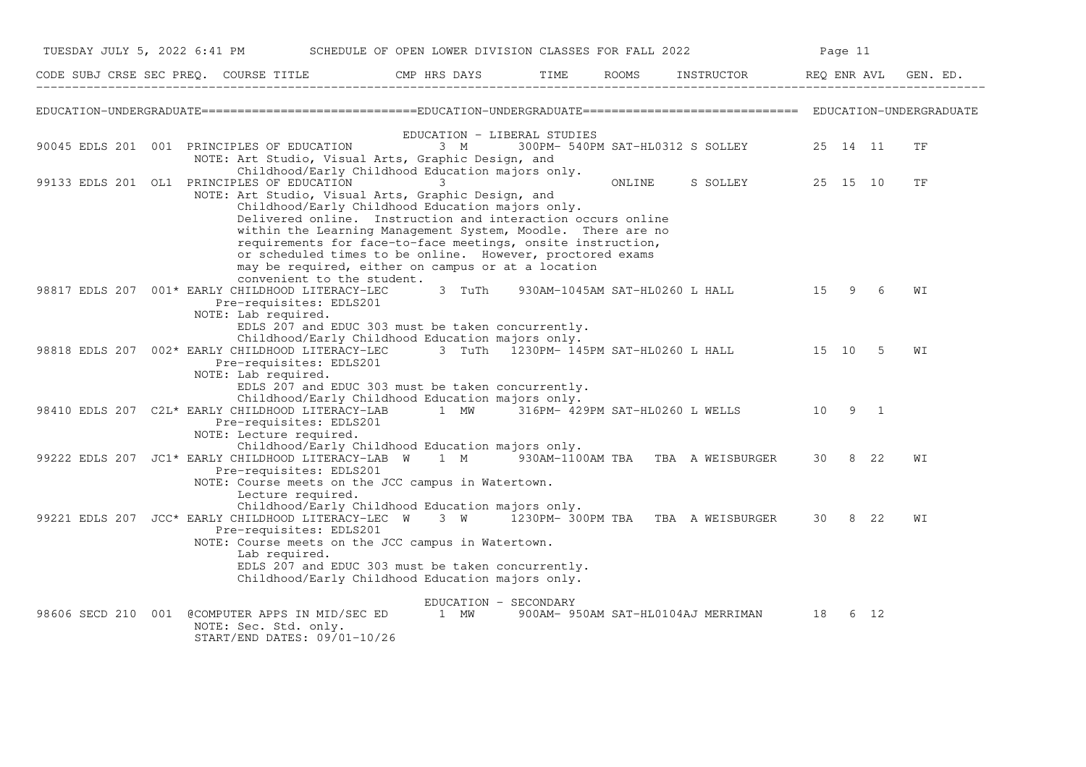| TUESDAY JULY 5, 2022 6:41 PM |     |                                                                                                                                                                           | SCHEDULE OF OPEN LOWER DIVISION CLASSES FOR FALL 2022                                                                                                                                                                                                                                                           |                                      |        |                                  |                 | Page 11  |    |
|------------------------------|-----|---------------------------------------------------------------------------------------------------------------------------------------------------------------------------|-----------------------------------------------------------------------------------------------------------------------------------------------------------------------------------------------------------------------------------------------------------------------------------------------------------------|--------------------------------------|--------|----------------------------------|-----------------|----------|----|
|                              |     |                                                                                                                                                                           |                                                                                                                                                                                                                                                                                                                 |                                      |        |                                  |                 |          |    |
|                              |     |                                                                                                                                                                           |                                                                                                                                                                                                                                                                                                                 |                                      |        |                                  |                 |          |    |
|                              |     |                                                                                                                                                                           | EDUCATION - LIBERAL STUDIES                                                                                                                                                                                                                                                                                     |                                      |        |                                  |                 |          |    |
|                              |     | 90045 EDLS 201 001 PRINCIPLES OF EDUCATION<br>NOTE: Art Studio, Visual Arts, Graphic Design, and                                                                          | 3 M<br>Childhood/Early Childhood Education majors only.                                                                                                                                                                                                                                                         |                                      |        | 300PM- 540PM SAT-HL0312 S SOLLEY |                 | 25 14 11 | TF |
|                              |     | 99133 EDLS 201 OL1 PRINCIPLES OF EDUCATION<br>NOTE: Art Studio, Visual Arts, Graphic Design, and                                                                          | 3<br>Childhood/Early Childhood Education majors only.<br>Delivered online. Instruction and interaction occurs online<br>within the Learning Management System, Moodle. There are no<br>requirements for face-to-face meetings, onsite instruction,<br>or scheduled times to be online. However, proctored exams |                                      | ONLINE | S SOLLEY                         |                 | 25 15 10 | TF |
|                              |     | convenient to the student.                                                                                                                                                | may be required, either on campus or at a location                                                                                                                                                                                                                                                              |                                      |        |                                  |                 |          |    |
|                              |     | 98817 EDLS 207 001* EARLY CHILDHOOD LITERACY-LEC<br>Pre-requisites: EDLS201<br>NOTE: Lab required.                                                                        | 3 TuTh<br>EDLS 207 and EDUC 303 must be taken concurrently.                                                                                                                                                                                                                                                     | 930AM-1045AM SAT-HL0260 L HALL       |        |                                  | 15              | 9<br>6   | WΙ |
|                              |     | 98818 EDLS 207 002* EARLY CHILDHOOD LITERACY-LEC 3 TuTh 1230PM-145PM SAT-HL0260 L HALL 30 15 10<br>Pre-requisites: EDLS201<br>NOTE: Lab required.                         | Childhood/Early Childhood Education majors only.                                                                                                                                                                                                                                                                |                                      |        |                                  |                 | -5       | WI |
|                              |     | 98410 EDLS 207 C2L* EARLY CHILDHOOD LITERACY-LAB<br>Pre-requisites: EDLS201                                                                                               | EDLS 207 and EDUC 303 must be taken concurrently.<br>Childhood/Early Childhood Education majors only.                                                                                                                                                                                                           | 1 MW 316PM- 429PM SAT-HL0260 L WELLS |        |                                  |                 | 10 9 1   |    |
|                              |     | NOTE: Lecture required.                                                                                                                                                   | Childhood/Early Childhood Education majors only.                                                                                                                                                                                                                                                                |                                      |        |                                  |                 |          |    |
|                              |     | 99222 EDLS 207 JC1* EARLY CHILDHOOD LITERACY-LAB W 1 M 930AM-1100AM TBA TBA A WEISBURGER<br>Pre-requisites: EDLS201<br>NOTE: Course meets on the JCC campus in Watertown. |                                                                                                                                                                                                                                                                                                                 |                                      |        |                                  | 30 <sup>7</sup> | 8 22     | WI |
|                              |     | Lecture required.<br>99221 EDLS 207 JCC* EARLY CHILDHOOD LITERACY-LEC W 3 W 1230PM-300PM TBA TBA A WEISBURGER<br>Pre-requisites: EDLS201                                  | Childhood/Early Childhood Education majors only.                                                                                                                                                                                                                                                                |                                      |        |                                  |                 | 30 8 22  | WΙ |
|                              |     | NOTE: Course meets on the JCC campus in Watertown.<br>Lab required.                                                                                                       | EDLS 207 and EDUC 303 must be taken concurrently.<br>Childhood/Early Childhood Education majors only.                                                                                                                                                                                                           |                                      |        |                                  |                 |          |    |
| 98606 SECD 210               | 001 | @COMPUTER APPS IN MID/SEC ED<br>NOTE: Sec. Std. only.<br>START/END DATES: 09/01-10/26                                                                                     | EDUCATION - SECONDARY<br>1 MW                                                                                                                                                                                                                                                                                   | 900AM- 950AM SAT-HL0104AJ MERRIMAN   |        |                                  | 18              | 6 12     |    |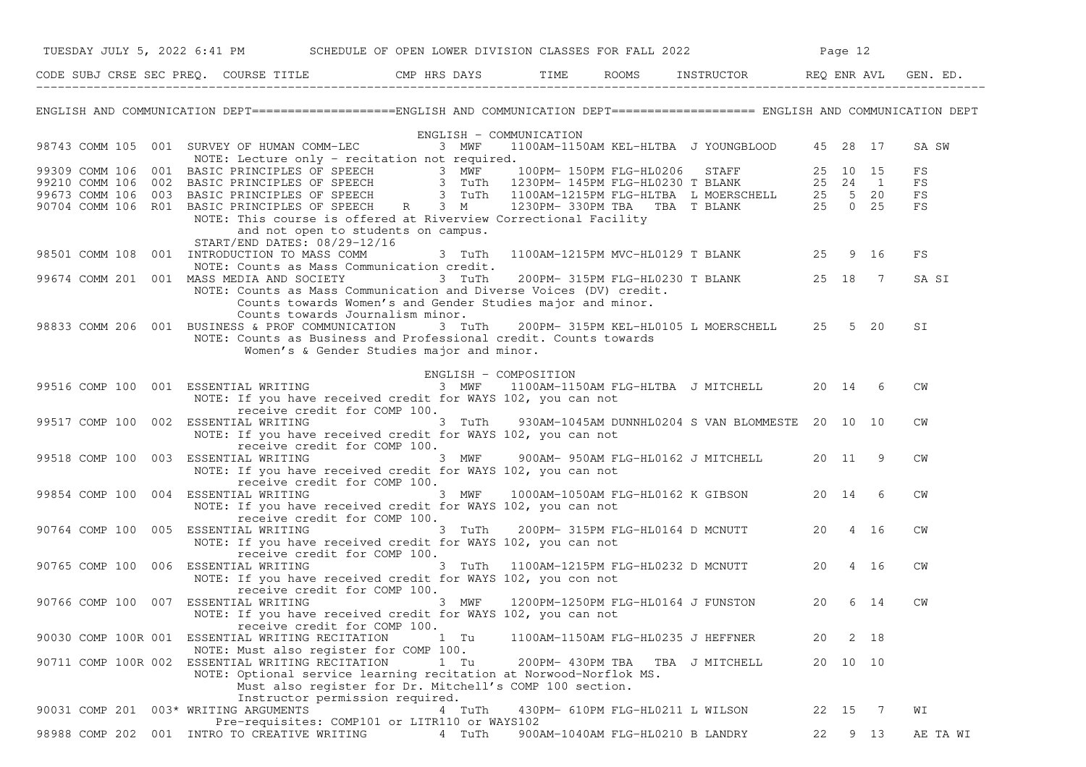| TUESDAY JULY 5, 2022 6:41 PM<br>SCHEDULE OF OPEN LOWER DIVISION CLASSES FOR FALL 2022<br>Page 12 |  |                                                                                                                                                                                                                                            |        |                         |                                  |                                                  |       |          |      |           |
|--------------------------------------------------------------------------------------------------|--|--------------------------------------------------------------------------------------------------------------------------------------------------------------------------------------------------------------------------------------------|--------|-------------------------|----------------------------------|--------------------------------------------------|-------|----------|------|-----------|
|                                                                                                  |  | CODE SUBJ CRSE SEC PREQ. COURSE TITLE THE CMP HRS DAYS TIME                                                                                                                                                                                |        |                         |                                  | ROOMS INSTRUCTOR REQ ENR AVL GEN. ED.            |       |          |      |           |
|                                                                                                  |  | ENGLISH AND COMMUNICATION DEPT===================ENGLISH AND COMMUNICATION DEPT==================== ENGLISH AND COMMUNICATION DEPT                                                                                                         |        |                         |                                  |                                                  |       |          |      |           |
|                                                                                                  |  |                                                                                                                                                                                                                                            |        | ENGLISH - COMMUNICATION |                                  |                                                  |       |          |      |           |
|                                                                                                  |  | 98743 COMM 105 001 SURVEY OF HUMAN COMM-LEC                                                                                                                                                                                                | 3 MWF  |                         |                                  | 1100AM-1150AM KEL-HLTBA J YOUNGBLOOD 45 28 17    |       |          |      | SA SW     |
|                                                                                                  |  | NOTE: Lecture only - recitation not required.                                                                                                                                                                                              |        |                         |                                  |                                                  |       |          |      |           |
|                                                                                                  |  |                                                                                                                                                                                                                                            |        |                         |                                  |                                                  |       |          |      | FS        |
|                                                                                                  |  |                                                                                                                                                                                                                                            |        |                         |                                  |                                                  |       |          |      | FS        |
|                                                                                                  |  |                                                                                                                                                                                                                                            |        |                         |                                  |                                                  |       |          |      | FS        |
|                                                                                                  |  | 99309 COMM 106 001 BASIC PRINCIPLES OF SPEECH<br>99210 COMM 106 002 BASIC PRINCIPLES OF SPEECH<br>99673 COMM 106 003 BASIC PRINCIPLES OF SPEECH<br>90704 COMM 106 R01 BASIC PRINCIPLES OF SPEECH<br>90704 COMM 106 R01 BASIC PRINCIPLES OF |        |                         |                                  |                                                  |       |          |      | FS        |
|                                                                                                  |  | NOTE: This course is offered at Riverview Correctional Facility<br>and not open to students on campus.                                                                                                                                     |        |                         |                                  |                                                  |       |          |      |           |
|                                                                                                  |  | START/END DATES: 08/29-12/16                                                                                                                                                                                                               |        |                         |                                  |                                                  |       |          |      |           |
|                                                                                                  |  | 98501 COMM 108 001 INTRODUCTION TO MASS COMM                                                                                                                                                                                               | 3 TuTh |                         |                                  | 1100AM-1215PM MVC-HL0129 T BLANK 25              |       |          | 9 16 | FS        |
|                                                                                                  |  | NOTE: Counts as Mass Communication credit.                                                                                                                                                                                                 |        |                         |                                  |                                                  |       |          |      |           |
|                                                                                                  |  | 99674 COMM 201 001 MASS MEDIA AND SOCIETY 3 TuTh                                                                                                                                                                                           |        |                         |                                  | 200PM- 315PM FLG-HL0230 T BLANK 25 18 7          |       |          |      | SA SI     |
|                                                                                                  |  | NOTE: Counts as Mass Communication and Diverse Voices (DV) credit.                                                                                                                                                                         |        |                         |                                  |                                                  |       |          |      |           |
|                                                                                                  |  | Counts towards Women's and Gender Studies major and minor.<br>Counts towards Journalism minor.                                                                                                                                             |        |                         |                                  |                                                  |       |          |      |           |
|                                                                                                  |  | 98833 COMM 206 001 BUSINESS & PROF COMMUNICATION                                                                                                                                                                                           | 3 TuTh |                         |                                  | 200PM- 315PM KEL-HL0105 L MOERSCHELL 25 5 20     |       |          |      | SI        |
|                                                                                                  |  | NOTE: Counts as Business and Professional credit. Counts towards                                                                                                                                                                           |        |                         |                                  |                                                  |       |          |      |           |
|                                                                                                  |  | Women's & Gender Studies major and minor.                                                                                                                                                                                                  |        |                         |                                  |                                                  |       |          |      |           |
|                                                                                                  |  |                                                                                                                                                                                                                                            |        |                         |                                  |                                                  |       |          |      |           |
|                                                                                                  |  |                                                                                                                                                                                                                                            |        | ENGLISH - COMPOSITION   |                                  |                                                  |       |          |      |           |
|                                                                                                  |  | 99516 COMP 100 001 ESSENTIAL WRITING                                                                                                                                                                                                       | 3 MWF  |                         |                                  | 1100AM-1150AM FLG-HLTBA J MITCHELL 20 14 6       |       |          |      | <b>CW</b> |
|                                                                                                  |  | NOTE: If you have received credit for WAYS 102, you can not<br>receive credit for COMP 100.                                                                                                                                                |        |                         |                                  |                                                  |       |          |      |           |
|                                                                                                  |  | 99517 COMP 100 002 ESSENTIAL WRITING                                                                                                                                                                                                       | 3 TuTh |                         |                                  | 930AM-1045AM DUNNHL0204 S VAN BLOMMESTE 20 10 10 |       |          |      | CW        |
|                                                                                                  |  | NOTE: If you have received credit for WAYS 102, you can not                                                                                                                                                                                |        |                         |                                  |                                                  |       |          |      |           |
|                                                                                                  |  | receive credit for COMP 100.                                                                                                                                                                                                               |        |                         |                                  |                                                  |       |          |      |           |
|                                                                                                  |  | 99518 COMP 100 003 ESSENTIAL WRITING                                                                                                                                                                                                       | 3 MWF  |                         |                                  | 900AM- 950AM FLG-HL0162 J MITCHELL               |       | 20 11    | - 9  | <b>CW</b> |
|                                                                                                  |  | NOTE: If you have received credit for WAYS 102, you can not                                                                                                                                                                                |        |                         |                                  |                                                  |       |          |      |           |
|                                                                                                  |  | receive credit for COMP 100.                                                                                                                                                                                                               |        |                         |                                  |                                                  |       |          |      |           |
|                                                                                                  |  | 99854 COMP 100 004 ESSENTIAL WRITING<br>NOTE: If you have received credit for WAYS 102, you can not                                                                                                                                        | 3 MWF  |                         |                                  | 1000AM-1050AM FLG-HL0162 K GIBSON                | 20 14 |          | -6   | <b>CW</b> |
|                                                                                                  |  | receive credit for COMP 100.                                                                                                                                                                                                               |        |                         |                                  |                                                  |       |          |      |           |
|                                                                                                  |  | 90764 COMP 100 005 ESSENTIAL WRITING                                                                                                                                                                                                       | 3 TuTh |                         |                                  | 200PM- 315PM FLG-HL0164 D MCNUTT                 |       | 20 4 16  |      | <b>CW</b> |
|                                                                                                  |  | NOTE: If you have received credit for WAYS 102, you can not                                                                                                                                                                                |        |                         |                                  |                                                  |       |          |      |           |
|                                                                                                  |  | receive credit for COMP 100.                                                                                                                                                                                                               |        |                         |                                  |                                                  |       |          |      |           |
|                                                                                                  |  | 90765 COMP 100 006 ESSENTIAL WRITING                                                                                                                                                                                                       | 3 TuTh |                         |                                  | 1100AM-1215PM FLG-HL0232 D MCNUTT                | 20    |          | 4 16 | CW        |
|                                                                                                  |  | NOTE: If you have received credit for WAYS 102, you con not<br>receive credit for COMP 100.                                                                                                                                                |        |                         |                                  |                                                  |       |          |      |           |
|                                                                                                  |  | 90766 COMP 100 007 ESSENTIAL WRITING                                                                                                                                                                                                       | 3 MWF  |                         |                                  | 1200PM-1250PM FLG-HL0164 J FUNSTON               | 20    |          | 6 14 | CW        |
|                                                                                                  |  | NOTE: If you have received credit for WAYS 102, you can not                                                                                                                                                                                |        |                         |                                  |                                                  |       |          |      |           |
|                                                                                                  |  | receive credit for COMP 100.                                                                                                                                                                                                               |        |                         |                                  |                                                  |       |          |      |           |
|                                                                                                  |  | 90030 COMP 100R 001 ESSENTIAL WRITING RECITATION                                                                                                                                                                                           | 1 Tu   |                         |                                  | 1100AM-1150AM FLG-HL0235 J HEFFNER               | 20    |          | 2 18 |           |
|                                                                                                  |  | NOTE: Must also register for COMP 100.                                                                                                                                                                                                     |        |                         |                                  |                                                  |       |          |      |           |
|                                                                                                  |  | 90711 COMP 100R 002 ESSENTIAL WRITING RECITATION                                                                                                                                                                                           | 1 Tu   |                         |                                  | 200PM- 430PM TBA TBA J MITCHELL                  |       | 20 10 10 |      |           |
|                                                                                                  |  | NOTE: Optional service learning recitation at Norwood-Norflok MS.                                                                                                                                                                          |        |                         |                                  |                                                  |       |          |      |           |
|                                                                                                  |  | Must also register for Dr. Mitchell's COMP 100 section.<br>Instructor permission required.                                                                                                                                                 |        |                         |                                  |                                                  |       |          |      |           |
|                                                                                                  |  | 90031 COMP 201 003* WRITING ARGUMENTS                                                                                                                                                                                                      | 4 TuTh |                         | 430PM- 610PM FLG-HL0211 L WILSON |                                                  |       | 22 15    | 7    | WΙ        |
|                                                                                                  |  | Pre-requisites: COMP101 or LITR110 or WAYS102                                                                                                                                                                                              |        |                         |                                  |                                                  |       |          |      |           |
| 98988 COMP 202                                                                                   |  | 001 INTRO TO CREATIVE WRITING                                                                                                                                                                                                              | 4 TuTh |                         | 900AM-1040AM FLG-HL0210 B LANDRY |                                                  | 22    |          | 9 13 | AE TA WI  |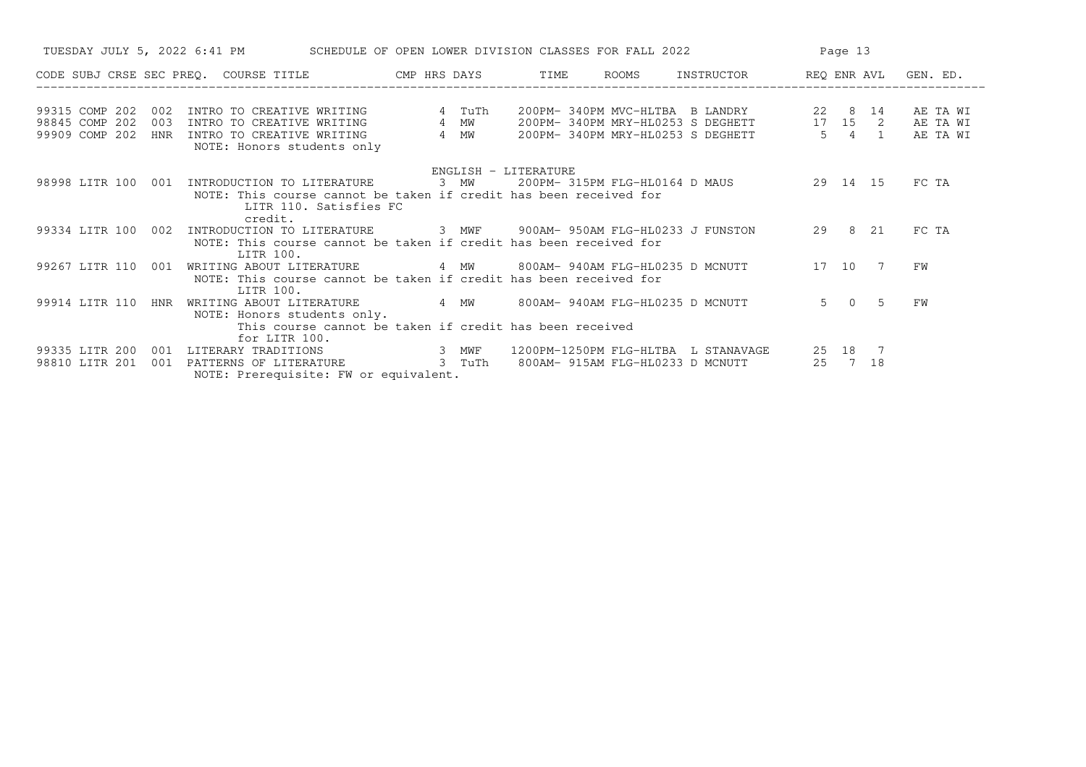|                                          |     | TUESDAY JULY 5, 2022 6:41 PM SCHEDULE OF OPEN LOWER DIVISION CLASSES FOR FALL 2022 Page 13                                                                                                                                                                                                       |        |                      |  |                                                                                                                              |               |                                  |
|------------------------------------------|-----|--------------------------------------------------------------------------------------------------------------------------------------------------------------------------------------------------------------------------------------------------------------------------------------------------|--------|----------------------|--|------------------------------------------------------------------------------------------------------------------------------|---------------|----------------------------------|
|                                          |     | CODE SUBJ CRSE SEC PREQ. COURSE TITLE THE CMP HRS DAYS TIME                                                                                                                                                                                                                                      |        |                      |  | ROOMS INSTRUCTOR REQ ENR AVL GEN. ED.                                                                                        |               |                                  |
| 98845 COMP 202 003<br>99909 COMP 202 HNR |     | 99315 COMP 202 002 INTRO TO CREATIVE WRITING<br>INTRO TO CREATIVE WRITING 4 MW<br>INTRO TO CREATIVE WRITING 4 MW<br>NOTE: Honors students only                                                                                                                                                   | 4 TuTh |                      |  | 200PM-340PM MVC-HLTBA B LANDRY 22 8 14<br>200PM-340PM MRY-HL0253 S DEGHETT 17 15 2<br>200PM-340PM MRY-HL0253 S DEGHETT 5 4 1 |               | AE TA WI<br>AE TA WI<br>AE TA WI |
|                                          |     | 98998 LITR 100 001 INTRODUCTION TO LITERATURE<br>NOTE: This course cannot be taken if credit has been received for<br>LITR 110. Satisfies FC<br>credit.                                                                                                                                          |        | ENGLISH - LITERATURE |  | 3 MW 200PM-315PM FLG-HL0164 D MAUS 29 14 15                                                                                  |               | FC TA                            |
|                                          |     | 99334 LITR 100 002 INTRODUCTION TO LITERATURE 3 MWF 900AM-950AM FLG-HL0233 J FUNSTON 29 8 21<br>NOTE: This course cannot be taken if credit has been received for<br>LITR 100.                                                                                                                   |        |                      |  |                                                                                                                              |               | FC TA                            |
| 99267 LITR 110 001                       |     | WRITING ABOUT LITERATURE $\,$ 4 MW $\,$ 800AM- 940AM FLG-HL0235 D MCNUTT $\,$ 10 $\,$ 7 $\,$<br>NOTE: This course cannot be taken if credit has been received for<br>LITR 100.                                                                                                                   |        |                      |  |                                                                                                                              |               | FW                               |
| 99914 LITR 110 HNR                       |     | WRITING ABOUT LITERATURE 4 MW 800AM-940AM FLG-HL0235 D MCNUTT<br>NOTE: Honors students only.<br>This course cannot be taken if credit has been received<br>for LITR 100.                                                                                                                         |        |                      |  |                                                                                                                              | $5 \t 0 \t 5$ | FW                               |
| 99335 LITR 200 001<br>98810 LITR 201     | 001 | Example 1200 ELITERARY TRADITIONS And the Sum of the Sum of the Sum of the Sum of the Sum of the Sum of the Su<br>Patterns of Literature the Sum of the Sum of the Sum of the Sum of the Sum of the Sum of the Sum of the Sum of<br>LITERARY TRADITIONS<br>NOTE: Prerequisite: FW or equivalent. |        |                      |  | 800AM- 915AM FLG-HL0233 D MCNUTT 25 7 18                                                                                     |               |                                  |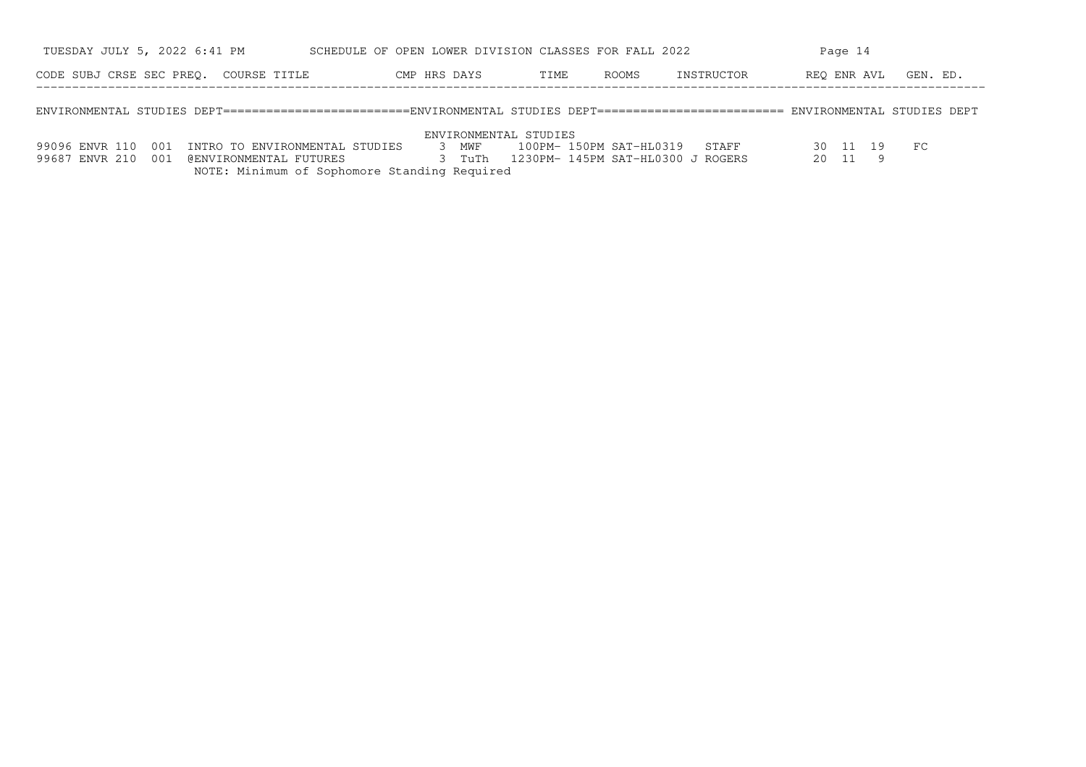| TUESDAY JULY 5, 2022 6:41 PM                                                                                                       | SCHEDULE OF OPEN LOWER DIVISION CLASSES FOR FALL 2022 |               |            | Page 14              |  |
|------------------------------------------------------------------------------------------------------------------------------------|-------------------------------------------------------|---------------|------------|----------------------|--|
| CODE SUBJ CRSE SEC PREO. COURSE TITLE                                                                                              | CMP HRS DAYS                                          | ROOMS<br>TIME | INSTRUCTOR | REO ENR AVL GEN. ED. |  |
| ENVIRONMENTAL STUDIES DEPT=========================ENVIRONMENTAL STUDIES DEPT========================== ENVIRONMENTAL STUDIES DEPT |                                                       |               |            |                      |  |

ENVIRONMENTAL STUDIES

|  | 99096 ENVR 110 001 INTRO TO ENVIRONMENTAL STUDIES | 3 MWF |  | 100PM- 150PM SAT-HL0319 STAFF           |  | 30 11 19 | <b>FC</b> |
|--|---------------------------------------------------|-------|--|-----------------------------------------|--|----------|-----------|
|  | 99687 ENVR 210 001 @ENVIRONMENTAL FUTURES         |       |  | 3 TuTh 1230PM-145PM SAT-HL0300 J ROGERS |  | 20 11 9  |           |
|  | NOTE: Minimum of Sophomore Standing Required      |       |  |                                         |  |          |           |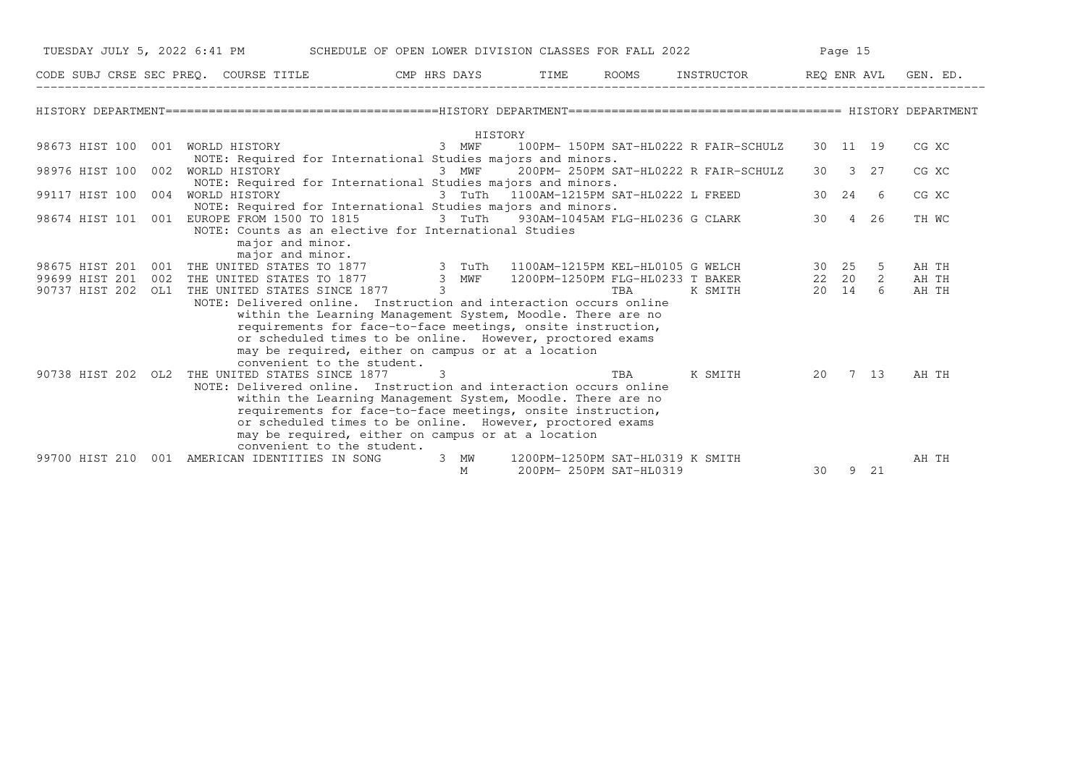|                       |                                  | TUESDAY JULY 5, 2022 6:41 PM SCHEDULE OF OPEN LOWER DIVISION CLASSES FOR FALL 2022                                                                                                                                                   |                                            |                                  |                                       |          | Page 15 |     |       |  |
|-----------------------|----------------------------------|--------------------------------------------------------------------------------------------------------------------------------------------------------------------------------------------------------------------------------------|--------------------------------------------|----------------------------------|---------------------------------------|----------|---------|-----|-------|--|
|                       |                                  | CODE SUBJ CRSE SEC PREQ. COURSE TITLE THE CMP HRS DAYS TIME ROOMS INSTRUCTOR THE REQ ENR AVL GEN. ED.                                                                                                                                |                                            |                                  |                                       |          |         |     |       |  |
|                       |                                  |                                                                                                                                                                                                                                      |                                            |                                  |                                       |          |         |     |       |  |
|                       |                                  |                                                                                                                                                                                                                                      | HISTORY                                    |                                  |                                       |          |         |     |       |  |
|                       | 98673 HIST 100 001 WORLD HISTORY | 3 MWF                                                                                                                                                                                                                                |                                            |                                  | 100PM- 150PM SAT-HL0222 R FAIR-SCHULZ | 30 11 19 |         |     | CG XC |  |
|                       |                                  | NOTE: Required for International Studies majors and minors.                                                                                                                                                                          |                                            |                                  |                                       |          |         |     |       |  |
| 98976 HIST 100 002    | WORLD HISTORY                    |                                                                                                                                                                                                                                      | 3 MWF 200PM-250PM SAT-HL0222 R FAIR-SCHULZ |                                  |                                       |          | 30 3 27 |     | CG XC |  |
|                       |                                  | NOTE: Required for International Studies majors and minors.                                                                                                                                                                          |                                            |                                  |                                       |          |         |     |       |  |
| 99117 HIST 100<br>004 | WORLD HISTORY                    | NOTE: Required for International Studies majors and minors.                                                                                                                                                                          | 3 TuTh 1100AM-1215PM SAT-HL0222 L FREED    |                                  |                                       |          | 30 24   | - 6 | CG XC |  |
| 98674 HIST 101 001    |                                  | EUROPE FROM 1500 TO 1815 3 TuTh 930AM-1045AM FLG-HL0236 G CLARK                                                                                                                                                                      |                                            |                                  |                                       |          | 30 4 26 |     | TH WC |  |
|                       |                                  | NOTE: Counts as an elective for International Studies                                                                                                                                                                                |                                            |                                  |                                       |          |         |     |       |  |
|                       | major and minor.                 |                                                                                                                                                                                                                                      |                                            |                                  |                                       |          |         |     |       |  |
|                       | major and minor.                 |                                                                                                                                                                                                                                      |                                            |                                  |                                       |          |         |     |       |  |
|                       |                                  | 98675 HIST 201 001 THE UNITED STATES TO 1877 3 TuTh 1100AM-1215PM KEL-HL0105 G WELCH 30 25<br>99699 HIST 201 002 THE UNITED STATES TO 1877 3 MWF 1200PM-1250PM FLG-HL0233 T BAKER 22 20<br>90737 HIST 202 OL1 THE UNITED STATES SINC |                                            |                                  |                                       |          |         | 5   | AH TH |  |
|                       |                                  |                                                                                                                                                                                                                                      |                                            |                                  |                                       |          |         | 2   | AH TH |  |
|                       |                                  |                                                                                                                                                                                                                                      |                                            |                                  |                                       |          |         | 6   | AH TH |  |
|                       |                                  | NOTE: Delivered online. Instruction and interaction occurs online                                                                                                                                                                    |                                            |                                  |                                       |          |         |     |       |  |
|                       |                                  | within the Learning Management System, Moodle. There are no                                                                                                                                                                          |                                            |                                  |                                       |          |         |     |       |  |
|                       |                                  | requirements for face-to-face meetings, onsite instruction,                                                                                                                                                                          |                                            |                                  |                                       |          |         |     |       |  |
|                       |                                  | or scheduled times to be online. However, proctored exams                                                                                                                                                                            |                                            |                                  |                                       |          |         |     |       |  |
|                       |                                  | may be required, either on campus or at a location<br>convenient to the student.                                                                                                                                                     |                                            |                                  |                                       |          |         |     |       |  |
| 90738 HIST 202 OL2    | THE UNITED STATES SINCE 1877     | $\mathcal{S}$                                                                                                                                                                                                                        |                                            | TBA                              | K SMITH                               |          | 20 7 13 |     | AH TH |  |
|                       |                                  | NOTE: Delivered online. Instruction and interaction occurs online                                                                                                                                                                    |                                            |                                  |                                       |          |         |     |       |  |
|                       |                                  | within the Learning Management System, Moodle. There are no                                                                                                                                                                          |                                            |                                  |                                       |          |         |     |       |  |
|                       |                                  | requirements for face-to-face meetings, onsite instruction,                                                                                                                                                                          |                                            |                                  |                                       |          |         |     |       |  |
|                       |                                  | or scheduled times to be online. However, proctored exams                                                                                                                                                                            |                                            |                                  |                                       |          |         |     |       |  |
|                       |                                  | may be required, either on campus or at a location                                                                                                                                                                                   |                                            |                                  |                                       |          |         |     |       |  |
|                       |                                  | convenient to the student.                                                                                                                                                                                                           |                                            |                                  |                                       |          |         |     |       |  |
| 99700 HIST 210<br>001 | AMERICAN IDENTITIES IN SONG      | $3$ MW                                                                                                                                                                                                                               |                                            | 1200PM-1250PM SAT-HL0319 K SMITH |                                       |          |         |     | AH TH |  |
|                       |                                  | М                                                                                                                                                                                                                                    |                                            | 200PM- 250PM SAT-HL0319          |                                       |          | 30 9 21 |     |       |  |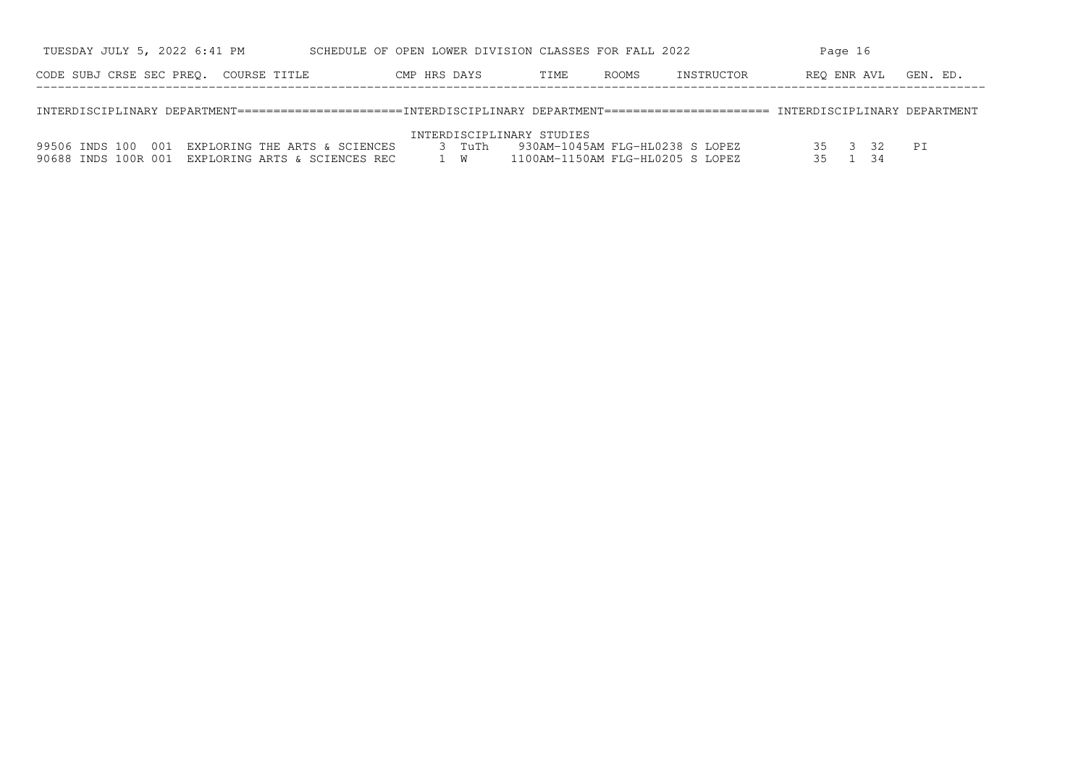| TUESDAY JULY 5, 2022 6:41 PM                                                                                                          | SCHEDULE OF OPEN LOWER DIVISION CLASSES FOR FALL 2022 |               |            | Page 16              |  |
|---------------------------------------------------------------------------------------------------------------------------------------|-------------------------------------------------------|---------------|------------|----------------------|--|
| CODE SUBJ CRSE SEC PREQ. COURSE TITLE                                                                                                 | CMP HRS DAYS                                          | ROOMS<br>TIME | INSTRUCTOR | REO ENR AVL GEN. ED. |  |
| INTERDISCIPLINARY DEPARTMENT========================INTERDISCIPLINARY DEPARTMENT======================== INTERDISCIPLINARY DEPARTMENT |                                                       |               |            |                      |  |
|                                                                                                                                       | INTERDISCIPLINARY STUDIES                             |               |            |                      |  |

99506 INDS 100 001 EXPLORING THE ARTS & SCIENCES 3 TuTh 930AM−1045AM FLG−HL0238 S LOPEZ 35 3 32 PI<br>90688 INDS 100R 001 EXPLORING ARTS & SCIENCES REC 1 W 1100AM−1150AM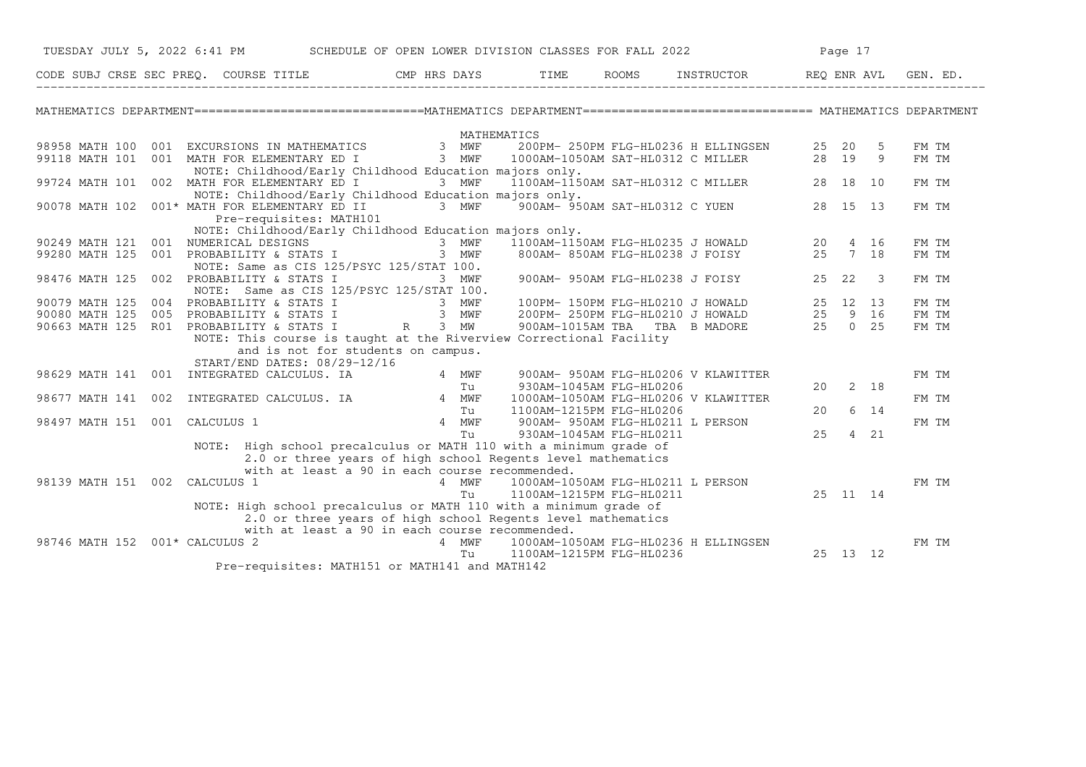|                                | TUESDAY JULY 5, 2022 6:41 PM SCHEDULE OF OPEN LOWER DIVISION CLASSES FOR FALL 2022 Page 17                                                                                                   |                  |       |                                                                                     |  |                                                                                                                              |    |          |      |                |  |
|--------------------------------|----------------------------------------------------------------------------------------------------------------------------------------------------------------------------------------------|------------------|-------|-------------------------------------------------------------------------------------|--|------------------------------------------------------------------------------------------------------------------------------|----|----------|------|----------------|--|
|                                | CODE SUBJ CRSE SEC PREQ. COURSE TITLE THE CMP HRS DAYS TIME ROOMS INSTRUCTOR REQ ENR AVL GENERAL CONS                                                                                        |                  |       |                                                                                     |  | INSTRUCTOR REQ ENR AVL                                                                                                       |    |          |      | GEN. ED.       |  |
|                                | MATHEMATICS DEPARTMENT===============================MATHEMATICS DEPARTMENT============================== MATHEMATICS DEPARTMENT                                                             |                  |       |                                                                                     |  |                                                                                                                              |    |          |      |                |  |
|                                |                                                                                                                                                                                              |                  |       | MATHEMATICS                                                                         |  |                                                                                                                              |    |          |      |                |  |
|                                |                                                                                                                                                                                              |                  |       |                                                                                     |  |                                                                                                                              |    |          |      | FM TM          |  |
|                                | 98958 MATH 100 001 EXCURSIONS IN MATHEMATICS 3 MWF 200PM-250PM FLG-HL0236 H ELLINGSEN 25 20 5<br>99118 MATH 101 001 MATH FOR ELEMENTARY ED I 3 MWF 1000AM-1050AM SAT-HL0312 C MILLER 28 19 9 |                  |       |                                                                                     |  |                                                                                                                              |    |          |      | FM TM          |  |
|                                | NOTE: Childhood/Early Childhood Education majors only.                                                                                                                                       |                  |       |                                                                                     |  |                                                                                                                              |    |          |      |                |  |
|                                | 99724 MATH 101 002 MATH FOR ELEMENTARY ED I                                                                                                                                                  |                  | 3 MWF |                                                                                     |  |                                                                                                                              |    |          |      | FM TM          |  |
|                                | NOTE: Childhood/Early Childhood Education majors only.                                                                                                                                       |                  |       |                                                                                     |  |                                                                                                                              |    |          |      |                |  |
|                                | 90078 MATH 102 001* MATH FOR ELEMENTARY ED II 3 MWF                                                                                                                                          |                  |       |                                                                                     |  | 900AM- 950AM SAT-HL0312 C YUEN 28 15 13                                                                                      |    |          |      | FM TM          |  |
|                                | Pre-requisites: MATH101                                                                                                                                                                      |                  |       |                                                                                     |  |                                                                                                                              |    |          |      |                |  |
|                                | NOTE: Childhood/Early Childhood Education majors only.                                                                                                                                       |                  |       |                                                                                     |  |                                                                                                                              |    |          |      |                |  |
| 99280 MATH 125                 | 90249 MATH 121 001 NUMERICAL DESIGNS 3 MWF<br>001 PROBABILITY & STATS I                                                                                                                      |                  | 3 MWF | 1100AM-1150AM FLG-HL0235 J HOWALD 20 4 16<br>800AM-850AM FLG-HL0238 J FOISY 25 7 18 |  |                                                                                                                              |    |          |      | FM TM<br>FM TM |  |
|                                | NOTE: Same as CIS 125/PSYC 125/STAT 100.                                                                                                                                                     |                  |       |                                                                                     |  |                                                                                                                              |    |          |      |                |  |
|                                | 98476 MATH 125 002 PROBABILITY & STATS I                                                                                                                                                     |                  | 3 MWF |                                                                                     |  | 900AM- 950AM FLG-HL0238 J FOISY 25 22 3                                                                                      |    |          |      | FM TM          |  |
|                                | NOTE: Same as CIS 125/PSYC 125/STAT 100.                                                                                                                                                     |                  |       |                                                                                     |  |                                                                                                                              |    |          |      |                |  |
|                                |                                                                                                                                                                                              |                  |       |                                                                                     |  |                                                                                                                              |    |          |      | FM TM          |  |
|                                | 90079 MATH 125 004 PROBABILITY & STATS I $\overline{3}$ MWF 90080 MATH 125 005 PROBABILITY & STATS I $\overline{3}$ MWF                                                                      |                  |       |                                                                                     |  |                                                                                                                              |    |          |      | FM TM          |  |
|                                | 90663 MATH 125 R01 PROBABILITY & STATS I R 3 MW                                                                                                                                              |                  |       |                                                                                     |  | 100PM-150PM FLG-HL0210 J HOWALD 25 12 13<br>200PM-250PM FLG-HL0210 J HOWALD 25 9 16<br>900AM-1015AM TBA TBA B MADORE 25 0 25 |    |          |      | FM TM          |  |
|                                | NOTE: This course is taught at the Riverview Correctional Facility                                                                                                                           |                  |       |                                                                                     |  |                                                                                                                              |    |          |      |                |  |
|                                | and is not for students on campus.                                                                                                                                                           |                  |       |                                                                                     |  |                                                                                                                              |    |          |      |                |  |
|                                | START/END DATES: 08/29-12/16                                                                                                                                                                 |                  |       |                                                                                     |  |                                                                                                                              |    |          |      |                |  |
|                                | 98629 MATH 141 001 INTEGRATED CALCULUS. IA 4 MWF                                                                                                                                             |                  |       |                                                                                     |  | 900AM- 950AM FLG-HL0206 V KLAWITTER                                                                                          |    |          |      | FM TM          |  |
|                                |                                                                                                                                                                                              |                  | Tu    | 930AM-1045AM FLG-HL0206                                                             |  |                                                                                                                              | 20 |          | 2 18 |                |  |
|                                | 98677 MATH 141 002 INTEGRATED CALCULUS. IA 4 MWF                                                                                                                                             |                  |       |                                                                                     |  | 1000AM-1050AM FLG-HL0206 V KLAWITTER                                                                                         |    |          |      | FM TM          |  |
|                                |                                                                                                                                                                                              |                  | Tu    | 1100AM-1215PM FLG-HL0206                                                            |  |                                                                                                                              | 20 |          | 6 14 |                |  |
| 98497 MATH 151 001 CALCULUS 1  |                                                                                                                                                                                              | Tu<br>4 MWF<br>- |       | 900AM- 950AM FLG-HL0211 L PERSON                                                    |  |                                                                                                                              |    |          |      | FM TM          |  |
|                                |                                                                                                                                                                                              |                  | Tu    | 930AM-1045AM FLG-HL0211                                                             |  |                                                                                                                              | 25 |          | 4 21 |                |  |
|                                | NOTE: High school precalculus or MATH 110 with a minimum grade of                                                                                                                            |                  |       |                                                                                     |  |                                                                                                                              |    |          |      |                |  |
|                                |                                                                                                                                                                                              |                  |       | 2.0 or three years of high school Regents level mathematics                         |  |                                                                                                                              |    |          |      |                |  |
| 98139 MATH 151 002 CALCULUS 1  | with at least a 90 in each course recommended.                                                                                                                                               |                  | 4 MWF |                                                                                     |  |                                                                                                                              |    |          |      |                |  |
|                                |                                                                                                                                                                                              |                  | Tu    | 1000AM-1050AM FLG-HL0211 L PERSON<br>1100AM-1215PM FLG-HL0211                       |  |                                                                                                                              |    | 25 11 14 |      | FM TM          |  |
|                                | NOTE: High school precalculus or MATH 110 with a minimum grade of                                                                                                                            |                  |       |                                                                                     |  |                                                                                                                              |    |          |      |                |  |
|                                |                                                                                                                                                                                              |                  |       | 2.0 or three years of high school Regents level mathematics                         |  |                                                                                                                              |    |          |      |                |  |
|                                | with at least a 90 in each course recommended.                                                                                                                                               |                  |       |                                                                                     |  |                                                                                                                              |    |          |      |                |  |
| 98746 MATH 152 001* CALCULUS 2 |                                                                                                                                                                                              |                  | 4 MWF | 1000AM-1050AM FLG-HL0236 H ELLINGSEN                                                |  |                                                                                                                              |    |          |      | FM TM          |  |
|                                |                                                                                                                                                                                              |                  | Tu    | 1100AM-1215PM FLG-HL0236                                                            |  |                                                                                                                              |    | 25 13 12 |      |                |  |
|                                | Pre-requisites: MATH151 or MATH141 and MATH142                                                                                                                                               |                  |       |                                                                                     |  |                                                                                                                              |    |          |      |                |  |
|                                |                                                                                                                                                                                              |                  |       |                                                                                     |  |                                                                                                                              |    |          |      |                |  |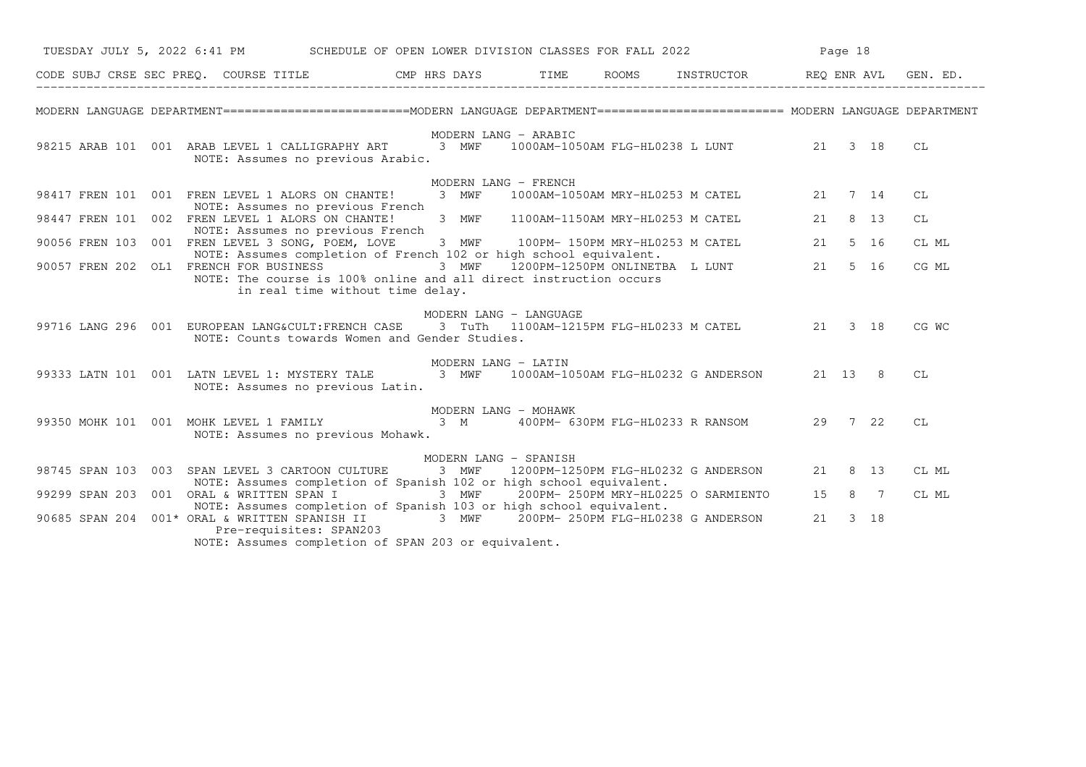|  |  | TUESDAY JULY 5, 2022 6:41 PM SCHEDULE OF OPEN LOWER DIVISION CLASSES FOR FALL 2022 Page 18                                                                                                                                                                        |       |                        |  |                                          |         |       |
|--|--|-------------------------------------------------------------------------------------------------------------------------------------------------------------------------------------------------------------------------------------------------------------------|-------|------------------------|--|------------------------------------------|---------|-------|
|  |  | CODE SUBJ CRSE SEC PREQ. COURSE TITLE CMP HRS DAYS TIME ROOMS INSTRUCTOR TREQ ENR AVL GEN. ED.                                                                                                                                                                    |       |                        |  |                                          |         |       |
|  |  | MODERN LANGUAGE DEPARTMENT=========================MODERN LANGUAGE DEPARTMENT======================= MODERN LANGUAGE DEPARTMENT                                                                                                                                   |       |                        |  |                                          |         |       |
|  |  | 98215 ARAB 101 001 ARAB LEVEL 1 CALLIGRAPHY ART 3 MWF<br>NOTE: Assumes no previous Arabic.                                                                                                                                                                        |       | MODERN LANG - ARABIC   |  | 1000AM-1050AM FLG-HL0238 L LUNT 21 3 18  |         | CL    |
|  |  | 98417 FREN 101 001 FREN LEVEL 1 ALORS ON CHANTE!<br>NOTE: Assumes no previous French                                                                                                                                                                              | 3 MWF | MODERN LANG - FRENCH   |  | 1000AM-1050AM MRY-HL0253 M CATEL 21 7 14 |         | CL    |
|  |  | 98447 FREN 101 002 FREN LEVEL 1 ALORS ON CHANTE!<br>NOTE: Assumes no previous French                                                                                                                                                                              | 3 MWF |                        |  | 1100AM-1150AM MRY-HL0253 M CATEL 21 8 13 |         | CL.   |
|  |  | 90056 FREN 103 001 FREN LEVEL 3 SONG, POEM, LOVE 3 MWF 100PM-150PM MRY-HL0253 M CATEL 21 5 16                                                                                                                                                                     |       |                        |  |                                          |         | CL ML |
|  |  | NOTE: Assumes completion of French 102 or high school equivalent.<br>90057 FREN 202 OL1 FRENCH FOR BUSINESS 3 MWF 1200PM-1250PM ONLINETBA L LUNT 21 5 16<br>NOTE: The course is 100% online and all direct instruction occurs<br>in real time without time delay. |       |                        |  |                                          |         | CG ML |
|  |  | 99716 LANG 296 001 EUROPEAN LANG&CULT:FRENCH CASE 3 TuTh 1100AM-1215PM FLG-HL0233 M CATEL 21 3 18<br>NOTE: Counts towards Women and Gender Studies.                                                                                                               |       | MODERN LANG - LANGUAGE |  |                                          |         | CG WC |
|  |  | 99333 LATN 101 001 LATN LEVEL 1: MYSTERY TALE 3 MWF 1000AM-1050AM FLG-HL0232 G ANDERSON 21 13 8<br>NOTE: Assumes no previous Latin.                                                                                                                               |       | MODERN LANG - LATIN    |  |                                          |         | CL    |
|  |  | 99350 MOHK 101 001 MOHK LEVEL 1 FAMILY 3 M 400PM- 630PM FLG-HL0233 R RANSOM 29 7 22<br>NOTE: Assumes no previous Mohawk.                                                                                                                                          |       | MODERN LANG - MOHAWK   |  |                                          |         | CL    |
|  |  | 98745 SPAN 103 003 SPAN LEVEL 3 CARTOON CULTURE 3 MWF 1200PM-1250PM FLG-HL0232 G ANDERSON 21 8 13<br>NOTE: Assumes completion of Spanish 102 or high school equivalent.                                                                                           |       | MODERN LANG - SPANISH  |  |                                          |         | CL ML |
|  |  | 99299 SPAN 203 001 ORAL & WRITTEN SPAN I 1 3 MWF 200PM-250PM MRY-HL0225 O SARMIENTO 15 8 7                                                                                                                                                                        |       |                        |  |                                          |         | CL ML |
|  |  | NOTE: Assumes completion of Spanish 103 or high school equivalent.<br>90685 SPAN 204 001* ORAL & WRITTEN SPANISH II 3 MWF $\,$ 200PM- 250PM FLG-HL0238 G ANDERSON<br>Pre-requisites: SPAN203<br>NOTE: Assumes completion of SPAN 203 or equivalent.               |       |                        |  |                                          | 21 3 18 |       |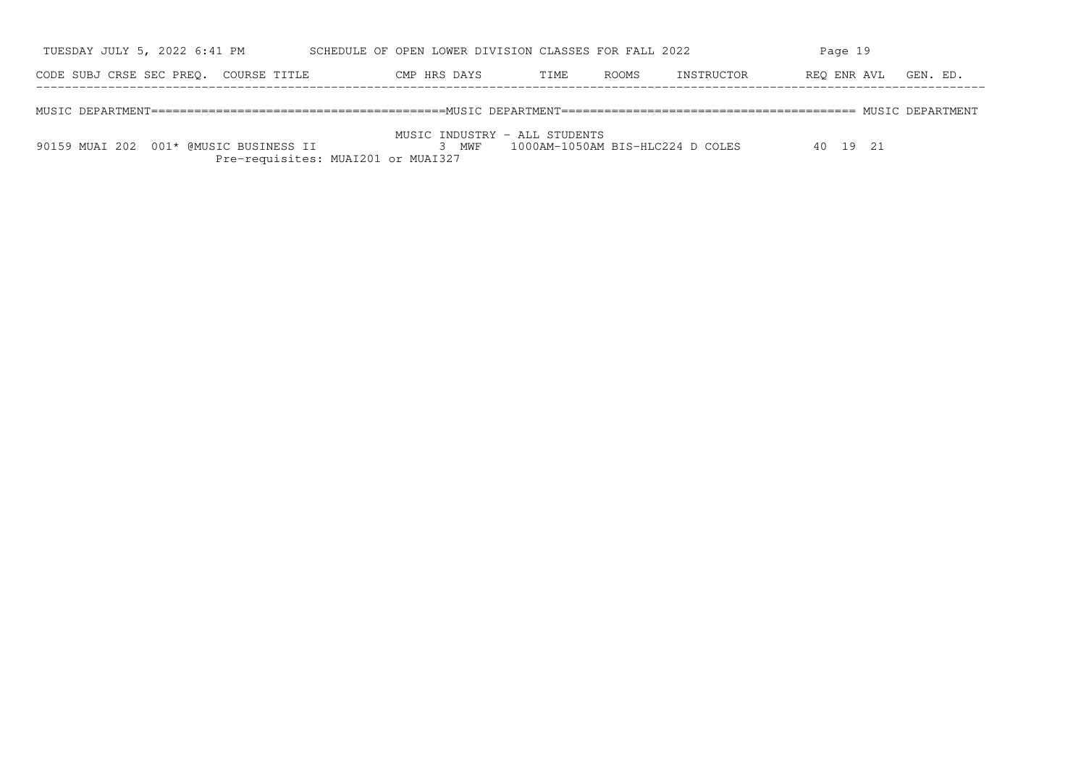| TUESDAY JULY 5, 2022 6:41 PM           |                                    | SCHEDULE OF OPEN LOWER DIVISION CLASSES FOR FALL 2022 |      |                                  | Page 19                 |  |
|----------------------------------------|------------------------------------|-------------------------------------------------------|------|----------------------------------|-------------------------|--|
| CODE SUBJ CRSE SEC PREO. COURSE TITLE  |                                    | CMP HRS DAYS                                          | TIME | ROOMS<br>INSTRUCTOR              | REO ENR AVL<br>GEN. ED. |  |
|                                        |                                    |                                                       |      |                                  |                         |  |
| 90159 MUAI 202 001* @MUSIC BUSINESS II | Pre-requisites: MUAI201 or MUAI327 | MUSIC INDUSTRY - ALL STUDENTS<br>3 MWF                |      | 1000AM-1050AM BIS-HLC224 D COLES | 40 19 21                |  |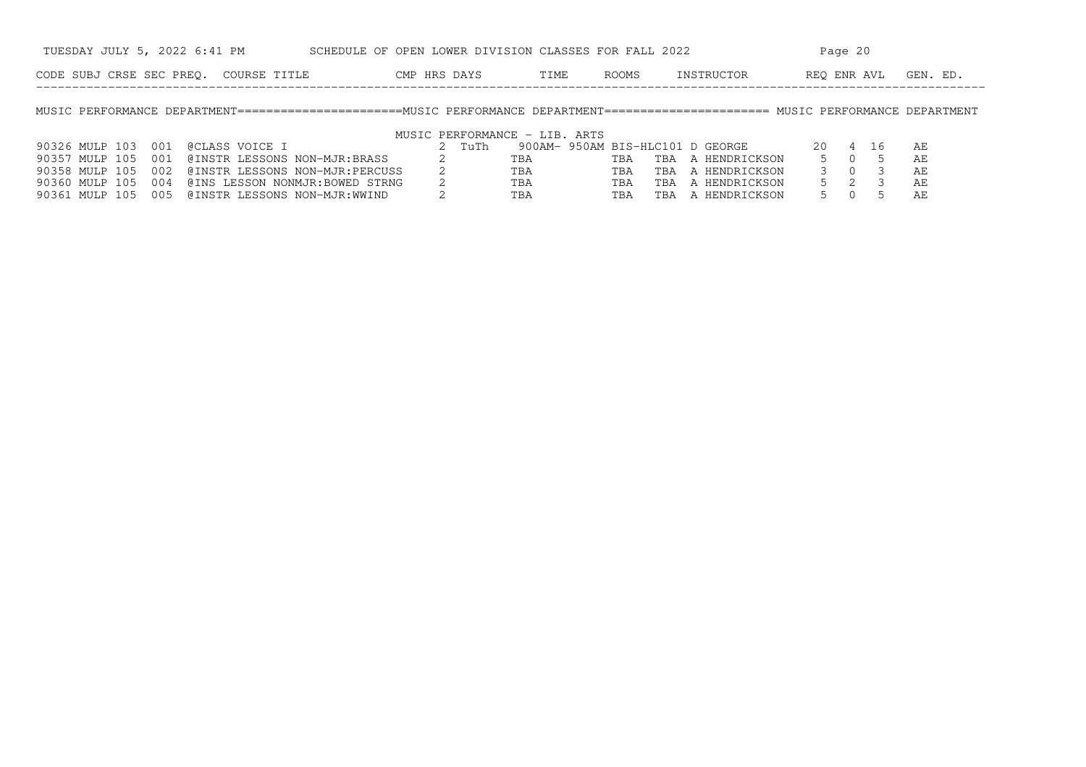| TUESDAY JULY 5, 2022 6:41 PM                                                                                                      |              | SCHEDULE OF OPEN LOWER DIVISION CLASSES FOR FALL 2022 |      |              |                                  | Page 20     |     |          |
|-----------------------------------------------------------------------------------------------------------------------------------|--------------|-------------------------------------------------------|------|--------------|----------------------------------|-------------|-----|----------|
| CODE SUBJ CRSE SEC PREO. COURSE TITLE                                                                                             | CMP HRS DAYS |                                                       | TIME | <b>ROOMS</b> | INSTRUCTOR                       | REO ENR AVL |     | GEN. ED. |
| MUSIC PERFORMANCE DEPARTMENT=======================MUSIC PERFORMANCE DEPARTMENT===================== MUSIC PERFORMANCE DEPARTMENT |              | MUSIC PERFORMANCE - LIB. ARTS                         |      |              |                                  |             |     |          |
|                                                                                                                                   |              |                                                       |      |              |                                  |             |     |          |
| 001<br>@CLASS VOICE I<br>90326 MULP 103                                                                                           |              | 2 TuTh                                                |      |              | 900AM- 950AM BIS-HLC101 D GEORGE | 20          | 416 | AE       |
| @INSTR LESSONS NON-MJR:BRASS<br>90357 MULP 105 001                                                                                |              | TBA                                                   |      | TBA<br>TBA   | A HENDRICKSON                    | .5<br>()    | 5   | AE       |
| @INSTR LESSONS NON-MJR:PERCUSS<br>90358 MULP 105<br>002                                                                           | 2            | TBA                                                   |      | TBA<br>TBA   | A HENDRICKSON                    | $\Omega$    |     | AE       |
| 90360 MULP 105 004<br>@INS LESSON NONMJR:BOWED STRNG                                                                              | 2            | TBA                                                   |      | TBA<br>TBA   | A HENDRICKSON                    |             |     | AE       |
| 90361 MULP 105 005 @INSTR LESSONS NON-MJR:WWIND                                                                                   |              | TBA                                                   |      | TBA          | TBA A HENDRICKSON                |             |     |          |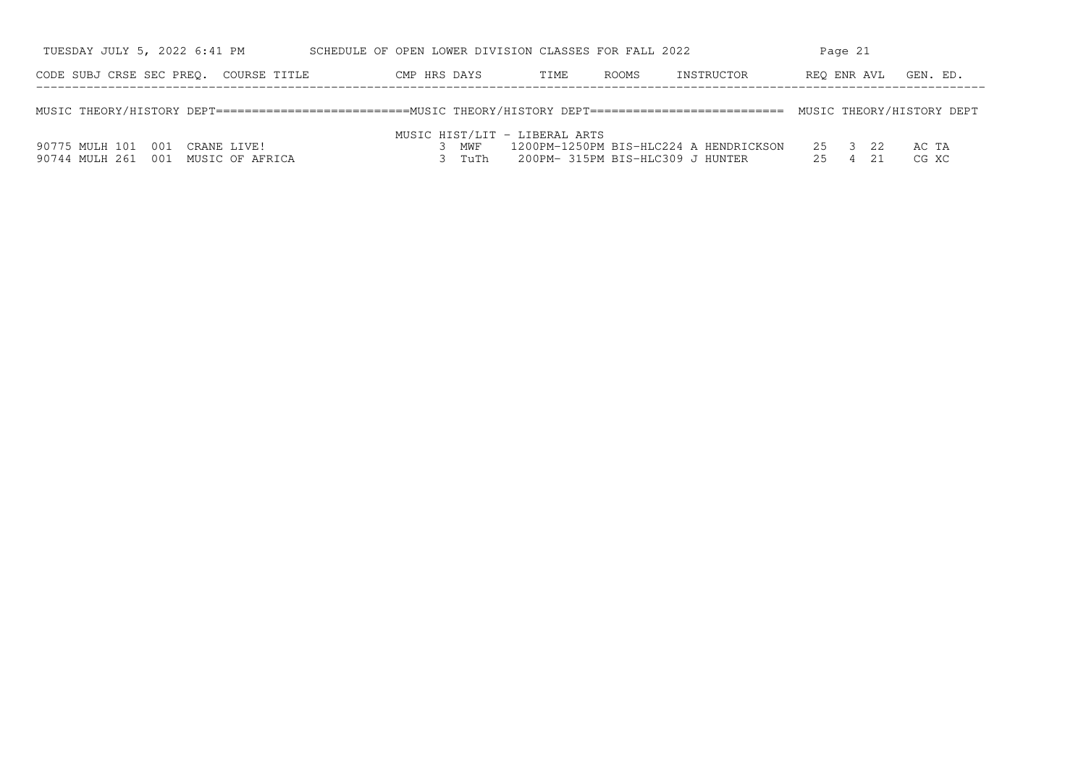| TUESDAY JULY 5, 2022 6:41 PM                                                                            | SCHEDULE OF OPEN LOWER DIVISION CLASSES FOR FALL 2022 |                                                                            |            | Page 21                   |                |
|---------------------------------------------------------------------------------------------------------|-------------------------------------------------------|----------------------------------------------------------------------------|------------|---------------------------|----------------|
| CODE SUBJ CRSE SEC PREO. COURSE TITLE                                                                   | CMP HRS DAYS                                          | ROOMS<br>TIME                                                              | INSTRUCTOR | REO ENR AVL               | GEN. ED.       |
| MUSIC THEORY/HISTORY DEPT=========================MUSIC THEORY/HISTORY DEPT============================ |                                                       |                                                                            |            | MUSIC THEORY/HISTORY DEPT |                |
| 90775 MULH 101<br>001<br>CRANE LIVE!<br>90744 MULH 261 001 MUSIC OF AFRICA                              | MUSIC HIST/LIT - LIBERAL ARTS<br>3 MWF<br>$3$ TuTh    | 1200PM-1250PM BIS-HLC224 A HENDRICKSON<br>200PM- 315PM BIS-HLC309 J HUNTER |            | 25 3 22<br>25 4 21        | AC TA<br>CG XC |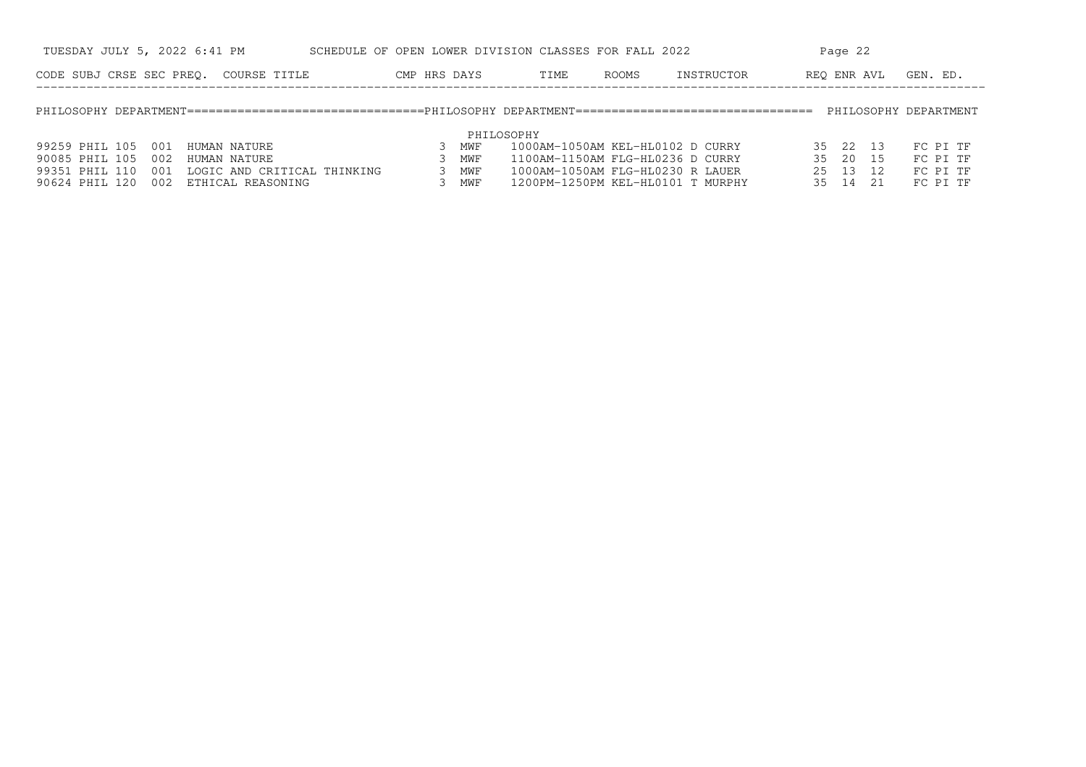| TUESDAY JULY 5, 2022 6:41 PM                         | SCHEDULE OF OPEN LOWER DIVISION CLASSES FOR FALL 2022 |            |                                   |            | Page 22     |    |                       |  |
|------------------------------------------------------|-------------------------------------------------------|------------|-----------------------------------|------------|-------------|----|-----------------------|--|
| CODE SUBJ CRSE SEC PREO. COURSE TITLE                | CMP HRS DAYS                                          |            | ROOMS<br>TIME                     | INSTRUCTOR | REO ENR AVL |    | GEN. ED.              |  |
|                                                      |                                                       |            |                                   |            |             |    | PHILOSOPHY DEPARTMENT |  |
|                                                      |                                                       | PHILOSOPHY |                                   |            |             |    |                       |  |
| 99259 PHIL 105<br>001<br>HUMAN NATURE                |                                                       | MWF        | 1000AM-1050AM KEL-HL0102 D CURRY  |            | 35 22       | 13 | FC PI TF              |  |
| 90085 PHIL 105<br>002<br>HUMAN NATURE                |                                                       | MWF        | 1100AM-1150AM FLG-HL0236 D CURRY  |            | 35 20 15    |    | FC PI TF              |  |
| 99351 PHIL 110<br>001<br>LOGIC AND CRITICAL THINKING |                                                       | MWF        | 1000AM-1050AM FLG-HL0230 R LAUER  |            | 25 13       | 12 | FC PI TF              |  |
| 90624 PHIL 120<br>002<br>ETHICAL REASONING           |                                                       | MWF        | 1200PM-1250PM KEL-HL0101 T MURPHY |            | 35 14 21    |    | FC PI TF              |  |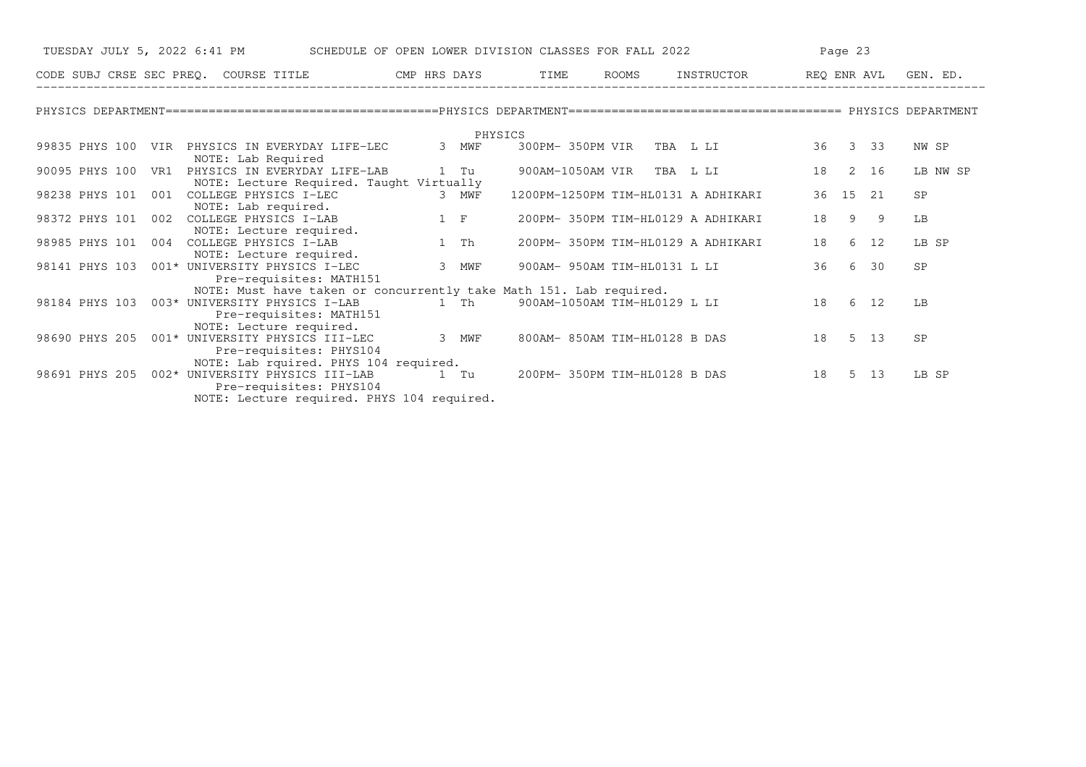|                |     | TUESDAY JULY 5, 2022 6:41 PM                                                                  |       | SCHEDULE OF OPEN LOWER DIVISION CLASSES FOR FALL 2022 |       |                                     |    | Page 23        |   |                      |
|----------------|-----|-----------------------------------------------------------------------------------------------|-------|-------------------------------------------------------|-------|-------------------------------------|----|----------------|---|----------------------|
|                |     | CODE SUBJ CRSE SEC PREQ. COURSE TITLE THE CMP HRS DAYS TIME                                   |       |                                                       | ROOMS | INSTRUCTOR                          |    |                |   | REQ ENR AVL GEN. ED. |
|                |     |                                                                                               |       |                                                       |       |                                     |    |                |   |                      |
|                |     |                                                                                               |       | PHYSICS                                               |       |                                     |    |                |   |                      |
| 99835 PHYS 100 | VIR | PHYSICS IN EVERYDAY LIFE-LEC                                                                  | 3 MWF |                                                       |       | 300PM-350PM VIR TBA L LI            |    | 36 3 33        |   | NW SP                |
|                |     | NOTE: Lab Required                                                                            |       |                                                       |       |                                     |    |                |   |                      |
| 90095 PHYS 100 | VR1 | PHYSICS IN EVERYDAY LIFE-LAB                                                                  | 1 Tu  | 900AM-1050AM VIR TBA L LI                             |       |                                     | 18 | 2 16           |   | LB NW SP             |
|                |     | NOTE: Lecture Required. Taught Virtually                                                      |       |                                                       |       |                                     |    |                |   |                      |
| 98238 PHYS 101 | 001 | COLLEGE PHYSICS I-LEC                                                                         | 3 MWF |                                                       |       | 1200PM-1250PM TIM-HL0131 A ADHIKARI |    | 36 15 21       |   | SP                   |
|                |     | NOTE: Lab required.                                                                           |       |                                                       |       |                                     |    |                |   |                      |
| 98372 PHYS 101 | 002 | COLLEGE PHYSICS I-LAB                                                                         | $1$ F |                                                       |       | 200PM- 350PM TIM-HL0129 A ADHIKARI  | 18 | $\overline{9}$ | 9 | LB                   |
|                |     | NOTE: Lecture required.                                                                       |       |                                                       |       |                                     |    |                |   |                      |
| 98985 PHYS 101 | 004 | COLLEGE PHYSICS I-LAB                                                                         | 1 Th  |                                                       |       | 200PM- 350PM TIM-HL0129 A ADHIKARI  | 18 | 6 12           |   | LB SP                |
| 98141 PHYS 103 |     | NOTE: Lecture required.                                                                       | 3 MWF | 900AM- 950AM TIM-HL0131 L LI                          |       |                                     | 36 | 6 30           |   | <b>SP</b>            |
|                |     | 001* UNIVERSITY PHYSICS I-LEC                                                                 |       |                                                       |       |                                     |    |                |   |                      |
|                |     | Pre-requisites: MATH151<br>NOTE: Must have taken or concurrently take Math 151. Lab required. |       |                                                       |       |                                     |    |                |   |                      |
| 98184 PHYS 103 |     | 003* UNIVERSITY PHYSICS I-LAB                                                                 | 1 Th  | 900AM-1050AM TIM-HL0129 L LI                          |       |                                     | 18 | 6 12           |   | LB                   |
|                |     | Pre-requisites: MATH151                                                                       |       |                                                       |       |                                     |    |                |   |                      |
|                |     | NOTE: Lecture required.                                                                       |       |                                                       |       |                                     |    |                |   |                      |
| 98690 PHYS 205 |     | 001* UNIVERSITY PHYSICS III-LEC                                                               | 3 MWF | 800AM- 850AM TIM-HL0128 B DAS                         |       |                                     | 18 | 5 13           |   | <b>SP</b>            |
|                |     | Pre-requisites: PHYS104                                                                       |       |                                                       |       |                                     |    |                |   |                      |
|                |     | NOTE: Lab rquired. PHYS 104 required.                                                         |       |                                                       |       |                                     |    |                |   |                      |
| 98691 PHYS 205 |     | 002* UNIVERSITY PHYSICS III-LAB                                                               | 1 Tu  | 200PM- 350PM TIM-HL0128 B DAS                         |       |                                     | 18 | 5 13           |   | LB SP                |
|                |     | Pre-requisites: PHYS104                                                                       |       |                                                       |       |                                     |    |                |   |                      |
|                |     | NOTE: Lecture required. PHYS 104 required.                                                    |       |                                                       |       |                                     |    |                |   |                      |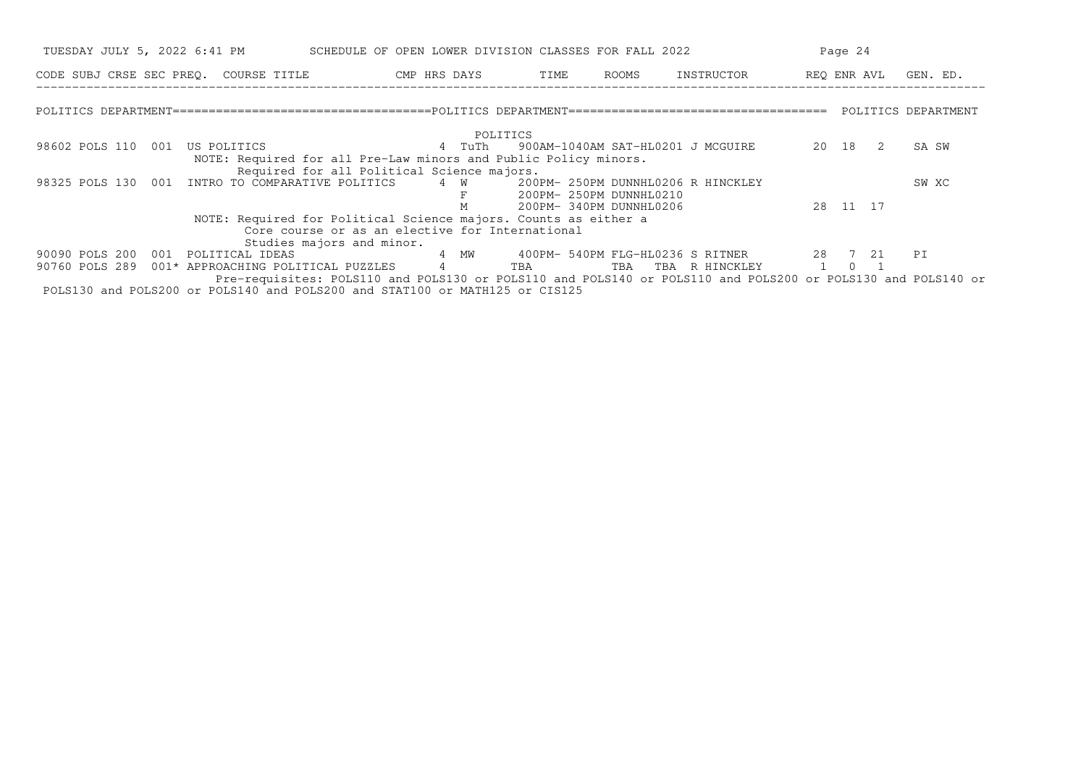|                    |     |                 | TUESDAY JULY 5, 2022 6:41 PM SCHEDULE OF OPEN LOWER DIVISION CLASSES FOR FALL 2022                 |  |     |          |                         |                                                  |             | Page 24  |                                                                                                             |
|--------------------|-----|-----------------|----------------------------------------------------------------------------------------------------|--|-----|----------|-------------------------|--------------------------------------------------|-------------|----------|-------------------------------------------------------------------------------------------------------------|
|                    |     |                 | CODE SUBJ CRSE SEC PREO. COURSE TITLE THE CMP HRS DAYS TIME                                        |  |     |          |                         | ROOMS INSTRUCTOR                                 |             |          | REO ENR AVL GEN. ED.                                                                                        |
|                    |     |                 |                                                                                                    |  |     |          |                         |                                                  |             |          |                                                                                                             |
|                    |     |                 |                                                                                                    |  |     | POLITICS |                         |                                                  |             |          |                                                                                                             |
| 98602 POLS 110     | 001 | US POLITICS     | NOTE: Required for all Pre-Law minors and Public Policy minors.                                    |  |     |          |                         | 4 TuTh 900AM-1040AM SAT-HL0201 J MCGUIRE 20 18 2 |             |          | SA SW                                                                                                       |
|                    |     |                 | Required for all Political Science majors.                                                         |  |     |          |                         |                                                  |             |          |                                                                                                             |
|                    |     |                 | 98325 POLS 130 001 INTRO TO COMPARATIVE POLITICS                                                   |  | 4 W |          | 200PM- 250PM DUNNHL0210 | 200PM- 250PM DUNNHL0206 R HINCKLEY               |             |          | SW XC                                                                                                       |
|                    |     |                 |                                                                                                    |  |     |          | 200PM- 340PM DUNNHL0206 |                                                  |             | 28 11 17 |                                                                                                             |
|                    |     |                 | NOTE: Required for Political Science majors. Counts as either a                                    |  |     |          |                         |                                                  |             |          |                                                                                                             |
|                    |     |                 | Core course or as an elective for International                                                    |  |     |          |                         |                                                  |             |          |                                                                                                             |
| 90090 POLS 200 001 |     | POLITICAL IDEAS | Studies majors and minor.<br>4 MW      400PM- 540PM FLG-HL0236 S RITNER         28    7  21     PI |  |     |          |                         |                                                  |             |          |                                                                                                             |
| 90760 POLS 289     |     |                 | 001* APPROACHING POLITICAL PUZZLES 4                                                               |  |     | TBA      |                         | TBA TBA RHINCKLEY                                | $1 \quad 0$ |          |                                                                                                             |
|                    |     |                 |                                                                                                    |  |     |          |                         |                                                  |             |          | Pre-requisites: POLS110 and POLS130 or POLS110 and POLS140 or POLS110 and POLS200 or POLS130 and POLS140 or |
|                    |     |                 | POLS130 and POLS200 or POLS140 and POLS200 and STAT100 or MATH125 or CIS125                        |  |     |          |                         |                                                  |             |          |                                                                                                             |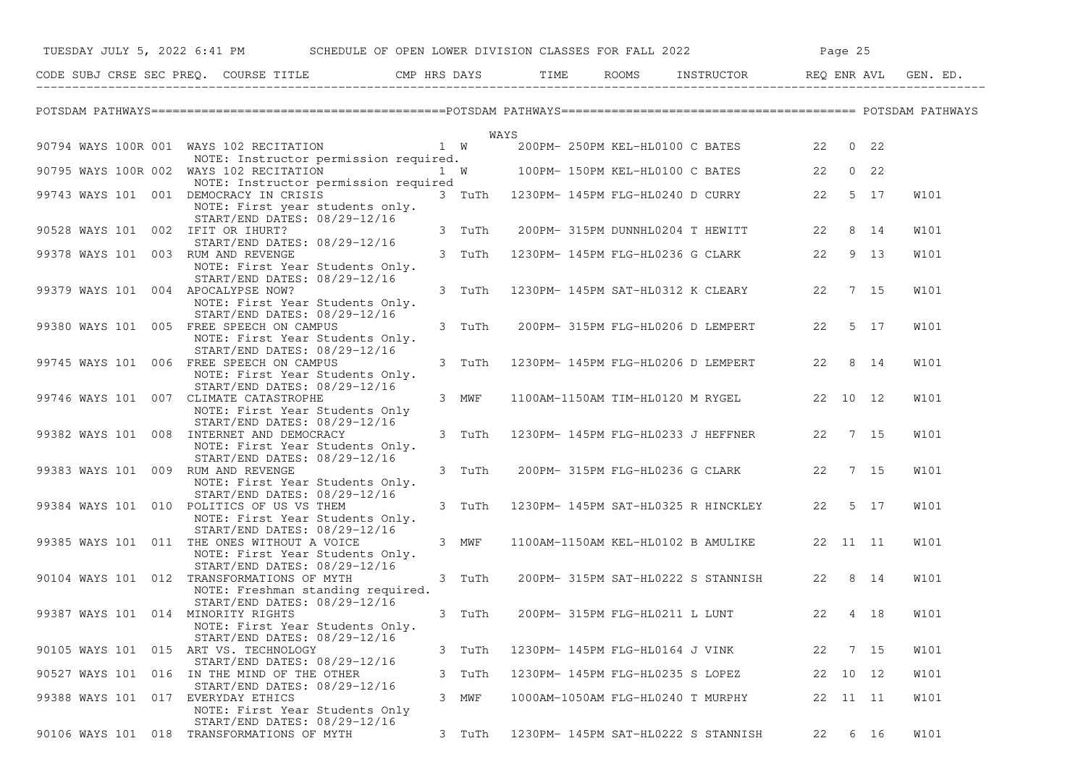|                                       | TUESDAY JULY 5, 2022 6:41 PM SCHEDULE OF OPEN LOWER DIVISION CLASSES FOR FALL 2022 Page 25                                    |        |      |                                 |                                                |    |          |      |             |
|---------------------------------------|-------------------------------------------------------------------------------------------------------------------------------|--------|------|---------------------------------|------------------------------------------------|----|----------|------|-------------|
|                                       |                                                                                                                               |        |      |                                 |                                                |    |          |      |             |
|                                       |                                                                                                                               |        |      |                                 |                                                |    |          |      |             |
|                                       |                                                                                                                               |        |      |                                 |                                                |    |          |      |             |
|                                       |                                                                                                                               |        | WAYS |                                 |                                                |    |          |      |             |
|                                       | 90794 WAYS 100R 001 WAYS 102 RECITATION 1 W                                                                                   |        |      |                                 | 200PM-250PM KEL-HL0100 C BATES 22 0 22         |    |          |      |             |
|                                       | NOTE: Instructor permission required.                                                                                         |        |      |                                 |                                                |    |          |      |             |
|                                       | 90795 WAYS 100R 002 WAYS 102 RECITATION 62 1 W 100PM-150PM KEL-HL0100 C BATES 22 0 22<br>NOTE: Instructor permission required |        |      |                                 |                                                |    |          |      |             |
|                                       | 99743 WAYS 101 001 DEMOCRACY IN CRISIS                                                                                        |        |      |                                 | 3 TuTh 1230PM-145PM FLG-HL0240 D CURRY 22 5 17 |    |          |      | W101        |
|                                       | NOTE: First year students only.                                                                                               |        |      |                                 |                                                |    |          |      |             |
|                                       | START/END DATES: 08/29-12/16                                                                                                  |        |      |                                 |                                                |    |          |      |             |
| 90528 WAYS 101 002 IFIT OR IHURT?     |                                                                                                                               | 3 TuTh |      |                                 | 200PM- 315PM DUNNHL0204 T HEWITT 22            |    |          | 8 14 | W101        |
|                                       | START/END DATES: 08/29-12/16                                                                                                  |        |      |                                 |                                                |    |          |      |             |
| 99378 WAYS 101 003 RUM AND REVENGE    |                                                                                                                               | 3 TuTh |      |                                 | 1230PM- 145PM FLG-HL0236 G CLARK 22 9 13       |    |          |      | W101        |
|                                       | NOTE: First Year Students Only.<br>START/END DATES: 08/29-12/16                                                               |        |      |                                 |                                                |    |          |      |             |
| 99379 WAYS 101 004 APOCALYPSE NOW?    |                                                                                                                               | 3 TuTh |      |                                 | 1230PM- 145PM SAT-HL0312 K CLEARY 22 7 15      |    |          |      | <b>W101</b> |
|                                       | NOTE: First Year Students Only.                                                                                               |        |      |                                 |                                                |    |          |      |             |
|                                       | START/END DATES: 08/29-12/16                                                                                                  |        |      |                                 |                                                |    |          |      |             |
|                                       | 99380 WAYS 101 005 FREE SPEECH ON CAMPUS                                                                                      | 3 TuTh |      |                                 | 200PM- 315PM FLG-HL0206 D LEMPERT 22 5 17      |    |          |      | W101        |
|                                       | NOTE: First Year Students Only.                                                                                               |        |      |                                 |                                                |    |          |      |             |
|                                       | START/END DATES: 08/29-12/16                                                                                                  |        |      |                                 |                                                |    |          |      |             |
|                                       | 99745 WAYS 101 006 FREE SPEECH ON CAMPUS                                                                                      | 3 TuTh |      |                                 | 1230PM- 145PM FLG-HL0206 D LEMPERT 22 8 14     |    |          |      | W101        |
|                                       | NOTE: First Year Students Only.<br>START/END DATES: 08/29-12/16                                                               |        |      |                                 |                                                |    |          |      |             |
|                                       | 99746 WAYS 101 007 CLIMATE CATASTROPHE                                                                                        | 3 MWF  |      |                                 | 1100AM-1150AM TIM-HL0120 M RYGEL 22 10 12      |    |          |      | <b>W101</b> |
|                                       | NOTE: First Year Students Only                                                                                                |        |      |                                 |                                                |    |          |      |             |
|                                       | START/END DATES: 08/29-12/16                                                                                                  |        |      |                                 |                                                |    |          |      |             |
|                                       | 99382 WAYS 101 008 INTERNET AND DEMOCRACY                                                                                     | 3 TuTh |      |                                 | 1230PM- 145PM FLG-HL0233 J HEFFNER 22 7 15     |    |          |      | W101        |
|                                       | NOTE: First Year Students Only.                                                                                               |        |      |                                 |                                                |    |          |      |             |
| 99383 WAYS 101 009 RUM AND REVENGE    | START/END DATES: 08/29-12/16                                                                                                  | 3 TuTh |      |                                 |                                                |    |          |      |             |
|                                       | NOTE: First Year Students Only.                                                                                               |        |      |                                 | 200PM- 315PM FLG-HL0236 G CLARK 22 7 15        |    |          |      | W101        |
|                                       | START/END DATES: 08/29-12/16                                                                                                  |        |      |                                 |                                                |    |          |      |             |
|                                       | 99384 WAYS 101 010 POLITICS OF US VS THEM                                                                                     | 3 TuTh |      |                                 | 1230PM- 145PM SAT-HL0325 R HINCKLEY 22 5 17    |    |          |      | W101        |
|                                       | NOTE: First Year Students Only.                                                                                               |        |      |                                 |                                                |    |          |      |             |
|                                       | START/END DATES: 08/29-12/16                                                                                                  |        |      |                                 |                                                |    |          |      |             |
|                                       | 99385 WAYS 101 011 THE ONES WITHOUT A VOICE                                                                                   | 3 MWF  |      |                                 | 1100AM-1150AM KEL-HL0102 B AMULIKE 22 11 11    |    |          |      | W101        |
|                                       | NOTE: First Year Students Only.<br>START/END DATES: 08/29-12/16                                                               |        |      |                                 |                                                |    |          |      |             |
|                                       | 90104 WAYS 101 012 TRANSFORMATIONS OF MYTH                                                                                    | 3 TuTh |      |                                 | 200PM- 315PM SAT-HL0222 S STANNISH             |    | 22 8 14  |      | <b>W101</b> |
|                                       | NOTE: Freshman standing required.                                                                                             |        |      |                                 |                                                |    |          |      |             |
|                                       | START/END DATES: $08/29-12/16$                                                                                                |        |      |                                 |                                                |    |          |      |             |
| 99387 WAYS 101 014 MINORITY RIGHTS    |                                                                                                                               | 3 TuTh |      |                                 | 200PM-315PM FLG-HL0211 L LUNT 22 4 18          |    |          |      | W101        |
|                                       | NOTE: First Year Students Only.                                                                                               |        |      |                                 |                                                |    |          |      |             |
|                                       | START/END DATES: 08/29-12/16                                                                                                  |        |      |                                 |                                                |    |          |      |             |
| 90105 WAYS 101 015 ART VS. TECHNOLOGY | START/END DATES: 08/29-12/16                                                                                                  | 3 TuTh |      | 1230PM- 145PM FLG-HL0164 J VINK |                                                | 22 |          | 7 15 | <b>W101</b> |
|                                       | 90527 WAYS 101 016 IN THE MIND OF THE OTHER                                                                                   | 3 TuTh |      |                                 | 1230PM- 145PM FLG-HL0235 S LOPEZ               |    | 22 10 12 |      | W101        |
|                                       | START/END DATES: 08/29-12/16                                                                                                  |        |      |                                 |                                                |    |          |      |             |
| 99388 WAYS 101 017 EVERYDAY ETHICS    |                                                                                                                               | 3 MWF  |      |                                 | 1000AM-1050AM FLG-HL0240 T MURPHY              |    | 22 11 11 |      | <b>W101</b> |
|                                       | NOTE: First Year Students Only                                                                                                |        |      |                                 |                                                |    |          |      |             |
|                                       | START/END DATES: 08/29-12/16                                                                                                  |        |      |                                 |                                                |    |          |      |             |
|                                       | 90106 WAYS 101 018 TRANSFORMATIONS OF MYTH                                                                                    | 3 TuTh |      |                                 | 1230PM- 145PM SAT-HL0222 S STANNISH            | 22 |          | 6 16 | W101        |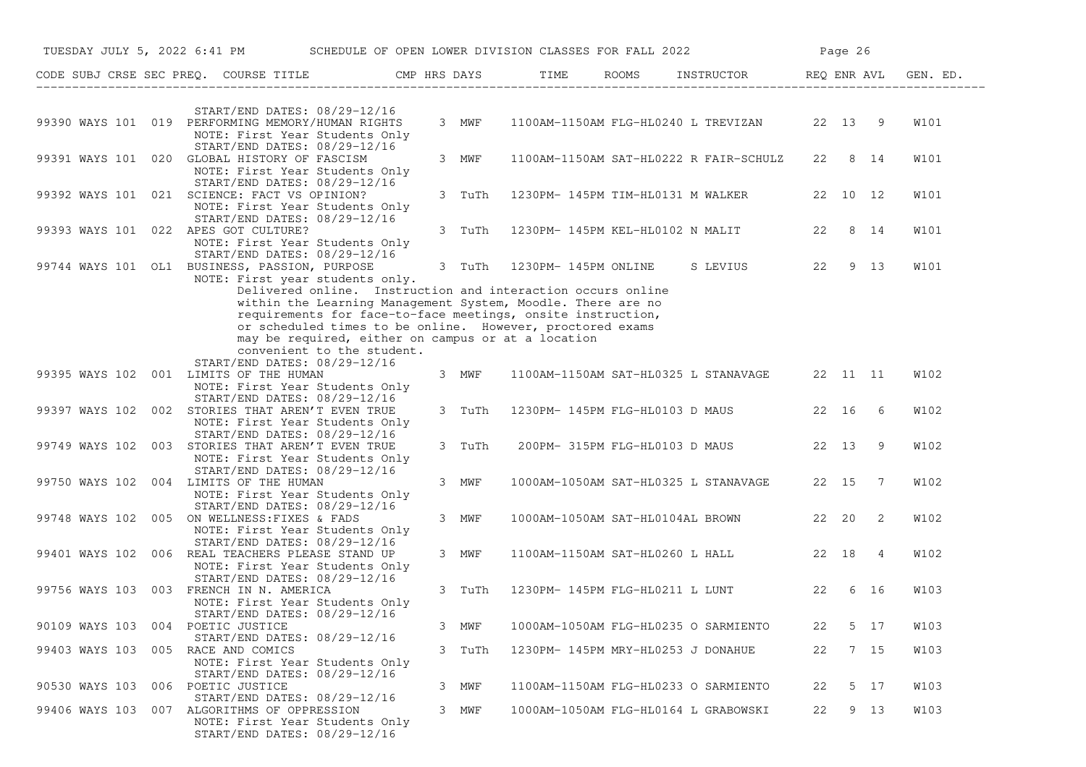|                                                   |                                                                                                |                                                                                                                            |        |  | TUESDAY JULY 5, 2022 6:41 PM SCHEDULE OF OPEN LOWER DIVISION CLASSES FOR FALL 2022 Page 26 |    |          |      |             |
|---------------------------------------------------|------------------------------------------------------------------------------------------------|----------------------------------------------------------------------------------------------------------------------------|--------|--|--------------------------------------------------------------------------------------------|----|----------|------|-------------|
|                                                   |                                                                                                |                                                                                                                            |        |  |                                                                                            |    |          |      |             |
|                                                   | START/END DATES: 08/29-12/16                                                                   |                                                                                                                            |        |  |                                                                                            |    |          |      |             |
| 99390 WAYS 101 019 PERFORMING MEMORY/HUMAN RIGHTS | NOTE: First Year Students Only<br>START/END DATES: 08/29-12/16                                 |                                                                                                                            | 3 MWF  |  | 1100AM-1150AM FLG-HL0240 L TREVIZAN                                                        |    | 22 13 9  |      | W101        |
| 99391 WAYS 101 020 GLOBAL HISTORY OF FASCISM      | NOTE: First Year Students Only                                                                 |                                                                                                                            | 3 MWF  |  | 1100AM-1150AM SAT-HL0222 R FAIR-SCHULZ                                                     |    | 22 8 14  |      | W101        |
| 99392 WAYS 101 021 SCIENCE: FACT VS OPINION?      | START/END DATES: 08/29-12/16<br>NOTE: First Year Students Only                                 |                                                                                                                            |        |  | 3 TuTh 1230PM-145PM TIM-HL0131 M WALKER                                                    |    | 22 10 12 |      | W101        |
| 99393 WAYS 101 022 APES GOT CULTURE?              | START/END DATES: 08/29-12/16<br>NOTE: First Year Students Only                                 |                                                                                                                            |        |  | 3 TuTh 1230PM-145PM KEL-HL0102 N MALIT                                                     |    | 22 8 14  |      | W101        |
| 99744 WAYS 101 OL1 BUSINESS, PASSION, PURPOSE     | START/END DATES: 08/29-12/16<br>NOTE: First year students only.                                |                                                                                                                            |        |  | 3 TuTh 1230PM-145PM ONLINE S LEVIUS                                                        |    | 22 9 13  |      | W101        |
|                                                   |                                                                                                | Delivered online. Instruction and interaction occurs online<br>within the Learning Management System, Moodle. There are no |        |  |                                                                                            |    |          |      |             |
|                                                   |                                                                                                | requirements for face-to-face meetings, onsite instruction,<br>or scheduled times to be online. However, proctored exams   |        |  |                                                                                            |    |          |      |             |
|                                                   |                                                                                                | may be required, either on campus or at a location                                                                         |        |  |                                                                                            |    |          |      |             |
|                                                   | START/END DATES: 08/29-12/16                                                                   | convenient to the student.                                                                                                 |        |  |                                                                                            |    |          |      |             |
| 99395 WAYS 102 001 LIMITS OF THE HUMAN            | NOTE: First Year Students Only                                                                 |                                                                                                                            | 3 MWF  |  | 1100AM-1150AM SAT-HL0325 L STANAVAGE                                                       |    | 22 11 11 |      | W102        |
| 99397 WAYS 102 002 STORIES THAT AREN'T EVEN TRUE  | START/END DATES: 08/29-12/16<br>NOTE: First Year Students Only                                 |                                                                                                                            |        |  | 3 TuTh 1230PM-145PM FLG-HL0103 D MAUS 22 16 6                                              |    |          |      | <b>W102</b> |
| 99749 WAYS 102 003 STORIES THAT AREN'T EVEN TRUE  | START/END DATES: 08/29-12/16<br>NOTE: First Year Students Only                                 |                                                                                                                            | 3 TuTh |  | 200PM- 315PM FLG-HL0103 D MAUS                                                             |    | 22 13 9  |      | W102        |
| 99750 WAYS 102 004 LIMITS OF THE HUMAN            | START/END DATES: 08/29-12/16                                                                   |                                                                                                                            | 3 MWF  |  | 1000AM-1050AM SAT-HL0325 L STANAVAGE                                                       |    | 22 15 7  |      | W102        |
|                                                   | NOTE: First Year Students Only<br>START/END DATES: 08/29-12/16                                 |                                                                                                                            |        |  |                                                                                            |    |          |      |             |
| 99748 WAYS 102 005 ON WELLNESS: FIXES & FADS      | NOTE: First Year Students Only<br>START/END DATES: 08/29-12/16                                 |                                                                                                                            | 3 MWF  |  | 1000AM-1050AM SAT-HL0104AL BROWN                                                           |    | 22 20 2  |      | <b>W102</b> |
| 99401 WAYS 102 006 REAL TEACHERS PLEASE STAND UP  | NOTE: First Year Students Only                                                                 |                                                                                                                            | 3 MWF  |  | 1100AM-1150AM SAT-HL0260 L HALL                                                            |    | 22 18 4  |      | W102        |
| 99756 WAYS 103 003 FRENCH IN N. AMERICA           | START/END DATES: 08/29-12/16<br>NOTE: First Year Students Only                                 |                                                                                                                            |        |  | 3 TuTh 1230PM-145PM FLG-HL0211 L LUNT                                                      |    | 22 6 16  |      | W103        |
| 90109 WAYS 103 004 POETIC JUSTICE                 | START/END DATES: 08/29-12/16                                                                   |                                                                                                                            | 3 MWF  |  | 1000AM-1050AM FLG-HL0235 O SARMIENTO                                                       |    |          | 5 17 | W103        |
|                                                   | START/END DATES: 08/29-12/16                                                                   |                                                                                                                            |        |  |                                                                                            |    |          |      |             |
| 99403 WAYS 103 005 RACE AND COMICS                | NOTE: First Year Students Only<br>START/END DATES: 08/29-12/16                                 |                                                                                                                            | 3 TuTh |  | 1230PM- 145PM MRY-HL0253 J DONAHUE                                                         | 22 |          | 7 15 | W103        |
| 90530 WAYS 103 006 POETIC JUSTICE                 |                                                                                                |                                                                                                                            | 3 MWF  |  | 1100AM-1150AM FLG-HL0233 O SARMIENTO                                                       | 22 |          | 5 17 | W103        |
| 99406 WAYS 103 007 ALGORITHMS OF OPPRESSION       | START/END DATES: 08/29-12/16<br>NOTE: First Year Students Only<br>START/END DATES: 08/29-12/16 |                                                                                                                            | 3 MWF  |  | 1000AM-1050AM FLG-HL0164 L GRABOWSKI                                                       | 22 |          | 9 13 | W103        |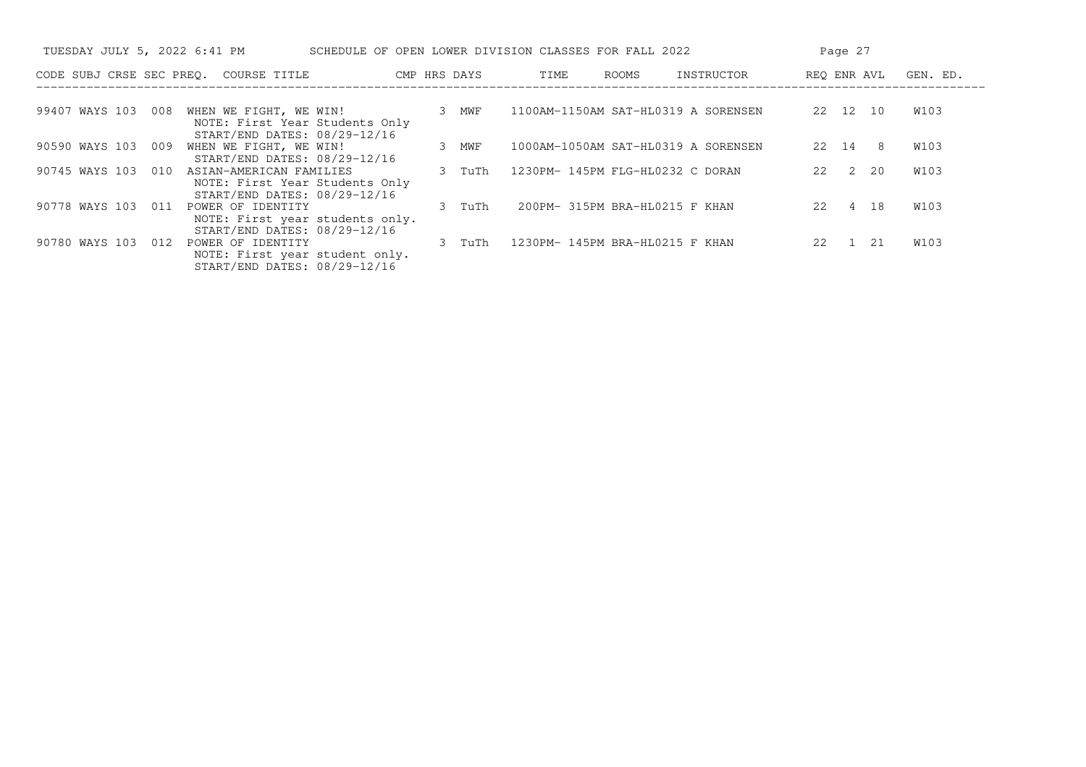| TUESDAY JULY 5, 2022 6:41 PM                                                                                       |              | SCHEDULE OF OPEN LOWER DIVISION CLASSES FOR FALL 2022 | Page 27     |          |
|--------------------------------------------------------------------------------------------------------------------|--------------|-------------------------------------------------------|-------------|----------|
| CODE SUBJ CRSE SEC PREO. COURSE TITLE                                                                              | CMP HRS DAYS | ROOMS<br>INSTRUCTOR<br>TIME                           | REO ENR AVL | GEN. ED. |
| 99407 WAYS 103<br>WHEN WE FIGHT, WE WIN!<br>008<br>NOTE: First Year Students Only<br>START/END DATES: 08/29-12/16  | 3 MWF        | 1100AM-1150AM SAT-HL0319 A SORENSEN                   | 22 12 10    | W103     |
| 90590 WAYS 103<br>WHEN WE FIGHT, WE WIN!<br>009<br>START/END DATES: 08/29-12/16                                    | 3 MWF        | 1000AM-1050AM SAT-HL0319 A SORENSEN                   | 22 14<br>8  | W103     |
| 90745 WAYS 103<br>ASIAN-AMERICAN FAMILIES<br>010<br>NOTE: First Year Students Only<br>START/END DATES: 08/29-12/16 | 3 TuTh       | 1230PM- 145PM FLG-HL0232 C DORAN                      | 22 2<br>20  | W103     |
| 90778 WAYS 103 011<br>POWER OF IDENTITY<br>NOTE: First year students only.<br>START/END DATES: 08/29-12/16         | 3 TuTh       | 200PM- 315PM BRA-HL0215 F KHAN                        | 22 4 18     | W103     |
| 90780 WAYS 103<br>POWER OF IDENTITY<br>012<br>NOTE: First year student only.<br>START/END DATES: 08/29-12/16       | 3 TuTh       | 1230PM- 145PM BRA-HL0215 F KHAN                       | 21<br>22 1  | W103     |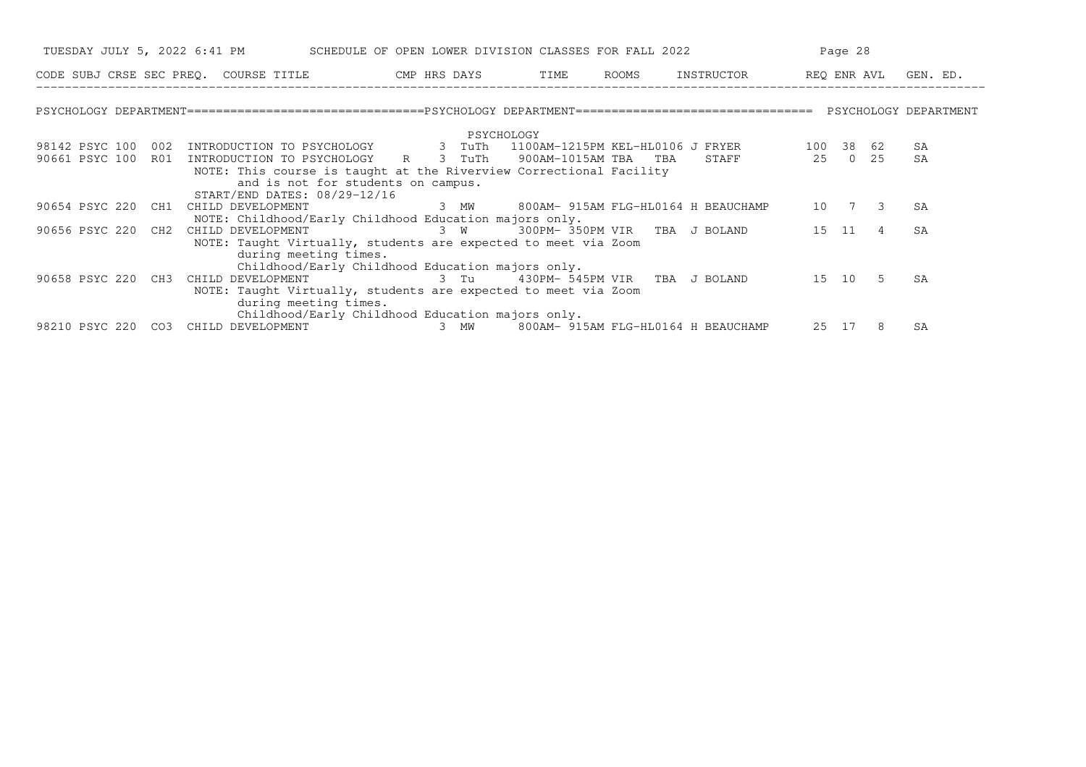|                    |     | TUESDAY JULY 5, 2022 6:41 PM                                                                                                                |      | SCHEDULE OF OPEN LOWER DIVISION CLASSES FOR FALL 2022 |       |                                            |         | Page 28 |    |                      |
|--------------------|-----|---------------------------------------------------------------------------------------------------------------------------------------------|------|-------------------------------------------------------|-------|--------------------------------------------|---------|---------|----|----------------------|
|                    |     | CODE SUBJ CRSE SEC PREO. COURSE TITLE THE CMP HRS DAYS                                                                                      |      | TIME                                                  | ROOMS | INSTRUCTOR                                 |         |         |    | REQ ENR AVL GEN. ED. |
|                    |     |                                                                                                                                             |      |                                                       |       |                                            |         |         |    |                      |
|                    |     |                                                                                                                                             |      | PSYCHOLOGY                                            |       |                                            |         |         |    |                      |
| 98142 PSYC 100     | 002 | INTRODUCTION TO PSYCHOLOGY 3 TuTh                                                                                                           |      |                                                       |       | 1100AM-1215PM KEL-HL0106 J FRYER 100 38 62 |         |         |    | SA                   |
| 90661 PSYC 100     | R01 | INTRODUCTION TO PSYCHOLOGY R 3 TuTh                                                                                                         |      | 900AM-1015AM TBA TBA                                  |       | STAFF                                      |         | 25 0    | 25 | SA                   |
|                    |     | NOTE: This course is taught at the Riverview Correctional Facility<br>and is not for students on campus.<br>START/END DATES: 08/29-12/16    |      |                                                       |       |                                            |         |         |    |                      |
| 90654 PSYC 220     | CH1 | CHILD DEVELOPMENT<br>NOTE: Childhood/Early Childhood Education majors only.                                                                 | 3 MW |                                                       |       | 800AM- 915AM FLG-HL0164 H BEAUCHAMP        |         | 10 7 3  |    | SA                   |
| 90656 PSYC 220     | CH2 | CHILD DEVELOPMENT                                                                                                                           |      |                                                       |       | 3 W 300PM-350PM VIR TBA J BOLAND           |         | 15 11   | 4  | <b>SA</b>            |
|                    |     | NOTE: Taught Virtually, students are expected to meet via Zoom<br>during meeting times.<br>Childhood/Early Childhood Education majors only. |      |                                                       |       |                                            |         |         |    |                      |
| 90658 PSYC 220 CH3 |     | CHILD DEVELOPMENT                                                                                                                           | 3 Tu | 430PM- 545PM VIR TBA J BOLAND                         |       |                                            | 15 10 5 |         |    | SA                   |
|                    |     | NOTE: Taught Virtually, students are expected to meet via Zoom<br>during meeting times.<br>Childhood/Early Childhood Education majors only. |      |                                                       |       |                                            |         |         |    |                      |
|                    |     | 98210 PSYC 220 CO3 CHILD DEVELOPMENT                                                                                                        | 3 MW |                                                       |       | 800AM- 915AM FLG-HL0164 H BEAUCHAMP        |         | 25 17   |    | SA                   |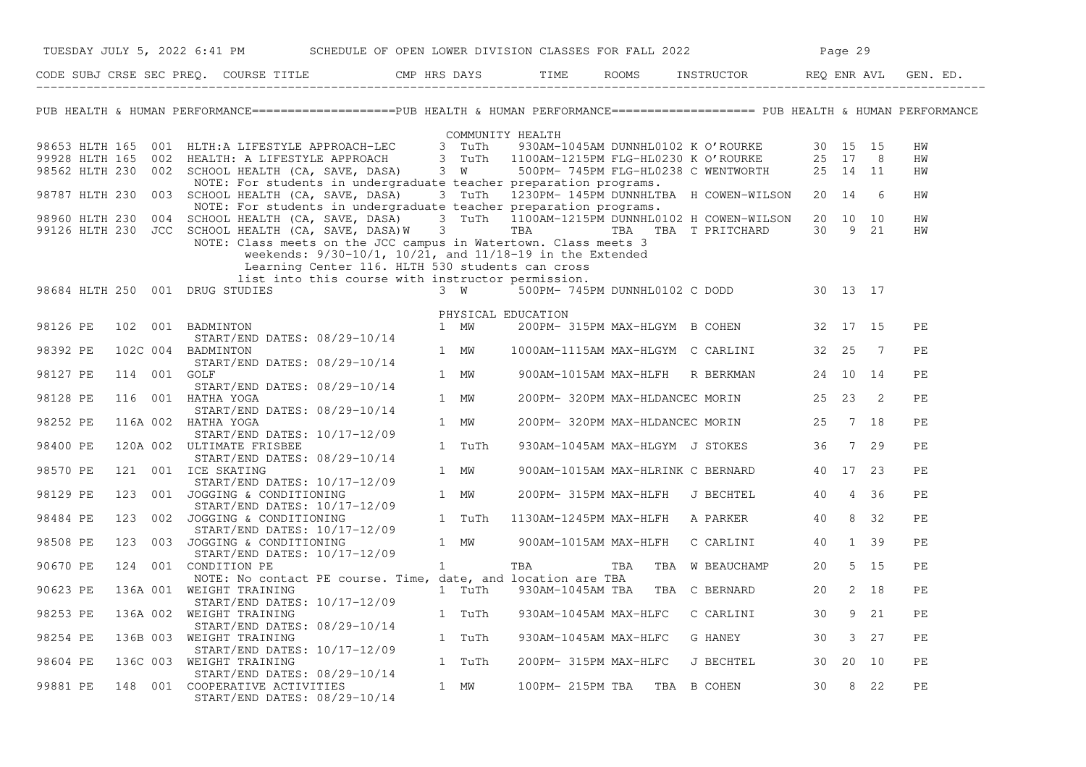|          |  | TUESDAY JULY 5, 2022 6:41 PM                                                                                                                                                                                                         |   |        |                    | SCHEDULE OF OPEN LOWER DIVISION CLASSES FOR FALL 2022 |                                            |    | Page 29  |                |    |
|----------|--|--------------------------------------------------------------------------------------------------------------------------------------------------------------------------------------------------------------------------------------|---|--------|--------------------|-------------------------------------------------------|--------------------------------------------|----|----------|----------------|----|
|          |  | CODE SUBJ CRSE SEC PREQ. COURSE TITLE THE CMP HRS DAYS TIME ROOMS INSTRUCTOR REQ ENEXATION                                                                                                                                           |   |        |                    |                                                       | INSTRUCTOR REQ ENR AVL GEN. ED.            |    |          |                |    |
|          |  | PUB HEALTH & HUMAN PERFORMANCE====================PUB HEALTH & HUMAN PERFORMANCE==================== PUB HEALTH & HUMAN PERFORMANCE                                                                                                  |   |        |                    |                                                       |                                            |    |          |                |    |
|          |  |                                                                                                                                                                                                                                      |   |        | COMMUNITY HEALTH   |                                                       |                                            |    |          |                |    |
|          |  | 98653 HLTH 165 001 HLTH:A LIFESTYLE APPROACH-LEC 3 TuTh 930AM-1045AM DUNNHL0102 K O'ROURKE 30 15 15<br>99928 HLTH 165 002 HEALTH: A LIFESTYLE APPROACH 3 TuTh 1100AM-1215PM FLG-HL0230 K O'ROURKE 25 17 8<br>98562 HLTH 230 002 SCHO |   |        |                    |                                                       |                                            |    |          |                | HW |
|          |  |                                                                                                                                                                                                                                      |   |        |                    |                                                       |                                            |    |          |                | HW |
|          |  |                                                                                                                                                                                                                                      |   |        |                    |                                                       |                                            |    |          |                | HW |
|          |  | NOTE: For students in undergraduate teacher preparation programs.<br>98787 HLTH 230 003 SCHOOL HEALTH (CA, SAVE, DASA) 3 TuTh 1230PM-145PM DUNNHLTBA H COWEN-WILSON 20 14                                                            |   |        |                    |                                                       |                                            |    |          | - 6            | HW |
|          |  | NOTE: For students in undergraduate teacher preparation programs.                                                                                                                                                                    |   |        |                    |                                                       |                                            |    |          |                | HW |
|          |  | 98960 HLTH 230 004 SCHOOL HEALTH (CA, SAVE, DASA) 3 TuTh 1100AM-1215PM DUNNHL0102 H COWEN-WILSON 20 10 10<br>99126 HLTH 230 JCC SCHOOL HEALTH (CA, SAVE, DASA) W 3                                                                   |   |        | <b>TBA</b>         |                                                       | TBA TBA T PRITCHARD 30 9 21                |    |          |                | HW |
|          |  | NOTE: Class meets on the JCC campus in Watertown. Class meets 3<br>weekends: $9/30-10/1$ , $10/21$ , and $11/18-19$ in the Extended<br>Learning Center 116. HLTH 530 students can cross                                              |   |        |                    |                                                       |                                            |    |          |                |    |
|          |  | list into this course with instructor permission.                                                                                                                                                                                    |   |        |                    |                                                       |                                            |    |          |                |    |
|          |  | 98684 HLTH 250 001 DRUG STUDIES                                                                                                                                                                                                      |   |        |                    |                                                       | 3 W 500PM-745PM DUNNHL0102 C DODD 30 13 17 |    |          |                |    |
|          |  |                                                                                                                                                                                                                                      |   |        | PHYSICAL EDUCATION |                                                       |                                            |    |          |                |    |
| 98126 PE |  | 102 001 BADMINTON                                                                                                                                                                                                                    |   | 1 MW   |                    |                                                       | 200PM-315PM MAX-HLGYM B COHEN 32 17 15     |    |          |                | PE |
|          |  | START/END DATES: 08/29-10/14                                                                                                                                                                                                         |   |        |                    |                                                       |                                            |    |          |                |    |
| 98392 PE |  | 102C 004 BADMINTON<br>START/END DATES: 08/29-10/14                                                                                                                                                                                   |   | 1 MW   |                    |                                                       | 1000AM-1115AM MAX-HLGYM C CARLINI 32 25    |    |          | $\overline{7}$ | PE |
| 98127 PE |  | 114 001 GOLF                                                                                                                                                                                                                         |   | 1 MW   |                    | 900AM-1015AM MAX-HLFH                                 | R BERKMAN 24 10 14                         |    |          |                | PE |
|          |  | START/END DATES: 08/29-10/14                                                                                                                                                                                                         |   |        |                    |                                                       |                                            |    |          |                |    |
| 98128 PE |  | 116 001 HATHA YOGA                                                                                                                                                                                                                   |   | 1 MW   |                    |                                                       | 200PM-320PM MAX-HLDANCEC MORIN 25 23       |    |          | -2             | PE |
|          |  | START/END DATES: 08/29-10/14                                                                                                                                                                                                         |   |        |                    |                                                       |                                            |    |          |                |    |
| 98252 PE |  | 116A 002 HATHA YOGA                                                                                                                                                                                                                  |   | 1 MW   |                    |                                                       | 200PM-320PM MAX-HLDANCEC MORIN 25 7 18     |    |          |                | PE |
|          |  | START/END DATES: 10/17-12/09                                                                                                                                                                                                         |   |        |                    |                                                       |                                            |    |          |                |    |
| 98400 PE |  | 120A 002 ULTIMATE FRISBEE                                                                                                                                                                                                            |   | 1 TuTh |                    |                                                       | 930AM-1045AM MAX-HLGYM J STOKES 36         |    |          | 7 29           | PE |
|          |  | START/END DATES: 08/29-10/14                                                                                                                                                                                                         |   |        |                    |                                                       |                                            |    |          |                |    |
| 98570 PE |  | 121 001 ICE SKATING                                                                                                                                                                                                                  |   | 1 MW   |                    |                                                       | 900AM-1015AM MAX-HLRINK C BERNARD 40 17 23 |    |          |                | PE |
| 98129 PE |  | START/END DATES: 10/17-12/09<br>123 001 JOGGING & CONDITIONING                                                                                                                                                                       |   | 1 MW   |                    |                                                       | 200PM-315PM MAX-HLFH J BECHTEL 40 4 36     |    |          |                | PЕ |
|          |  | JOGGING & CONDITIONING<br>START/END DATES: 10/17-12/09                                                                                                                                                                               |   |        |                    |                                                       |                                            |    |          |                |    |
| 98484 PE |  | 123 002 JOGGING & CONDITIONING                                                                                                                                                                                                       |   | 1 TuTh |                    |                                                       | 1130AM-1245PM MAX-HLFH A PARKER 40         |    |          | 8 32           | PE |
|          |  | START/END DATES: 10/17-12/09                                                                                                                                                                                                         |   |        |                    |                                                       |                                            |    |          |                |    |
| 98508 PE |  | 123 003 JOGGING & CONDITIONING                                                                                                                                                                                                       |   | 1 MW   |                    | 900AM-1015AM MAX-HLFH                                 | C CARLINI 40                               |    |          | 1 39           | PE |
|          |  | START/END DATES: 10/17-12/09                                                                                                                                                                                                         |   |        |                    |                                                       |                                            |    |          |                |    |
| 90670 PE |  | 124 001 CONDITION PE                                                                                                                                                                                                                 | 1 |        | TBA                |                                                       | TBA TBA W BEAUCHAMP 20                     |    |          | 5 15           | PE |
|          |  | NOTE: No contact PE course. Time, date, and location are TBA                                                                                                                                                                         |   |        |                    |                                                       |                                            |    |          |                |    |
| 90623 PE |  | 136A 001 WEIGHT TRAINING                                                                                                                                                                                                             |   | 1 TuTh |                    |                                                       | 930AM-1045AM TBA TBA C BERNARD             | 20 |          | 2 18           | PE |
| 98253 PE |  | START/END DATES: 10/17-12/09<br>136A 002 WEIGHT TRAINING                                                                                                                                                                             |   | 1 TuTh |                    | 930AM-1045AM MAX-HLFC                                 | C CARLINI 30                               |    |          | 9 21           | PE |
|          |  | START/END DATES: 08/29-10/14                                                                                                                                                                                                         |   |        |                    |                                                       |                                            |    |          |                |    |
| 98254 PE |  | 136B 003 WEIGHT TRAINING                                                                                                                                                                                                             |   | 1 TuTh |                    | 930AM-1045AM MAX-HLFC                                 | G HANEY                                    | 30 |          | $3 \quad 27$   | PE |
|          |  | START/END DATES: 10/17-12/09                                                                                                                                                                                                         |   |        |                    |                                                       |                                            |    |          |                |    |
| 98604 PE |  | 136C 003 WEIGHT TRAINING                                                                                                                                                                                                             |   | 1 TuTh |                    | 200PM- 315PM MAX-HLFC                                 | J BECHTEL                                  |    | 30 20 10 |                | PE |
|          |  | START/END DATES: 08/29-10/14                                                                                                                                                                                                         |   |        |                    |                                                       |                                            |    |          |                |    |
| 99881 PE |  | 148 001 COOPERATIVE ACTIVITIES<br>START/END DATES: 08/29-10/14                                                                                                                                                                       |   | 1 MW   |                    | 100PM-215PM TBA TBA B COHEN                           | 30                                         |    |          | 8 22           | PЕ |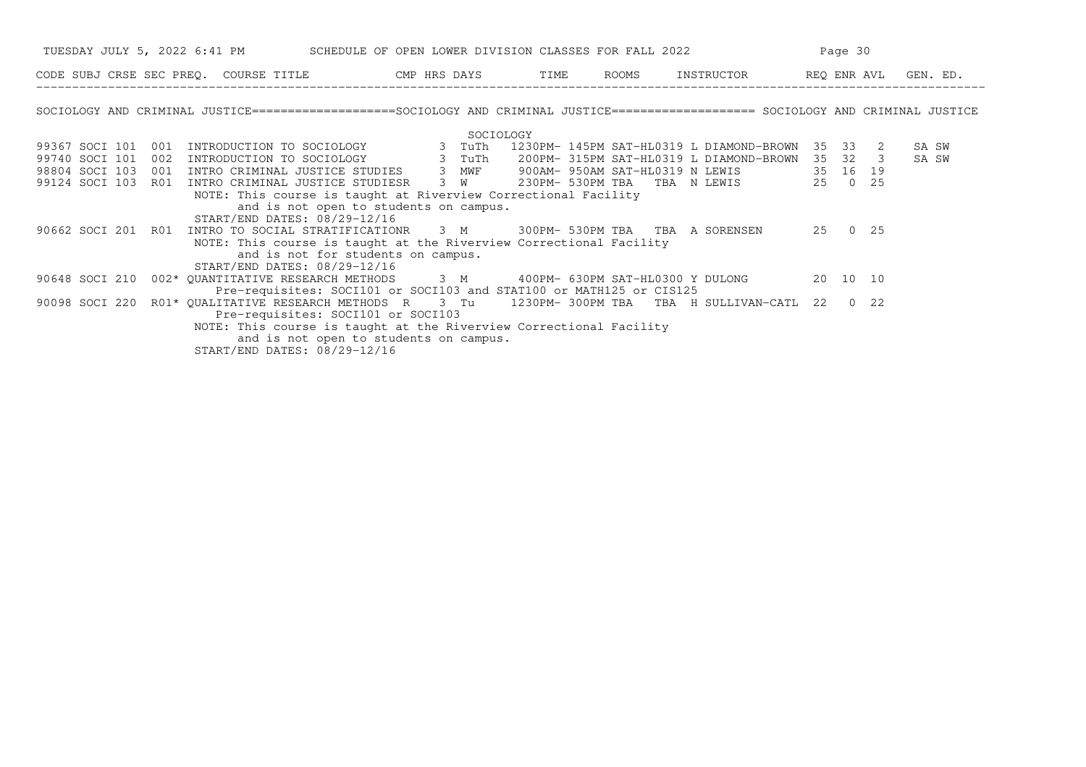| TUESDAY JULY 5, 2022 6:41 PM SCHEDULE OF OPEN LOWER DIVISION CLASSES FOR FALL 2022                                                         |           |                                                                                | Page 30  |       |
|--------------------------------------------------------------------------------------------------------------------------------------------|-----------|--------------------------------------------------------------------------------|----------|-------|
| CODE SUBJ CRSE SEC PREQ. COURSE TITLE THE CMP HRS DAYS TIME                                                                                |           | ROOMS INSTRUCTOR REQ ENR AVL GEN. ED.                                          |          |       |
|                                                                                                                                            |           |                                                                                |          |       |
| SOCIOLOGY AND CRIMINAL JUSTICE===================SOCIOLOGY AND CRIMINAL JUSTICE==================== SOCIOLOGY AND CRIMINAL JUSTICE         |           |                                                                                |          |       |
|                                                                                                                                            | SOCIOLOGY |                                                                                |          |       |
| 99367 SOCI 101 001<br>INTRODUCTION TO SOCIOLOGY 3 TuTh                                                                                     |           | 1230PM- 145PM SAT-HL0319 L DIAMOND-BROWN 35 33 2                               |          | SA SW |
| 99740 SOCI 101 002<br>INTRODUCTION TO SOCIOLOGY 3 TuTh                                                                                     |           | 200PM- 315PM SAT-HL0319 L DIAMOND-BROWN 35 32 3                                |          | SA SW |
| INTRO CRIMINAL JUSTICE STUDIES 3 MWF<br>98804 SOCI 103<br>001                                                                              |           |                                                                                |          |       |
| 99124 SOCI 103 R01<br>INTRO CRIMINAL JUSTICE STUDIESR 3 W                                                                                  |           | 900AM-950AM SAT-HL0319 N LEWIS 35 16 19<br>230PM-530PM TBA TBA N LEWIS 25 0 25 |          |       |
| NOTE: This course is taught at Riverview Correctional Facility                                                                             |           |                                                                                |          |       |
| and is not open to students on campus.                                                                                                     |           |                                                                                |          |       |
| START/END DATES: 08/29-12/16                                                                                                               |           |                                                                                |          |       |
| INTRO TO SOCIAL STRATIFICATIONR 3 M 300PM-530PM TBA TBA A SORENSEN 25 0 25<br>90662 SOCI 201 R01                                           |           |                                                                                |          |       |
| NOTE: This course is taught at the Riverview Correctional Facility                                                                         |           |                                                                                |          |       |
| and is not for students on campus.                                                                                                         |           |                                                                                |          |       |
| START/END DATES: 08/29-12/16                                                                                                               |           |                                                                                |          |       |
| 90648 SOCI 210 002* QUANTITATIVE RESEARCH METHODS 3 M 400PM- 630PM SAT-HL0300 Y DULONG                                                     |           |                                                                                | 20 10 10 |       |
| Pre-requisites: SOCI101 or SOCI103 and STAT100 or MATH125 or CIS125                                                                        |           |                                                                                |          |       |
| 90098 SOCI 220 R01* OUALITATIVE RESEARCH METHODS R 3 Tu 1230PM-300PM TBA TBA H SULLIVAN-CATL 22 0 22<br>Pre-requisites: SOCI101 or SOCI103 |           |                                                                                |          |       |
| NOTE: This course is taught at the Riverview Correctional Facility                                                                         |           |                                                                                |          |       |
| and is not open to students on campus.                                                                                                     |           |                                                                                |          |       |
| START/END DATES: 08/29-12/16                                                                                                               |           |                                                                                |          |       |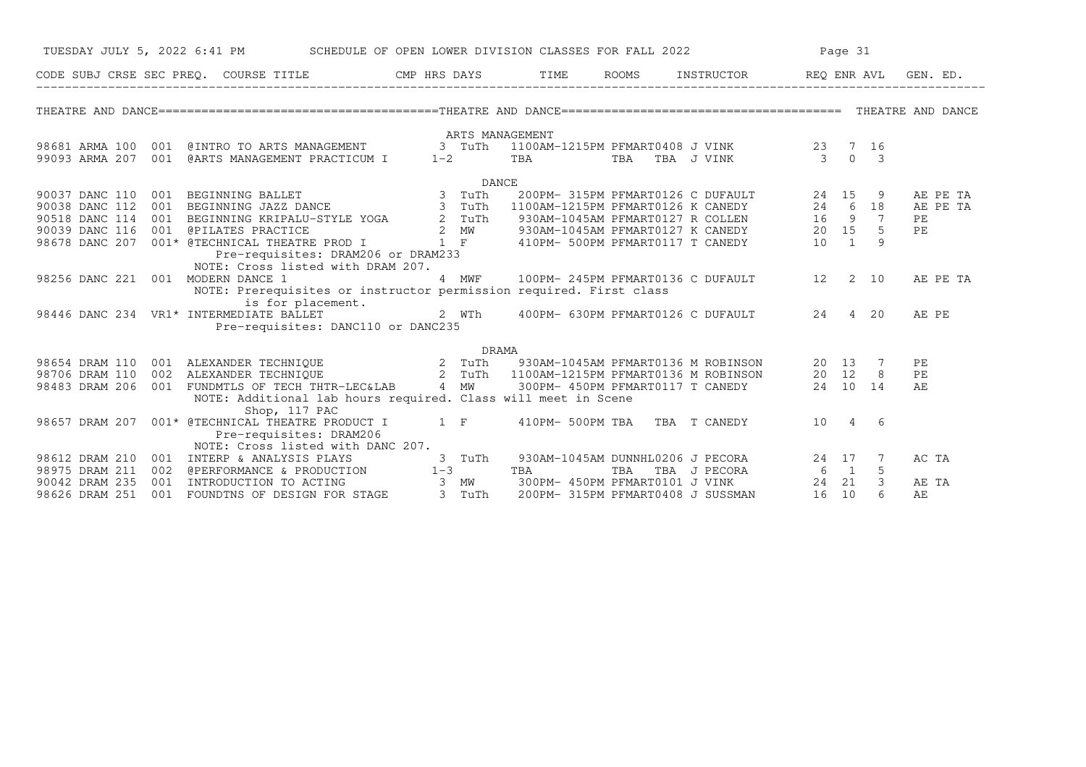| CODE SUBJ CRSE SEC PREQ. COURSE TITLE THE CMP HRS DAYS TIME<br>ROOMS<br>INSTRUCTOR REO ENR AVL GEN. ED.<br>ARTS MANAGEMENT<br>@INTRO TO ARTS MANAGEMENT      3 TuTh  1100AM-1215PM PFMART0408 J VINK       23  7 16<br>@ARTS MANAGEMENT PRACTICUM I    1-2     TBA    TBA   TBA   J VINK       3  0  3<br>98681 ARMA 100 001<br>99093 ARMA 207 001<br><b>DANCE</b><br>90037 DANC 110 001 BEGINNING BALLET 3 TUTh<br>90038 DANC 112 001 BEGINNING JAZZ DANCE 3 TUTh<br>90518 DANC 114 001 BEGINNING KRIPALU-STYLE YOGA 2 TUTh<br>90039 DANC 116 001 @PILATES PRACTICE 2 MW<br>200PM- 315PM PFMART0126 C DUFAULT<br>24 15 9<br>AE PE TA<br>1100AM-1215PM PFMART0126 K CANEDY<br>24 6 18<br>AE PE TA<br>930AM-1045AM PFMART0127 R COLLEN 16 9 7<br>PE<br>930AM-1045AM PFMART0127 K CANEDY 20 15 5<br>410PM- 500PM PFMART0117 T CANEDY 10 1 9<br>PE<br>98678 DANC 207 001* @TECHNICAL THEATRE PROD I 1 F<br>Pre-requisites: DRAM206 or DRAM233<br>NOTE: Cross listed with DRAM 207.<br>100PM- 245PM PFMART0136 C DUFAULT 12 2 10<br>98256 DANC 221 001 MODERN DANCE 1<br>4 MWF<br>AE PE TA<br>NOTE: Prerequisites or instructor permission required. First class<br>is for placement.<br>98446 DANC 234 VR1* INTERMEDIATE BALLET<br>2 WTh<br>400PM- 630PM PFMART0126 C DUFAULT<br>24 4 20<br>AE PE<br>Pre-requisites: DANC110 or DANC235<br><b>DRAMA</b><br>98654 DRAM 110<br>PE<br>001<br>PE<br>98706 DRAM 110 002<br>AE<br>98483 DRAM 206<br>001<br>NOTE: Additional lab hours required. Class will meet in Scene<br>Shop, 117 PAC<br>$001*$ @TECHNICAL THEATRE PRODUCT I $1$ F<br>98657 DRAM 207<br>410PM- 500PM TBA<br>10 4 6<br>TBA T CANEDY<br>Pre-requisites: DRAM206<br>NOTE: Cross listed with DANC 207.<br>3 TuTh<br>930AM-1045AM DUNNHL0206 J PECORA<br>98612 DRAM 210 001 INTERP & ANALYSIS PLAYS<br>24 17 7<br>AC TA<br>@PERFORMANCE & PRODUCTION 1-3<br>TBA TBA TBA J PECORA 6 1 5<br>300PM-450PM PFMART0101 J VINK 24 21 3<br>200PM-315PM PFMART0408 J SUSSMAN 16 10 6<br>98975 DRAM 211<br>TBA<br>002 |                |     | TUESDAY JULY 5, 2022 6:41 PM SCHEDULE OF OPEN LOWER DIVISION CLASSES FOR FALL 2022 Page 31 |  |  |  |  |       |
|-------------------------------------------------------------------------------------------------------------------------------------------------------------------------------------------------------------------------------------------------------------------------------------------------------------------------------------------------------------------------------------------------------------------------------------------------------------------------------------------------------------------------------------------------------------------------------------------------------------------------------------------------------------------------------------------------------------------------------------------------------------------------------------------------------------------------------------------------------------------------------------------------------------------------------------------------------------------------------------------------------------------------------------------------------------------------------------------------------------------------------------------------------------------------------------------------------------------------------------------------------------------------------------------------------------------------------------------------------------------------------------------------------------------------------------------------------------------------------------------------------------------------------------------------------------------------------------------------------------------------------------------------------------------------------------------------------------------------------------------------------------------------------------------------------------------------------------------------------------------------------------------------------------------------------------------------------------------------------------------------------------------|----------------|-----|--------------------------------------------------------------------------------------------|--|--|--|--|-------|
|                                                                                                                                                                                                                                                                                                                                                                                                                                                                                                                                                                                                                                                                                                                                                                                                                                                                                                                                                                                                                                                                                                                                                                                                                                                                                                                                                                                                                                                                                                                                                                                                                                                                                                                                                                                                                                                                                                                                                                                                                   |                |     |                                                                                            |  |  |  |  |       |
|                                                                                                                                                                                                                                                                                                                                                                                                                                                                                                                                                                                                                                                                                                                                                                                                                                                                                                                                                                                                                                                                                                                                                                                                                                                                                                                                                                                                                                                                                                                                                                                                                                                                                                                                                                                                                                                                                                                                                                                                                   |                |     |                                                                                            |  |  |  |  |       |
|                                                                                                                                                                                                                                                                                                                                                                                                                                                                                                                                                                                                                                                                                                                                                                                                                                                                                                                                                                                                                                                                                                                                                                                                                                                                                                                                                                                                                                                                                                                                                                                                                                                                                                                                                                                                                                                                                                                                                                                                                   |                |     |                                                                                            |  |  |  |  |       |
|                                                                                                                                                                                                                                                                                                                                                                                                                                                                                                                                                                                                                                                                                                                                                                                                                                                                                                                                                                                                                                                                                                                                                                                                                                                                                                                                                                                                                                                                                                                                                                                                                                                                                                                                                                                                                                                                                                                                                                                                                   |                |     |                                                                                            |  |  |  |  |       |
|                                                                                                                                                                                                                                                                                                                                                                                                                                                                                                                                                                                                                                                                                                                                                                                                                                                                                                                                                                                                                                                                                                                                                                                                                                                                                                                                                                                                                                                                                                                                                                                                                                                                                                                                                                                                                                                                                                                                                                                                                   |                |     |                                                                                            |  |  |  |  |       |
|                                                                                                                                                                                                                                                                                                                                                                                                                                                                                                                                                                                                                                                                                                                                                                                                                                                                                                                                                                                                                                                                                                                                                                                                                                                                                                                                                                                                                                                                                                                                                                                                                                                                                                                                                                                                                                                                                                                                                                                                                   |                |     |                                                                                            |  |  |  |  |       |
|                                                                                                                                                                                                                                                                                                                                                                                                                                                                                                                                                                                                                                                                                                                                                                                                                                                                                                                                                                                                                                                                                                                                                                                                                                                                                                                                                                                                                                                                                                                                                                                                                                                                                                                                                                                                                                                                                                                                                                                                                   |                |     |                                                                                            |  |  |  |  |       |
|                                                                                                                                                                                                                                                                                                                                                                                                                                                                                                                                                                                                                                                                                                                                                                                                                                                                                                                                                                                                                                                                                                                                                                                                                                                                                                                                                                                                                                                                                                                                                                                                                                                                                                                                                                                                                                                                                                                                                                                                                   |                |     |                                                                                            |  |  |  |  |       |
|                                                                                                                                                                                                                                                                                                                                                                                                                                                                                                                                                                                                                                                                                                                                                                                                                                                                                                                                                                                                                                                                                                                                                                                                                                                                                                                                                                                                                                                                                                                                                                                                                                                                                                                                                                                                                                                                                                                                                                                                                   |                |     |                                                                                            |  |  |  |  |       |
|                                                                                                                                                                                                                                                                                                                                                                                                                                                                                                                                                                                                                                                                                                                                                                                                                                                                                                                                                                                                                                                                                                                                                                                                                                                                                                                                                                                                                                                                                                                                                                                                                                                                                                                                                                                                                                                                                                                                                                                                                   |                |     |                                                                                            |  |  |  |  |       |
|                                                                                                                                                                                                                                                                                                                                                                                                                                                                                                                                                                                                                                                                                                                                                                                                                                                                                                                                                                                                                                                                                                                                                                                                                                                                                                                                                                                                                                                                                                                                                                                                                                                                                                                                                                                                                                                                                                                                                                                                                   |                |     |                                                                                            |  |  |  |  |       |
|                                                                                                                                                                                                                                                                                                                                                                                                                                                                                                                                                                                                                                                                                                                                                                                                                                                                                                                                                                                                                                                                                                                                                                                                                                                                                                                                                                                                                                                                                                                                                                                                                                                                                                                                                                                                                                                                                                                                                                                                                   |                |     |                                                                                            |  |  |  |  |       |
|                                                                                                                                                                                                                                                                                                                                                                                                                                                                                                                                                                                                                                                                                                                                                                                                                                                                                                                                                                                                                                                                                                                                                                                                                                                                                                                                                                                                                                                                                                                                                                                                                                                                                                                                                                                                                                                                                                                                                                                                                   |                |     |                                                                                            |  |  |  |  |       |
|                                                                                                                                                                                                                                                                                                                                                                                                                                                                                                                                                                                                                                                                                                                                                                                                                                                                                                                                                                                                                                                                                                                                                                                                                                                                                                                                                                                                                                                                                                                                                                                                                                                                                                                                                                                                                                                                                                                                                                                                                   |                |     |                                                                                            |  |  |  |  |       |
|                                                                                                                                                                                                                                                                                                                                                                                                                                                                                                                                                                                                                                                                                                                                                                                                                                                                                                                                                                                                                                                                                                                                                                                                                                                                                                                                                                                                                                                                                                                                                                                                                                                                                                                                                                                                                                                                                                                                                                                                                   |                |     |                                                                                            |  |  |  |  |       |
|                                                                                                                                                                                                                                                                                                                                                                                                                                                                                                                                                                                                                                                                                                                                                                                                                                                                                                                                                                                                                                                                                                                                                                                                                                                                                                                                                                                                                                                                                                                                                                                                                                                                                                                                                                                                                                                                                                                                                                                                                   |                |     |                                                                                            |  |  |  |  |       |
|                                                                                                                                                                                                                                                                                                                                                                                                                                                                                                                                                                                                                                                                                                                                                                                                                                                                                                                                                                                                                                                                                                                                                                                                                                                                                                                                                                                                                                                                                                                                                                                                                                                                                                                                                                                                                                                                                                                                                                                                                   |                |     |                                                                                            |  |  |  |  |       |
|                                                                                                                                                                                                                                                                                                                                                                                                                                                                                                                                                                                                                                                                                                                                                                                                                                                                                                                                                                                                                                                                                                                                                                                                                                                                                                                                                                                                                                                                                                                                                                                                                                                                                                                                                                                                                                                                                                                                                                                                                   |                |     |                                                                                            |  |  |  |  |       |
|                                                                                                                                                                                                                                                                                                                                                                                                                                                                                                                                                                                                                                                                                                                                                                                                                                                                                                                                                                                                                                                                                                                                                                                                                                                                                                                                                                                                                                                                                                                                                                                                                                                                                                                                                                                                                                                                                                                                                                                                                   |                |     |                                                                                            |  |  |  |  |       |
|                                                                                                                                                                                                                                                                                                                                                                                                                                                                                                                                                                                                                                                                                                                                                                                                                                                                                                                                                                                                                                                                                                                                                                                                                                                                                                                                                                                                                                                                                                                                                                                                                                                                                                                                                                                                                                                                                                                                                                                                                   |                |     |                                                                                            |  |  |  |  |       |
|                                                                                                                                                                                                                                                                                                                                                                                                                                                                                                                                                                                                                                                                                                                                                                                                                                                                                                                                                                                                                                                                                                                                                                                                                                                                                                                                                                                                                                                                                                                                                                                                                                                                                                                                                                                                                                                                                                                                                                                                                   |                |     |                                                                                            |  |  |  |  |       |
|                                                                                                                                                                                                                                                                                                                                                                                                                                                                                                                                                                                                                                                                                                                                                                                                                                                                                                                                                                                                                                                                                                                                                                                                                                                                                                                                                                                                                                                                                                                                                                                                                                                                                                                                                                                                                                                                                                                                                                                                                   |                |     |                                                                                            |  |  |  |  |       |
|                                                                                                                                                                                                                                                                                                                                                                                                                                                                                                                                                                                                                                                                                                                                                                                                                                                                                                                                                                                                                                                                                                                                                                                                                                                                                                                                                                                                                                                                                                                                                                                                                                                                                                                                                                                                                                                                                                                                                                                                                   |                |     |                                                                                            |  |  |  |  |       |
|                                                                                                                                                                                                                                                                                                                                                                                                                                                                                                                                                                                                                                                                                                                                                                                                                                                                                                                                                                                                                                                                                                                                                                                                                                                                                                                                                                                                                                                                                                                                                                                                                                                                                                                                                                                                                                                                                                                                                                                                                   |                |     |                                                                                            |  |  |  |  |       |
|                                                                                                                                                                                                                                                                                                                                                                                                                                                                                                                                                                                                                                                                                                                                                                                                                                                                                                                                                                                                                                                                                                                                                                                                                                                                                                                                                                                                                                                                                                                                                                                                                                                                                                                                                                                                                                                                                                                                                                                                                   |                |     |                                                                                            |  |  |  |  |       |
|                                                                                                                                                                                                                                                                                                                                                                                                                                                                                                                                                                                                                                                                                                                                                                                                                                                                                                                                                                                                                                                                                                                                                                                                                                                                                                                                                                                                                                                                                                                                                                                                                                                                                                                                                                                                                                                                                                                                                                                                                   |                |     |                                                                                            |  |  |  |  |       |
|                                                                                                                                                                                                                                                                                                                                                                                                                                                                                                                                                                                                                                                                                                                                                                                                                                                                                                                                                                                                                                                                                                                                                                                                                                                                                                                                                                                                                                                                                                                                                                                                                                                                                                                                                                                                                                                                                                                                                                                                                   |                |     |                                                                                            |  |  |  |  |       |
|                                                                                                                                                                                                                                                                                                                                                                                                                                                                                                                                                                                                                                                                                                                                                                                                                                                                                                                                                                                                                                                                                                                                                                                                                                                                                                                                                                                                                                                                                                                                                                                                                                                                                                                                                                                                                                                                                                                                                                                                                   |                |     |                                                                                            |  |  |  |  |       |
|                                                                                                                                                                                                                                                                                                                                                                                                                                                                                                                                                                                                                                                                                                                                                                                                                                                                                                                                                                                                                                                                                                                                                                                                                                                                                                                                                                                                                                                                                                                                                                                                                                                                                                                                                                                                                                                                                                                                                                                                                   |                |     |                                                                                            |  |  |  |  |       |
|                                                                                                                                                                                                                                                                                                                                                                                                                                                                                                                                                                                                                                                                                                                                                                                                                                                                                                                                                                                                                                                                                                                                                                                                                                                                                                                                                                                                                                                                                                                                                                                                                                                                                                                                                                                                                                                                                                                                                                                                                   |                |     |                                                                                            |  |  |  |  |       |
|                                                                                                                                                                                                                                                                                                                                                                                                                                                                                                                                                                                                                                                                                                                                                                                                                                                                                                                                                                                                                                                                                                                                                                                                                                                                                                                                                                                                                                                                                                                                                                                                                                                                                                                                                                                                                                                                                                                                                                                                                   | 90042 DRAM 235 | 001 |                                                                                            |  |  |  |  | AE TA |
| INTRODUCTION TO ACTING 5 MW<br>FOUNDTNS OF DESIGN FOR STAGE 5 TuTh<br>98626 DRAM 251<br>001<br>AE                                                                                                                                                                                                                                                                                                                                                                                                                                                                                                                                                                                                                                                                                                                                                                                                                                                                                                                                                                                                                                                                                                                                                                                                                                                                                                                                                                                                                                                                                                                                                                                                                                                                                                                                                                                                                                                                                                                 |                |     |                                                                                            |  |  |  |  |       |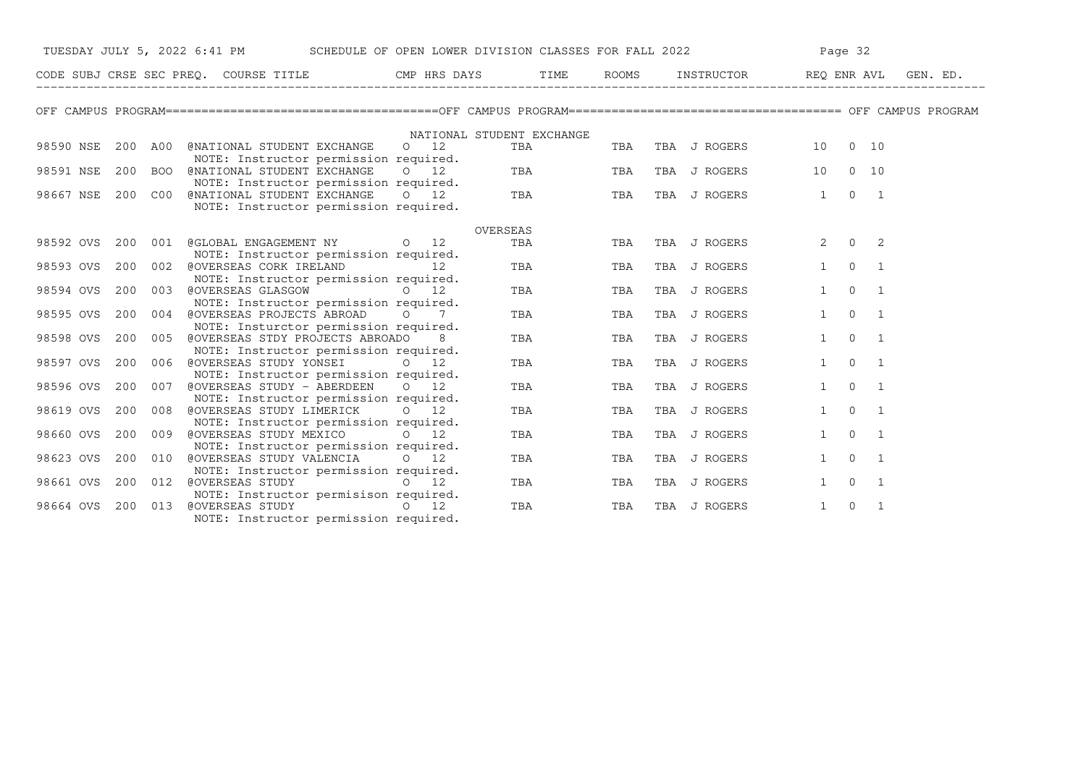|           |     |         | TUESDAY JULY 5, 2022 6:41 PM SCHEDULE OF OPEN LOWER DIVISION CLASSES FOR FALL 2022 |                |                           |       |              |              | Page 32        |                |          |
|-----------|-----|---------|------------------------------------------------------------------------------------|----------------|---------------------------|-------|--------------|--------------|----------------|----------------|----------|
|           |     |         | CODE SUBJ CRSE SEC PREQ. COURSE TITLE THE CMP HRS DAYS                             |                | TIME                      | ROOMS | INSTRUCTOR   | REQ ENR AVL  |                |                | GEN. ED. |
|           |     |         |                                                                                    |                |                           |       |              |              |                |                |          |
|           |     |         |                                                                                    |                | NATIONAL STUDENT EXCHANGE |       |              |              |                |                |          |
| 98590 NSE |     | 200 A00 | @NATIONAL STUDENT EXCHANGE                                                         | $0\quad 12$    | TBA                       | TBA   | TBA J ROGERS | 10 0 10      |                |                |          |
|           |     |         | NOTE: Instructor permission required.                                              |                |                           |       |              |              |                |                |          |
| 98591 NSE |     | 200 BOO | <b>@NATIONAL STUDENT EXCHANGE</b>                                                  | $\Omega$ 12    | TBA <b>TRANGER</b>        | TBA   | TBA J ROGERS | 10           | $0\quad 10$    |                |          |
|           |     |         | NOTE: Instructor permission required.                                              |                |                           |       |              |              |                |                |          |
| 98667 NSE |     | 200 COO | <b>@NATIONAL STUDENT EXCHANGE</b>                                                  | $\Omega$ 12    | TBA                       | TBA   | TBA J ROGERS | 1            | $0 \quad 1$    |                |          |
|           |     |         | NOTE: Instructor permission required.                                              |                |                           |       |              |              |                |                |          |
|           |     |         |                                                                                    |                | OVERSEAS                  |       |              |              |                |                |          |
| 98592 OVS | 200 | 001     | @GLOBAL ENGAGEMENT NY 0 12                                                         |                | TBA                       | TBA   | TBA J ROGERS | $\mathbf{2}$ |                | $0\qquad 2$    |          |
|           |     |         | NOTE: Instructor permission required.                                              |                |                           |       |              |              |                |                |          |
| 98593 OVS | 200 | 002     | COVERSEAS CORK IRELAND 12                                                          |                | TBA                       | TBA   | TBA J ROGERS | 1            | $\overline{0}$ | $\overline{1}$ |          |
|           |     |         | NOTE: Instructor permission required.                                              |                |                           |       |              |              |                |                |          |
| 98594 OVS | 200 | 003     | COVERSEAS GLASGOW 0 12                                                             |                | TBA                       | TBA   | TBA J ROGERS | $\mathbf{1}$ | $\Omega$       | $\overline{1}$ |          |
|           |     |         | NOTE: Instructor permission required.                                              |                |                           |       |              |              |                |                |          |
| 98595 OVS | 200 | 004     | @OVERSEAS PROJECTS ABROAD                                                          | $\overline{O}$ | TBA                       | TBA   | TBA J ROGERS | 1            | $\Omega$       | $\overline{1}$ |          |
|           |     |         | NOTE: Insturctor permission required.                                              |                |                           |       |              |              |                |                |          |
| 98598 OVS | 200 | 005     | @OVERSEAS STDY PROJECTS ABROADO                                                    |                | TBA                       | TBA   | TBA J ROGERS | $1 \quad$    | $\Omega$       | $\overline{1}$ |          |
| 98597 OVS | 200 | 006     | NOTE: Instructor permission required.<br>@OVERSEAS STUDY YONSEI 0 12               |                | TBA                       | TBA   | TBA J ROGERS | $\mathbf{1}$ | $\Omega$       | $\overline{1}$ |          |
|           |     |         | NOTE: Instructor permission required.                                              |                |                           |       |              |              |                |                |          |
| 98596 OVS | 200 | 007     | COVERSEAS STUDY - ABERDEEN 0 12                                                    |                | TBA                       | TBA   | TBA J ROGERS | $\mathbf{1}$ | $\Omega$       | $\overline{1}$ |          |
|           |     |         | NOTE: Instructor permission required.                                              |                |                           |       |              |              |                |                |          |
| 98619 OVS | 200 | 008     | <b>@OVERSEAS STUDY LIMERICK</b>                                                    | $\circ$ 12     | TBA                       | TBA   | TBA J ROGERS | $\mathbf{1}$ | $\Omega$       | $\overline{1}$ |          |
|           |     |         | NOTE: Instructor permission required.                                              |                |                           |       |              |              |                |                |          |
| 98660 OVS | 200 | 009     | COVERSEAS STUDY MEXICO 0 12                                                        |                | TBA                       | TBA   | TBA J ROGERS | 1            | $\overline{0}$ | $\overline{1}$ |          |
|           |     |         | NOTE: Instructor permission required.                                              |                |                           |       |              |              |                |                |          |
| 98623 OVS | 200 | 010     | @OVERSEAS STUDY VALENCIA                                                           | $0$ 12         | TBA                       | TBA   | TBA J ROGERS | $\mathbf{1}$ | $\Omega$       | $\overline{1}$ |          |
|           |     |         | NOTE: Instructor permission required.                                              |                |                           |       |              |              |                |                |          |
| 98661 OVS | 200 | 012     | @OVERSEAS STUDY                                                                    | $0\quad 12$    | TBA                       | TBA   | TBA J ROGERS | $1 \quad$    | $\Omega$       | $\overline{1}$ |          |
| 98664 OVS |     | 200 013 | NOTE: Instructor permisison required.<br>@OVERSEAS STUDY<br>$\sim$ 0 12            |                | TBA                       | TBA   | TBA J ROGERS | $\mathbf{1}$ | $\Omega$       | $\overline{1}$ |          |
|           |     |         | NOTE: Instructor permission required.                                              |                |                           |       |              |              |                |                |          |
|           |     |         |                                                                                    |                |                           |       |              |              |                |                |          |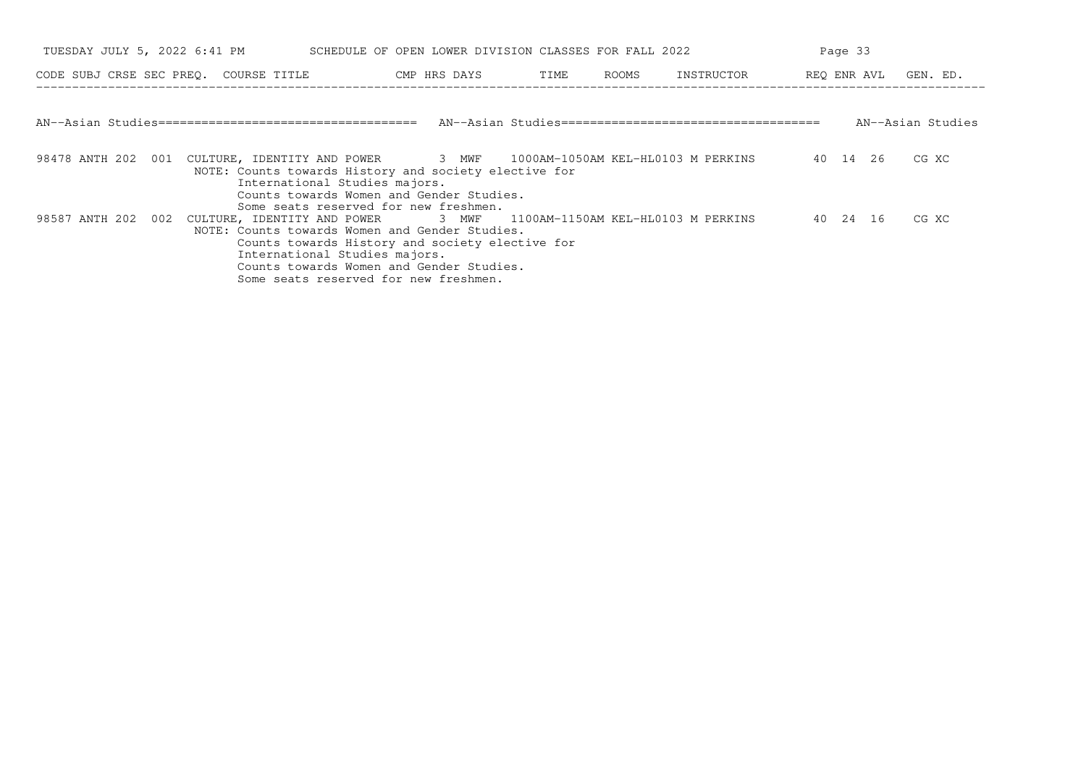| TUESDAY JULY 5, 2022 6:41 PM |                                                                                                                                                                                                                                                                                                 |  | SCHEDULE OF OPEN LOWER DIVISION CLASSES FOR FALL 2022 |       |            |          | Page 33 |                      |
|------------------------------|-------------------------------------------------------------------------------------------------------------------------------------------------------------------------------------------------------------------------------------------------------------------------------------------------|--|-------------------------------------------------------|-------|------------|----------|---------|----------------------|
|                              | CODE SUBJ CRSE SEC PREO. COURSE TITLE THE CMP HRS DAYS TIME                                                                                                                                                                                                                                     |  |                                                       | ROOMS | INSTRUCTOR |          |         | REO ENR AVL GEN. ED. |
|                              |                                                                                                                                                                                                                                                                                                 |  |                                                       |       |            |          |         | AN--Asian Studies    |
|                              | 98478 ANTH 202 001 CULTURE, IDENTITY AND POWER 3 MWF 1000AM-1050AM KEL-HL0103 M PERKINS 40 14 26<br>NOTE: Counts towards History and society elective for<br>International Studies majors.<br>Counts towards Women and Gender Studies.<br>Some seats reserved for new freshmen.                 |  |                                                       |       |            |          |         | CG XC                |
| 98587 ANTH 202 002           | CULTURE, IDENTITY AND POWER 3 MWF 1100AM-1150AM KEL-HL0103 M PERKINS<br>NOTE: Counts towards Women and Gender Studies.<br>Counts towards History and society elective for<br>International Studies majors.<br>Counts towards Women and Gender Studies.<br>Some seats reserved for new freshmen. |  |                                                       |       |            | 40 24 16 |         | CG XC                |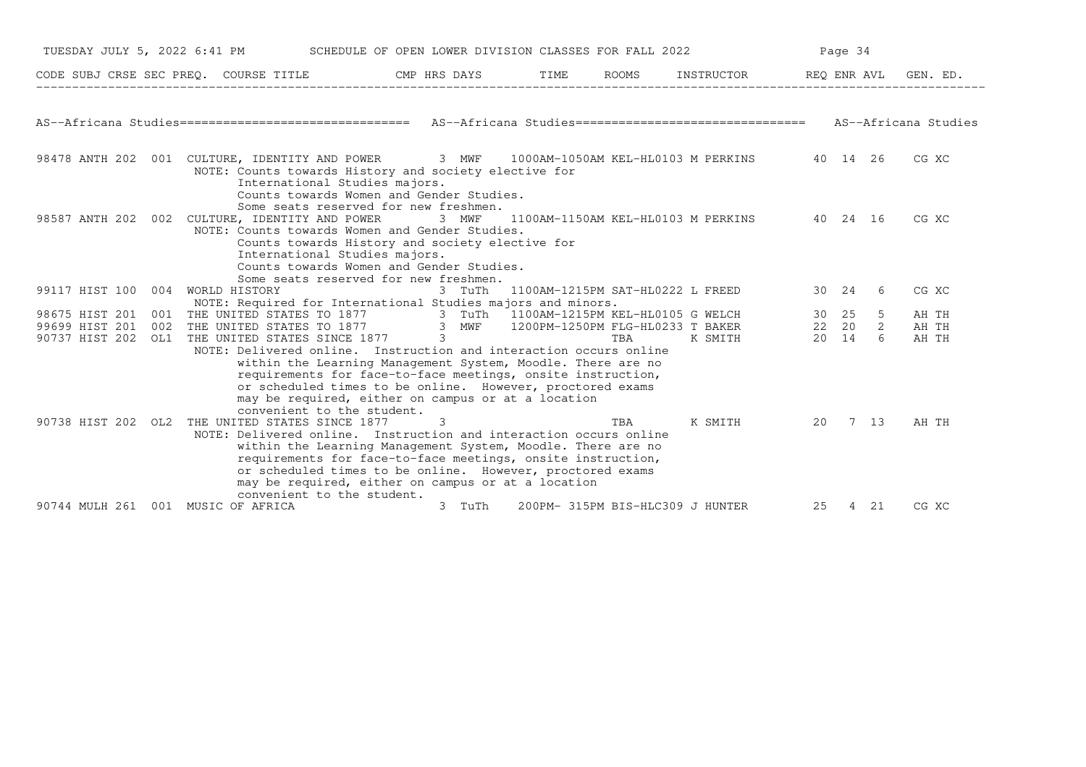| TUESDAY JULY 5, 2022 6:41 PM SCHEDULE OF OPEN LOWER DIVISION CLASSES FOR FALL 2022 |  |                                                                                                                                                                                                       |                                                                                                                                                                                                                                                    |  |                                             |         | Page 34                                                     |         |             |       |
|------------------------------------------------------------------------------------|--|-------------------------------------------------------------------------------------------------------------------------------------------------------------------------------------------------------|----------------------------------------------------------------------------------------------------------------------------------------------------------------------------------------------------------------------------------------------------|--|---------------------------------------------|---------|-------------------------------------------------------------|---------|-------------|-------|
|                                                                                    |  | CODE SUBJ CRSE SEC PREQ. COURSE TITLE COMP HRS DAYS TIME ROOMS INSTRUCTOR REQ ENR AVL GEN. ED.                                                                                                        |                                                                                                                                                                                                                                                    |  |                                             |         |                                                             |         |             |       |
|                                                                                    |  | AS--Africana Studies================================= AS--Africana Studies============================== AS--Africana Studies                                                                         |                                                                                                                                                                                                                                                    |  |                                             |         |                                                             |         |             |       |
|                                                                                    |  | 98478 ANTH 202 001 CULTURE, IDENTITY AND POWER 3 MWF 1000AM-1050AM KEL-HL0103 M PERKINS 40 14 26<br>NOTE: Counts towards History and society elective for<br>International Studies majors.            | Counts towards Women and Gender Studies.<br>Some seats reserved for new freshmen.                                                                                                                                                                  |  |                                             |         |                                                             |         |             | CG XC |
|                                                                                    |  | 98587 ANTH 202 002 CULTURE, IDENTITY AND POWER<br>NOTE: Counts towards Women and Gender Studies.<br>International Studies majors.                                                                     | 3 MWF<br>Counts towards History and society elective for<br>Counts towards Women and Gender Studies.<br>Some seats reserved for new freshmen.                                                                                                      |  | 1100AM-1150AM KEL-HL0103 M PERKINS 40 24 16 |         |                                                             |         |             | CG XC |
|                                                                                    |  | 99117 HIST 100 004 WORLD HISTORY<br>NOTE: Required for International Studies majors and minors.                                                                                                       | 3 TuTh                                                                                                                                                                                                                                             |  | 1100AM-1215PM SAT-HL0222 L FREED 30 24      |         |                                                             |         | 6           | CG XC |
| 98675 HIST 201 001                                                                 |  | THE UNITED STATES TO 1877 3 TuTh 1100AM-1215PM KEL-HL0105 G WELCH 30 25<br>THE UNITED STATES TO 1877 3 MWF 1200PM-1250PM FLG-HL0233 T BAKER 22 20<br>THE UNITED STATES SINCE 1877 3 TBA K SMITH 20 14 |                                                                                                                                                                                                                                                    |  |                                             |         |                                                             |         | $5^{\circ}$ | AH TH |
| 99699 HIST 201 002                                                                 |  |                                                                                                                                                                                                       |                                                                                                                                                                                                                                                    |  |                                             |         | $\begin{array}{ccc} 22 & 20 & 2 \\ 20 & 14 & 6 \end{array}$ |         |             | AH TH |
| 90737 HIST 202 OL1                                                                 |  | NOTE: Delivered online. Instruction and interaction occurs online<br>convenient to the student.                                                                                                       | within the Learning Management System, Moodle. There are no<br>requirements for face-to-face meetings, onsite instruction,<br>or scheduled times to be online. However, proctored exams<br>may be required, either on campus or at a location      |  |                                             |         |                                                             |         |             | AH TH |
|                                                                                    |  | 90738 HIST 202 OL2 THE UNITED STATES SINCE 1877<br>NOTE: Delivered online. Instruction and interaction occurs online<br>convenient to the student.                                                    | 3<br>within the Learning Management System, Moodle. There are no<br>requirements for face-to-face meetings, onsite instruction,<br>or scheduled times to be online. However, proctored exams<br>may be required, either on campus or at a location |  | TBA                                         | K SMITH |                                                             | 20 7 13 |             | AH TH |
|                                                                                    |  | 90744 MULH 261 001 MUSIC OF AFRICA                                                                                                                                                                    | 3 TuTh                                                                                                                                                                                                                                             |  | 200PM- 315PM BIS-HLC309 J HUNTER            |         |                                                             | 25 4 21 |             | CG XC |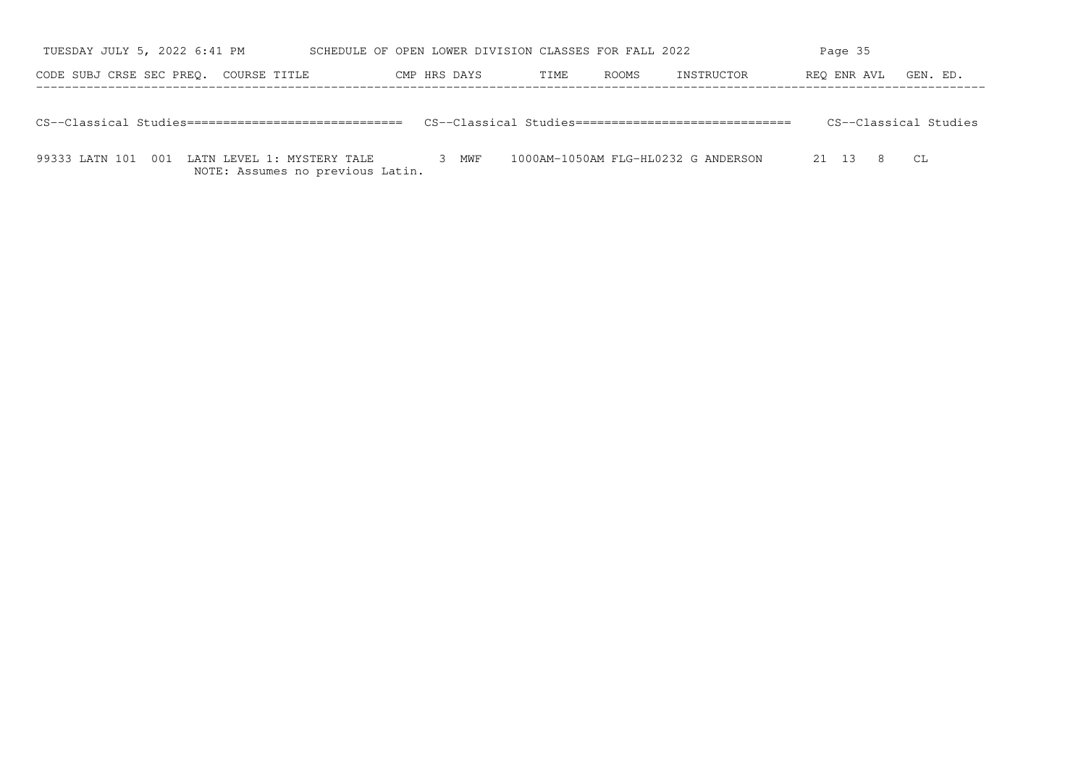| TUESDAY JULY 5, 2022 6:41 PM                         |                            | SCHEDULE OF OPEN LOWER DIVISION CLASSES FOR FALL 2022 |              |       |      |       |                                                      |             | Page 35 |     |                       |  |
|------------------------------------------------------|----------------------------|-------------------------------------------------------|--------------|-------|------|-------|------------------------------------------------------|-------------|---------|-----|-----------------------|--|
| CODE SUBJ CRSE SEC PREO. COURSE TITLE                |                            |                                                       | CMP HRS DAYS |       | TIME | ROOMS | INSTRUCTOR                                           | REO ENR AVL |         |     | GEN. ED.              |  |
|                                                      |                            |                                                       |              |       |      |       |                                                      |             |         |     |                       |  |
| CS--Classical Studies=============================== |                            |                                                       |              |       |      |       | CS--Classical Studies=============================== |             |         |     | CS--Classical Studies |  |
| 99333 LATN 101 001                                   | LATN LEVEL 1: MYSTERY TALE |                                                       |              | 3 MWF |      |       | 1000AM-1050AM FLG-HL0232 G ANDERSON                  | 21 13       |         | - 8 | CL.                   |  |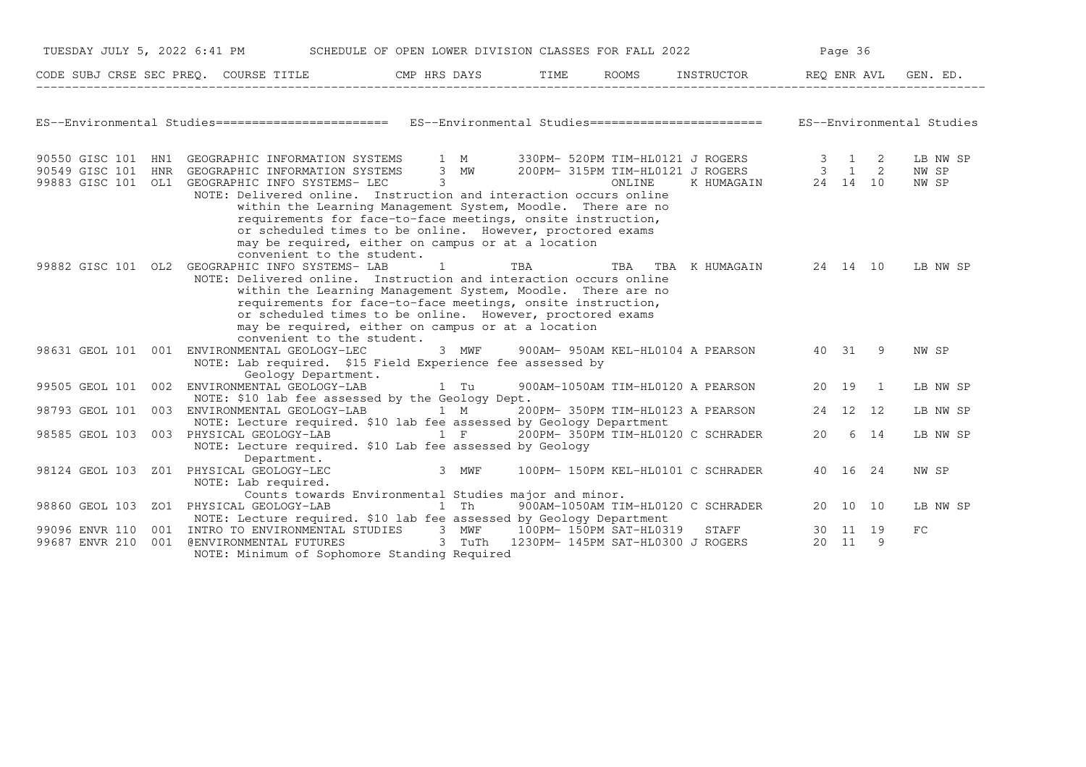| SCHEDULE OF OPEN LOWER DIVISION CLASSES FOR FALL 2022<br>TUESDAY JULY 5, 2022 6:41 PM                                           |                                                                                                                                                                                                                                                                                                                                                                                                                                                                                          |                                |                                         |                                                                                                         | Page 36             |                |                            |
|---------------------------------------------------------------------------------------------------------------------------------|------------------------------------------------------------------------------------------------------------------------------------------------------------------------------------------------------------------------------------------------------------------------------------------------------------------------------------------------------------------------------------------------------------------------------------------------------------------------------------------|--------------------------------|-----------------------------------------|---------------------------------------------------------------------------------------------------------|---------------------|----------------|----------------------------|
|                                                                                                                                 | CODE SUBJ CRSE SEC PREQ. COURSE TITLE THE CMP HRS DAYS TIME                                                                                                                                                                                                                                                                                                                                                                                                                              |                                |                                         | ROOMS INSTRUCTOR REQ ENR AVL GEN. ED.                                                                   |                     |                |                            |
| ES--Environmental Studies========================== ES--Environmental Studies======================== ES--Environmental Studies |                                                                                                                                                                                                                                                                                                                                                                                                                                                                                          |                                |                                         |                                                                                                         |                     |                |                            |
|                                                                                                                                 | 90550 GISC 101 HN1 GEOGRAPHIC INFORMATION SYSTEMS 1 M<br>90549 GISC 101 HNR GEOGRAPHIC INFORMATION SYSTEMS 3 MW<br>99883 GISC 101 OL1 GEOGRAPHIC INFO SYSTEMS- LEC<br>NOTE: Delivered online. Instruction and interaction occurs online<br>within the Learning Management System, Moodle. There are no<br>requirements for face-to-face meetings, onsite instruction,<br>or scheduled times to be online. However, proctored exams<br>may be required, either on campus or at a location | $3 \left( \frac{1}{2} \right)$ | ONLINE                                  | 330PM- 520PM TIM-HL0121 J ROGERS 3 1 2<br>200PM- 315PM TIM-HL0121 J ROGERS 3 1 2<br>K HUMAGAIN 24 14 10 |                     |                | LB NW SP<br>NW SP<br>NW SP |
|                                                                                                                                 | convenient to the student.<br>99882 GISC 101 OL2 GEOGRAPHIC INFO SYSTEMS- LAB<br>NOTE: Delivered online. Instruction and interaction occurs online<br>within the Learning Management System, Moodle. There are no<br>requirements for face-to-face meetings, onsite instruction,<br>or scheduled times to be online. However, proctored exams<br>may be required, either on campus or at a location                                                                                      | $\mathbf{1}$                   | TBA<br>TBA                              | TBA K HUMAGAIN                                                                                          | 24 14 10            |                | LB NW SP                   |
|                                                                                                                                 | convenient to the student.<br>98631 GEOL 101 001 ENVIRONMENTAL GEOLOGY-LEC<br>NOTE: Lab required. \$15 Field Experience fee assessed by<br>Geology Department.                                                                                                                                                                                                                                                                                                                           | 3 MWF                          | 900AM- 950AM KEL-HL0104 A PEARSON       |                                                                                                         | 40 31               | 9              | NW SP                      |
| 99505 GEOL 101 002                                                                                                              | ENVIRONMENTAL GEOLOGY-LAB                                                                                                                                                                                                                                                                                                                                                                                                                                                                | 1 Tu                           |                                         | 900AM-1050AM TIM-HL0120 A PEARSON                                                                       | 20 19               | $\overline{1}$ | LB NW SP                   |
|                                                                                                                                 | NOTE: \$10 lab fee assessed by the Geology Dept.<br>98793 GEOL 101 003 ENVIRONMENTAL GEOLOGY-LAB                                                                                                                                                                                                                                                                                                                                                                                         | 1 M                            |                                         | 200PM- 350PM TIM-HL0123 A PEARSON                                                                       | 24 12 12            |                | LB NW SP                   |
| 98585 GEOL 103                                                                                                                  | NOTE: Lecture required. \$10 lab fee assessed by Geology Department<br>003 PHYSICAL GEOLOGY-LAB<br>NOTE: Lecture required. \$10 Lab fee assessed by Geology<br>Department.                                                                                                                                                                                                                                                                                                               | 1 F                            | 200PM- 350PM TIM-HL0120 C SCHRADER      |                                                                                                         | 20 6 14             |                | LB NW SP                   |
| 98124 GEOL 103 Z01                                                                                                              | PHYSICAL GEOLOGY-LEC<br>NOTE: Lab required.                                                                                                                                                                                                                                                                                                                                                                                                                                              | 3 MWF                          | 100PM- 150PM KEL-HL0101 C SCHRADER      |                                                                                                         | 40 16 24            |                | NW SP                      |
| 98860 GEOL 103 ZO1                                                                                                              | Counts towards Environmental Studies major and minor.<br>PHYSICAL GEOLOGY-LAB<br>NOTE: Lecture required. \$10 lab fee assessed by Geology Department                                                                                                                                                                                                                                                                                                                                     | 1 Th                           |                                         | 900AM-1050AM TIM-HL0120 C SCHRADER                                                                      | 20 10 10            |                | LB NW SP                   |
| 99096 ENVR 110<br>001<br>99687 ENVR 210                                                                                         | INTRO TO ENVIRONMENTAL STUDIES 3 MWF 100PM-150PM SAT-HL0319 STAFF<br>001 @ENVIRONMENTAL FUTURES<br>NOTE: Minimum of Sophomore Standing Required                                                                                                                                                                                                                                                                                                                                          |                                | 3 TuTh 1230PM-145PM SAT-HL0300 J ROGERS |                                                                                                         | 30 11 19<br>20 11 9 |                | FC                         |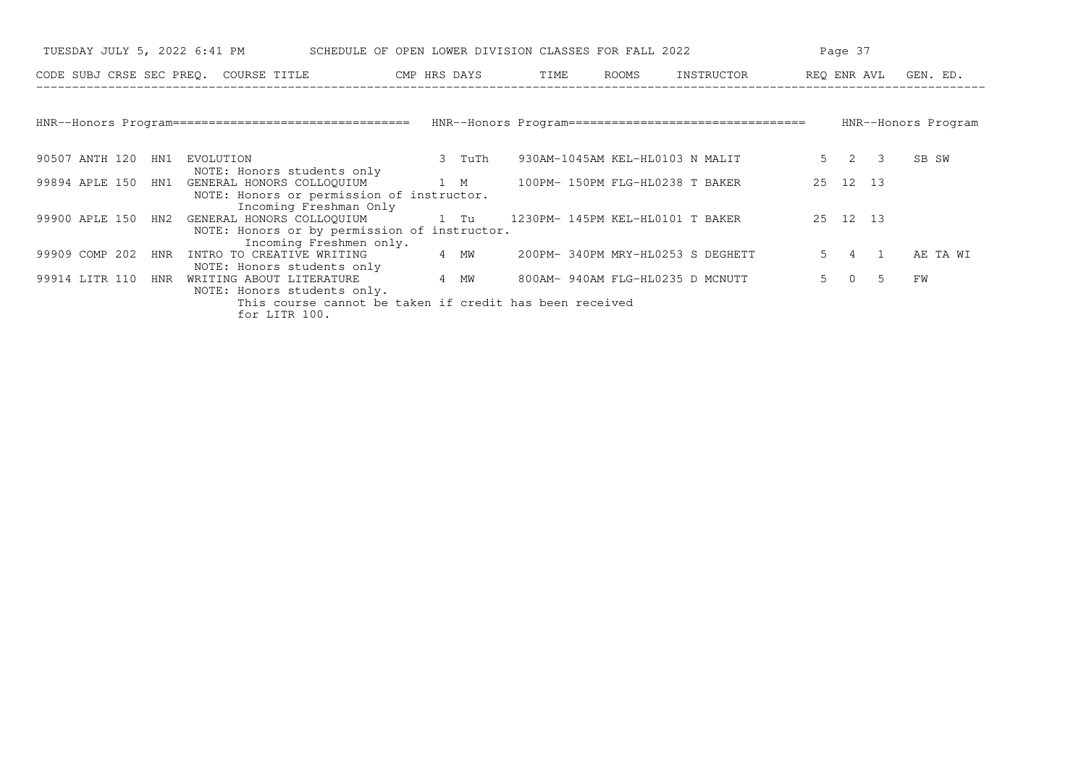| TUESDAY JULY 5, 2022 6:41 PM<br>SCHEDULE OF OPEN LOWER DIVISION CLASSES FOR FALL 2022 |            |                                                                                                                                           |  |  |             |      |  |       |                                                        |       | Page 37             |                |                     |
|---------------------------------------------------------------------------------------|------------|-------------------------------------------------------------------------------------------------------------------------------------------|--|--|-------------|------|--|-------|--------------------------------------------------------|-------|---------------------|----------------|---------------------|
|                                                                                       |            | CODE SUBJ CRSE SEC PREQ. COURSE TITLE THE CMP HRS DAYS                                                                                    |  |  |             | TIME |  | ROOMS | INSTRUCTOR                                             |       | REO ENR AVL         |                | GEN. ED.            |
|                                                                                       |            |                                                                                                                                           |  |  |             |      |  |       |                                                        |       |                     |                |                     |
|                                                                                       |            | HNR--Honors Program===================================                                                                                    |  |  |             |      |  |       | HNR--Honors Program=================================== |       |                     |                | HNR--Honors Program |
| 90507 ANTH 120                                                                        | HN1        | EVOLUTION<br>NOTE: Honors students only                                                                                                   |  |  | 3 TuTh      |      |  |       | 930AM-1045AM KEL-HL0103 N MALIT                        |       | $5 \quad 2 \quad 3$ |                | SB SW               |
| 99894 APLE 150                                                                        | HN1        | GENERAL HONORS COLLOQUIUM<br>NOTE: Honors or permission of instructor.<br>Incoming Freshman Only                                          |  |  | $1 \quad M$ |      |  |       | 100PM- 150PM FLG-HL0238 T BAKER                        |       | 25 12 13            |                |                     |
| 99900 APLE 150                                                                        | HN2        | GENERAL HONORS COLLOQUIUM 1 Tu 1230PM-145PM KEL-HL0101 T BAKER<br>NOTE: Honors or by permission of instructor.<br>Incoming Freshmen only. |  |  |             |      |  |       |                                                        |       | 25 12 13            |                |                     |
| 99909 COMP 202                                                                        | <b>HNR</b> | INTRO TO CREATIVE WRITING<br>NOTE: Honors students only                                                                                   |  |  | 4 MW        |      |  |       | 200PM- 340PM MRY-HL0253 S DEGHETT                      |       | $5 \quad 4$         | $\overline{1}$ | AE TA WI            |
| 99914 LITR 110                                                                        | <b>HNR</b> | WRITING ABOUT LITERATURE<br>NOTE: Honors students only.<br>This course cannot be taken if credit has been received<br>for LITR 100.       |  |  | 4 MW        |      |  |       | 800AM- 940AM FLG-HL0235 D MCNUTT                       | $5 -$ | $\Omega$            | - 5            | FW                  |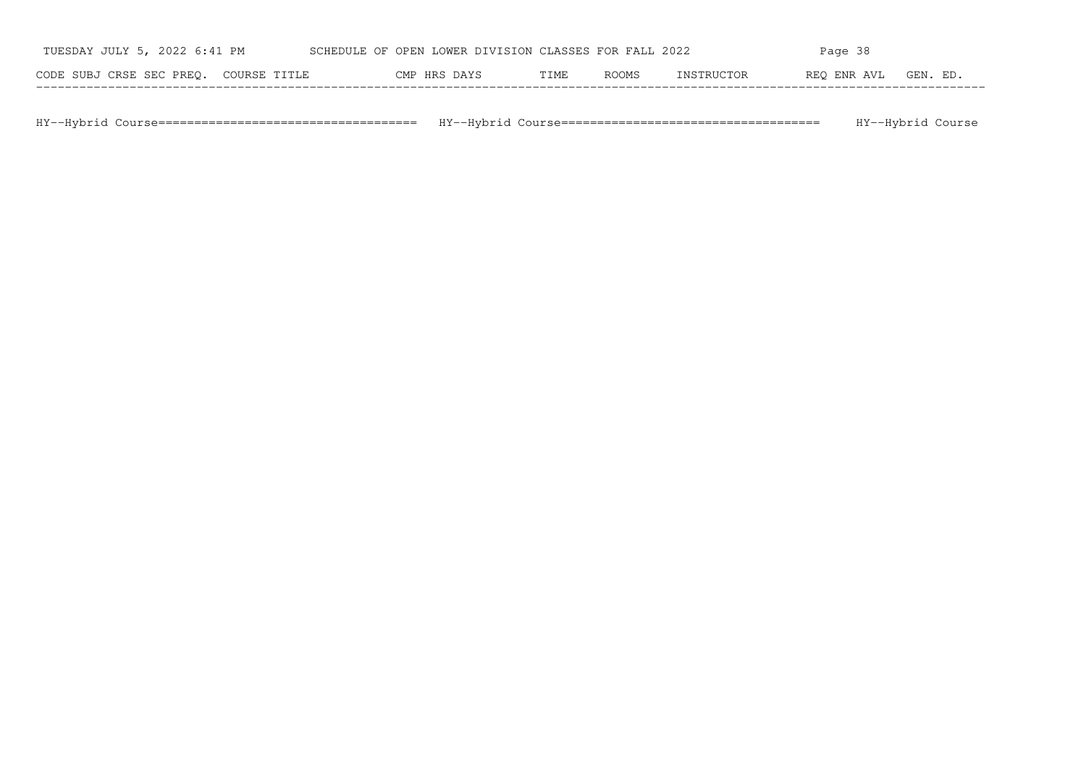| CODE SUBJ CRSE SEC PREO. COURSE TITLE<br>REO ENR AVL GEN. ED.<br>ROOMS<br>CMP HRS DAYS<br>TIME<br>INSTRUCTOR | TUESDAY JULY 5, 2022 6:41 PM | SCHEDULE OF OPEN LOWER DIVISION CLASSES FOR FALL 2022 | Page 38 |
|--------------------------------------------------------------------------------------------------------------|------------------------------|-------------------------------------------------------|---------|
|                                                                                                              |                              |                                                       |         |

HY−−Hybrid Course==================================== HY−−Hybrid Course==================================== HY−−Hybrid Course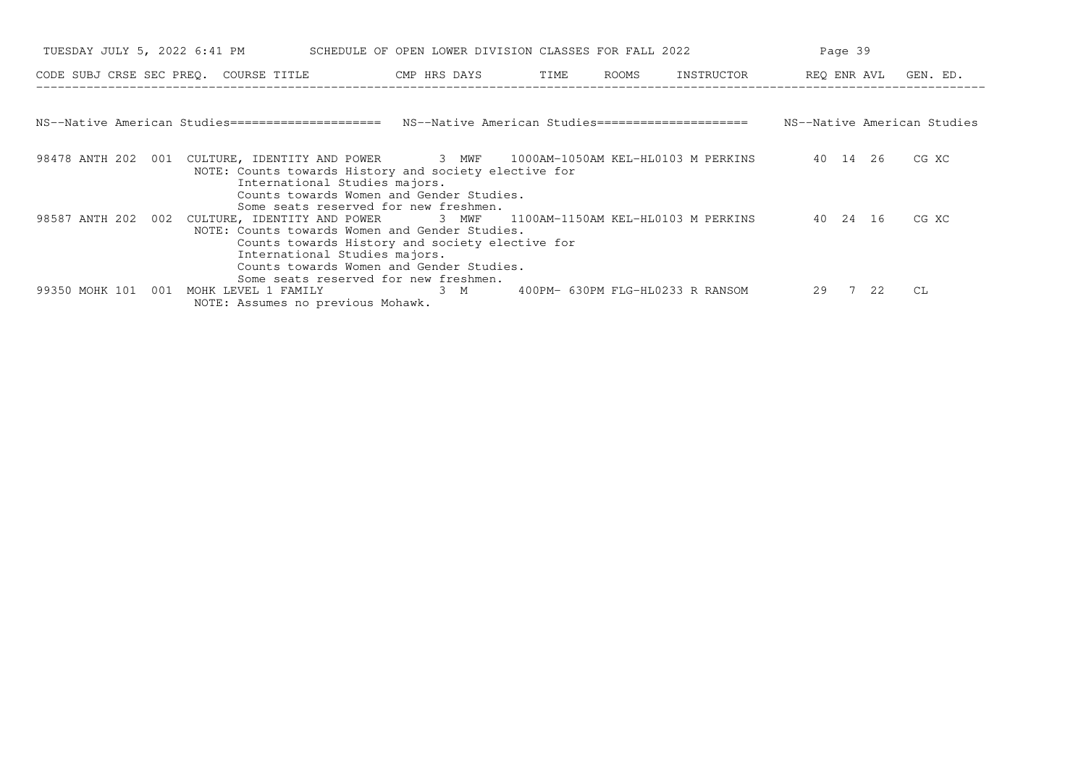| TUESDAY JULY 5, 2022 6:41 PM                                                                          | SCHEDULE OF OPEN LOWER DIVISION CLASSES FOR FALL 2022                                                                                                                                                                                                                                                    |  | Page 39                     |       |
|-------------------------------------------------------------------------------------------------------|----------------------------------------------------------------------------------------------------------------------------------------------------------------------------------------------------------------------------------------------------------------------------------------------------------|--|-----------------------------|-------|
| CODE SUBJ CRSE SEC PREQ. COURSE TITLE THE CMP HRS DAYS TIME ROOMS INSTRUCTOR THE REQ ENR AVL GEN. ED. |                                                                                                                                                                                                                                                                                                          |  |                             |       |
| NS--Native American Studies===================== NS--Native American Studies=======================   |                                                                                                                                                                                                                                                                                                          |  | NS--Native American Studies |       |
| 98478 ANTH 202 001 CULTURE, IDENTITY AND POWER 3 MWF 1000AM-1050AM KEL-HL0103 M PERKINS 40 14 26      | NOTE: Counts towards History and society elective for<br>International Studies majors.<br>Counts towards Women and Gender Studies.                                                                                                                                                                       |  |                             | CG XC |
| 98587 ANTH 202 002                                                                                    | Some seats reserved for new freshmen.<br>CULTURE, IDENTITY AND POWER 3 MWF 1100AM-1150AM KEL-HL0103 M PERKINS 40 24 16<br>NOTE: Counts towards Women and Gender Studies.<br>Counts towards History and society elective for<br>International Studies majors.<br>Counts towards Women and Gender Studies. |  |                             | CG XC |
| 99350 MOHK 101 001<br>NOTE: Assumes no previous Mohawk.                                               | Some seats reserved for new freshmen.<br>MOHK LEVEL 1 FAMILY 63 M 400PM-630PM FLG-HL0233 R RANSOM                                                                                                                                                                                                        |  | 29 7 22                     | CL    |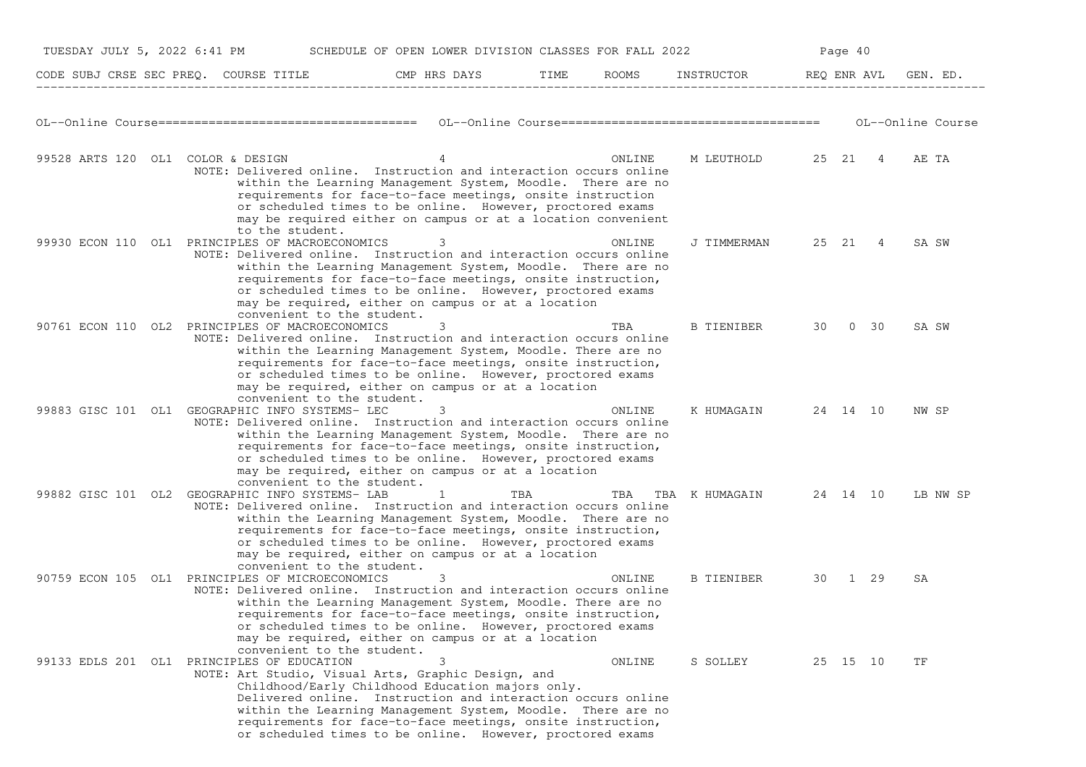| TUESDAY JULY 5, 2022 6:41 PM      |                                                                                                                                                    | SCHEDULE OF OPEN LOWER DIVISION CLASSES FOR FALL 2022                                                                                                                                                                                                                                                      |      |        |                              |    | Page 40  |      |                   |
|-----------------------------------|----------------------------------------------------------------------------------------------------------------------------------------------------|------------------------------------------------------------------------------------------------------------------------------------------------------------------------------------------------------------------------------------------------------------------------------------------------------------|------|--------|------------------------------|----|----------|------|-------------------|
|                                   | CODE SUBJ CRSE SEC PREQ. COURSE TITLE                                                                                                              | CMP HRS DAYS                                                                                                                                                                                                                                                                                               | TIME |        | ROOMS INSTRUCTOR REQ ENR AVL |    |          |      | GEN. ED.          |
|                                   |                                                                                                                                                    |                                                                                                                                                                                                                                                                                                            |      |        |                              |    |          |      | OL--Online Course |
| 99528 ARTS 120 OL1 COLOR & DESIGN | NOTE: Delivered online. Instruction and interaction occurs online<br>to the student.                                                               | within the Learning Management System, Moodle. There are no<br>requirements for face-to-face meetings, onsite instruction<br>or scheduled times to be online. However, proctored exams<br>may be required either on campus or at a location convenient                                                     |      | ONLINE | M LEUTHOLD 25 21 4           |    |          |      | AE TA             |
|                                   | 99930 ECON 110 OL1 PRINCIPLES OF MACROECONOMICS<br>NOTE: Delivered online. Instruction and interaction occurs online<br>convenient to the student. | 3<br>within the Learning Management System, Moodle. There are no<br>requirements for face-to-face meetings, onsite instruction,<br>or scheduled times to be online. However, proctored exams<br>may be required, either on campus or at a location                                                         |      | ONLINE | J TIMMERMAN                  |    | 25 21 4  |      | SA SW             |
|                                   | 90761 ECON 110 OL2 PRINCIPLES OF MACROECONOMICS<br>NOTE: Delivered online. Instruction and interaction occurs online<br>convenient to the student. | 3<br>within the Learning Management System, Moodle. There are no<br>requirements for face-to-face meetings, onsite instruction,<br>or scheduled times to be online. However, proctored exams<br>may be required, either on campus or at a location                                                         |      | TBA    | B TIENIBER                   |    | 30 0 30  |      | SA SW             |
|                                   | 99883 GISC 101 OL1 GEOGRAPHIC INFO SYSTEMS- LEC<br>NOTE: Delivered online. Instruction and interaction occurs online<br>convenient to the student. | 3<br>within the Learning Management System, Moodle. There are no<br>requirements for face-to-face meetings, onsite instruction,<br>or scheduled times to be online. However, proctored exams<br>may be required, either on campus or at a location                                                         |      | ONLINE | K HUMAGAIN                   |    | 24 14 10 |      | NW SP             |
|                                   | 99882 GISC 101 OL2 GEOGRAPHIC INFO SYSTEMS- LAB<br>NOTE: Delivered online. Instruction and interaction occurs online<br>convenient to the student. | 1<br>within the Learning Management System, Moodle. There are no<br>requirements for face-to-face meetings, onsite instruction,<br>or scheduled times to be online. However, proctored exams<br>may be required, either on campus or at a location                                                         | TBA  | TBA    | TBA K HUMAGAIN               |    | 24 14 10 |      | LB NW SP          |
|                                   | 90759 ECON 105 OL1 PRINCIPLES OF MICROECONOMICS<br>NOTE: Delivered online. Instruction and interaction occurs online<br>convenient to the student. | 3<br>within the Learning Management System, Moodle. There are no<br>requirements for face-to-face meetings, onsite instruction,<br>or scheduled times to be online. However, proctored exams<br>may be required, either on campus or at a location                                                         |      | ONLINE | B TIENIBER                   | 30 |          | 1 29 | SA                |
|                                   | 99133 EDLS 201 OL1 PRINCIPLES OF EDUCATION<br>NOTE: Art Studio, Visual Arts, Graphic Design, and                                                   | Childhood/Early Childhood Education majors only.<br>Delivered online. Instruction and interaction occurs online<br>within the Learning Management System, Moodle. There are no<br>requirements for face-to-face meetings, onsite instruction,<br>or scheduled times to be online. However, proctored exams |      | ONLINE | S SOLLEY                     |    | 25 15 10 |      | TF                |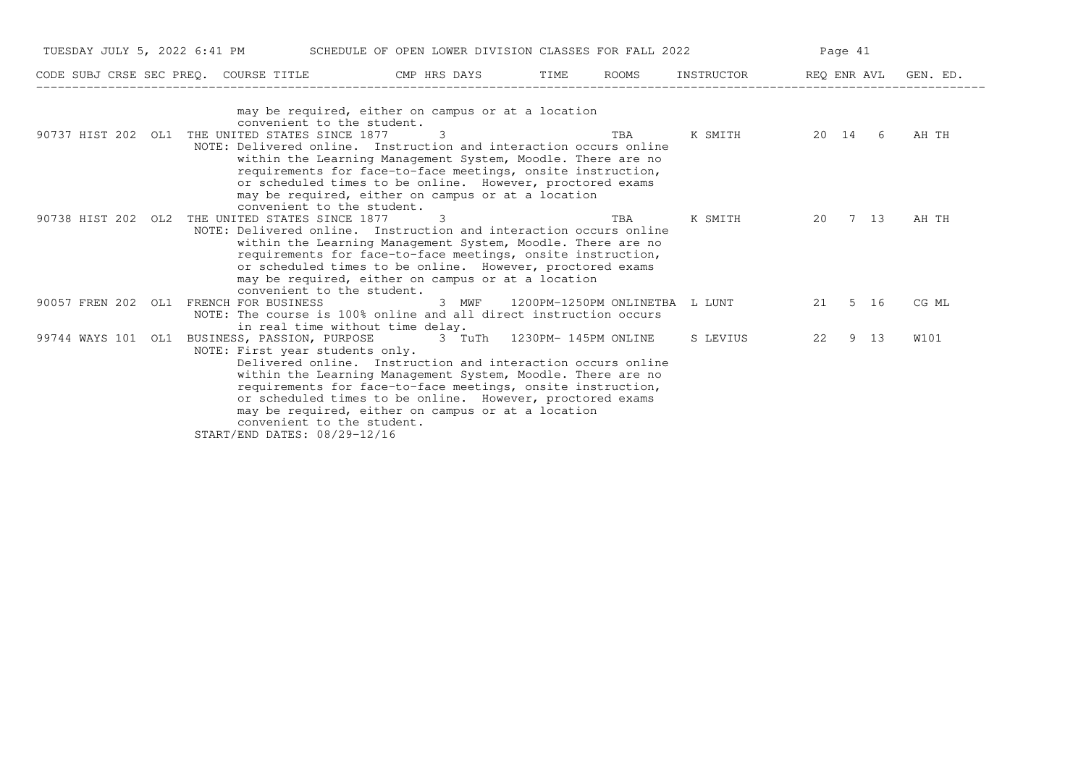| TUESDAY JULY 5, 2022 6:41 PM SCHEDULE OF OPEN LOWER DIVISION CLASSES FOR FALL 2022 |                     |                                                                                               |                                                                                                                                                                                                                                                                                                                                                                                          | Page 41 |                                      |         |         |             |
|------------------------------------------------------------------------------------|---------------------|-----------------------------------------------------------------------------------------------|------------------------------------------------------------------------------------------------------------------------------------------------------------------------------------------------------------------------------------------------------------------------------------------------------------------------------------------------------------------------------------------|---------|--------------------------------------|---------|---------|-------------|
|                                                                                    |                     |                                                                                               | CODE SUBJ CRSE SEC PREO. COURSE TITLE THE CMP HRS DAYS TIME                                                                                                                                                                                                                                                                                                                              |         | ROOMS INSTRUCTOR REO ENR AVL         |         |         | GEN. ED.    |
|                                                                                    |                     | convenient to the student.<br>90737 HIST 202 OL1 THE UNITED STATES SINCE 1877                 | may be required, either on campus or at a location<br>3<br>NOTE: Delivered online. Instruction and interaction occurs online<br>within the Learning Management System, Moodle. There are no                                                                                                                                                                                              | TBA     | K SMITH 20 14 6                      |         |         | AH TH       |
|                                                                                    |                     | convenient to the student.                                                                    | requirements for face-to-face meetings, onsite instruction,<br>or scheduled times to be online. However, proctored exams<br>may be required, either on campus or at a location                                                                                                                                                                                                           |         |                                      |         |         |             |
|                                                                                    |                     | 90738 HIST 202 OL2 THE UNITED STATES SINCE 1877<br>convenient to the student.                 | $\mathbf{3}$<br>NOTE: Delivered online. Instruction and interaction occurs online<br>within the Learning Management System, Moodle. There are no<br>requirements for face-to-face meetings, onsite instruction,<br>or scheduled times to be online. However, proctored exams<br>may be required, either on campus or at a location                                                       | TBA     | K SMITH                              |         | 20 7 13 | AH TH       |
| 90057 FREN 202 OL1                                                                 | FRENCH FOR BUSINESS | in real time without time delay.                                                              | NOTE: The course is 100% online and all direct instruction occurs                                                                                                                                                                                                                                                                                                                        |         | 3 MWF 1200PM-1250PM ONLINETBA L LUNT | 21 5 16 |         | CG ML       |
|                                                                                    |                     | NOTE: First year students only.<br>convenient to the student.<br>START/END DATES: 08/29-12/16 | 99744 WAYS 101 OL1 BUSINESS, PASSION, PURPOSE 3 TuTh 1230PM-145PM ONLINE<br>Delivered online. Instruction and interaction occurs online<br>within the Learning Management System, Moodle. There are no<br>requirements for face-to-face meetings, onsite instruction,<br>or scheduled times to be online. However, proctored exams<br>may be required, either on campus or at a location |         | S LEVIUS                             | 22      | 9 13    | <b>W101</b> |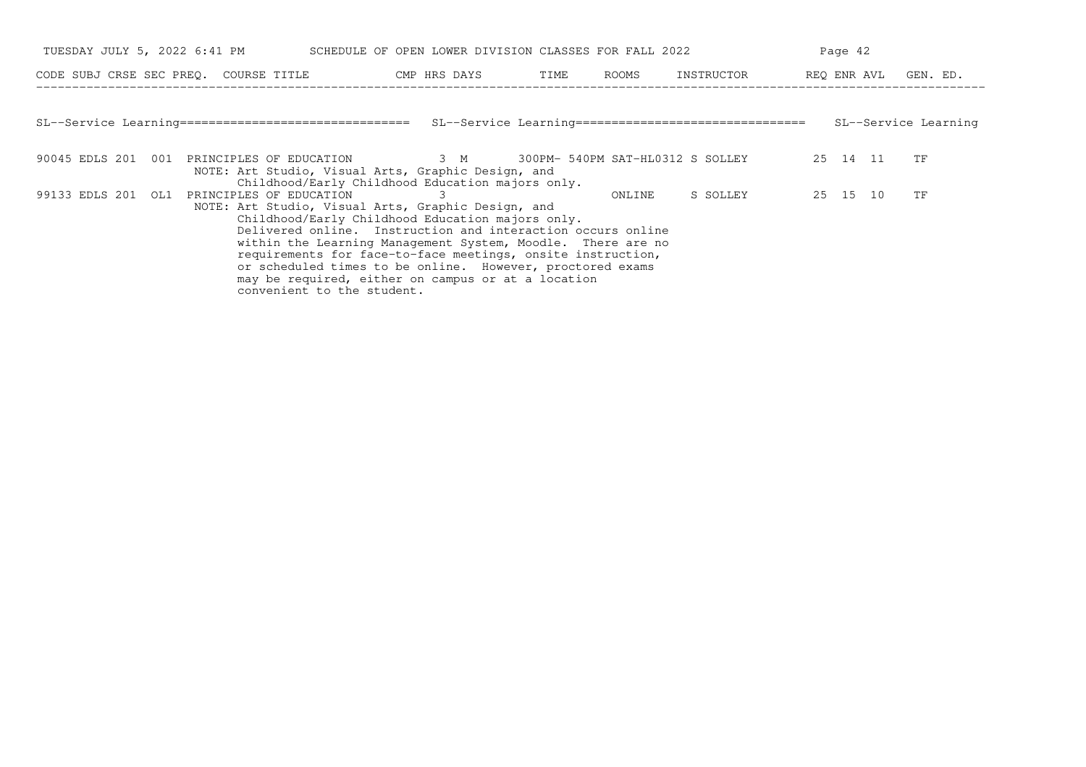| TUESDAY JULY 5, 2022 6:41 PM |                                                                                                                                                                                                                                                                                                                                                                                                                                                                                                    | SCHEDULE OF OPEN LOWER DIVISION CLASSES FOR FALL 2022 |        |                                 | Page 42  |                      |
|------------------------------|----------------------------------------------------------------------------------------------------------------------------------------------------------------------------------------------------------------------------------------------------------------------------------------------------------------------------------------------------------------------------------------------------------------------------------------------------------------------------------------------------|-------------------------------------------------------|--------|---------------------------------|----------|----------------------|
|                              | CODE SUBJ CRSE SEC PREO. COURSE TITLE THE CMP HRS DAYS TIME ROOMS                                                                                                                                                                                                                                                                                                                                                                                                                                  |                                                       |        | INSTRUCTOR REQ ENR AVL GEN. ED. |          |                      |
|                              |                                                                                                                                                                                                                                                                                                                                                                                                                                                                                                    |                                                       |        |                                 |          |                      |
|                              |                                                                                                                                                                                                                                                                                                                                                                                                                                                                                                    |                                                       |        |                                 |          | SL--Service Learning |
| 90045 EDLS 201 001           | PRINCIPLES OF EDUCATION 3 M 300PM- 540PM SAT-HL0312 S SOLLEY<br>NOTE: Art Studio, Visual Arts, Graphic Design, and<br>Childhood/Early Childhood Education majors only.                                                                                                                                                                                                                                                                                                                             |                                                       |        |                                 | 25 14 11 | TF                   |
|                              | 99133 EDLS 201 OL1 PRINCIPLES OF EDUCATION<br>NOTE: Art Studio, Visual Arts, Graphic Design, and<br>Childhood/Early Childhood Education majors only.<br>Delivered online. Instruction and interaction occurs online<br>within the Learning Management System, Moodle. There are no<br>requirements for face-to-face meetings, onsite instruction,<br>or scheduled times to be online. However, proctored exams<br>may be required, either on campus or at a location<br>convenient to the student. |                                                       | ONLINE | S SOLLEY                        | 25 15 10 | ТF                   |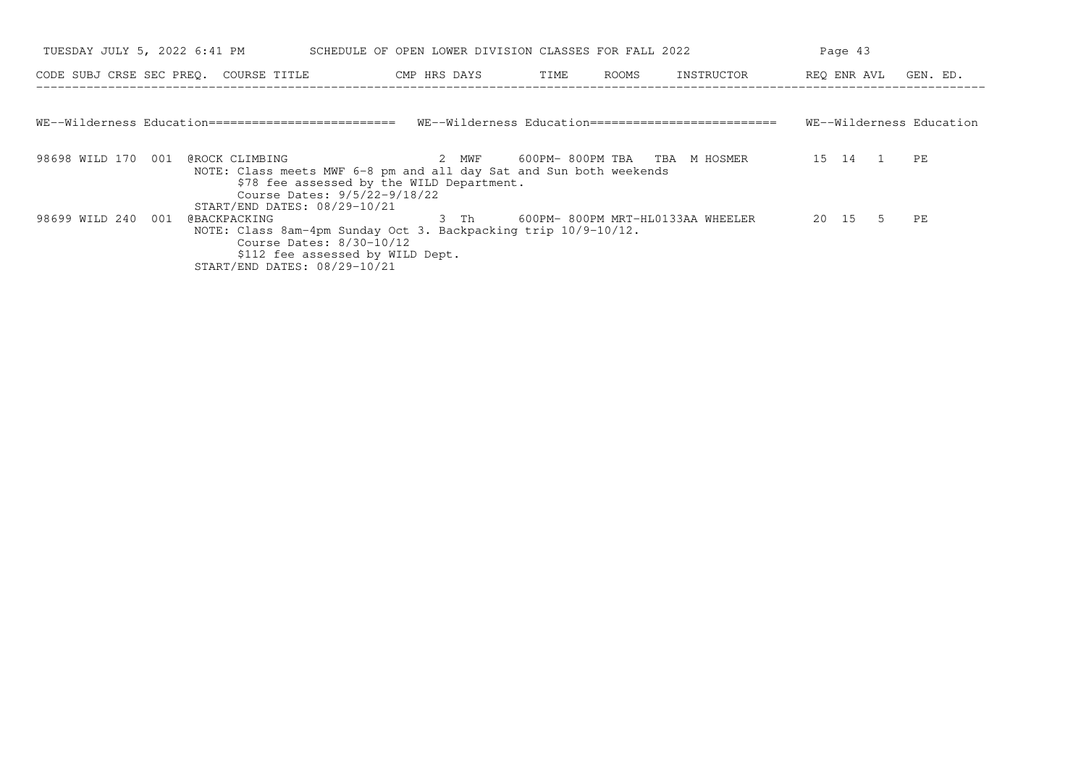|                    | TUESDAY JULY 5, 2022 6:41 PM                                                 | SCHEDULE OF OPEN LOWER DIVISION CLASSES FOR FALL 2022                                                                                           |              |       |       |                                                     |         | Page 43 |   |                          |
|--------------------|------------------------------------------------------------------------------|-------------------------------------------------------------------------------------------------------------------------------------------------|--------------|-------|-------|-----------------------------------------------------|---------|---------|---|--------------------------|
|                    | CODE SUBJ CRSE SEC PREQ. COURSE TITLE                                        |                                                                                                                                                 | CMP HRS DAYS | TIME  | ROOMS | INSTRUCTOR                                          |         |         |   | REO ENR AVL GEN. ED.     |
|                    |                                                                              |                                                                                                                                                 |              |       |       |                                                     |         |         |   |                          |
|                    | WE--Wilderness Education============================                         |                                                                                                                                                 |              |       |       | WE--Wilderness Education=========================== |         |         |   | WE--Wilderness Education |
| 98698 WILD 170 001 | @ROCK CLIMBING                                                               | NOTE: Class meets MWF 6-8 pm and all day Sat and Sun both weekends<br>\$78 fee assessed by the WILD Department.<br>Course Dates: 9/5/22-9/18/22 |              | 2 MWF |       | 600PM-800PM TBA TBA M HOSMER                        | 15 14 1 |         |   | <b>PE</b>                |
| 98699 WILD 240 001 | START/END DATES: 08/29-10/21<br>@BACKPACKING<br>START/END DATES: 08/29-10/21 | NOTE: Class 8am-4pm Sunday Oct 3. Backpacking trip 10/9-10/12.<br>Course Dates: $8/30-10/12$<br>\$112 fee assessed by WILD Dept.                |              | 3 Th  |       | 600PM- 800PM MRT-HL0133AA WHEELER                   |         | 20 15   | 5 | PE                       |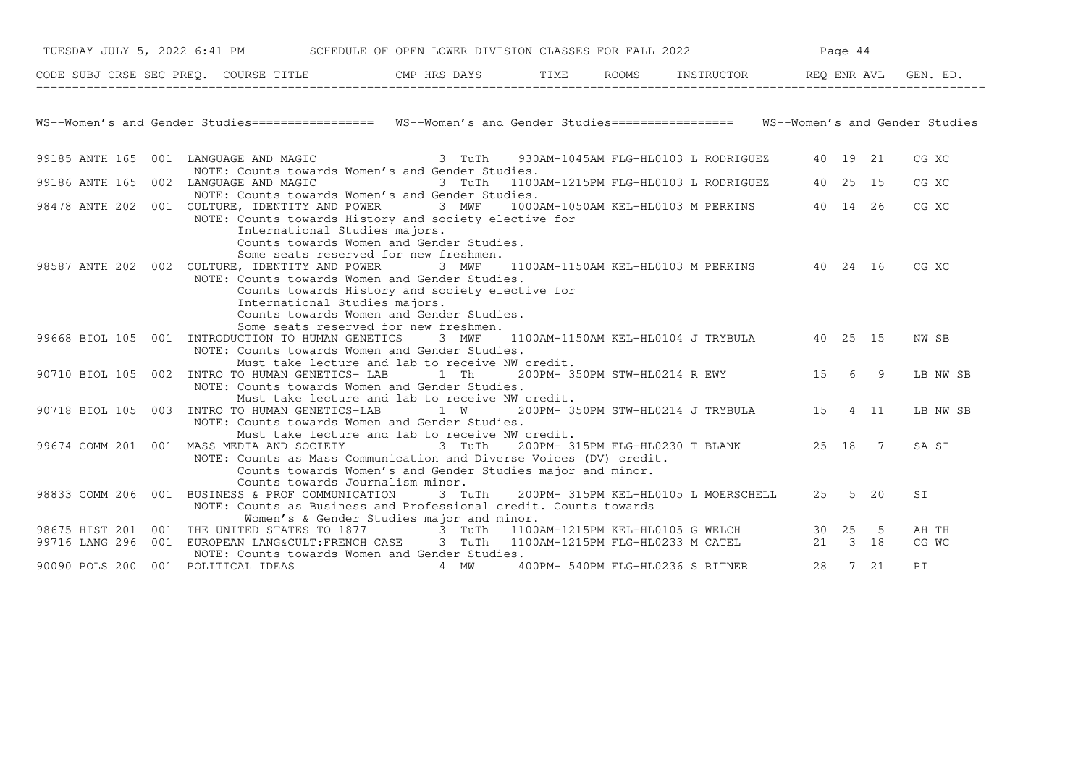|                                    | TUESDAY JULY 5, 2022 6:41 PM SCHEDULE OF OPEN LOWER DIVISION CLASSES FOR FALL 2022                                                                                                                                                                                                                                                                     |                                                      |  |                                              | Page 44 |         |                |
|------------------------------------|--------------------------------------------------------------------------------------------------------------------------------------------------------------------------------------------------------------------------------------------------------------------------------------------------------------------------------------------------------|------------------------------------------------------|--|----------------------------------------------|---------|---------|----------------|
|                                    | CODE SUBJ CRSE SEC PREQ. COURSE TITLE THE CMP HRS DAYS TIME                                                                                                                                                                                                                                                                                            |                                                      |  | ROOMS INSTRUCTOR REQ ENR AVL GEN. ED.        |         |         |                |
|                                    |                                                                                                                                                                                                                                                                                                                                                        |                                                      |  |                                              |         |         |                |
|                                    | WS--Women's and Gender Studies================= WS--Women's and Gender Studies================== WS--Women's and Gender Studies                                                                                                                                                                                                                        |                                                      |  |                                              |         |         |                |
|                                    | 99185 ANTH 165 001 LANGUAGE AND MAGIC<br>NOTE: Counts towards Women's and Gender Studies.                                                                                                                                                                                                                                                              | and the state of the State of TuTh                   |  | 930AM-1045AM FLG-HL0103 L RODRIGUEZ 40 19 21 |         |         | CG XC          |
|                                    | 99186 ANTH 165 002 LANGUAGE AND MAGIC                                                                                                                                                                                                                                                                                                                  | 3 TuTh 1100AM-1215PM FLG-HL0103 L RODRIGUEZ 40 25 15 |  |                                              |         |         | CG XC          |
|                                    | NOTE: Counts towards Women's and Gender Studies.<br>98478 ANTH 202 001 CULTURE, IDENTITY AND POWER 3 MWF<br>NOTE: Counts towards History and society elective for                                                                                                                                                                                      |                                                      |  | 1000AM-1050AM KEL-HL0103 M PERKINS 40 14 26  |         |         | CG XC          |
|                                    | International Studies majors.<br>Counts towards Women and Gender Studies.<br>Some seats reserved for new freshmen.<br>98587 ANTH 202 002 CULTURE, IDENTITY AND POWER<br>NOTE: Counts towards Women and Gender Studies.<br>Counts towards History and society elective for<br>International Studies majors.<br>Counts towards Women and Gender Studies. | 3 MWF                                                |  | 1100AM-1150AM KEL-HL0103 M PERKINS 40 24 16  |         |         | CG XC          |
|                                    | Some seats reserved for new freshmen.<br>99668 BIOL 105 001 INTRODUCTION TO HUMAN GENETICS<br>NOTE: Counts towards Women and Gender Studies.                                                                                                                                                                                                           | 3 MWF                                                |  | 1100AM-1150AM KEL-HL0104 J TRYBULA 40 25 15  |         |         | NW SB          |
|                                    | Must take lecture and lab to receive NW credit.<br>90710 BIOL 105 002 INTRO TO HUMAN GENETICS- LAB 1 Th 200PM-350PM STW-HL0214 R EWY 15 6 9<br>NOTE: Counts towards Women and Gender Studies.                                                                                                                                                          |                                                      |  |                                              |         |         | LB NW SB       |
|                                    | Must take lecture and lab to receive NW credit.<br>90718 BIOL 105 003 INTRO TO HUMAN GENETICS-LAB 1 W 200PM-350PM STW-HL0214 J TRYBULA 15 4 11<br>NOTE: Counts towards Women and Gender Studies.                                                                                                                                                       |                                                      |  |                                              |         |         | LB NW SB       |
|                                    | Must take lecture and lab to receive NW credit.<br>99674 COMM 201 001 MASS MEDIA AND SOCIETY<br>NOTE: Counts as Mass Communication and Diverse Voices (DV) credit.<br>Counts towards Women's and Gender Studies major and minor.                                                                                                                       |                                                      |  |                                              |         |         | SA SI          |
|                                    | Counts towards Journalism minor.<br>98833 COMM 206 001 BUSINESS & PROF COMMUNICATION<br>NOTE: Counts as Business and Professional credit. Counts towards<br>Women's & Gender Studies major and minor.                                                                                                                                                  | 3 TuTh                                               |  | 200PM- 315PM KEL-HL0105 L MOERSCHELL 25 5 20 |         |         | SI             |
|                                    | 98675 HIST 201 001 THE UNITED STATES TO 1877 3 TuTh 1100AM-1215PM KEL-HL0105 G WELCH 30 25 5<br>99716 LANG 296 001 EUROPEAN LANG&CULT:FRENCH CASE 3 TuTh 1100AM-1215PM FLG-HL0233 M CATEL 21 3 18                                                                                                                                                      |                                                      |  |                                              |         |         | AH TH<br>CG WC |
| 90090 POLS 200 001 POLITICAL IDEAS | NOTE: Counts towards Women and Gender Studies.                                                                                                                                                                                                                                                                                                         | 4 MW                                                 |  | 400PM- 540PM FLG-HL0236 S RITNER             |         | 28 7 21 | PI             |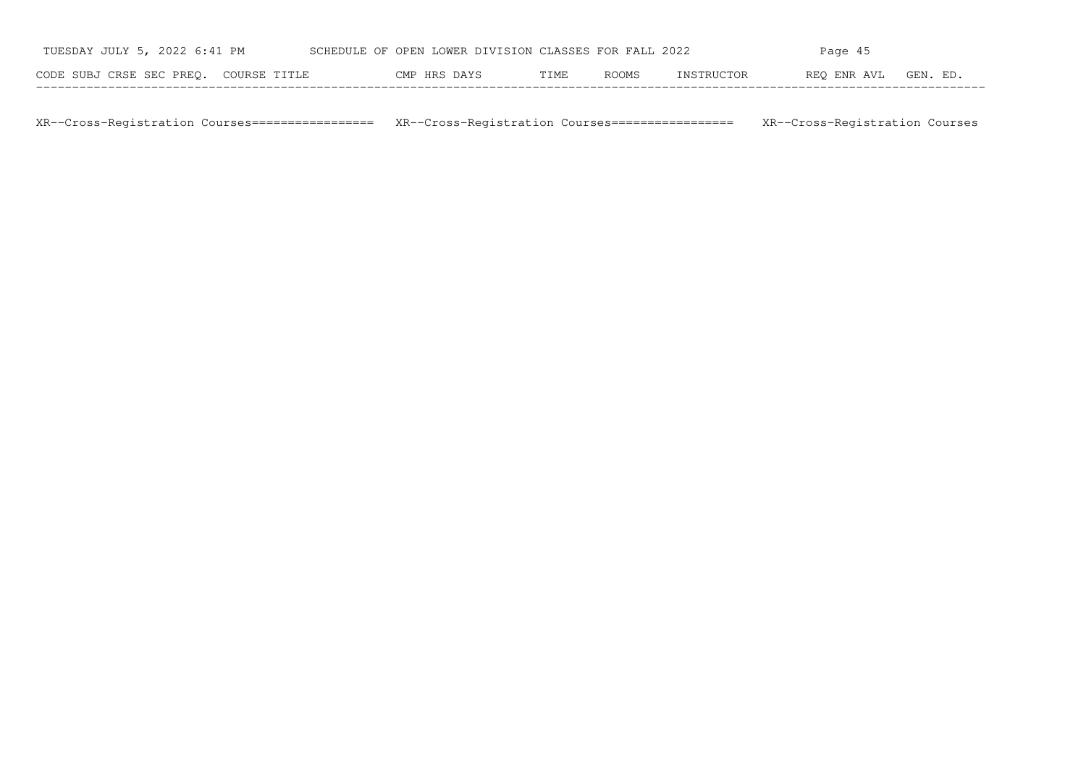| TUESDAY JULY 5, 2022 6:41 PM          | SCHEDULE OF OPEN LOWER DIVISION CLASSES FOR FALL 2022 |      |              |                   | Page $45$   |         |
|---------------------------------------|-------------------------------------------------------|------|--------------|-------------------|-------------|---------|
| CODE SUBJ CRSE SEC PREQ. COURSE TITLE | CMP HRS DAYS                                          | TIME | <b>ROOMS</b> | <b>TNSTRHCTOR</b> | REO ENR AVL | GEN. ED |

XR−−Cross−Registration Courses================= XR−−Cross−Registration Courses================= XR−−Cross−Registration Courses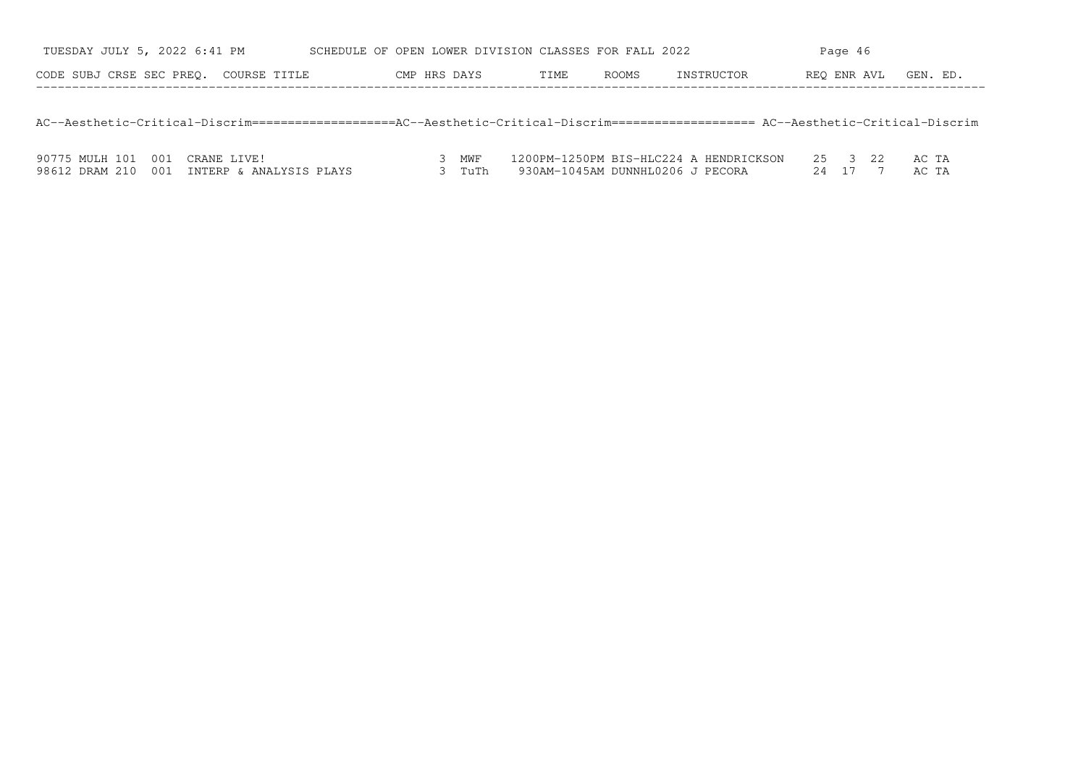| TUESDAY JULY 5, 2022 6:41 PM          | SCHEDULE OF OPEN LOWER DIVISION CLASSES FOR FALL 2022 |                      |            | Page 46     |          |
|---------------------------------------|-------------------------------------------------------|----------------------|------------|-------------|----------|
| CODE SUBJ CRSE SEC PREO. COURSE TITLE | CMP HRS DAYS                                          | <b>ROOMS</b><br>TIME | INSTRUCTOR | REO ENR AVL | GEN. ED. |
|                                       |                                                       |                      |            |             |          |

## AC−−Aesthetic−Critical−Discrim====================AC−−Aesthetic−Critical−Discrim==================== AC−−Aesthetic−Critical−Discrim

| 90775 MULH 101 001 CRANE LIVE! |                                            | MWF  | 1200PM-1250PM BIS-HLC224 A HENDRICKSON | 25 3 22 |  | AC TA |
|--------------------------------|--------------------------------------------|------|----------------------------------------|---------|--|-------|
|                                | 98612 DRAM 210 001 INTERP & ANALYSIS PLAYS | TuTh | 930AM-1045AM DUNNHL0206 J PECORA       |         |  | AC TA |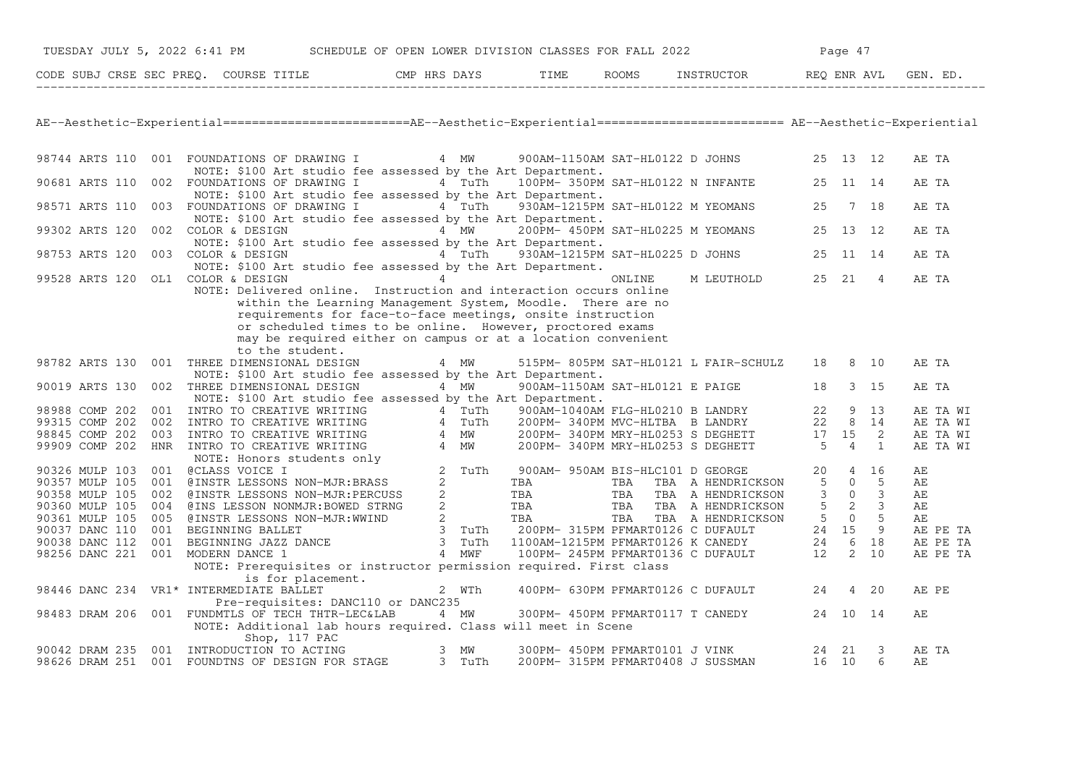|                                  | TUESDAY JULY 5, 2022 6:41 PM                                                                                                             | SCHEDULE OF OPEN LOWER DIVISION CLASSES FOR FALL 2022 |       |  |        |                                                                                 | Page 47 |      |                      |
|----------------------------------|------------------------------------------------------------------------------------------------------------------------------------------|-------------------------------------------------------|-------|--|--------|---------------------------------------------------------------------------------|---------|------|----------------------|
|                                  |                                                                                                                                          |                                                       |       |  |        |                                                                                 |         |      |                      |
|                                  |                                                                                                                                          |                                                       |       |  |        |                                                                                 |         |      |                      |
|                                  | AE--Aesthetic-Experiential========================AE--Aesthetic-Experiential====================== AE--Aesthetic-Experiential            |                                                       |       |  |        |                                                                                 |         |      |                      |
|                                  |                                                                                                                                          |                                                       |       |  |        |                                                                                 |         |      |                      |
| 98744 ARTS 110                   | 001 FOUNDATIONS OF DRAWING I<br>NOTE: \$100 Art studio fee assessed by the Art Department.                                               |                                                       | 4 MW  |  |        | 900AM-1150AM SAT-HL0122 D JOHNS 25 13 12                                        |         |      | AE TA                |
| 90681 ARTS 110                   | 002 FOUNDATIONS OF DRAWING I<br>NOTE: \$100 Art studio fee assessed by the Art Department.                                               | 4 TuTh 100PM-350PM SAT-HL0122 N INFANTE 25 11 14      |       |  |        |                                                                                 |         |      | AE TA                |
| 98571 ARTS 110                   | 003 FOUNDATIONS OF DRAWING I $4$ TuTh 930AM-1215PM SAT-HL0122 M YEOMANS 25<br>NOTE: \$100 Art studio fee assessed by the Art Department. |                                                       |       |  |        |                                                                                 |         | 7 18 | AE TA                |
| 99302 ARTS 120                   | 002 COLOR & DESIGN<br>NOTE: \$100 Art studio fee assessed by the Art Department.                                                         | $4$ MW                                                |       |  |        | 200PM- 450PM SAT-HL0225 M YEOMANS 25 13 12                                      |         |      | AE TA                |
| 98753 ARTS 120                   | 003 COLOR & DESIGN 4 TuTh 930AM-1215PM SAT-HL0225 D JOHNS 25 11 14<br>NOTE: \$100 Art studio fee assessed by the Art Department.         |                                                       |       |  |        |                                                                                 |         |      | AE TA                |
| 99528 ARTS 120                   | OL1 COLOR & DESIGN 4<br>NOTE: Delivered online. Instruction and interaction occurs online                                                |                                                       |       |  | ONLINE | M LEUTHOLD 25 21                                                                |         | 4    | AE TA                |
|                                  | within the Learning Management System, Moodle. There are no                                                                              |                                                       |       |  |        |                                                                                 |         |      |                      |
|                                  | requirements for face-to-face meetings, onsite instruction                                                                               |                                                       |       |  |        |                                                                                 |         |      |                      |
|                                  | or scheduled times to be online. However, proctored exams<br>may be required either on campus or at a location convenient                |                                                       |       |  |        |                                                                                 |         |      |                      |
|                                  | to the student.                                                                                                                          |                                                       |       |  |        |                                                                                 |         |      |                      |
| 98782 ARTS 130                   | 001 THREE DIMENSIONAL DESIGN<br>NOTE: \$100 Art studio fee assessed by the Art Department.                                               |                                                       | 4 MW  |  |        | 515PM-805PM SAT-HL0121 L FAIR-SCHULZ 18                                         |         | 8 10 | AE TA                |
| 90019 ARTS 130                   | 002 THREE DIMENSIONAL DESIGN                                                                                                             |                                                       | 4 MW  |  |        | 900AM-1150AM SAT-HL0121 E PAIGE 18                                              |         | 3 15 | AE TA                |
|                                  |                                                                                                                                          |                                                       |       |  |        |                                                                                 |         |      |                      |
| 98988 COMP 202<br>99315 COMP 202 |                                                                                                                                          |                                                       |       |  |        |                                                                                 |         |      | AE TA WI<br>AE TA WI |
| 98845 COMP 202                   |                                                                                                                                          |                                                       |       |  |        |                                                                                 |         |      | AE TA WI             |
| 99909 COMP 202                   |                                                                                                                                          |                                                       |       |  |        |                                                                                 |         |      | AE TA WI             |
|                                  |                                                                                                                                          |                                                       |       |  |        |                                                                                 |         |      |                      |
| 90326 MULP 103                   |                                                                                                                                          |                                                       |       |  |        |                                                                                 |         |      | AЕ                   |
| 90357 MULP 105                   |                                                                                                                                          |                                                       |       |  |        |                                                                                 |         |      | АE                   |
| 90358 MULP 105                   |                                                                                                                                          |                                                       |       |  |        |                                                                                 |         |      | АE                   |
| 90360 MULP 105                   |                                                                                                                                          |                                                       |       |  |        |                                                                                 |         |      | АE                   |
| 90361 MULP 105                   |                                                                                                                                          |                                                       |       |  |        |                                                                                 |         |      | АE                   |
| 90037 DANC 110                   |                                                                                                                                          |                                                       |       |  |        |                                                                                 |         |      | AE PE TA             |
| 90038 DANC 112                   |                                                                                                                                          |                                                       |       |  |        |                                                                                 |         |      | AE PE TA             |
| 98256 DANC 221                   |                                                                                                                                          |                                                       |       |  |        |                                                                                 |         |      | AE PE TA             |
|                                  | NOTE: Prerequisites or instructor permission required. First class<br>is for placement.                                                  |                                                       |       |  |        |                                                                                 |         |      |                      |
|                                  | 98446 DANC 234 VR1* INTERMEDIATE BALLET                                                                                                  |                                                       | 2 WTh |  |        | 400PM- 630PM PFMART0126 C DUFAULT 24                                            |         | 4 20 | AE PE                |
|                                  | Pre-requisites: DANC110 or DANC235                                                                                                       |                                                       |       |  |        |                                                                                 |         |      |                      |
| 98483 DRAM 206                   | 001 FUNDMTLS OF TECH THTR-LEC&LAB 4 MW                                                                                                   |                                                       |       |  |        | 300PM- 450PM PFMART0117 T CANEDY 24 10 14                                       |         |      | АE                   |
|                                  | NOTE: Additional lab hours required. Class will meet in Scene                                                                            |                                                       |       |  |        |                                                                                 |         |      |                      |
|                                  | Shop, 117 PAC                                                                                                                            |                                                       |       |  |        |                                                                                 |         | 3    | AE TA                |
|                                  | 90042 DRAM 235 001 INTRODUCTION TO ACTING 3 MW<br>98626 DRAM 251 001 FOUNDTNS OF DESIGN FOR STAGE 3 TuTh                                 |                                                       |       |  |        | 300PM- 450PM PFMART0101 J VINK 24 21<br>200PM- 315PM PFMART0408 J SUSSMAN 16 10 |         | 6    | AE                   |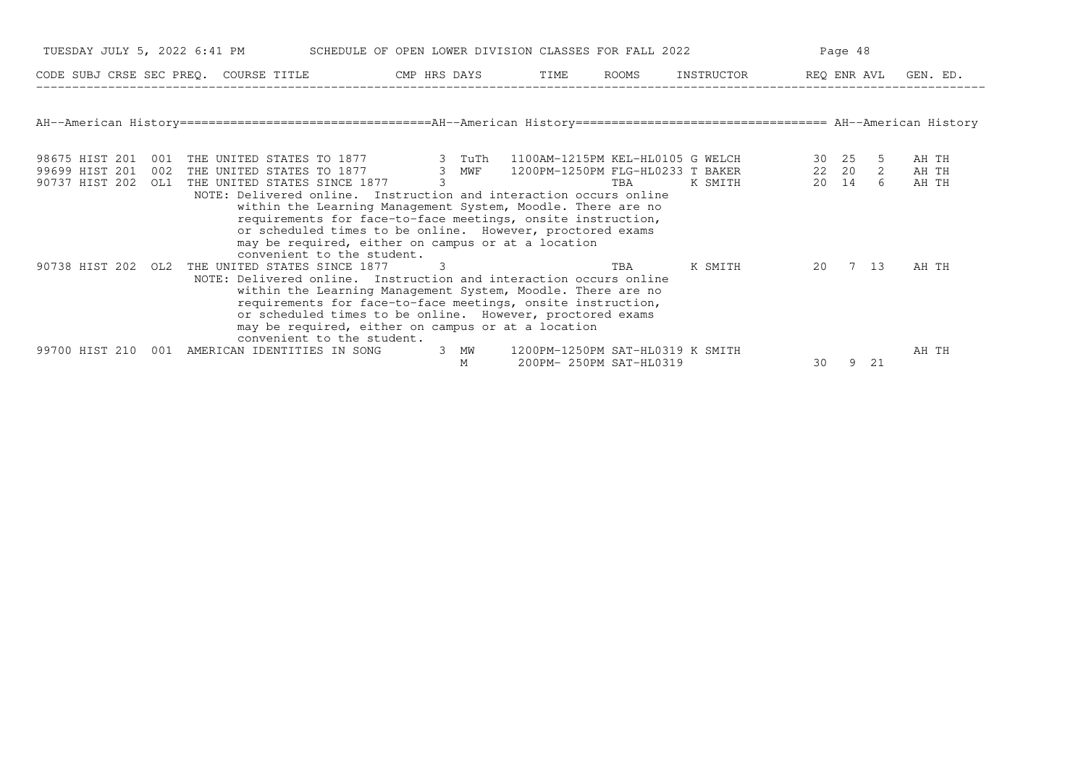| TUESDAY JULY 5, 2022 6:41 PM |                                                                                                                                                                                                                                                                                                                                                  | SCHEDULE OF OPEN LOWER DIVISION CLASSES FOR FALL 2022 |                                       | Page 48 |         |       |  |  |
|------------------------------|--------------------------------------------------------------------------------------------------------------------------------------------------------------------------------------------------------------------------------------------------------------------------------------------------------------------------------------------------|-------------------------------------------------------|---------------------------------------|---------|---------|-------|--|--|
|                              | CODE SUBJ CRSE SEC PREQ. COURSE TITLE THE RIS DAYS TIME ROOMS INSTRUCTOR THE REQ ENR AVL GEN. ED.                                                                                                                                                                                                                                                |                                                       |                                       |         |         |       |  |  |
|                              |                                                                                                                                                                                                                                                                                                                                                  |                                                       |                                       |         |         |       |  |  |
|                              | AH--American History==================================AH--American History================================ AH--American History                                                                                                                                                                                                                  |                                                       |                                       |         |         |       |  |  |
| 98675 HIST 201 001           | THE UNITED STATES TO 1877 3 TuTh 1100AM-1215PM KEL-HL0105 G WELCH 30 25 5                                                                                                                                                                                                                                                                        |                                                       |                                       |         |         | AH TH |  |  |
| 99699 HIST 201 002           | THE UNITED STATES TO 1877 3 MWF 1200PM-1250PM FLG-HL0233 T BAKER 22 20 2                                                                                                                                                                                                                                                                         |                                                       |                                       |         |         | AH TH |  |  |
| 90737 HIST 202 OL1           | THE UNITED STATES SINCE 1877                                                                                                                                                                                                                                                                                                                     |                                                       | TBA                                   | K SMITH | 20 14 6 | AH TH |  |  |
|                              | NOTE: Delivered online. Instruction and interaction occurs online<br>within the Learning Management System, Moodle. There are no<br>requirements for face-to-face meetings, onsite instruction,<br>or scheduled times to be online. However, proctored exams<br>may be required, either on campus or at a location<br>convenient to the student. |                                                       |                                       |         |         |       |  |  |
| 90738 HIST 202 OL2           | THE UNITED STATES SINCE 1877 3                                                                                                                                                                                                                                                                                                                   |                                                       | TBA                                   | K SMITH | 20 7 13 | AH TH |  |  |
|                              | NOTE: Delivered online. Instruction and interaction occurs online<br>within the Learning Management System, Moodle. There are no<br>requirements for face-to-face meetings, onsite instruction,<br>or scheduled times to be online. However, proctored exams<br>may be required, either on campus or at a location<br>convenient to the student. |                                                       |                                       |         |         |       |  |  |
| 99700 HIST 210 001           | AMERICAN IDENTITIES IN SONG                                                                                                                                                                                                                                                                                                                      |                                                       | 3 MW 1200PM-1250PM SAT-HL0319 K SMITH |         |         | AH TH |  |  |
|                              |                                                                                                                                                                                                                                                                                                                                                  | M                                                     | 200PM- 250PM SAT-HL0319               |         | 30 9 21 |       |  |  |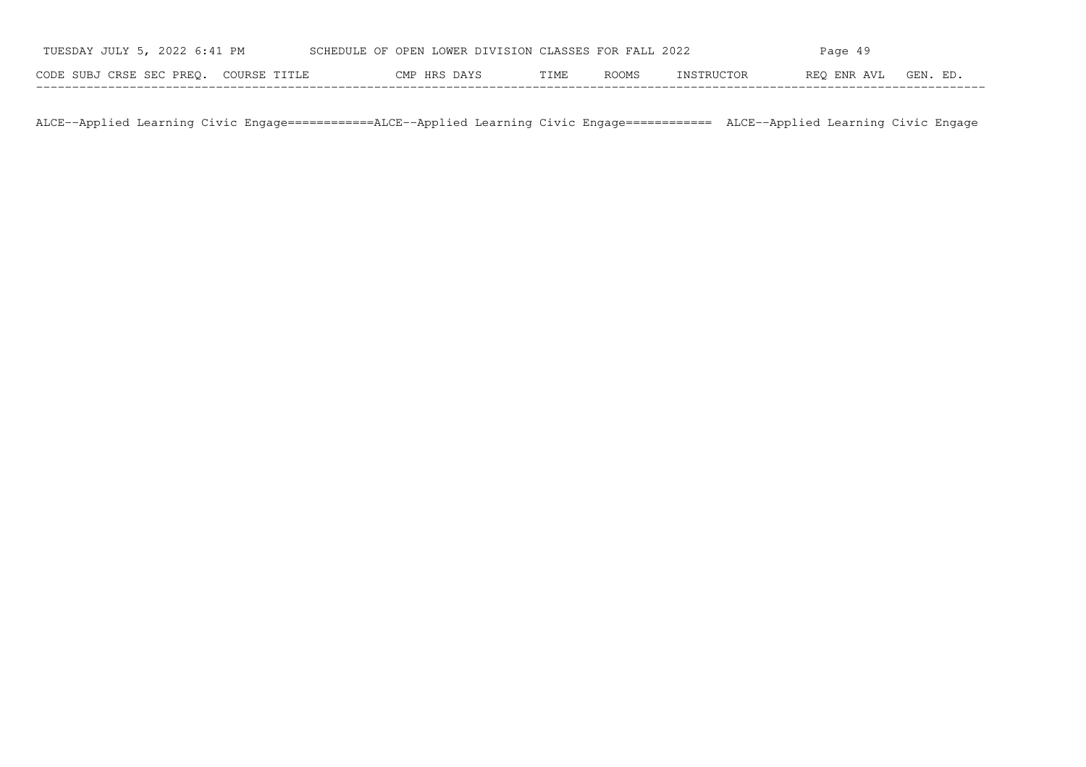| TUESDAY JULY 5, 2022 6:41 PM          | SCHEDULE OF OPEN LOWER DIVISION CLASSES FOR FALL 2022 |                      |            | Page 49                 |  |
|---------------------------------------|-------------------------------------------------------|----------------------|------------|-------------------------|--|
| CODE SUBJ CRSE SEC PREO. COURSE TITLE | CMP HRS DAYS                                          | <b>ROOMS</b><br>TIME | INSTRUCTOR | REO ENR AVL<br>GEN. ED. |  |

ALCE−−Applied Learning Civic Engage============ALCE−−Applied Learning Civic Engage============ ALCE−−Applied Learning Civic Engage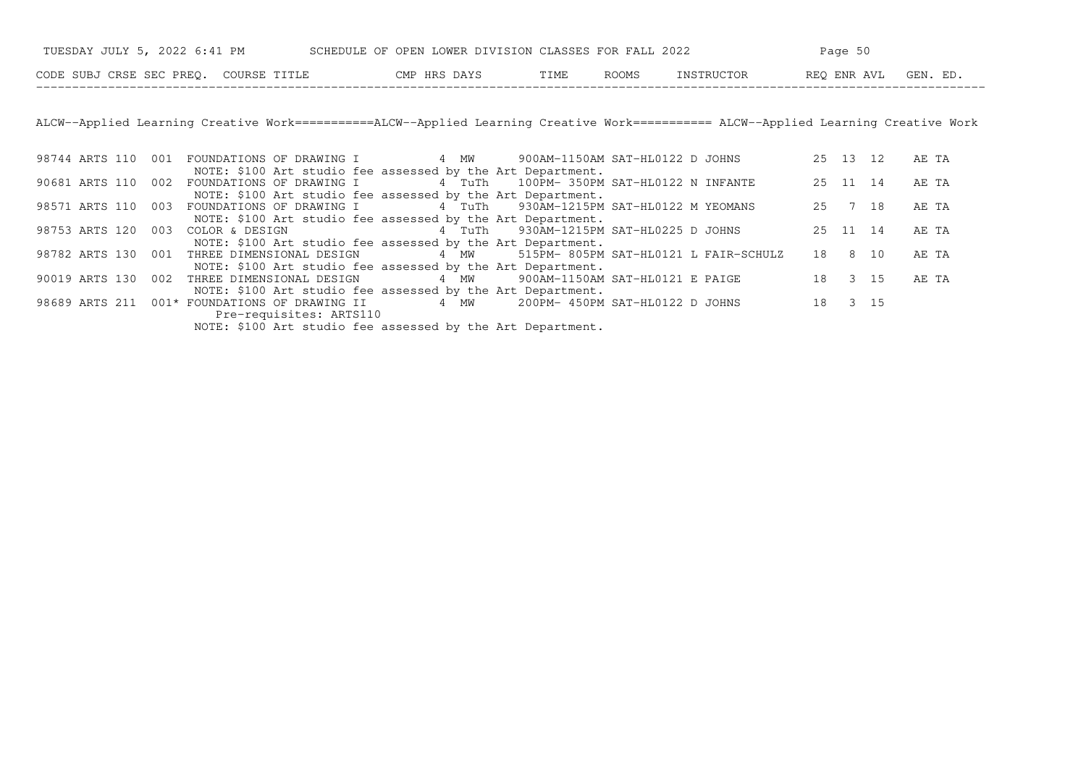| TUESDAY JULY 5, 2022 6:41 PM |  |  |              |  |  |              | SCHEDULE OF OPEN LOWER DIVISION CLASSES FOR FALL 2022 |       |       |            | Page $50$   |         |  |
|------------------------------|--|--|--------------|--|--|--------------|-------------------------------------------------------|-------|-------|------------|-------------|---------|--|
| CODE SUBJ CRSE SEC PREO.     |  |  | COURSE TITLE |  |  | CMP HRS DAYS |                                                       | TTMF. | ROOMS | INSTRUCTOR | REO ENR AVL | GEN. ED |  |

ALCW−−Applied Learning Creative Work===========ALCW−−Applied Learning Creative Work=========== ALCW−−Applied Learning Creative Work

| 98744 ARTS 110 | 001 | FOUNDATIONS OF DRAWING I 4 MW                              |      | 900AM-1150AM SAT-HL0122 D JOHNS           |       | 25 13    | 12 | AE TA |
|----------------|-----|------------------------------------------------------------|------|-------------------------------------------|-------|----------|----|-------|
|                |     | NOTE: \$100 Art studio fee assessed by the Art Department. |      |                                           |       |          |    |       |
| 90681 ARTS 110 | 002 | FOUNDATIONS OF DRAWING I                                   |      | 4 TuTh 100PM-350PM SAT-HL0122 N INFANTE   | 25 11 |          | 14 | AE TA |
|                |     | NOTE: \$100 Art studio fee assessed by the Art Department. |      |                                           |       |          |    |       |
| 98571 ARTS 110 | 003 | FOUNDATIONS OF DRAWING I                                   |      | 4 TuTh 930AM-1215PM SAT-HL0122 M YEOMANS  |       | 25 7 18  |    | AE TA |
|                |     | NOTE: \$100 Art studio fee assessed by the Art Department. |      |                                           |       |          |    |       |
| 98753 ARTS 120 | 003 | COLOR & DESIGN                                             |      | 4 TuTh 930AM-1215PM SAT-HL0225 D JOHNS    |       | 25 11 14 |    | AE TA |
|                |     | NOTE: \$100 Art studio fee assessed by the Art Department. |      |                                           |       |          |    |       |
| 98782 ARTS 130 | 001 | THREE DIMENSIONAL DESIGN                                   |      | 4 MW 515PM-805PM SAT-HL0121 L FAIR-SCHULZ |       | 18 8     | 10 | AE TA |
|                |     | NOTE: \$100 Art studio fee assessed by the Art Department. |      |                                           |       |          |    |       |
| 90019 ARTS 130 | 002 | THREE DIMENSIONAL DESIGN                                   |      | 4 MW 900AM-1150AM SAT-HL0121 E PAIGE      |       | 18 3 15  |    | AE TA |
|                |     | NOTE: \$100 Art studio fee assessed by the Art Department. |      |                                           |       |          |    |       |
| 98689 ARTS 211 |     | 001* FOUNDATIONS OF DRAWING II                             | 4 MW | 200PM- 450PM SAT-HL0122 D JOHNS           |       | 18 3 15  |    |       |
|                |     | Pre-requisites: ARTS110                                    |      |                                           |       |          |    |       |
|                |     | NOTE: \$100 Art studio fee assessed by the Art Department. |      |                                           |       |          |    |       |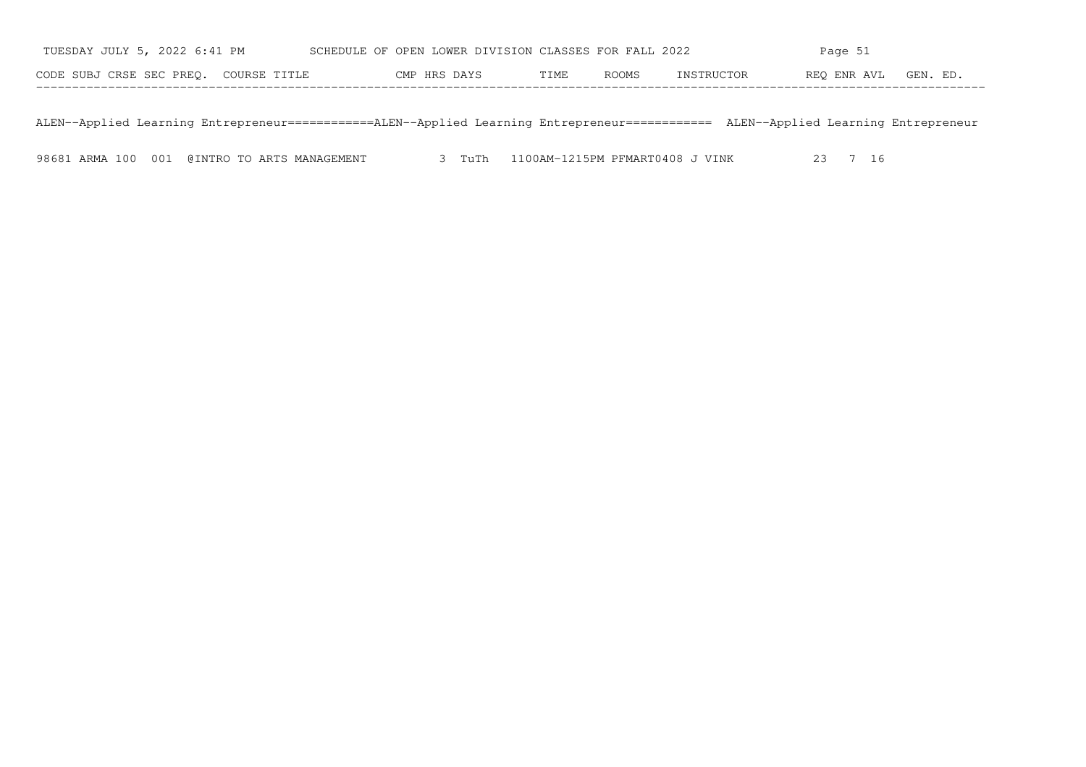| TUESDAY JULY 5, 2022 6:41 PM          |  | SCHEDULE OF OPEN LOWER DIVISION CLASSES FOR FALL 2022 |              |      |       |            | Page 51              |  |
|---------------------------------------|--|-------------------------------------------------------|--------------|------|-------|------------|----------------------|--|
| CODE SUBJ CRSE SEC PREO. COURSE TITLE |  |                                                       | CMP HRS DAYS | TIME | ROOMS | INSTRUCTOR | REO ENR AVL GEN. ED. |  |
|                                       |  |                                                       |              |      |       |            |                      |  |

ALEN−−Applied Learning Entrepreneur============ALEN−−Applied Learning Entrepreneur============ ALEN−−Applied Learning Entrepreneur

98681 ARMA 100 001 @INTRO TO ARTS MANAGEMENT 3 TuTh 1100AM-1215PM PFMART0408 J VINK 23 7 16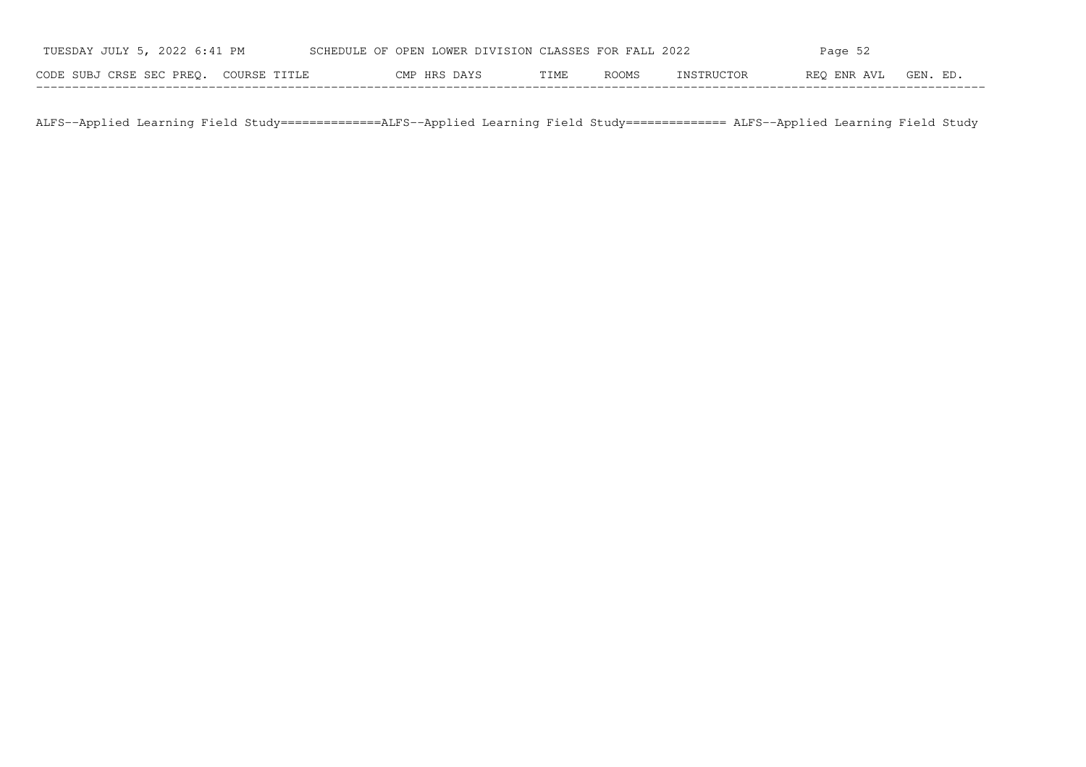| TUESDAY JULY 5, 2022 6:41 PM          | SCHEDULE OF OPEN LOWER DIVISION CLASSES FOR FALL 2022 |                       |            | Page 52                 |
|---------------------------------------|-------------------------------------------------------|-----------------------|------------|-------------------------|
| CODE SUBJ CRSE SEC PREO. COURSE TITLE | CMP HRS DAYS                                          | <b>ROOMS</b><br>TTME. | INSTRUCTOR | REO ENR AVL<br>GEN. ED. |

ALFS−−Applied Learning Field Study==============ALFS−−Applied Learning Field Study============== ALFS−−Applied Learning Field Study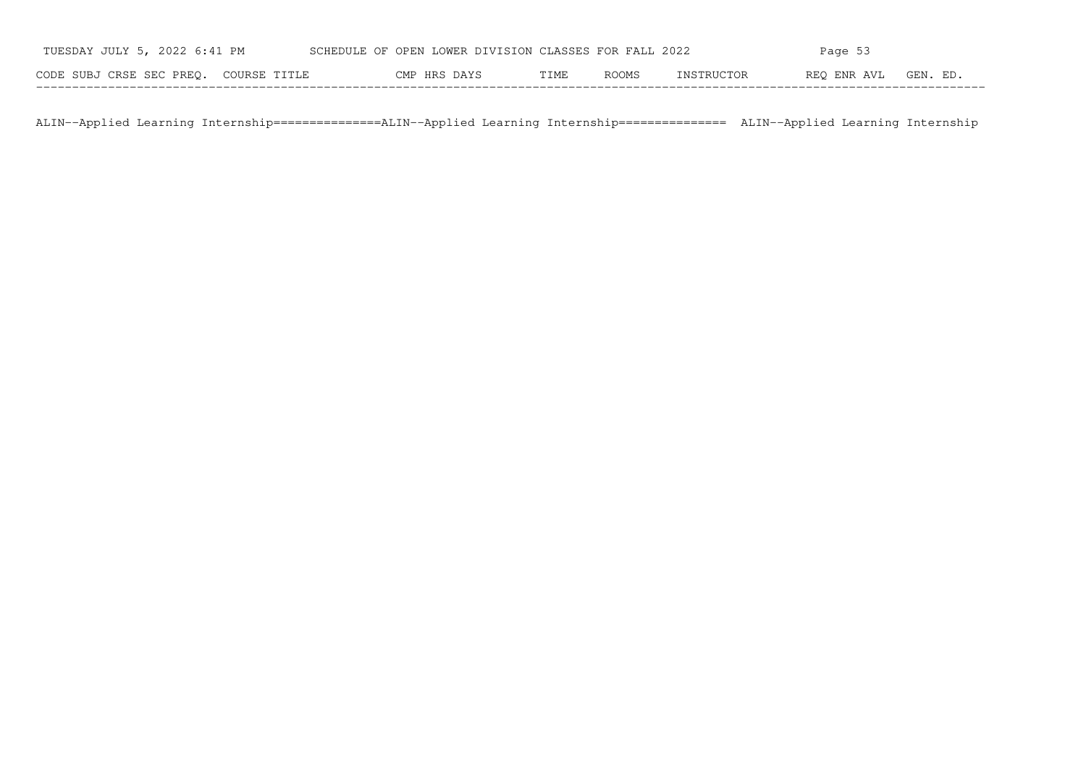| TUESDAY JULY 5, 2022 6:41 PM          | SCHEDULE OF OPEN LOWER DIVISION CLASSES FOR FALL 2022 |                      |            | Page 53                 |  |
|---------------------------------------|-------------------------------------------------------|----------------------|------------|-------------------------|--|
| CODE SUBJ CRSE SEC PREO. COURSE TITLE | CMP HRS DAYS                                          | <b>ROOMS</b><br>TIME | INSTRUCTOR | REO ENR AVL<br>GEN. ED. |  |

ALIN−−Applied Learning Internship===============ALIN−−Applied Learning Internship=============== ALIN−−Applied Learning Internship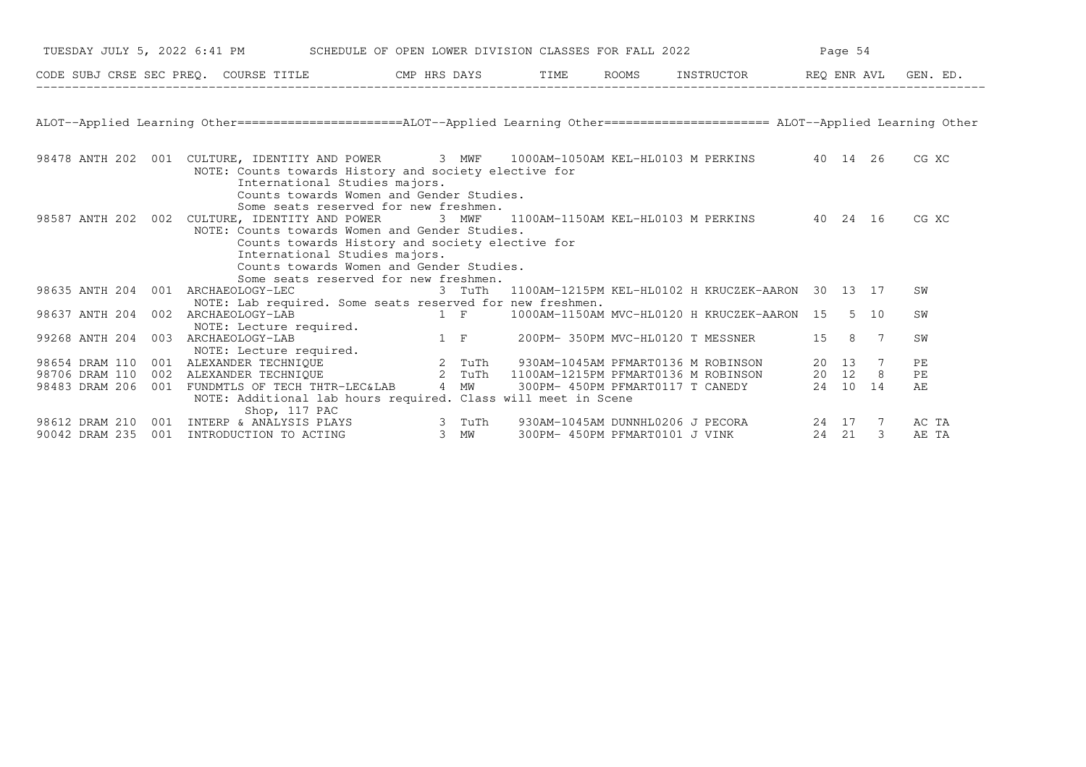|                    |     |                                                                                                                                                                             |             | TUESDAY JULY 5, 2022 6:41 PM SCHEDULE OF OPEN LOWER DIVISION CLASSES FOR FALL 2022<br>Page 54 |      |       |                                                          |             |          |    |          |  |
|--------------------|-----|-----------------------------------------------------------------------------------------------------------------------------------------------------------------------------|-------------|-----------------------------------------------------------------------------------------------|------|-------|----------------------------------------------------------|-------------|----------|----|----------|--|
|                    |     | CODE SUBJ CRSE SEC PREQ. COURSE TITLE THE CMP HRS DAYS                                                                                                                      |             |                                                                                               | TIME | ROOMS | INSTRUCTOR                                               | REQ ENR AVL |          |    | GEN. ED. |  |
|                    |     | ALOT--Applied Learning Other======================ALOT--Applied Learning Other===================== ALOT--Applied Learning Other                                            |             |                                                                                               |      |       |                                                          |             |          |    |          |  |
| 98478 ANTH 202     |     | 001 CULTURE, IDENTITY AND POWER 3 MWF 1000AM-1050AM KEL-HL0103 M PERKINS 40 14 26<br>NOTE: Counts towards History and society elective for<br>International Studies majors. |             |                                                                                               |      |       |                                                          |             |          |    | CG XC    |  |
|                    |     | Counts towards Women and Gender Studies.<br>Some seats reserved for new freshmen.                                                                                           |             |                                                                                               |      |       |                                                          |             |          |    |          |  |
| 98587 ANTH 202 002 |     | CULTURE, IDENTITY AND POWER 3 MWF<br>NOTE: Counts towards Women and Gender Studies.<br>Counts towards History and society elective for<br>International Studies majors.     |             |                                                                                               |      |       | 1100AM-1150AM KEL-HL0103 M PERKINS 40 24 16              |             |          |    | CG XC    |  |
|                    |     | Counts towards Women and Gender Studies.<br>Some seats reserved for new freshmen.                                                                                           |             |                                                                                               |      |       |                                                          |             |          |    |          |  |
| 98635 ANTH 204 001 |     | ARCHAEOLOGY-LEC                                                                                                                                                             |             |                                                                                               |      |       | 3 TuTh 1100AM-1215PM KEL-HL0102 H KRUCZEK-AARON 30 13 17 |             |          |    | SW       |  |
|                    |     | NOTE: Lab required. Some seats reserved for new freshmen.                                                                                                                   |             |                                                                                               |      |       |                                                          |             |          |    |          |  |
| 98637 ANTH 204     | 002 | ARCHAEOLOGY-LAB<br>NOTE: Lecture required.                                                                                                                                  | $1 \quad F$ |                                                                                               |      |       | 1000AM-1150AM MVC-HL0120 H KRUCZEK-AARON 15 5 10         |             |          |    | SW       |  |
| 99268 ANTH 204     | 003 | ARCHAEOLOGY-LAB                                                                                                                                                             | 1 F         |                                                                                               |      |       | 200PM- 350PM MVC-HL0120 T MESSNER                        | 15 8        |          | -7 | SW       |  |
|                    |     | NOTE: Lecture required.                                                                                                                                                     |             |                                                                                               |      |       |                                                          |             |          |    |          |  |
| 98654 DRAM 110     | 001 |                                                                                                                                                                             |             |                                                                                               |      |       | 930AM-1045AM PFMART0136 M ROBINSON                       |             | 20 13    | 7  | PE       |  |
| 98706 DRAM 110     | 002 |                                                                                                                                                                             |             |                                                                                               |      |       | 1100AM-1215PM PFMART0136 M ROBINSON                      |             | 20 12    | 8  | PE       |  |
| 98483 DRAM 206     | 001 | FUNDMTLS OF TECH THTR-LEC&LAB 4 MW                                                                                                                                          |             |                                                                                               |      |       | 300PM- 450PM PFMART0117 T CANEDY                         |             | 24 10 14 |    | AE       |  |
|                    |     | NOTE: Additional lab hours required. Class will meet in Scene<br>Shop, 117 PAC                                                                                              |             |                                                                                               |      |       |                                                          |             |          |    |          |  |
| 98612 DRAM 210     | 001 | INTERP & ANALYSIS PLAYS 3 TuTh                                                                                                                                              |             |                                                                                               |      |       | 930AM-1045AM DUNNHL0206 J PECORA                         |             | 24 17    |    | AC TA    |  |
| 90042 DRAM 235     | 001 | INTRODUCTION TO ACTING                                                                                                                                                      |             | 3 MW                                                                                          |      |       | 300PM- 450PM PFMART0101 J VINK                           |             | 24 21    | 3  | AE TA    |  |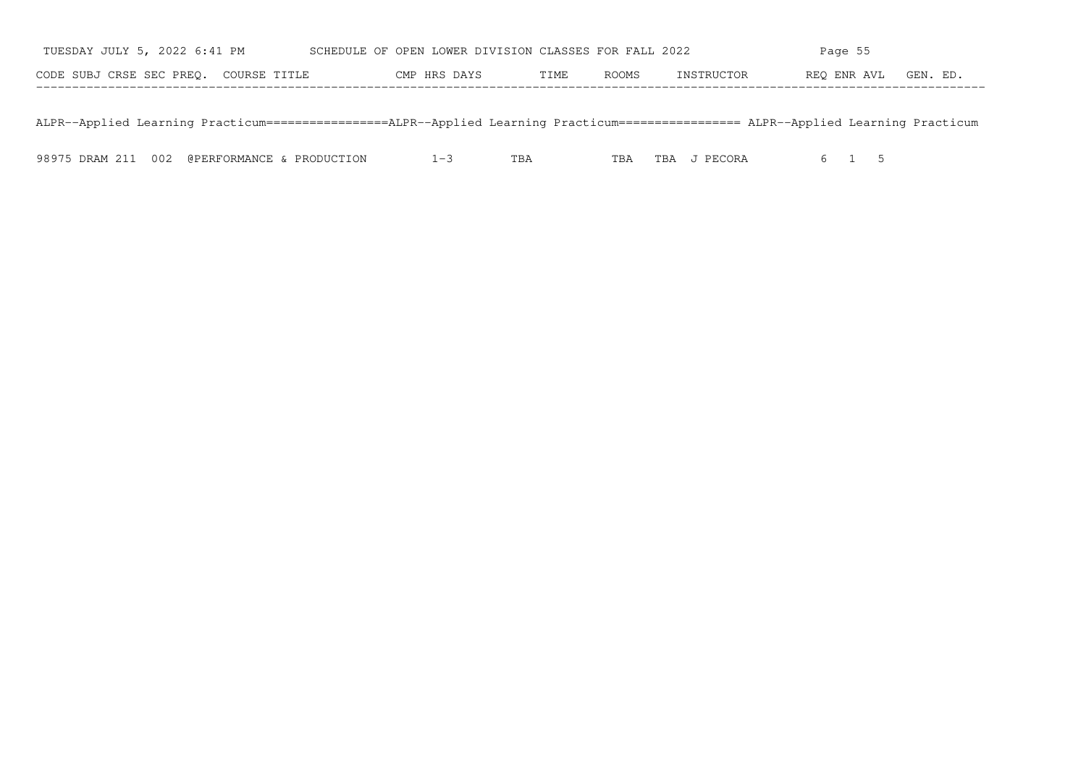| TUESDAY JULY 5, 2022 6:41 PM                                                                                                       |              |              | SCHEDULE OF OPEN LOWER DIVISION CLASSES FOR FALL 2022 |       |                 | Page 55     |          |
|------------------------------------------------------------------------------------------------------------------------------------|--------------|--------------|-------------------------------------------------------|-------|-----------------|-------------|----------|
| CODE SUBJ CRSE SEC PREO.                                                                                                           | COURSE TITLE | CMP HRS DAYS | TIME                                                  | ROOMS | INSTRUCTOR      | REO ENR AVL | GEN. ED. |
| ALPR--Applied Learning Practicum================ALPR--Applied Learning Practicum================= ALPR--Applied Learning Practicum |              |              |                                                       |       |                 |             |          |
| 98975 DRAM 211 002 @PERFORMANCE & PRODUCTION                                                                                       |              | 1-3          | TBA                                                   | TBA   | J PECORA<br>TBA | 6 1         |          |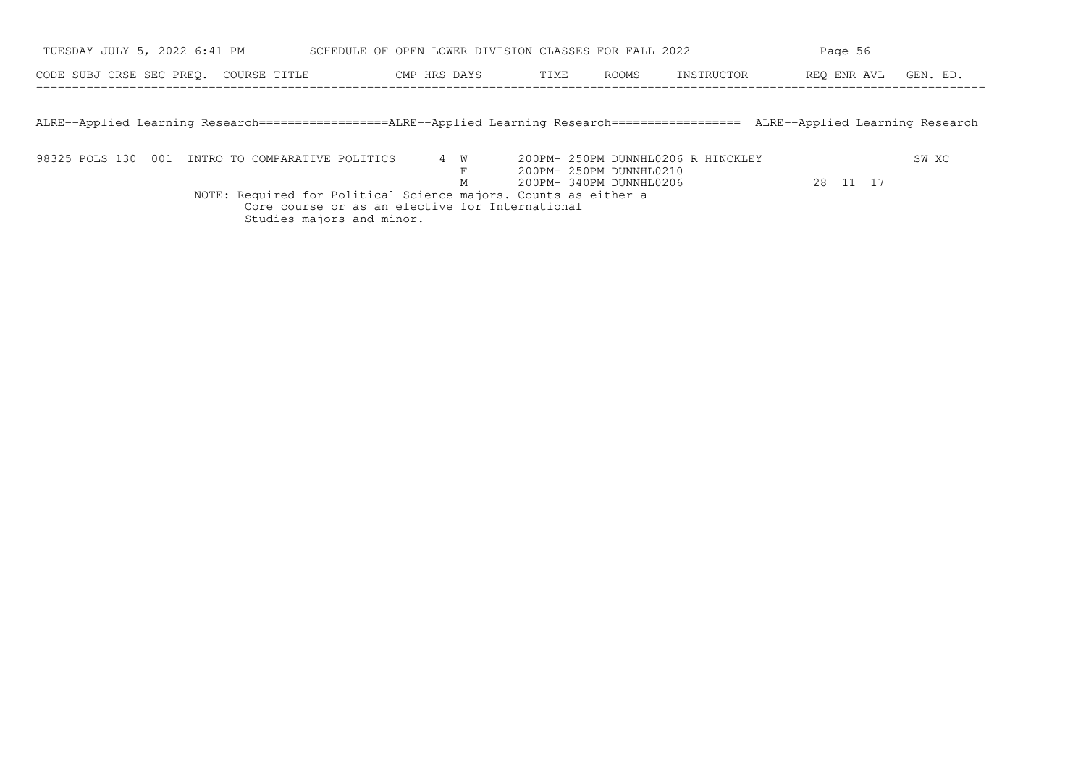| TUESDAY JULY 5, 2022 6:41 PM          |  |  |  |              |      | SCHEDULE OF OPEN LOWER DIVISION CLASSES FOR FALL 2022 |                                                                                                    | Page 56                         |          |
|---------------------------------------|--|--|--|--------------|------|-------------------------------------------------------|----------------------------------------------------------------------------------------------------|---------------------------------|----------|
| CODE SUBJ CRSE SEC PREO. COURSE TITLE |  |  |  | CMP HRS DAYS | TIME | ROOMS                                                 | INSTRUCTOR                                                                                         | REO ENR AVL                     | GEN. ED. |
|                                       |  |  |  |              |      |                                                       |                                                                                                    |                                 |          |
|                                       |  |  |  |              |      |                                                       | ALRE--Applied Learning Research=================ALRE--Applied Learning Research=================== | ALRE--Applied Learning Research |          |

| 98325 POLS 130 001 INTRO TO COMPARATIVE POLITICS |  |                                                                                                                                                 | 4 W | M |  | 200PM- 250PM DUNNHL0206 R HINCKLEY<br>200PM- 250PM DUNNHL0210<br>200PM- 340PM DUNNHL0206 | 28 11 17 |  | SW XC |
|--------------------------------------------------|--|-------------------------------------------------------------------------------------------------------------------------------------------------|-----|---|--|------------------------------------------------------------------------------------------|----------|--|-------|
|                                                  |  | NOTE: Required for Political Science majors. Counts as either a<br>Core course or as an elective for International<br>Studies majors and minor. |     |   |  |                                                                                          |          |  |       |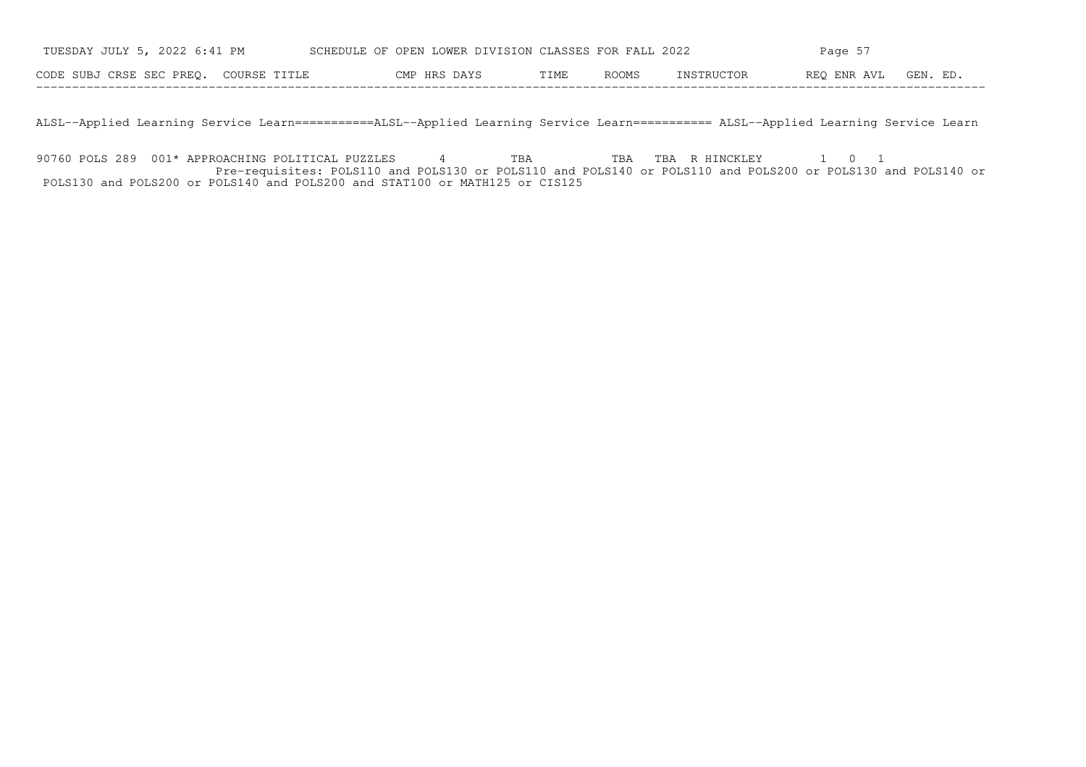| TUESDAY JULY 5, 2022 6:41 PM          |  |  | SCHEDULE OF OPEN LOWER DIVISION CLASSES FOR FALL 2022 |  |              |        |              |            | Page 57     |          |  |
|---------------------------------------|--|--|-------------------------------------------------------|--|--------------|--------|--------------|------------|-------------|----------|--|
| CODE SUBJ CRSE SEC PREO. COURSE TITLE |  |  |                                                       |  | CMP HRS DAYS | T TMF. | <b>ROOMS</b> | INSTRUCTOR | REO ENR AVL | GEN. ED. |  |

ALSL−−Applied Learning Service Learn===========ALSL−−Applied Learning Service Learn=========== ALSL−−Applied Learning Service Learn

90760 POLS 289 001\* APPROACHING POLITICAL PUZZLES 4 TBA TBA TBA TBA R HINCKLEY 1 0 1 Pre−requisites: POLS110 and POLS130 or POLS110 and POLS140 or POLS110 and POLS140 or POLS110 and POLS200 or POLS130 and POLS140 or<br>POLS130 and POLS200 or POLS140 and POLS200 and STAT100 or MATH125 or CIS125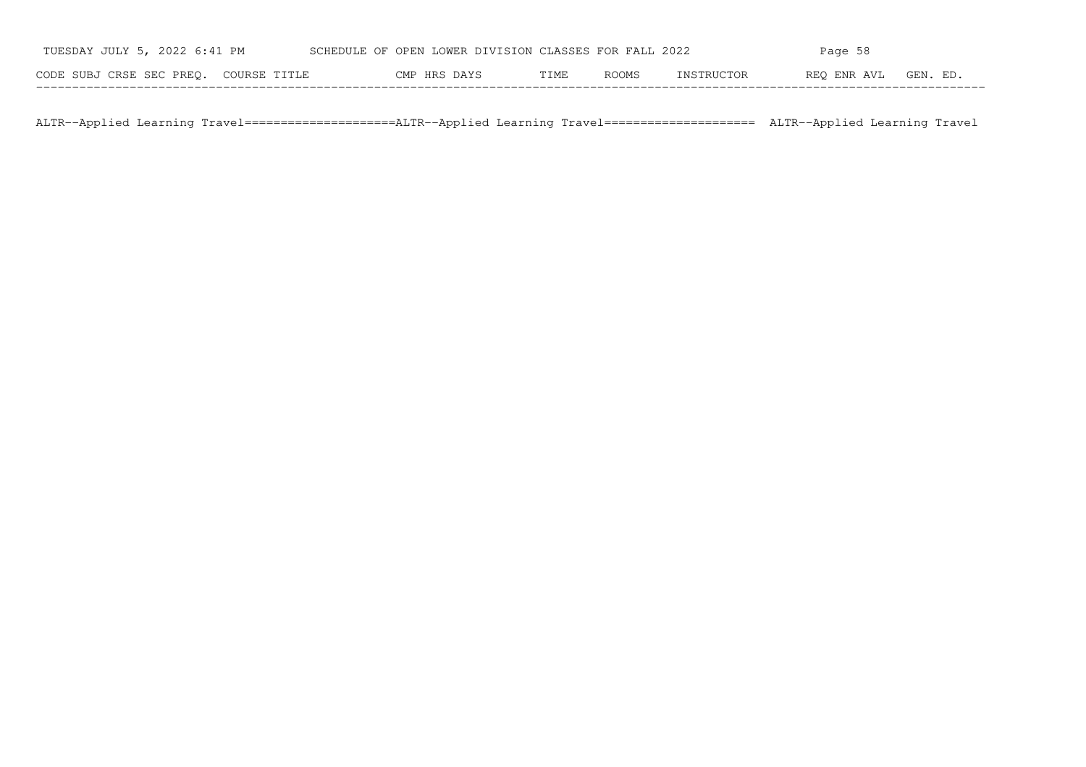| TUESDAY JULY 5, 2022 6:41 PM          | SCHEDULE OF OPEN LOWER DIVISION CLASSES FOR FALL 2022 |                       |            | Page 58                 |  |
|---------------------------------------|-------------------------------------------------------|-----------------------|------------|-------------------------|--|
| CODE SUBJ CRSE SEC PREO. COURSE TITLE | CMP HRS DAYS                                          | <b>ROOMS</b><br>TTME. | INSTRUCTOR | GEN. ED.<br>REO ENR AVL |  |

ALTR−−Applied Learning Travel=====================ALTR−−Applied Learning Travel===================== ALTR−−Applied Learning Travel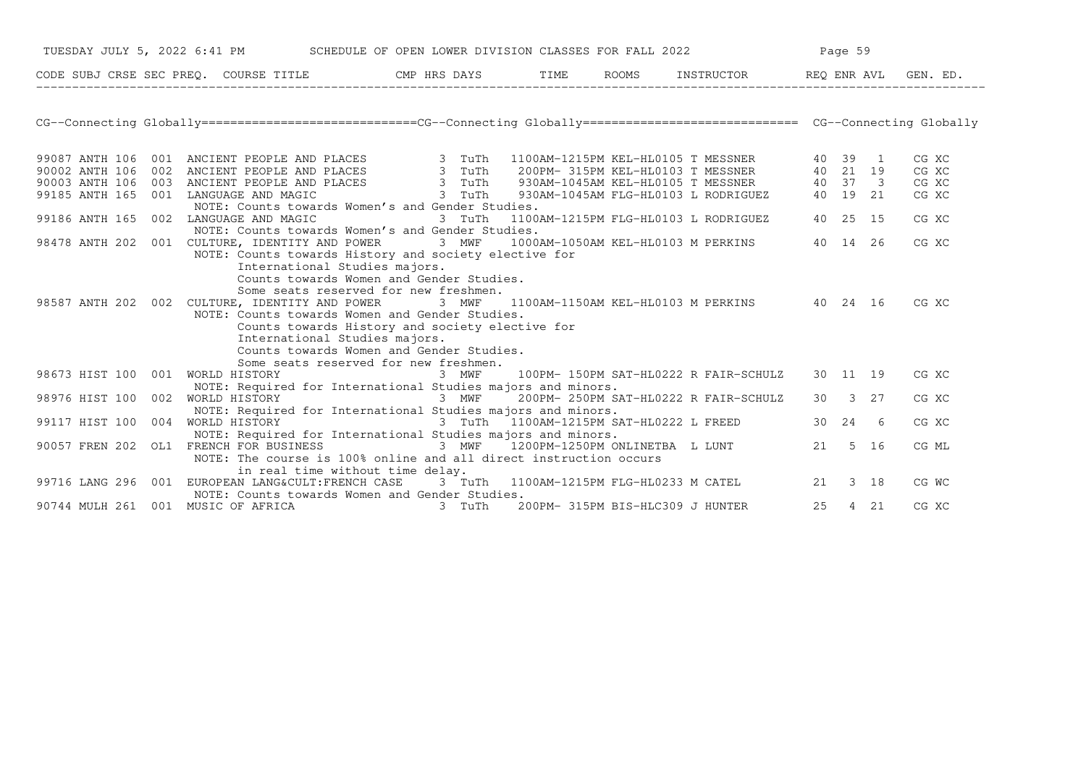| TUESDAY JULY 5, 2022 6:41 PM SCHEDULE OF OPEN LOWER DIVISION CLASSES FOR FALL 2022 Page 59 |  |                                                                                                                                                                                                                                      |        |  |  |                                                |  |         |       |
|--------------------------------------------------------------------------------------------|--|--------------------------------------------------------------------------------------------------------------------------------------------------------------------------------------------------------------------------------------|--------|--|--|------------------------------------------------|--|---------|-------|
|                                                                                            |  | CODE SUBJ CRSE SEC PREQ. COURSE TITLE CMP HRS DAYS TIME ROOMS INSTRUCTOR REQ ENR AVL GEN. ED.                                                                                                                                        |        |  |  |                                                |  |         |       |
|                                                                                            |  |                                                                                                                                                                                                                                      |        |  |  |                                                |  |         |       |
|                                                                                            |  | CG--Connecting Globally============================CG--Connecting Globally=============================== CG--Connecting Globally                                                                                                    |        |  |  |                                                |  |         |       |
|                                                                                            |  | 99087 ANTH 106 001 ANCIENT PEOPLE AND PLACES<br>90002 ANTH 106 002 ANCIENT PEOPLE AND PLACES 3 TuTh 200PM-315PM KEL-HL0103 T MESSNER 40 21 19<br>90003 ANTH 106 003 ANCIENT PEOPLE AND PLACES 3 TuTh 930AM-1045AM KEL-HL0105 T MESSN |        |  |  |                                                |  |         | CG XC |
|                                                                                            |  |                                                                                                                                                                                                                                      |        |  |  |                                                |  |         | CG XC |
|                                                                                            |  |                                                                                                                                                                                                                                      |        |  |  |                                                |  |         | CG XC |
|                                                                                            |  |                                                                                                                                                                                                                                      |        |  |  |                                                |  |         | CG XC |
|                                                                                            |  | NOTE: Counts towards Women's and Gender Studies.                                                                                                                                                                                     |        |  |  |                                                |  |         |       |
|                                                                                            |  | 99186 ANTH 165 002 LANGUAGE AND MAGIC                                                                                                                                                                                                | 3 TuTh |  |  | 1100AM-1215PM FLG-HL0103 L RODRIGUEZ 40 25 15  |  |         | CG XC |
|                                                                                            |  | NOTE: Counts towards Women's and Gender Studies.                                                                                                                                                                                     |        |  |  |                                                |  |         |       |
|                                                                                            |  | 98478 ANTH 202 001 CULTURE, IDENTITY AND POWER 3 MWF                                                                                                                                                                                 |        |  |  | 1000AM-1050AM KEL-HL0103 M PERKINS 40 14 26    |  |         | CG XC |
|                                                                                            |  | NOTE: Counts towards History and society elective for                                                                                                                                                                                |        |  |  |                                                |  |         |       |
|                                                                                            |  | International Studies majors.                                                                                                                                                                                                        |        |  |  |                                                |  |         |       |
|                                                                                            |  | Counts towards Women and Gender Studies.                                                                                                                                                                                             |        |  |  |                                                |  |         |       |
|                                                                                            |  | Some seats reserved for new freshmen.                                                                                                                                                                                                |        |  |  |                                                |  |         |       |
|                                                                                            |  | 98587 ANTH 202 002 CULTURE, IDENTITY AND POWER                                                                                                                                                                                       | 3 MWF  |  |  | 1100AM-1150AM KEL-HL0103 M PERKINS 40 24 16    |  |         | CG XC |
|                                                                                            |  | NOTE: Counts towards Women and Gender Studies.                                                                                                                                                                                       |        |  |  |                                                |  |         |       |
|                                                                                            |  | Counts towards History and society elective for                                                                                                                                                                                      |        |  |  |                                                |  |         |       |
|                                                                                            |  | International Studies majors.                                                                                                                                                                                                        |        |  |  |                                                |  |         |       |
|                                                                                            |  | Counts towards Women and Gender Studies.                                                                                                                                                                                             |        |  |  |                                                |  |         |       |
|                                                                                            |  | Some seats reserved for new freshmen.                                                                                                                                                                                                |        |  |  |                                                |  |         |       |
| 98673 HIST 100 001 WORLD HISTORY                                                           |  |                                                                                                                                                                                                                                      | 3 MWF  |  |  | 100PM- 150PM SAT-HL0222 R FAIR-SCHULZ 30 11 19 |  |         | CG XC |
|                                                                                            |  | NOTE: Required for International Studies majors and minors.                                                                                                                                                                          |        |  |  |                                                |  |         |       |
|                                                                                            |  | 98976 HIST 100 002 WORLD HISTORY 6 6 200PM 3 MWF 200PM-250PM SAT-HL0222 R FAIR-SCHULZ                                                                                                                                                |        |  |  |                                                |  | 30 3 27 | CG XC |
|                                                                                            |  | NOTE: Required for International Studies majors and minors.<br>99117 HIST 100 004 WORLD HISTORY 3 TuTh 1100AM-1215PM SAT-HL0222 L FREED 30 24 6                                                                                      |        |  |  |                                                |  |         |       |
|                                                                                            |  |                                                                                                                                                                                                                                      |        |  |  |                                                |  |         | CG XC |
|                                                                                            |  | NOTE: Required for International Studies majors and minors.                                                                                                                                                                          |        |  |  | 1200PM-1250PM ONLINETBA L LUNT 21 5 16         |  |         | CG ML |
|                                                                                            |  | 90057 FREN 202 OL1 FRENCH FOR BUSINESS 3 MWF                                                                                                                                                                                         |        |  |  |                                                |  |         |       |
|                                                                                            |  | NOTE: The course is 100% online and all direct instruction occurs                                                                                                                                                                    |        |  |  |                                                |  |         |       |
|                                                                                            |  | in real time without time delay.<br>99716 LANG 296 001 EUROPEAN LANG&CULT: FRENCH CASE 3 TuTh 1100AM-1215PM FLG-HL0233 M CATEL 21 3 18                                                                                               |        |  |  |                                                |  |         | CG WC |
|                                                                                            |  | NOTE: Counts towards Women and Gender Studies.                                                                                                                                                                                       |        |  |  |                                                |  |         |       |
|                                                                                            |  | 90744 MULH 261 001 MUSIC OF AFRICA                                                                                                                                                                                                   | 3 TuTh |  |  | 200PM- 315PM BIS-HLC309 J HUNTER               |  | 25 4 21 | CG XC |
|                                                                                            |  |                                                                                                                                                                                                                                      |        |  |  |                                                |  |         |       |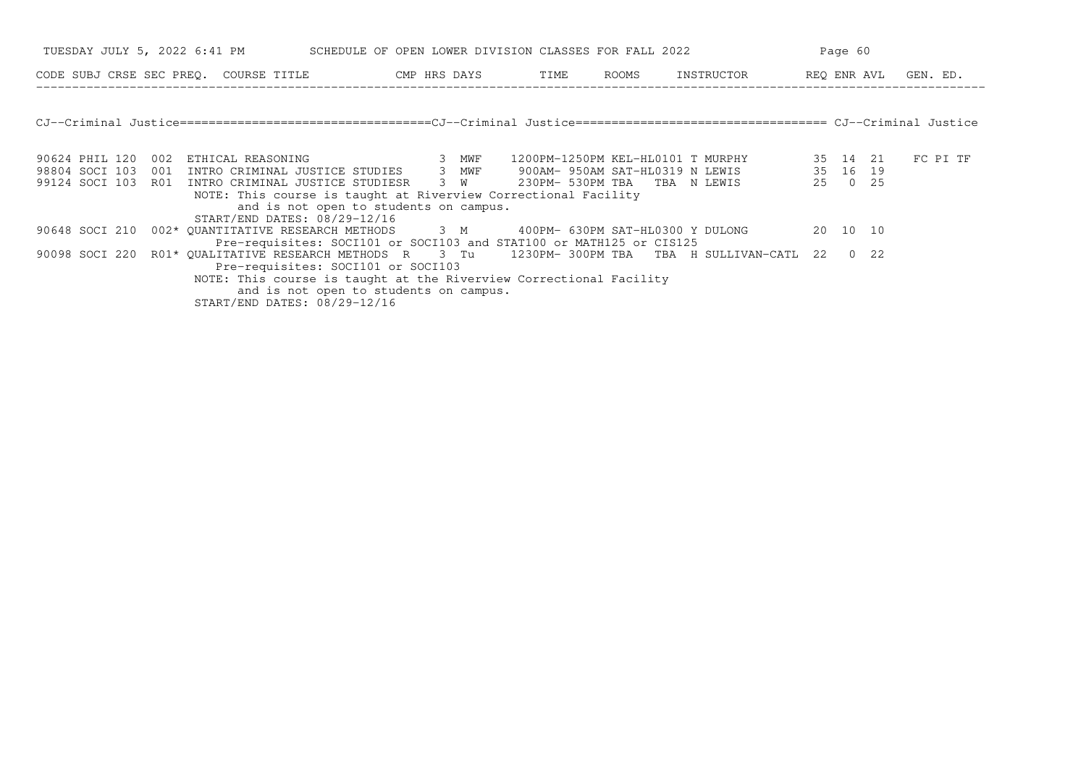|                    | TUESDAY JULY 5, 2022 6:41 PM SCHEDULE OF OPEN LOWER DIVISION CLASSES FOR FALL 2022                   |                                                                     |  |  |  |  | Page 60 |  |  |
|--------------------|------------------------------------------------------------------------------------------------------|---------------------------------------------------------------------|--|--|--|--|---------|--|--|
|                    | CODE SUBJ CRSE SEC PREQ. COURSE TITLE THE CMP HRS DAYS TIME ROOMS INSTRUCTOR TREQ ENR AVL GEN. ED.   |                                                                     |  |  |  |  |         |  |  |
|                    |                                                                                                      |                                                                     |  |  |  |  |         |  |  |
|                    |                                                                                                      |                                                                     |  |  |  |  |         |  |  |
|                    | 90624 PHIL 120 002 ETHICAL REASONING                                                                 |                                                                     |  |  |  |  |         |  |  |
| 98804 SOCI 103 001 | INTRO CRIMINAL JUSTICE STUDIES 3 MWF 900AM-950AM SAT-HL0319 N LEWIS 35 16 19                         | 3 MWF 1200PM-1250PM KEL-HL0101 T MURPHY 35 14 21 FC PI TF           |  |  |  |  |         |  |  |
| 99124 SOCI 103 R01 | INTRO CRIMINAL JUSTICE STUDIESR 3 W 230PM-530PM TBA TBA N LEWIS 25 0 25                              |                                                                     |  |  |  |  |         |  |  |
|                    |                                                                                                      | NOTE: This course is taught at Riverview Correctional Facility      |  |  |  |  |         |  |  |
|                    |                                                                                                      | and is not open to students on campus.                              |  |  |  |  |         |  |  |
|                    | START/END DATES: 08/29-12/16                                                                         |                                                                     |  |  |  |  |         |  |  |
|                    | 90648 SOCI 210 002* QUANTITATIVE RESEARCH METHODS 3 M 400PM- 630PM SAT-HL0300 Y DULONG 20 10 10      |                                                                     |  |  |  |  |         |  |  |
|                    |                                                                                                      | Pre-requisites: SOCI101 or SOCI103 and STAT100 or MATH125 or CIS125 |  |  |  |  |         |  |  |
|                    | 90098 SOCI 220 R01* QUALITATIVE RESEARCH METHODS R 3 Tu 1230PM-300PM TBA TBA H SULLIVAN-CATL 22 0 22 |                                                                     |  |  |  |  |         |  |  |
|                    |                                                                                                      | Pre-requisites: SOCI101 or SOCI103                                  |  |  |  |  |         |  |  |
|                    |                                                                                                      | NOTE: This course is taught at the Riverview Correctional Facility  |  |  |  |  |         |  |  |
|                    |                                                                                                      | and is not open to students on campus.                              |  |  |  |  |         |  |  |
|                    | START/END DATES: 08/29-12/16                                                                         |                                                                     |  |  |  |  |         |  |  |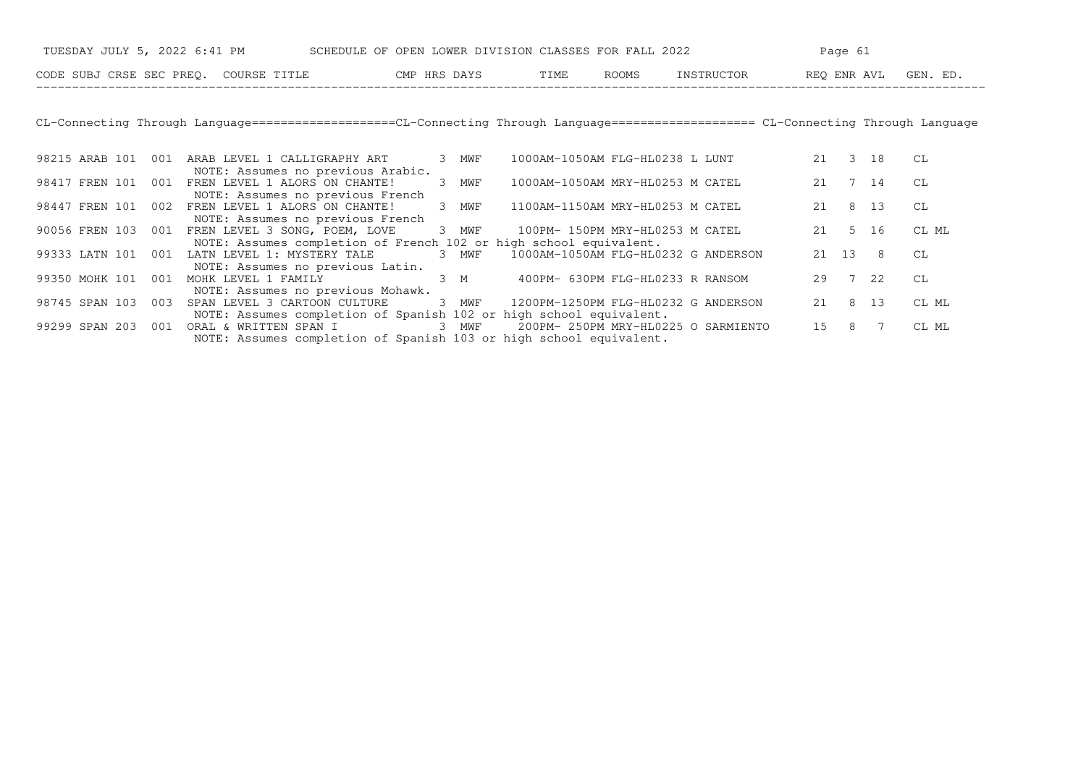| TUESDAY JULY 5, 2022 6:41 PM | SCHEDULE OF OPEN LOWER DIVISION CLASSES FOR FALL 2022                                                                             |              |                                     |       |            |             | Page 61        |                |          |
|------------------------------|-----------------------------------------------------------------------------------------------------------------------------------|--------------|-------------------------------------|-------|------------|-------------|----------------|----------------|----------|
|                              | CODE SUBJ CRSE SEC PREQ. COURSE TITLE<br>CMP HRS DAYS                                                                             |              | TIME                                | ROOMS | INSTRUCTOR | REQ ENR AVL |                |                | GEN. ED. |
|                              |                                                                                                                                   |              |                                     |       |            |             |                |                |          |
|                              | CL-Connecting Through Language==================CL-Connecting Through Language==================== CL-Connecting Through Language |              |                                     |       |            |             |                |                |          |
|                              |                                                                                                                                   |              |                                     |       |            |             |                |                |          |
| 98215 ARAB 101<br>001        | ARAB LEVEL 1 CALLIGRAPHY ART                                                                                                      | 3<br>MWF     | 1000AM-1050AM FLG-HL0238 L LUNT     |       |            | 21          |                | 3 18           | СL       |
| 98417 FREN 101<br>001        | NOTE: Assumes no previous Arabic.<br>FREN LEVEL 1 ALORS ON CHANTE!                                                                | 3<br>MWF     | 1000AM-1050AM MRY-HL0253 M CATEL    |       |            | 21          |                | 7 14           | CL       |
| 98447 FREN 101<br>002        | NOTE: Assumes no previous French<br>FREN LEVEL 1 ALORS ON CHANTE!                                                                 | 3 MWF        | 1100AM-1150AM MRY-HL0253 M CATEL    |       |            | 21          |                | 8 13           | CL       |
|                              | NOTE: Assumes no previous French                                                                                                  |              |                                     |       |            |             |                |                |          |
| 90056 FREN 103<br>001        | FREN LEVEL 3 SONG, POEM, LOVE<br>NOTE: Assumes completion of French 102 or high school equivalent.                                | 3 MWF        | 100PM- 150PM MRY-HL0253 M CATEL     |       |            | 21          |                | 5 16           | CL ML    |
| 99333 LATN 101<br>001        | LATN LEVEL 1: MYSTERY TALE                                                                                                        | 3 MWF        | 1000AM-1050AM FLG-HL0232 G ANDERSON |       |            |             | 21 13          | 8              | CL       |
| 99350 MOHK 101<br>001        | NOTE: Assumes no previous Latin.<br>MOHK LEVEL 1 FAMILY                                                                           | $3 \times M$ | 400PM- 630PM FLG-HL0233 R RANSOM    |       |            | 29          | $\overline{7}$ | 22             | CL       |
|                              | NOTE: Assumes no previous Mohawk.                                                                                                 |              |                                     |       |            |             |                |                |          |
| 98745 SPAN 103<br>003        | SPAN LEVEL 3 CARTOON CULTURE                                                                                                      | 3 MWF        | 1200PM-1250PM FLG-HL0232 G ANDERSON |       |            | 21          | 8              | 13             | CL ML    |
| 99299 SPAN 203<br>001        | NOTE: Assumes completion of Spanish 102 or high school equivalent.<br>ORAL & WRITTEN SPAN I                                       | 3 MWF        | 200PM- 250PM MRY-HL0225 O SARMIENTO |       |            | 15          | 8              | $\overline{7}$ | CL ML    |
|                              | NOTE: Assumes completion of Spanish 103 or high school equivalent.                                                                |              |                                     |       |            |             |                |                |          |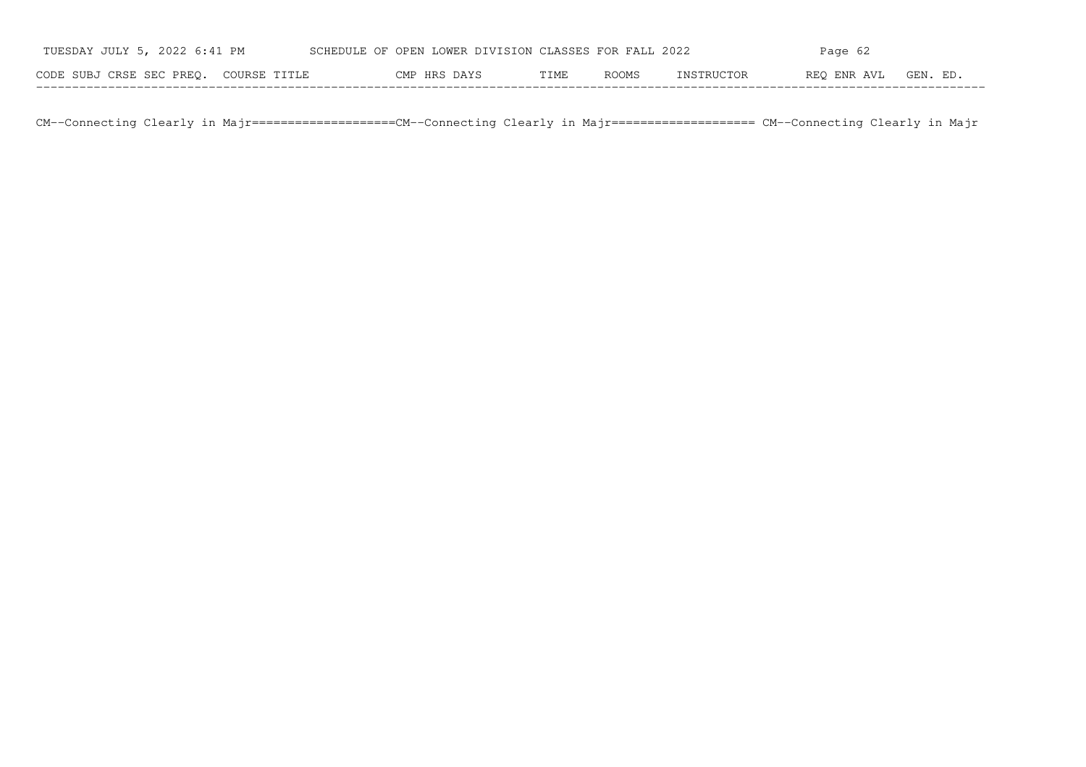| TUESDAY JULY 5, 2022 6:41 PM          | SCHEDULE OF OPEN LOWER DIVISION CLASSES FOR FALL 2022 |                       |            | Page 62                 |
|---------------------------------------|-------------------------------------------------------|-----------------------|------------|-------------------------|
| CODE SUBJ CRSE SEC PREO. COURSE TITLE | CMP HRS DAYS                                          | <b>ROOMS</b><br>TTME. | INSTRUCTOR | GEN. ED.<br>REO ENR AVL |

CM−−Connecting Clearly in Majr====================CM−−Connecting Clearly in Majr==================== CM−−Connecting Clearly in Majr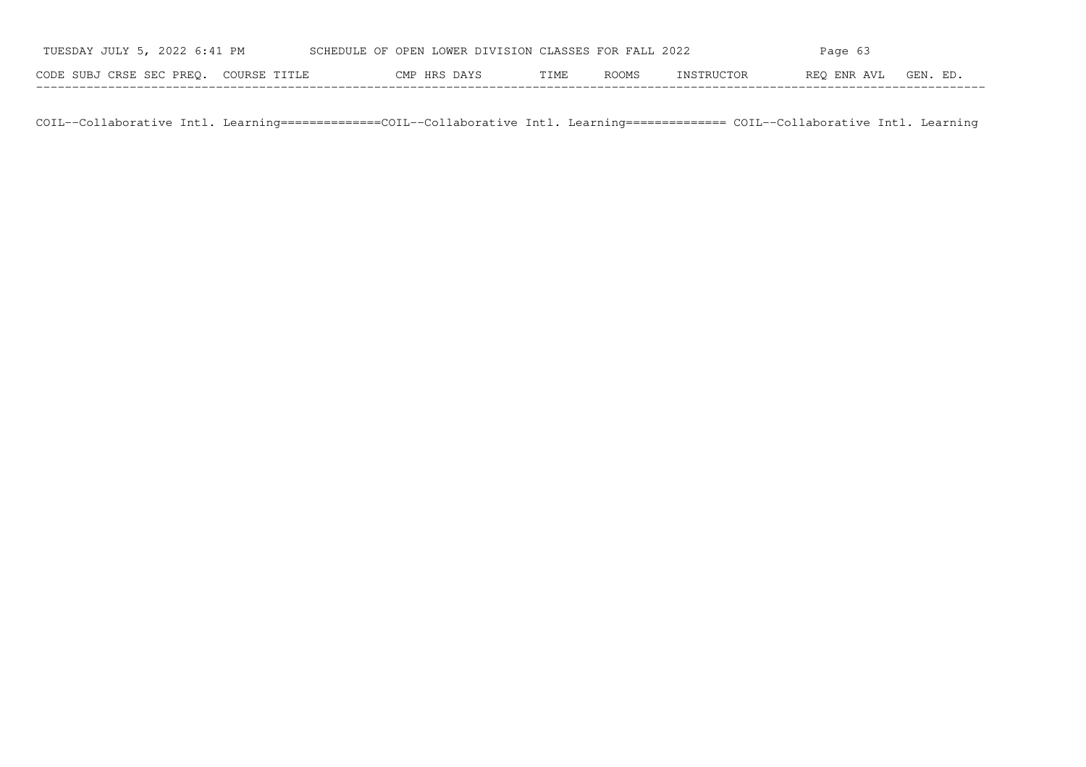| TUESDAY JULY 5, 2022 6:41 PM          | SCHEDULE OF OPEN LOWER DIVISION CLASSES FOR FALL 2022 |               |            | Page 63                 |  |
|---------------------------------------|-------------------------------------------------------|---------------|------------|-------------------------|--|
| CODE SUBJ CRSE SEC PREO. COURSE TITLE | CMP HRS DAYS                                          | ROOMS<br>TIME | INSTRUCTOR | REO ENR AVL<br>GEN. ED. |  |

COIL−−Collaborative Intl. Learning==============COIL−−Collaborative Intl. Learning============== COIL−−Collaborative Intl. Learning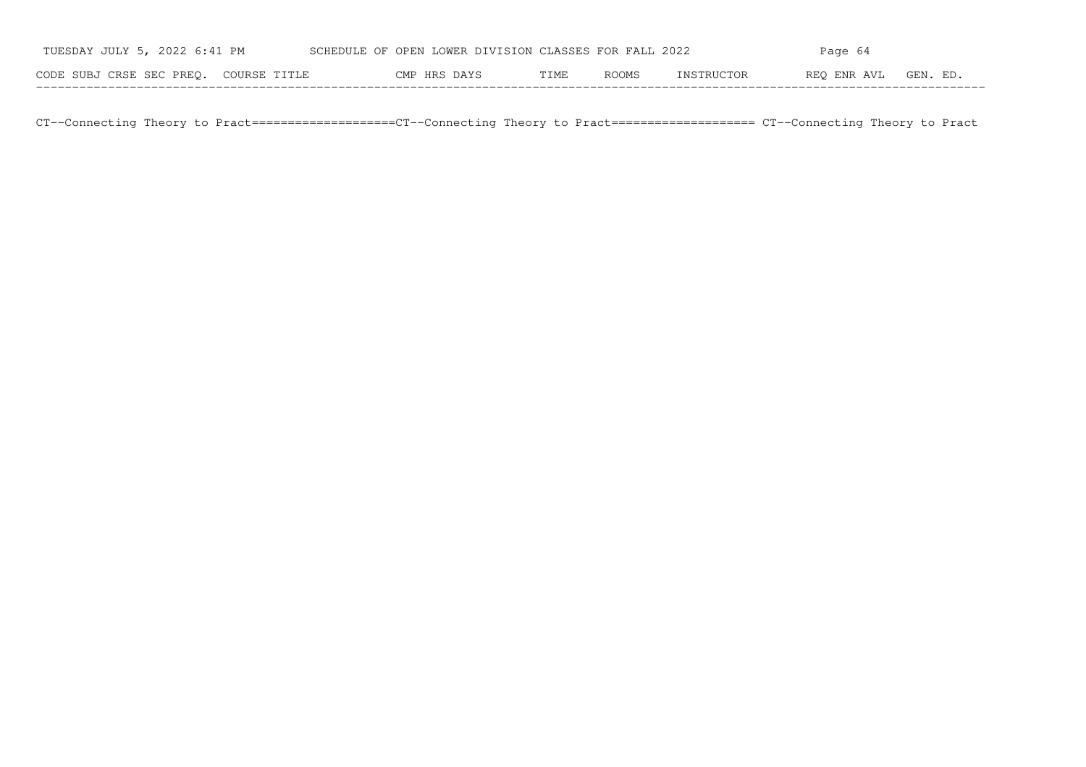| TUESDAY JULY 5, 2022 6:41 PM          | SCHEDULE OF OPEN LOWER DIVISION CLASSES FOR FALL 2022 |       |              |            | Page 64     |          |
|---------------------------------------|-------------------------------------------------------|-------|--------------|------------|-------------|----------|
| CODE SUBJ CRSE SEC PREO. COURSE TITLE | CMP HRS DAYS                                          | TTMF. | <b>ROOMS</b> | INSTRUCTOR | REO ENR AVL | GEN. ED. |

CT−−Connecting Theory to Pract====================CT−−Connecting Theory to Pract==================== CT−−Connecting Theory to Pract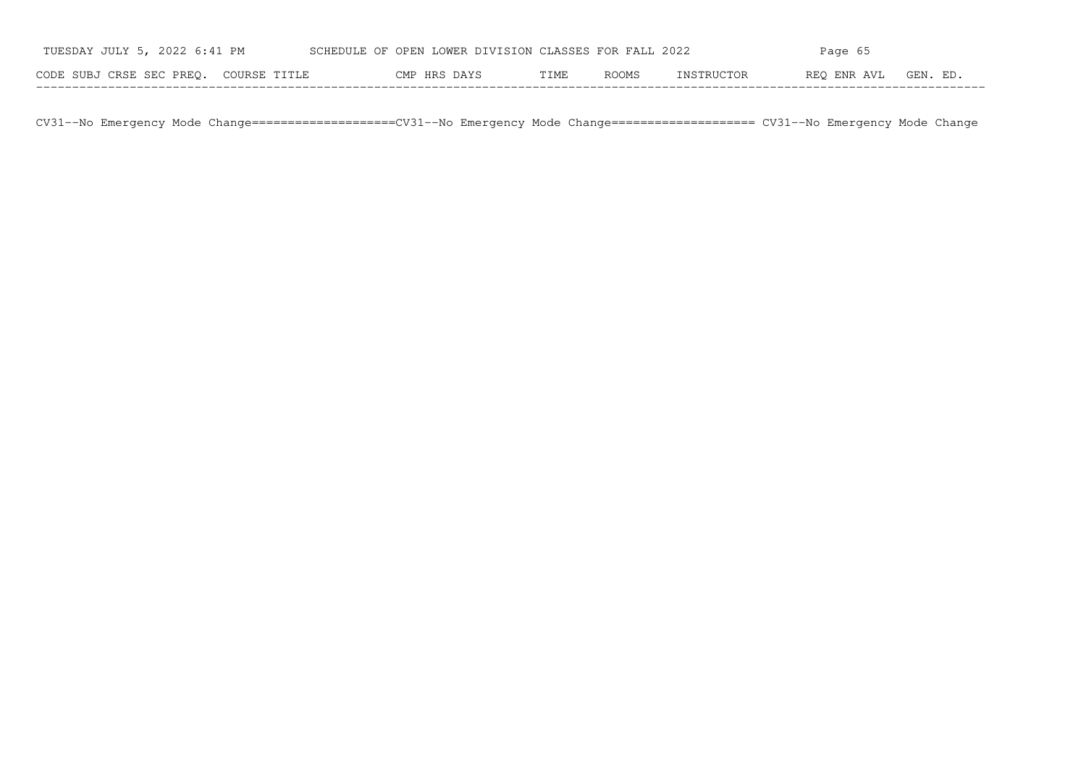| TUESDAY JULY 5, 2022 6:41 PM          | SCHEDULE OF OPEN LOWER DIVISION CLASSES FOR FALL 2022 |                      |            | Page 65                 |
|---------------------------------------|-------------------------------------------------------|----------------------|------------|-------------------------|
| CODE SUBJ CRSE SEC PREO. COURSE TITLE | CMP HRS DAYS                                          | <b>ROOMS</b><br>TIME | INSTRUCTOR | REO ENR AVL<br>GEN. ED. |

CV31−−No Emergency Mode Change====================CV31−−No Emergency Mode Change==================== CV31−−No Emergency Mode Change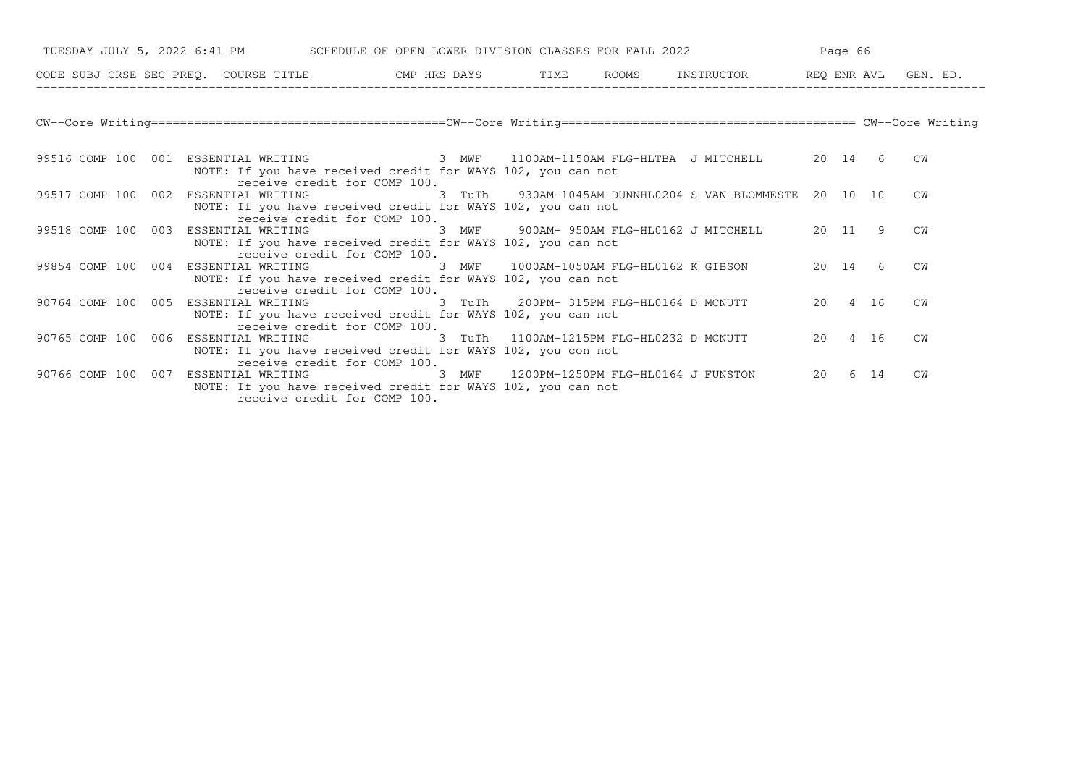| TUESDAY JULY 5, 2022 6:41 PM SCHEDULE OF OPEN LOWER DIVISION CLASSES FOR FALL 2022                |  |                                                         |    | Page 66 |      |           |
|---------------------------------------------------------------------------------------------------|--|---------------------------------------------------------|----|---------|------|-----------|
| CODE SUBJ CRSE SEC PREQ. COURSE TITLE THE RIS DAYS TIME ROOMS INSTRUCTOR THE REQ ENR AVL GEN. ED. |  |                                                         |    |         |      |           |
|                                                                                                   |  |                                                         |    |         |      |           |
|                                                                                                   |  |                                                         |    |         |      |           |
| 99516 COMP 100 001 ESSENTIAL WRITING 6 8 MWF 1100AM-1150AM FLG-HLTBA J MITCHELL 20 14 6           |  |                                                         |    |         |      | CW        |
| NOTE: If you have received credit for WAYS 102, you can not<br>receive credit for COMP 100.       |  |                                                         |    |         |      |           |
| 99517 COMP 100 002 ESSENTIAL WRITING                                                              |  | 3 TuTh 930AM-1045AM DUNNHL0204 S VAN BLOMMESTE 20 10 10 |    |         |      | CM        |
| NOTE: If you have received credit for WAYS 102, you can not<br>receive credit for COMP 100.       |  |                                                         |    |         |      |           |
| 99518 COMP 100 003 ESSENTIAL WRITING                                                              |  | 3 MWF 900AM-950AM FLG-HL0162 J MITCHELL 20 11 9         |    |         |      | CM        |
| NOTE: If you have received credit for WAYS 102, you can not<br>receive credit for COMP 100.       |  |                                                         |    |         |      |           |
| 99854 COMP 100 004 ESSENTIAL WRITING                                                              |  | 3 MWF 1000AM-1050AM FLG-HL0162 K GIBSON 20 14           |    |         | 6    | CM        |
| NOTE: If you have received credit for WAYS 102, you can not<br>receive credit for COMP 100.       |  |                                                         |    |         |      |           |
| 90764 COMP 100 005 ESSENTIAL WRITING                                                              |  | 3 TuTh 200PM-315PM FLG-HL0164 D MCNUTT                  |    | 20 4 16 |      | CW        |
| NOTE: If you have received credit for WAYS 102, you can not<br>receive credit for COMP 100.       |  |                                                         |    |         |      |           |
| 90765 COMP 100 006 ESSENTIAL WRITING                                                              |  | 3 TuTh 1100AM-1215PM FLG-HL0232 D MCNUTT                |    | 20 4 16 |      | <b>CW</b> |
| NOTE: If you have received credit for WAYS 102, you con not                                       |  |                                                         |    |         |      |           |
| receive credit for COMP 100.<br>90766 COMP 100 007 ESSENTIAL WRITING                              |  | 3 MWF 1200PM-1250PM FLG-HL0164 J FUNSTON                | 20 |         | 6 14 | <b>CM</b> |
| NOTE: If you have received credit for WAYS 102, you can not<br>receive credit for COMP 100.       |  |                                                         |    |         |      |           |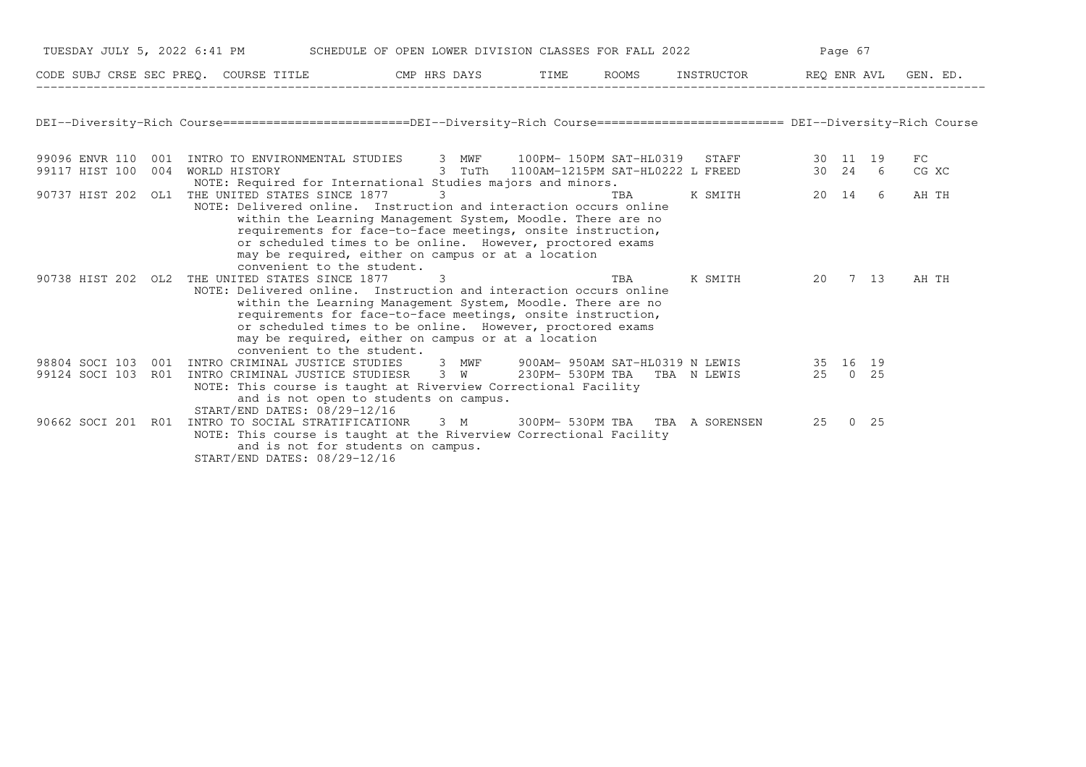|                    | TUESDAY JULY 5, 2022 6:41 PM SCHEDULE OF OPEN LOWER DIVISION CLASSES FOR FALL 2022 Page 67                                                                                                                                                                                                      |                                                                                                                                                                                                                                               |     |                 |         |             |
|--------------------|-------------------------------------------------------------------------------------------------------------------------------------------------------------------------------------------------------------------------------------------------------------------------------------------------|-----------------------------------------------------------------------------------------------------------------------------------------------------------------------------------------------------------------------------------------------|-----|-----------------|---------|-------------|
|                    |                                                                                                                                                                                                                                                                                                 |                                                                                                                                                                                                                                               |     |                 |         |             |
|                    | DEI--Diversity-Rich Course========================DEI--Diversity-Rich Course======================== DEI--Diversity-Rich Course                                                                                                                                                                 |                                                                                                                                                                                                                                               |     |                 |         |             |
|                    | 99096 ENVR 110 001 INTRO TO ENVIRONMENTAL STUDIES 3 MWF 100PM-150PM SAT-HL0319 STAFF 30 11 19<br>99117 HIST 100 004 WORLD HISTORY 3 TUTH 1100AM-1215PM SAT-HL0222 L FREED 30 24 6<br>NOTE: Required for International Studies majors and minors.                                                |                                                                                                                                                                                                                                               |     |                 |         | FC<br>CG XC |
|                    | 90737 HIST 202 OL1 THE UNITED STATES SINCE 1877 3<br>NOTE: Delivered online. Instruction and interaction occurs online<br>convenient to the student.                                                                                                                                            | within the Learning Management System, Moodle. There are no<br>requirements for face-to-face meetings, onsite instruction,<br>or scheduled times to be online. However, proctored exams<br>may be required, either on campus or at a location | TBA | K SMITH         | 20 14 6 | AH TH       |
|                    | 90738 HIST 202 OL2 THE UNITED STATES SINCE 1877 3<br>NOTE: Delivered online. Instruction and interaction occurs online<br>convenient to the student.                                                                                                                                            | within the Learning Management System, Moodle. There are no<br>requirements for face-to-face meetings, onsite instruction,<br>or scheduled times to be online. However, proctored exams<br>may be required, either on campus or at a location |     | K SMITH 20 7 13 |         | AH TH       |
|                    | 98804 SOCI 103 001 INTRO CRIMINAL JUSTICE STUDIES 3 MWF 900AM-950AM SAT-HL0319 N LEWIS 35 16 19<br>99124 SOCI 103 RO1 INTRO CRIMINAL JUSTICE STUDIESR 3 W 230PM-530PM TBA TBA N LEWIS 25 0 25<br>NOTE: This course is taught at Riverview Correctional Facility<br>START/END DATES: 08/29-12/16 | and is not open to students on campus.                                                                                                                                                                                                        |     |                 |         |             |
| 90662 SOCI 201 R01 | INTRO TO SOCIAL STRATIFICATIONR 3 M 300PM-530PM TBA TBA A SORENSEN 25 0 25<br>NOTE: This course is taught at the Riverview Correctional Facility<br>and is not for students on campus.<br>START/END DATES: 08/29-12/16                                                                          |                                                                                                                                                                                                                                               |     |                 |         |             |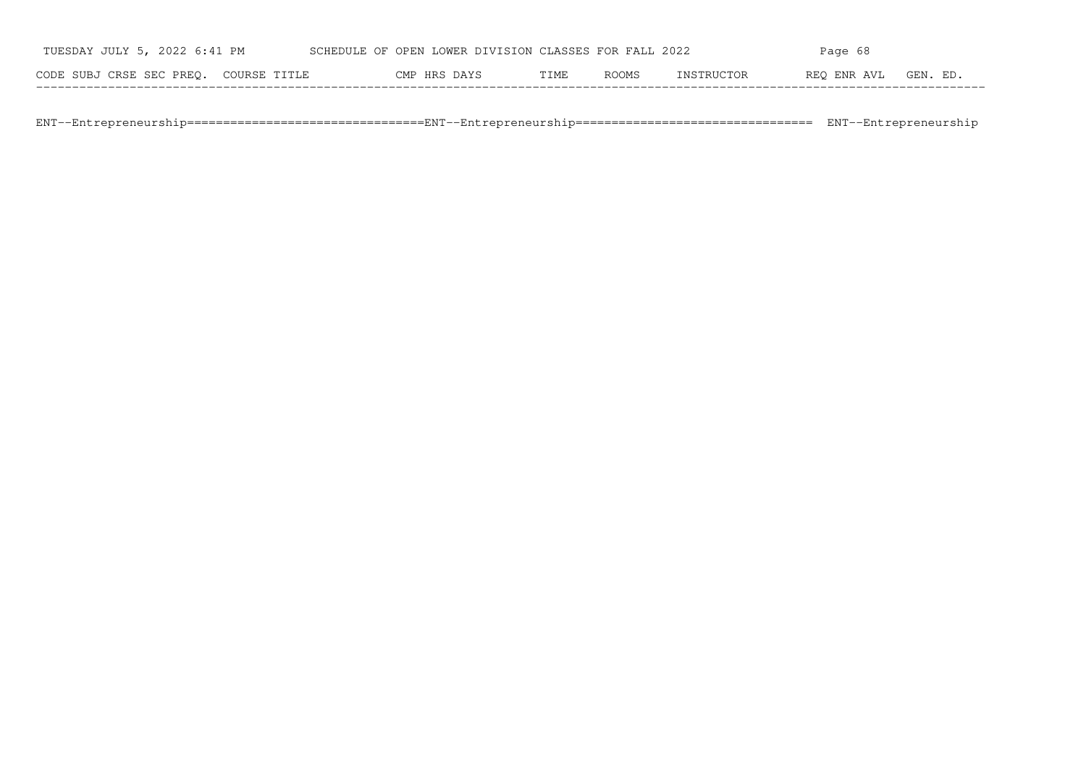| TUESDAY JULY 5, 2022 6:41 PM          | SCHEDULE OF OPEN LOWER DIVISION CLASSES FOR FALL 2022 |               |            | Page 68                 |
|---------------------------------------|-------------------------------------------------------|---------------|------------|-------------------------|
| CODE SUBJ CRSE SEC PREO. COURSE TITLE | CMP HRS DAYS                                          | ROOMS<br>TIME | INSTRUCTOR | REO ENR AVL<br>GEN. ED. |

ENT−−Entrepreneurship=================================ENT−−Entrepreneurship================================= ENT−−Entrepreneurship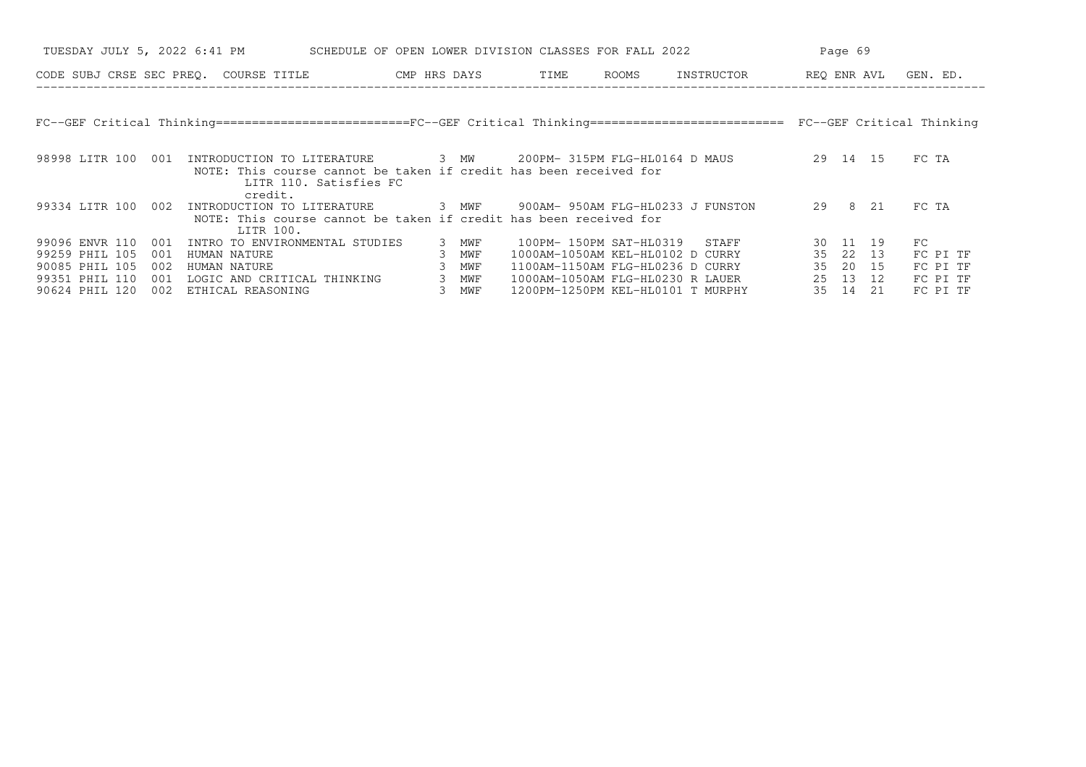| TUESDAY JULY 5, 2022 6:41 PM                                                                                              | SCHEDULE OF OPEN LOWER DIVISION CLASSES FOR FALL 2022                                                                                |                                |                                       |                                                                                                                                                                          |       |                                   |             | Page 69                                         |     |                                                    |
|---------------------------------------------------------------------------------------------------------------------------|--------------------------------------------------------------------------------------------------------------------------------------|--------------------------------|---------------------------------------|--------------------------------------------------------------------------------------------------------------------------------------------------------------------------|-------|-----------------------------------|-------------|-------------------------------------------------|-----|----------------------------------------------------|
|                                                                                                                           | CODE SUBJ CRSE SEC PREQ. COURSE TITLE THE CMP HRS DAYS                                                                               |                                |                                       | TIME                                                                                                                                                                     | ROOMS | INSTRUCTOR                        | REO ENR AVL |                                                 |     | GEN. ED.                                           |
|                                                                                                                           |                                                                                                                                      |                                |                                       |                                                                                                                                                                          |       |                                   |             |                                                 |     |                                                    |
|                                                                                                                           | FC--GEF Critical Thinking=========================FC--GEF Critical Thinking============================ FC--GEF Critical Thinking    |                                |                                       |                                                                                                                                                                          |       |                                   |             |                                                 |     |                                                    |
| 98998 LITR 100<br>001                                                                                                     | INTRODUCTION TO LITERATURE<br>NOTE: This course cannot be taken if credit has been received for<br>LITR 110. Satisfies FC<br>credit. | 3 MW                           |                                       | 200PM- 315PM FLG-HL0164 D MAUS                                                                                                                                           |       |                                   |             | 29 14 15                                        |     | FC TA                                              |
| 99334 LITR 100<br>002                                                                                                     | INTRODUCTION TO LITERATURE<br>NOTE: This course cannot be taken if credit has been received for<br>LITR 100.                         | 3 MWF                          |                                       |                                                                                                                                                                          |       | 900AM- 950AM FLG-HL0233 J FUNSTON |             | 29 8 21                                         |     | FC TA                                              |
| 99096 ENVR 110<br>001<br>99259 PHIL 105<br>001<br>90085 PHIL 105<br>002<br>99351 PHIL 110<br>001<br>90624 PHIL 120<br>002 | INTRO TO ENVIRONMENTAL STUDIES<br>HUMAN NATURE<br>HUMAN NATURE<br>LOGIC AND CRITICAL THINKING<br>ETHICAL REASONING                   | $\mathcal{E}$<br>$\mathcal{E}$ | 3 MWF<br>MWF<br>MWF<br>3 MWF<br>3 MWF | 100PM- 150PM SAT-HL0319<br>1000AM-1050AM KEL-HL0102 D CURRY<br>1100AM-1150AM FLG-HL0236 D CURRY<br>1000AM-1050AM FLG-HL0230 R LAUER<br>1200PM-1250PM KEL-HL0101 T MURPHY |       | STAFF                             | 35<br>35    | 30 11 19<br>35 22 13<br>20 15<br>25 13 12<br>14 | 2.1 | FC<br>FC PI TF<br>FC PI TF<br>FC PI TF<br>FC PI TF |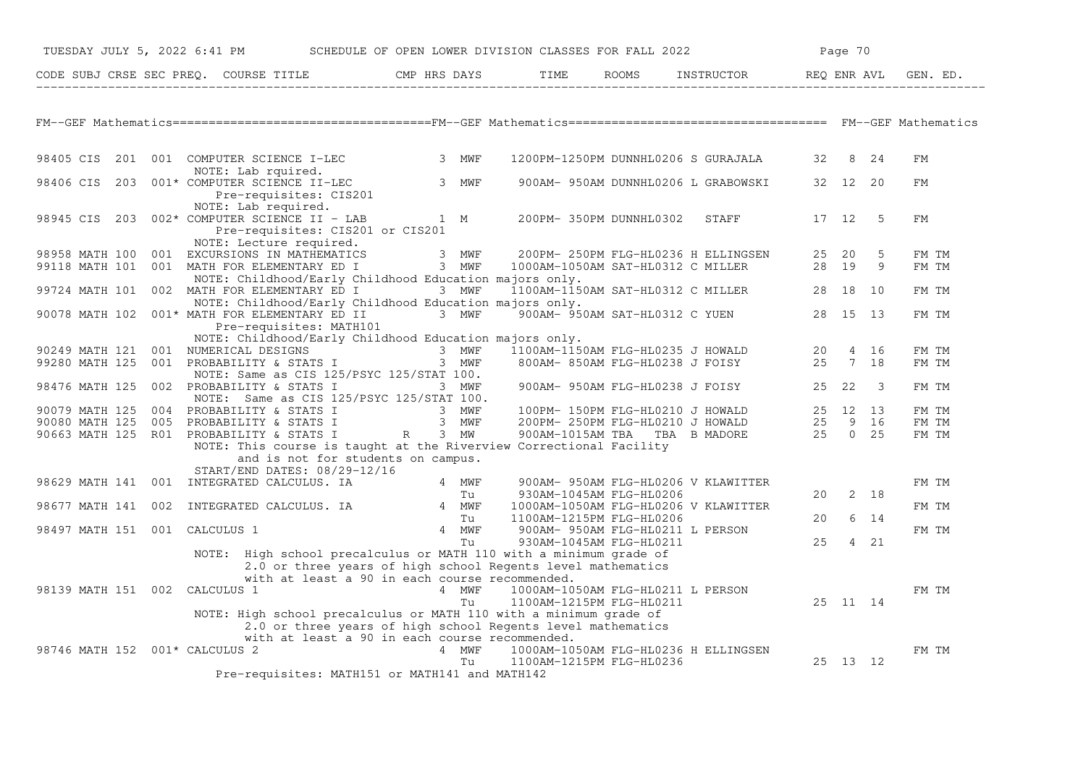|                    | TUESDAY JULY 5, 2022 6:41 PM                                                                                                                                                                                                                                                                                                                                                                                                                                         | SCHEDULE OF OPEN LOWER DIVISION CLASSES FOR FALL 2022 |                          | Page 70                                                                              |             |       |  |  |
|--------------------|----------------------------------------------------------------------------------------------------------------------------------------------------------------------------------------------------------------------------------------------------------------------------------------------------------------------------------------------------------------------------------------------------------------------------------------------------------------------|-------------------------------------------------------|--------------------------|--------------------------------------------------------------------------------------|-------------|-------|--|--|
|                    |                                                                                                                                                                                                                                                                                                                                                                                                                                                                      |                                                       |                          |                                                                                      |             |       |  |  |
|                    |                                                                                                                                                                                                                                                                                                                                                                                                                                                                      |                                                       |                          |                                                                                      |             |       |  |  |
|                    |                                                                                                                                                                                                                                                                                                                                                                                                                                                                      |                                                       |                          |                                                                                      |             |       |  |  |
|                    | 98405 CIS 201 001 COMPUTER SCIENCE I-LEC<br>NOTE: Lab rquired.                                                                                                                                                                                                                                                                                                                                                                                                       | 3 MWF                                                 |                          | 1200PM-1250PM DUNNHL0206 S GURAJALA                                                  | 32 8 24     | FM    |  |  |
|                    | 98406 CIS 203 001* COMPUTER SCIENCE II-LEC 3 MWF<br>Pre-requisites: CIS201<br>NOTE: Lab required.                                                                                                                                                                                                                                                                                                                                                                    |                                                       |                          | 900AM- 950AM DUNNHL0206 L GRABOWSKI 32 12 20                                         |             | FM    |  |  |
| 98945 CIS 203      | $002*$ COMPUTER SCIENCE II - LAB 1 M<br>Pre-requisites: CIS201 or CIS201<br>NOTE: Lecture required.                                                                                                                                                                                                                                                                                                                                                                  |                                                       | 200PM- 350PM DUNNHL0302  | STAFF                                                                                | 17 12<br>-5 | FM    |  |  |
| 98958 MATH 100     |                                                                                                                                                                                                                                                                                                                                                                                                                                                                      |                                                       |                          |                                                                                      | 5           | FM TM |  |  |
| 99118 MATH 101     | 001 EXCURSIONS IN MATHEMATICS 3 MWF 200PM-250PM FLG-HL0236 H ELLINGSEN 25 20<br>001 MATH FOR ELEMENTARY ED I 3 MWF 1000AM-1050AM SAT-HL0312 C MILLER 28 19                                                                                                                                                                                                                                                                                                           |                                                       |                          |                                                                                      | -9          | FM TM |  |  |
|                    | NOTE: Childhood/Early Childhood Education majors only.                                                                                                                                                                                                                                                                                                                                                                                                               |                                                       |                          |                                                                                      |             |       |  |  |
| 99724 MATH 101     | 002 MATH FOR ELEMENTARY ED I<br>NOTE: Childhood/Early Childhood Education majors only.                                                                                                                                                                                                                                                                                                                                                                               | 3 MWF                                                 |                          | 1100AM-1150AM SAT-HL0312 C MILLER 28 18 10                                           |             | FM TM |  |  |
| 90078 MATH 102     | $001*$ MATH FOR ELEMENTARY ED II 3 MWF $\frac{300 \text{AM}}{900 \text{AM}} - \frac{350 \text{AM}}{950 \text{AM}} - \frac{350 \text{AM}}{950 \text{AM}} - \frac{350 \text{AM}}{950 \text{AM}} - \frac{350 \text{AM}}{950 \text{AM}} - \frac{350 \text{AM}}{950 \text{AM}} - \frac{350 \text{AM}}{950 \text{AM}} - \frac{350 \text{AM}}{950 \text{AM}} - \frac{350 \text{AM}}{9$<br>Pre-requisites: MATH101<br>NOTE: Childhood/Early Childhood Education majors only. |                                                       |                          |                                                                                      |             | FM TM |  |  |
| 90249 MATH 121     | 001 NUMERICAL DESIGNS 3 MWF                                                                                                                                                                                                                                                                                                                                                                                                                                          |                                                       |                          |                                                                                      |             | FM TM |  |  |
| 99280 MATH 125     | 001 PROBABILITY & STATS I                                                                                                                                                                                                                                                                                                                                                                                                                                            | 3 MWF                                                 |                          | 1100AM-1150AM FLG-HL0235 J HOWALD 20 4 16<br>800AM- 850AM FLG-HL0238 J FOISY 25 7 18 |             | FM TM |  |  |
|                    | NOTE: Same as CIS 125/PSYC 125/STAT 100.                                                                                                                                                                                                                                                                                                                                                                                                                             |                                                       |                          |                                                                                      |             |       |  |  |
| 98476 MATH 125     | 002 PROBABILITY & STATS I<br>NOTE: Same as CIS 125/PSYC 125/STAT 100.                                                                                                                                                                                                                                                                                                                                                                                                | 3 MWF                                                 |                          | 900AM- 950AM FLG-HL0238 J FOISY                                                      | 25 22<br>-3 | FM TM |  |  |
| 90079 MATH 125     | 004<br>PROBABILITY & STATS I                                                                                                                                                                                                                                                                                                                                                                                                                                         | 3 MWF<br>3 MWF                                        |                          | 100PM-150PM FLG-HL0210 J HOWALD 25 12 13<br>200PM-250PM FLG-HL0210 J HOWALD 25 9 16  |             | FM TM |  |  |
| 90080 MATH 125     | 005 PROBABILITY & STATS I                                                                                                                                                                                                                                                                                                                                                                                                                                            |                                                       |                          |                                                                                      |             | FM TM |  |  |
| 90663 MATH 125     | R01<br>PROBABILITY & STATS I<br>NOTE: This course is taught at the Riverview Correctional Facility                                                                                                                                                                                                                                                                                                                                                                   | R 3 MW                                                |                          | 900AM-1015AM TBA TBA B MADORE                                                        | 25 0 25     | FM TM |  |  |
|                    | and is not for students on campus.<br>START/END DATES: 08/29-12/16                                                                                                                                                                                                                                                                                                                                                                                                   |                                                       |                          |                                                                                      |             |       |  |  |
|                    | 98629 MATH 141 001 INTEGRATED CALCULUS. IA $\begin{array}{ccc}\n 4 & \text{MWF} \\  \text{7} & \text{MMF}\n\end{array}$                                                                                                                                                                                                                                                                                                                                              |                                                       |                          | 900AM- 950AM FLG-HL0206 V KLAWITTER<br>930AM-1045AM FLG-HL0206                       | 2 18<br>20  | FM TM |  |  |
|                    |                                                                                                                                                                                                                                                                                                                                                                                                                                                                      |                                                       |                          | 1000AM-1050AM FLG-HL0206 V KLAWITTER                                                 |             | FM TM |  |  |
|                    |                                                                                                                                                                                                                                                                                                                                                                                                                                                                      |                                                       | 1100AM-1215PM FLG-HL0206 |                                                                                      | 20<br>6 14  |       |  |  |
|                    | 98497 MATH 151 001 CALCULUS 1                                                                                                                                                                                                                                                                                                                                                                                                                                        | Tu<br>4 MWF<br>Tu                                     |                          | 900AM- 950AM FLG-HL0211 L PERSON<br>930AM-1045AM FLG-HL0211                          | 25<br>4 21  | FM TM |  |  |
|                    | NOTE: High school precalculus or MATH 110 with a minimum grade of<br>2.0 or three years of high school Regents level mathematics<br>with at least a 90 in each course recommended.                                                                                                                                                                                                                                                                                   |                                                       |                          |                                                                                      |             |       |  |  |
| 98139 MATH 151 002 | CALCULUS 1                                                                                                                                                                                                                                                                                                                                                                                                                                                           | 4 MWF<br>Tu                                           | 1100AM-1215PM FLG-HL0211 | 1000AM-1050AM FLG-HL0211 L PERSON                                                    | 25 11 14    | FM TM |  |  |
|                    | NOTE: High school precalculus or MATH 110 with a minimum grade of                                                                                                                                                                                                                                                                                                                                                                                                    |                                                       |                          |                                                                                      |             |       |  |  |
|                    | 2.0 or three years of high school Regents level mathematics                                                                                                                                                                                                                                                                                                                                                                                                          |                                                       |                          |                                                                                      |             |       |  |  |
|                    | with at least a 90 in each course recommended.                                                                                                                                                                                                                                                                                                                                                                                                                       |                                                       |                          |                                                                                      |             |       |  |  |
|                    | 98746 MATH 152 001* CALCULUS 2                                                                                                                                                                                                                                                                                                                                                                                                                                       | 4 MWF<br>Tu                                           | 1100AM-1215PM FLG-HL0236 | 1000AM-1050AM FLG-HL0236 H ELLINGSEN                                                 | 25 13 12    | FM TM |  |  |
|                    | Pre-requisites: MATH151 or MATH141 and MATH142                                                                                                                                                                                                                                                                                                                                                                                                                       |                                                       |                          |                                                                                      |             |       |  |  |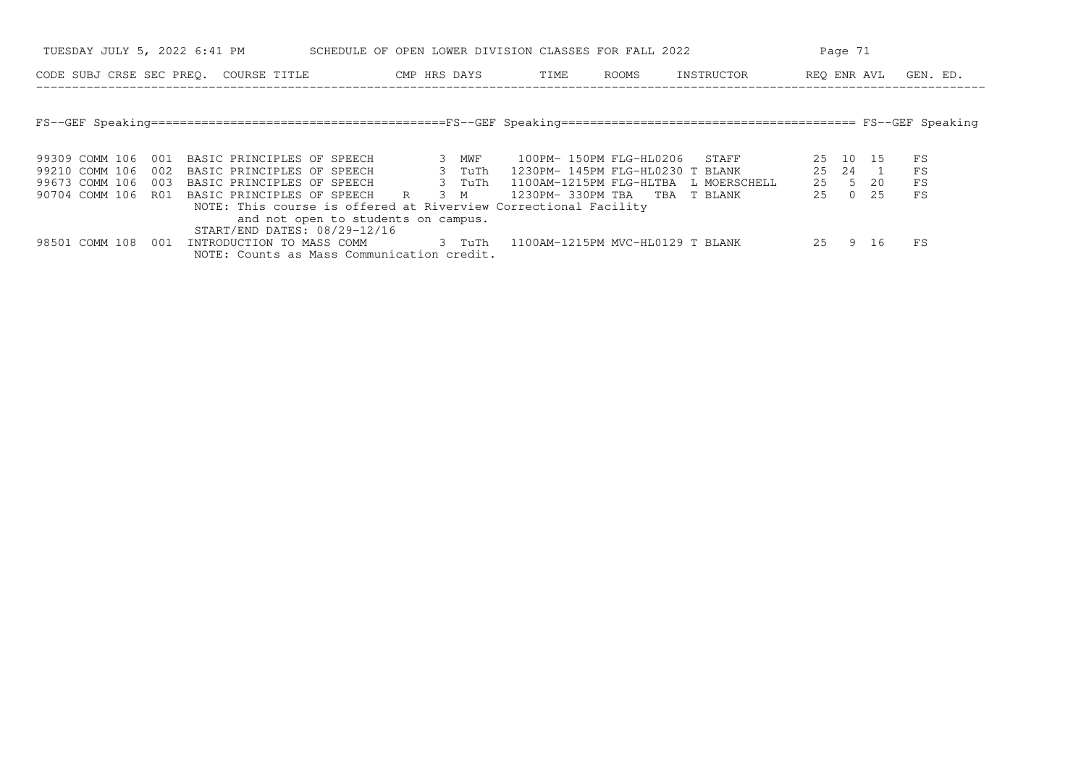| TUESDAY JULY 5, 2022 6:41 PM                        |                                     |        | SCHEDULE OF OPEN LOWER DIVISION CLASSES FOR FALL 2022             |            | Page 71         |          |
|-----------------------------------------------------|-------------------------------------|--------|-------------------------------------------------------------------|------------|-----------------|----------|
| CODE SUBJ CRSE SEC PREO. COURSE TITLE               | CMP HRS DAYS                        |        | ROOMS<br>TIME                                                     | INSTRUCTOR | REQ ENR AVL     | GEN. ED. |
|                                                     |                                     |        |                                                                   |            |                 |          |
|                                                     |                                     |        |                                                                   |            |                 |          |
|                                                     |                                     |        |                                                                   |            |                 |          |
| 99309 COMM 106<br>BASIC PRINCIPLES OF SPEECH<br>001 |                                     | 3 MWF  | 100PM- 150PM FLG-HL0206                                           | STAFF      | 25 10 15        | FS       |
| 99210 COMM 106 002<br>BASIC PRINCIPLES OF SPEECH    |                                     | 3 TuTh | 1230PM- 145PM FLG-HL0230 T BLANK                                  |            | 25  24  1       | FS       |
| 99673 COMM 106 003<br>BASIC PRINCIPLES OF SPEECH    |                                     | 3 TuTh | 1100AM-1215PM FLG-HLTBA L MOERSCHELL                              |            | 25 5 20         | FS       |
| 90704 COMM 106<br>R01<br>BASIC PRINCIPLES OF SPEECH |                                     |        | R 3 M 1230PM-330PM TBA TBA T BLANK                                |            | $25 \t 0$<br>25 | FS       |
|                                                     |                                     |        | NOTE: This course is offered at Riverview Correctional Facility   |            |                 |          |
|                                                     | and not open to students on campus. |        |                                                                   |            |                 |          |
| START/END DATES: 08/29-12/16                        |                                     |        |                                                                   |            |                 |          |
| 98501 COMM 108<br>-001                              |                                     |        | INTRODUCTION TO MASS COMM 3 TuTh 1100AM-1215PM MVC-HL0129 T BLANK |            | 25 9 16         | FS       |
| NOTE: Counts as Mass Communication credit.          |                                     |        |                                                                   |            |                 |          |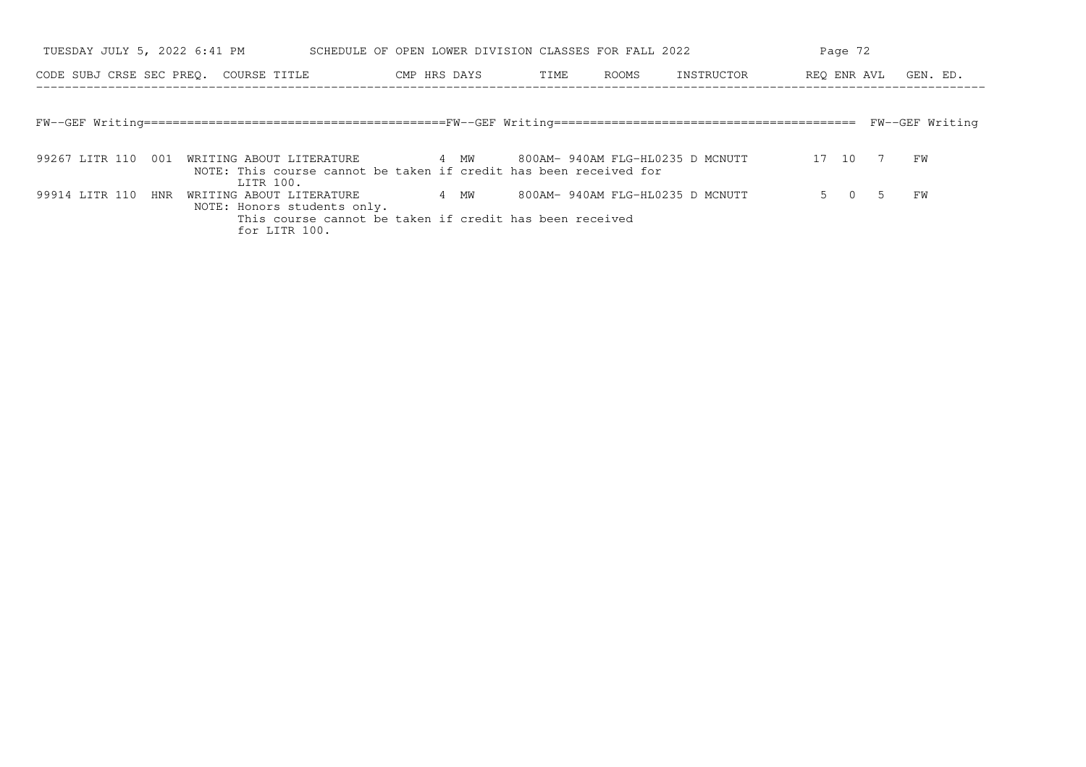| TUESDAY JULY 5, 2022 6:41 PM          |           | SCHEDULE OF OPEN LOWER DIVISION CLASSES FOR FALL 2022                                                                                                 |              |      |       |                                  |            | Page 72 |       |                      |
|---------------------------------------|-----------|-------------------------------------------------------------------------------------------------------------------------------------------------------|--------------|------|-------|----------------------------------|------------|---------|-------|----------------------|
| CODE SUBJ CRSE SEC PREO. COURSE TITLE |           |                                                                                                                                                       | CMP HRS DAYS | TIME | ROOMS | INSTRUCTOR                       |            |         |       | REO ENR AVL GEN. ED. |
|                                       |           |                                                                                                                                                       |              |      |       |                                  |            |         |       |                      |
|                                       |           |                                                                                                                                                       |              |      |       |                                  |            |         |       | FW--GEF Writing      |
|                                       | LITR 100. | 99267 LITR 110 001 WRITING ABOUT LITERATURE 4 MW 800AM-940AM FLG-HL0235 D MCNUTT<br>NOTE: This course cannot be taken if credit has been received for |              |      |       |                                  | 17 10 7 FW |         |       |                      |
| 99914 LITR 110<br>HNR                 |           | WRITING ABOUT LITERATURE<br>NOTE: Honors students only.<br>This course cannot be taken if credit has been received<br>for LITR 100.                   |              | 4 MW |       | 800AM- 940AM FLG-HL0235 D MCNUTT |            |         | 5 0 5 | FW                   |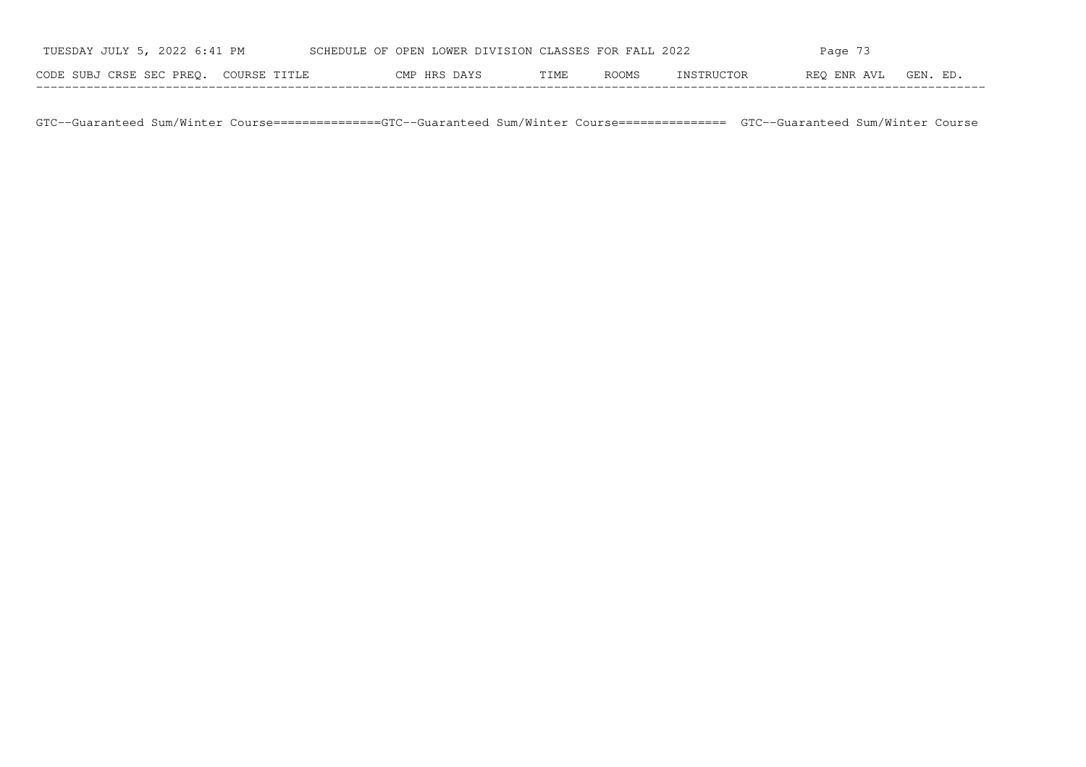| TUESDAY JULY 5, 2022 6:41 PM          | SCHEDULE OF OPEN LOWER DIVISION CLASSES FOR FALL 2022 |      |                            | Page 73                 |  |
|---------------------------------------|-------------------------------------------------------|------|----------------------------|-------------------------|--|
| CODE SUBJ CRSE SEC PREO. COURSE TITLE | CMP HRS DAYS                                          | TIME | <b>ROOMS</b><br>INSTRUCTOR | REO ENR AVL<br>GEN. ED. |  |

GTC−−Guaranteed Sum/Winter Course===============GTC−−Guaranteed Sum/Winter Course=============== GTC−−Guaranteed Sum/Winter Course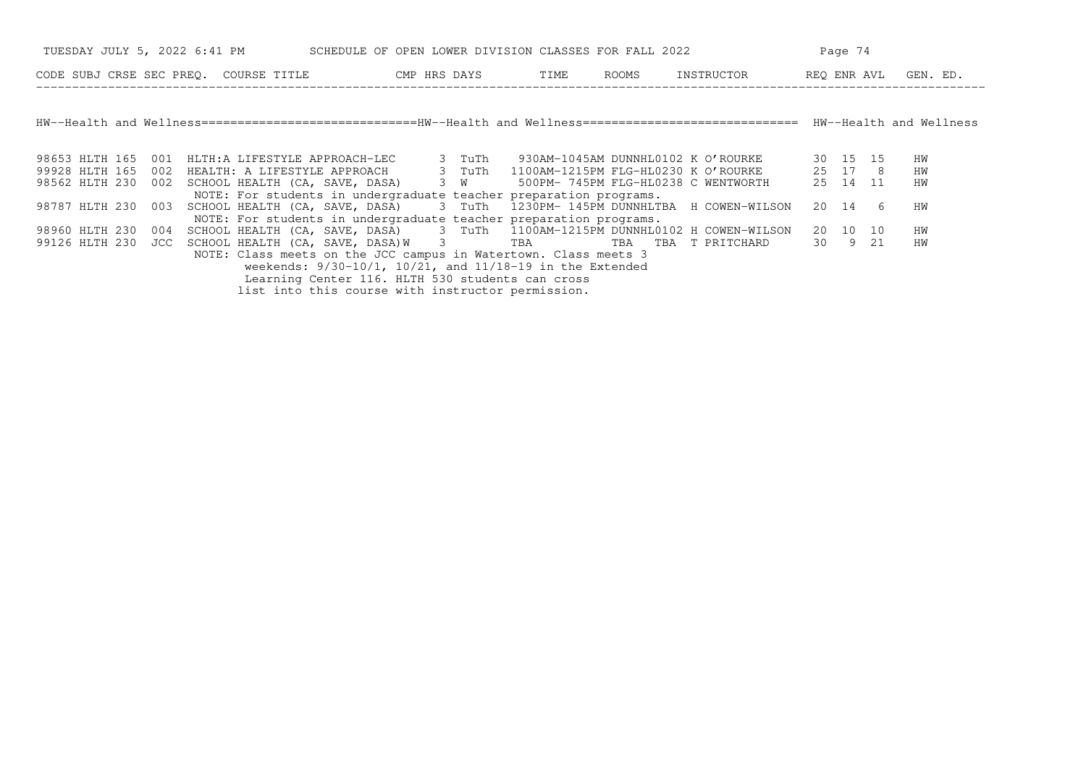| TUESDAY JULY 5, 2022 6:41 PM                                                                                                       | SCHEDULE OF OPEN LOWER DIVISION CLASSES FOR FALL 2022            |      |       |                                              | Page 74  |          |                      |
|------------------------------------------------------------------------------------------------------------------------------------|------------------------------------------------------------------|------|-------|----------------------------------------------|----------|----------|----------------------|
| CODE SUBJ CRSE SEC PREO. COURSE TITLE THE CMP HRS DAYS                                                                             |                                                                  | TIME | ROOMS | INSTRUCTOR                                   |          |          | REO ENR AVL GEN. ED. |
|                                                                                                                                    |                                                                  |      |       |                                              |          |          |                      |
| HW--Health and Wellness=============================HW--Health and Wellness=============================== HW--Health and Wellness |                                                                  |      |       |                                              |          |          |                      |
| 98653 HLTH 165 001<br>HLTH:A LIFESTYLE APPROACH-LEC                                                                                | 3 TuTh                                                           |      |       | 930AM-1045AM DUNNHL0102 K O'ROURKE           | 30 15 15 |          | HW                   |
| 99928 HLTH 165<br>HEALTH: A LIFESTYLE APPROACH<br>002                                                                              | 3 TuTh                                                           |      |       | 1100AM-1215PM FLG-HL0230 K O'ROURKE 25 17 8  |          |          | HW                   |
| SCHOOL HEALTH (CA, SAVE, DASA) 3 W<br>98562 HLTH 230<br>002                                                                        |                                                                  |      |       | 500PM- 745PM FLG-HL0238 C WENTWORTH          |          | 25 14 11 | HM                   |
| NOTE: For students in undergraduate teacher preparation programs.                                                                  |                                                                  |      |       |                                              |          |          |                      |
| 98787 HLTH 230<br>003<br>SCHOOL HEALTH (CA, SAVE, DASA)                                                                            |                                                                  |      |       | 3 TuTh 1230PM-145PM DUNNHLTBA H COWEN-WILSON |          | 20 14 6  | HM                   |
| NOTE: For students in undergraduate teacher preparation programs.                                                                  |                                                                  |      |       |                                              |          |          |                      |
| SCHOOL HEALTH (CA, SAVE, DASA) 3 TuTh 1100AM-1215PM DUNNHL0102 H COWEN-WILSON<br>98960 HLTH 230 004                                |                                                                  |      |       |                                              | 20 10 10 |          | HW                   |
| SCHOOL HEALTH (CA, SAVE, DASA)W 3 TBA<br>99126 HLTH 230 JCC                                                                        |                                                                  |      |       | TBA TBA T PRITCHARD                          |          | 30 9 21  | HW                   |
| NOTE: Class meets on the JCC campus in Watertown. Class meets 3                                                                    |                                                                  |      |       |                                              |          |          |                      |
|                                                                                                                                    | weekends: $9/30-10/1$ , $10/21$ , and $11/18-19$ in the Extended |      |       |                                              |          |          |                      |
|                                                                                                                                    | Learning Center 116. HLTH 530 students can cross                 |      |       |                                              |          |          |                      |
|                                                                                                                                    | list into this course with instructor permission.                |      |       |                                              |          |          |                      |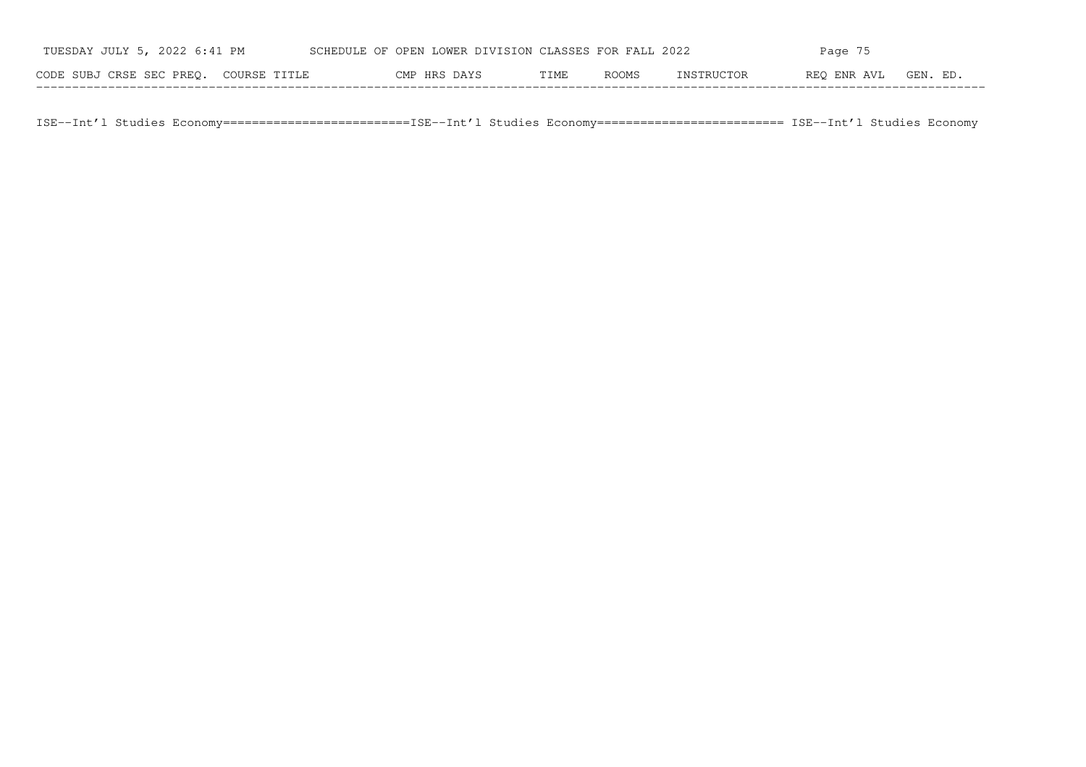| TUESDAY JULY 5, 2022 6:41 PM          |              | SCHEDULE OF OPEN LOWER DIVISION CLASSES FOR FALL 2022 |       |            | Page 75                 |
|---------------------------------------|--------------|-------------------------------------------------------|-------|------------|-------------------------|
| CODE SUBJ CRSE SEC PREO. COURSE TITLE | CMP HRS DAYS | TIME                                                  | ROOMS | INSTRUCTOR | GEN. ED.<br>REO ENR AVL |

ISE−−Int'l Studies Economy==========================ISE−−Int'l Studies Economy========================== ISE−−Int'l Studies Economy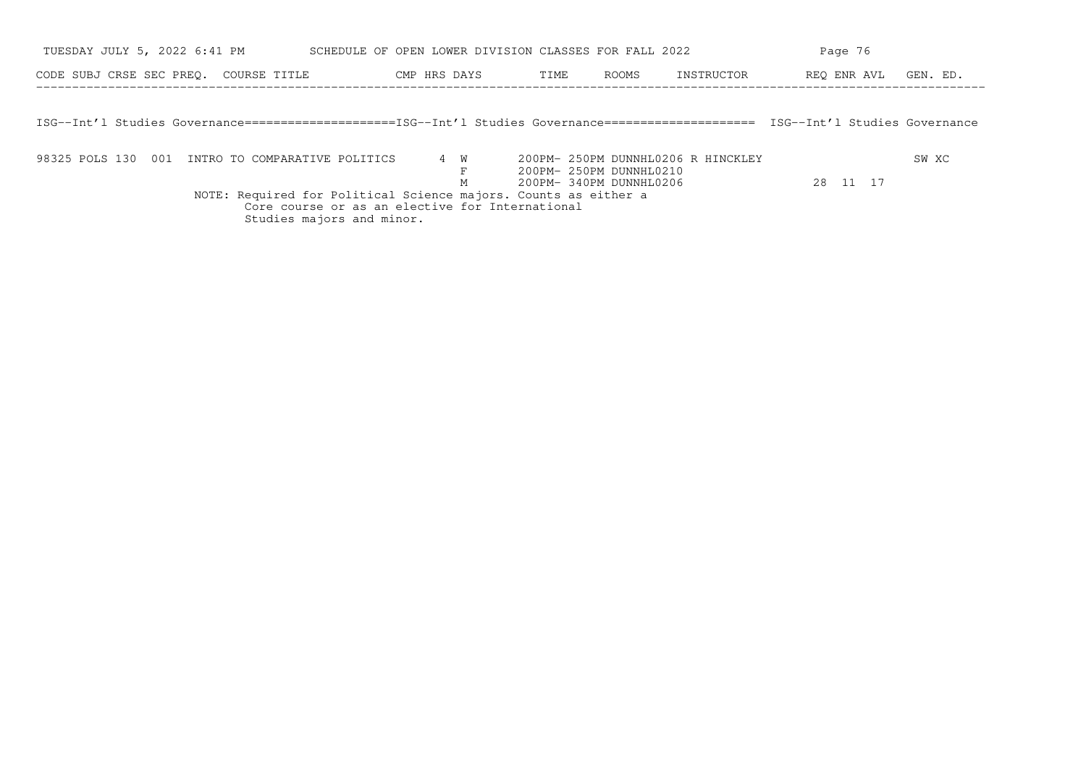| TUESDAY JULY 5, 2022 6:41 PM                     |  |  |                           |  |              | SCHEDULE OF OPEN LOWER DIVISION CLASSES FOR FALL 2022                                      |       |                                                                                                                                    |             | Page 76  |          |
|--------------------------------------------------|--|--|---------------------------|--|--------------|--------------------------------------------------------------------------------------------|-------|------------------------------------------------------------------------------------------------------------------------------------|-------------|----------|----------|
| CODE SUBJ CRSE SEC PREO. COURSE TITLE            |  |  |                           |  | CMP HRS DAYS | TIME                                                                                       | ROOMS | INSTRUCTOR                                                                                                                         | REO ENR AVL |          | GEN. ED. |
|                                                  |  |  |                           |  |              |                                                                                            |       |                                                                                                                                    |             |          |          |
|                                                  |  |  |                           |  |              |                                                                                            |       | ISG--Int'l Studies Governance=====================ISG--Int'l Studies Governance===================== ISG--Int'l Studies Governance |             |          |          |
| 98325 POLS 130 001 INTRO TO COMPARATIVE POLITICS |  |  |                           |  | 4 W          | 200PM- 250PM DUNNHL0210                                                                    |       | 200PM- 250PM DUNNHL0206 R HINCKLEY                                                                                                 |             |          | SW XC    |
|                                                  |  |  |                           |  |              | 200PM- 340PM DUNNHL0206<br>NOTE: Required for Political Science majors. Counts as either a |       |                                                                                                                                    |             | 28 11 17 |          |
|                                                  |  |  | Studies majors and minor. |  |              | Core course or as an elective for International                                            |       |                                                                                                                                    |             |          |          |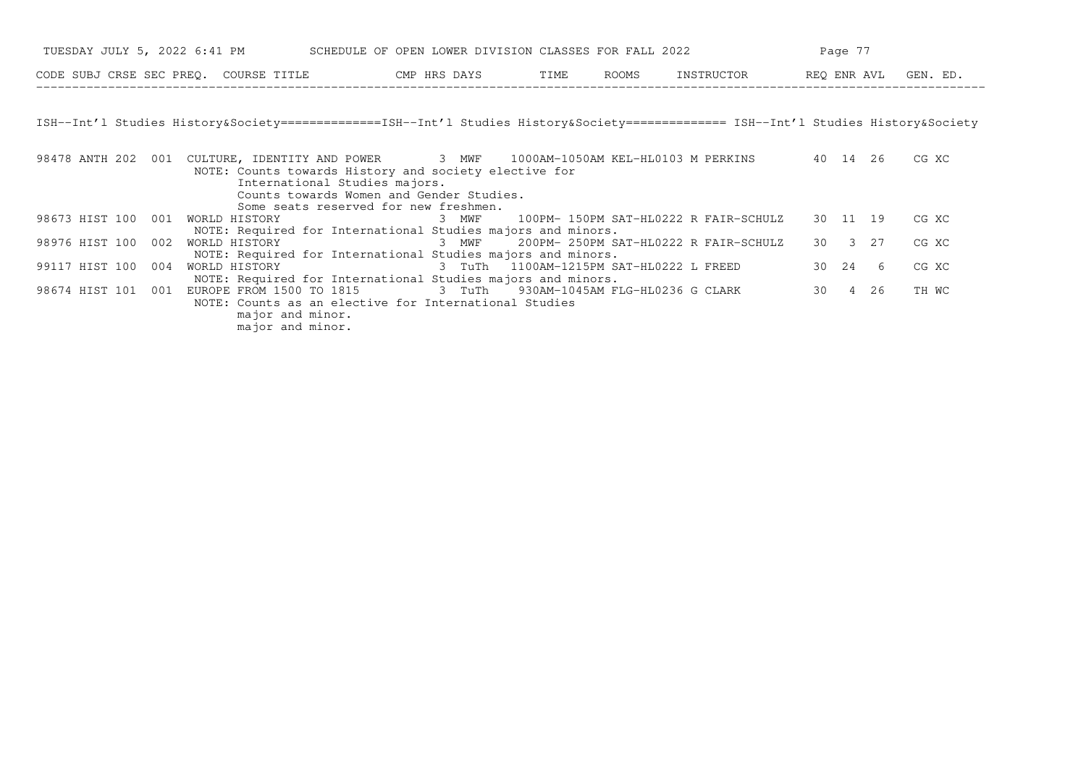| TUESDAY JULY 5, 2022 6:41 PM | SCHEDULE OF OPEN LOWER DIVISION CLASSES FOR FALL 2022                                                                                                                                      |                                         |  |                                                     | Page 77   |       |
|------------------------------|--------------------------------------------------------------------------------------------------------------------------------------------------------------------------------------------|-----------------------------------------|--|-----------------------------------------------------|-----------|-------|
|                              | CODE SUBJ CRSE SEC PREQ. COURSE TITLE THE CMP HRS DAYS TIME ROOMS                                                                                                                          |                                         |  | INSTRUCTOR REQ ENR AVL GEN. ED.                     |           |       |
|                              |                                                                                                                                                                                            |                                         |  |                                                     |           |       |
|                              | ISH--Int'l Studies History&Society===============ISH--Int'l Studies History&Society============== ISH--Int'l Studies History&Society                                                       |                                         |  |                                                     |           |       |
|                              | 98478 ANTH 202 001 CULTURE, IDENTITY AND POWER 3 MWF 1000AM-1050AM KEL-HL0103 M PERKINS 40 14 26<br>NOTE: Counts towards History and society elective for<br>International Studies majors. |                                         |  |                                                     |           | CG XC |
|                              | Counts towards Women and Gender Studies.<br>Some seats reserved for new freshmen.                                                                                                          |                                         |  |                                                     |           |       |
| 98673 HIST 100 001           | WORLD HISTORY<br>NOTE: Required for International Studies majors and minors.                                                                                                               |                                         |  | 3 MWF 100PM-150PM SAT-HL0222 R FAIR-SCHULZ 30 11 19 |           | CG XC |
| 98976 HIST 100 002           | WORLD HISTORY NORLD<br>NOTE: Required for International Studies majors and minors.                                                                                                         | 3 MWF                                   |  | 200PM- 250PM SAT-HL0222 R FAIR-SCHULZ               | 30 3 27   | CG XC |
| 99117 HIST 100 004           | WORLD HISTORY<br>NOTE: Required for International Studies majors and minors.                                                                                                               | 3 TuTh 1100AM-1215PM SAT-HL0222 L FREED |  |                                                     | 30  24  6 | CG XC |
| 98674 HIST 101 001           | EUROPE FROM 1500 TO 1815<br>NOTE: Counts as an elective for International Studies                                                                                                          |                                         |  | 3 TuTh    930AM-1045AM FLG-HL0236 G CLARK           | 30 4 26   | TH WC |
|                              | major and minor.<br>major and minor.                                                                                                                                                       |                                         |  |                                                     |           |       |
|                              |                                                                                                                                                                                            |                                         |  |                                                     |           |       |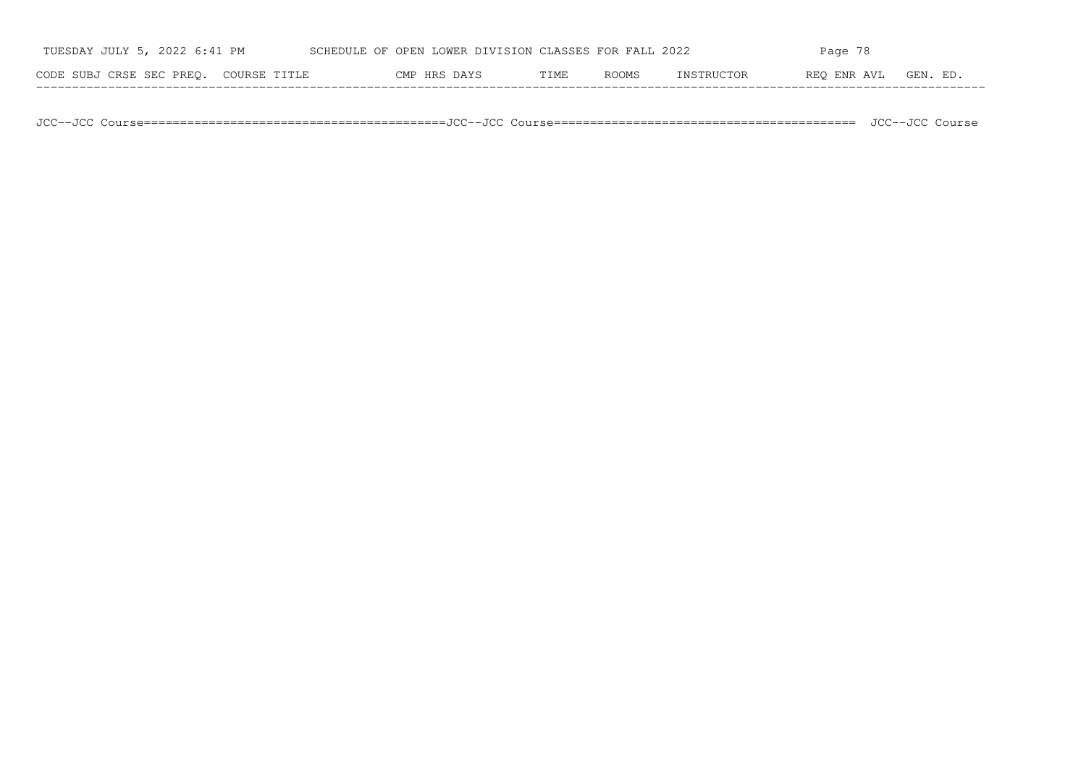| TUESDAY JULY 5, 2022 6:41 PM          | SCHEDULE OF OPEN LOWER DIVISION CLASSES FOR FALL 2022 |      |              |                   | Page 78     |          |
|---------------------------------------|-------------------------------------------------------|------|--------------|-------------------|-------------|----------|
| CODE SUBJ CRSE SEC PREO. COURSE TITLE | CMP HRS DAYS                                          | TIME | <b>ROOMS</b> | <b>INSTRUCTOR</b> | REO ENR AVL | GEN. ED. |

JCC−−JCC Course==========================================JCC−−JCC Course========================================== JCC−−JCC Course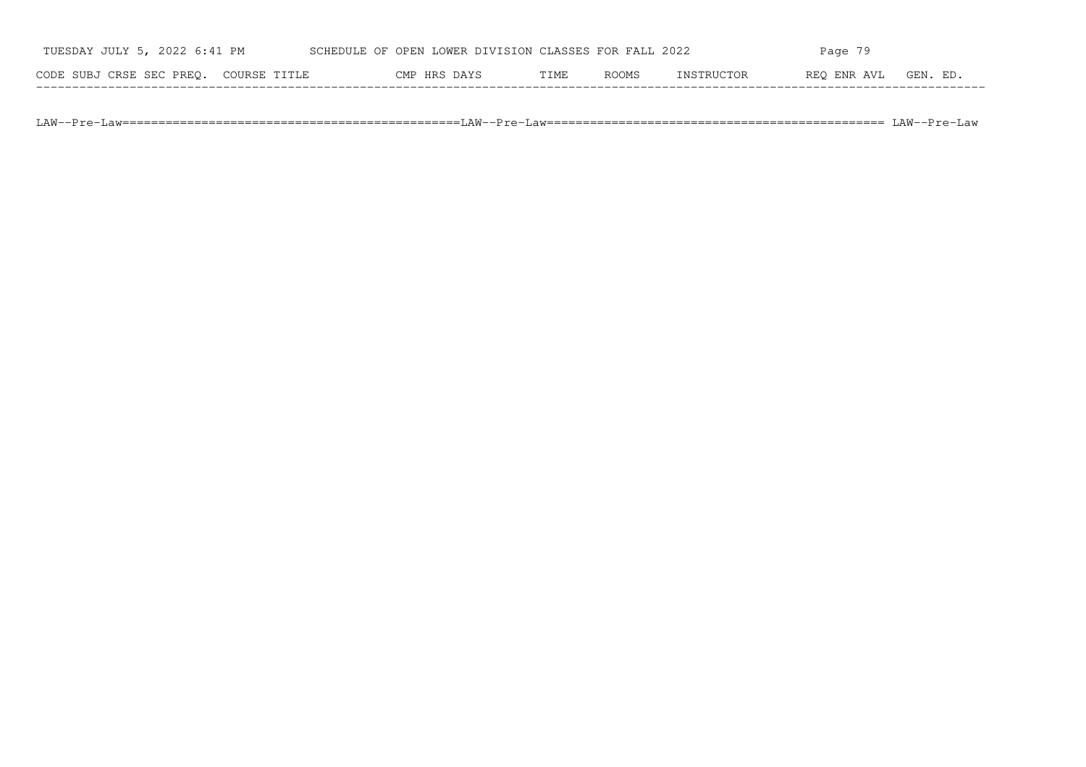| TUESDAY JULY 5, 2022 6:41 PM          |              | SCHEDULE OF OPEN LOWER DIVISION CLASSES FOR FALL 2022 |            | Page 79                 |  |
|---------------------------------------|--------------|-------------------------------------------------------|------------|-------------------------|--|
| CODE SUBJ CRSE SEC PREQ. COURSE TITLE | CMP HRS DAYS | TIME<br><b>ROOMS</b>                                  | INSTRUCTOR | GEN. ED.<br>REO ENR AVL |  |

LAW−−Pre−Law===============================================LAW−−Pre−Law=============================================== LAW−−Pre−Law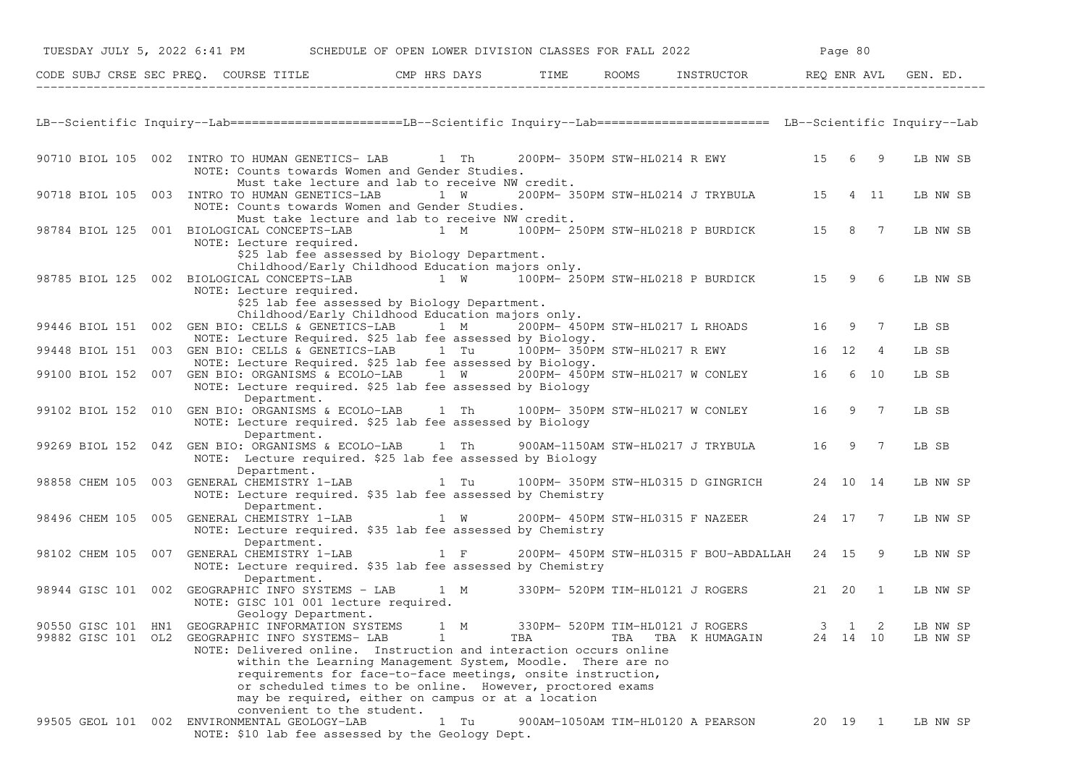|                    |                                                                                                                                                                                                                |                                                                                                                                                                                                                                                                                            | TUESDAY JULY 5, 2022 6:41 PM SCHEDULE OF OPEN LOWER DIVISION CLASSES FOR FALL 2022 |     |                                                |    |                          |                |                      |  |  |
|--------------------|----------------------------------------------------------------------------------------------------------------------------------------------------------------------------------------------------------------|--------------------------------------------------------------------------------------------------------------------------------------------------------------------------------------------------------------------------------------------------------------------------------------------|------------------------------------------------------------------------------------|-----|------------------------------------------------|----|--------------------------|----------------|----------------------|--|--|
|                    |                                                                                                                                                                                                                |                                                                                                                                                                                                                                                                                            |                                                                                    |     |                                                |    |                          |                |                      |  |  |
|                    | LB--Scientific Inquiry--Lab=======================LB--Scientific Inquiry--Lab========================= LB--Scientific Inquiry--Lab                                                                             |                                                                                                                                                                                                                                                                                            |                                                                                    |     |                                                |    |                          |                |                      |  |  |
|                    | 90710 BIOL 105 002 INTRO TO HUMAN GENETICS- LAB 1 Th<br>NOTE: Counts towards Women and Gender Studies.                                                                                                         |                                                                                                                                                                                                                                                                                            |                                                                                    |     | 200PM-350PM STW-HL0214 R EWY 15 6 9            |    |                          |                | LB NW SB             |  |  |
|                    | 90718 BIOL 105 003 INTRO TO HUMAN GENETICS-LAB<br>NOTE: Counts towards Women and Gender Studies.                                                                                                               | Must take lecture and lab to receive NW credit.<br>1 W                                                                                                                                                                                                                                     |                                                                                    |     | 200PM-350PM STW-HL0214 J TRYBULA 15 4 11       |    |                          |                | LB NW SB             |  |  |
|                    | 98784 BIOL 125 001 BIOLOGICAL CONCEPTS-LAB 1 M 100PM-250PM STW-HL0218 P BURDICK<br>NOTE: Lecture required.                                                                                                     | Must take lecture and lab to receive NW credit.                                                                                                                                                                                                                                            |                                                                                    |     |                                                | 15 | 8 7                      |                | LB NW SB             |  |  |
| 98785 BIOL 125 002 | BIOLOGICAL CONCEPTS-LAB 1 W 100PM-250PM STW-HL0218 P BURDICK 15 9 6<br>NOTE: Lecture required.                                                                                                                 | \$25 lab fee assessed by Biology Department.<br>Childhood/Early Childhood Education majors only.<br>\$25 lab fee assessed by Biology Department.                                                                                                                                           |                                                                                    |     |                                                |    |                          |                | LB NW SB             |  |  |
|                    | 99446 BIOL 151 002 GEN BIO: CELLS & GENETICS-LAB 1 M $200PM - 450PM$ STW-HL0217 L RHOADS 16<br>NOTE: Lecture Required. \$25 lab fee assessed by Biology.                                                       | Childhood/Early Childhood Education majors only.                                                                                                                                                                                                                                           |                                                                                    |     |                                                |    |                          | 9 7            | LB SB                |  |  |
|                    | 99448 BIOL 151 003 GEN BIO: CELLS & GENETICS-LAB 1 Tu                                                                                                                                                          |                                                                                                                                                                                                                                                                                            |                                                                                    |     | 100PM- 350PM STW-HL0217 R EWY 16 12            |    |                          | $\overline{4}$ | LB SB                |  |  |
|                    | NOTE: Lecture Required. \$25 lab fee assessed by Biology.<br>99100 BIOL 152 007 GEN BIO: ORGANISMS & ECOLO-LAB 1 W 200PM-450PM STW-HL0217 W CONLEY<br>NOTE: Lecture required. \$25 lab fee assessed by Biology |                                                                                                                                                                                                                                                                                            |                                                                                    |     |                                                |    | 16 6 10                  |                | LB SB                |  |  |
|                    | Department.<br>99102 BIOL 152 010 GEN BIO: ORGANISMS & ECOLO-LAB 1 Th<br>NOTE: Lecture required. \$25 lab fee assessed by Biology                                                                              |                                                                                                                                                                                                                                                                                            |                                                                                    |     | 100PM- 350PM STW-HL0217 W CONLEY               |    | 16 9 7                   |                | LB SB                |  |  |
|                    | Department.<br>99269 BIOL 152 04Z GEN BIO: ORGANISMS & ECOLO-LAB 1 Th 900AM-1150AM STW-HL0217 J TRYBULA<br>NOTE: Lecture required. \$25 lab fee assessed by Biology                                            |                                                                                                                                                                                                                                                                                            |                                                                                    |     |                                                |    | 16 9 7                   |                | LB SB                |  |  |
| 98858 CHEM 105 003 | Department.<br>GENERAL CHEMISTRY 1-LAB 1 Tu<br>NOTE: Lecture required. \$35 lab fee assessed by Chemistry                                                                                                      |                                                                                                                                                                                                                                                                                            |                                                                                    |     | 100PM- 350PM STW-HL0315 D GINGRICH             |    | 24 10 14                 |                | LB NW SP             |  |  |
| 98496 CHEM 105 005 | Department.<br>GENERAL CHEMISTRY 1-LAB<br>NOTE: Lecture required. \$35 lab fee assessed by Chemistry                                                                                                           | 1 W                                                                                                                                                                                                                                                                                        |                                                                                    |     | 200PM- 450PM STW-HL0315 F NAZEER               |    | 24 17 7                  |                | LB NW SP             |  |  |
| 98102 CHEM 105 007 | Department.<br>GENERAL CHEMISTRY 1-LAB<br>NOTE: Lecture required. \$35 lab fee assessed by Chemistry                                                                                                           | $1 \tF$                                                                                                                                                                                                                                                                                    |                                                                                    |     | 200PM- 450PM STW-HL0315 F BOU-ABDALLAH 24 15 9 |    |                          |                | LB NW SP             |  |  |
| 98944 GISC 101 002 | Department.<br>GEOGRAPHIC INFO SYSTEMS - LAB 1 M<br>NOTE: GISC 101 001 lecture required.<br>Geology Department.                                                                                                |                                                                                                                                                                                                                                                                                            |                                                                                    |     | 330PM- 520PM TIM-HL0121 J ROGERS               |    | 21  20  1                |                | LB NW SP             |  |  |
| 99882 GISC 101 OL2 | 90550 GISC 101 HN1 GEOGRAPHIC INFORMATION SYSTEMS<br>GEOGRAPHIC INFO SYSTEMS- LAB<br>NOTE: Delivered online. Instruction and interaction occurs online                                                         | 1 M 330PM- 520PM TIM-HL0121 J ROGERS<br>1<br>within the Learning Management System, Moodle. There are no<br>requirements for face-to-face meetings, onsite instruction,<br>or scheduled times to be online. However, proctored exams<br>may be required, either on campus or at a location | TBA                                                                                | TBA | TBA K HUMAGAIN                                 | 3  | $\mathbf{1}$<br>24 14 10 | 2              | LB NW SP<br>LB NW SP |  |  |
|                    | convenient to the student.<br>99505 GEOL 101 002 ENVIRONMENTAL GEOLOGY-LAB<br>NOTE: \$10 lab fee assessed by the Geology Dept.                                                                                 | 1 Tu                                                                                                                                                                                                                                                                                       | 900AM-1050AM TIM-HL0120 A PEARSON                                                  |     |                                                |    | 20 19 1                  |                | LB NW SP             |  |  |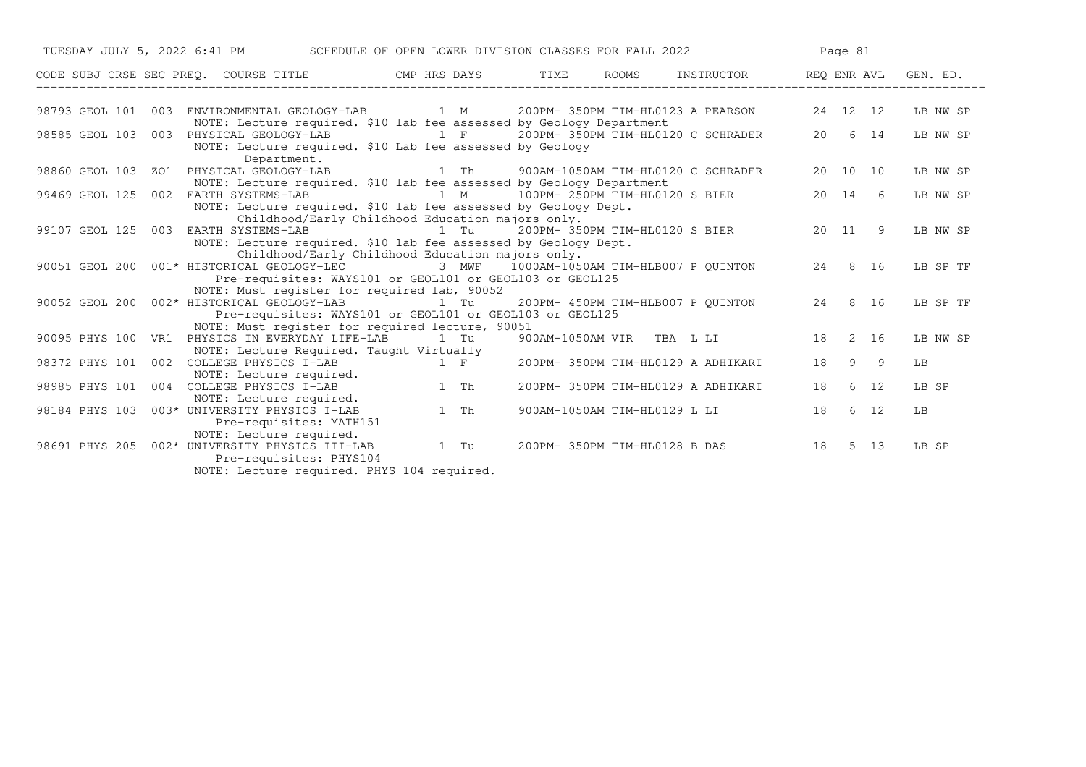|                    |     | TUESDAY JULY 5, 2022 6:41 PM                                                                    |             |       |  |                                   | SCHEDULE OF OPEN LOWER DIVISION CLASSES FOR FALL 2022 |             | Page 81  |      |          |
|--------------------|-----|-------------------------------------------------------------------------------------------------|-------------|-------|--|-----------------------------------|-------------------------------------------------------|-------------|----------|------|----------|
|                    |     | CODE SUBJ CRSE SEC PREQ. COURSE TITLE THE CMP HRS DAYS TIME                                     |             |       |  | ROOMS                             | INSTRUCTOR                                            | REO ENR AVL |          |      | GEN. ED. |
| 98793 GEOL 101     | 003 | ENVIRONMENTAL GEOLOGY-LAB 1 M                                                                   |             |       |  |                                   | 200PM- 350PM TIM-HL0123 A PEARSON                     | 24 12 12    |          |      | LB NW SP |
|                    |     | NOTE: Lecture required. \$10 lab fee assessed by Geology Department                             |             |       |  |                                   |                                                       |             |          |      |          |
| 98585 GEOL 103     | 003 | PHYSICAL GEOLOGY-LAB<br>NOTE: Lecture required. \$10 Lab fee assessed by Geology<br>Department. | $1 \quad F$ |       |  |                                   | 200PM- 350PM TIM-HL0120 C SCHRADER                    | 20          |          | 6 14 | LB NW SP |
| 98860 GEOL 103 ZO1 |     | PHYSICAL GEOLOGY-LAB                                                                            |             | 1 Th  |  |                                   | 900AM-1050AM TIM-HL0120 C SCHRADER                    |             | 20 10 10 |      | LB NW SP |
|                    |     | NOTE: Lecture required. \$10 lab fee assessed by Geology Department                             |             |       |  |                                   |                                                       |             |          |      |          |
| 99469 GEOL 125     | 002 | EARTH SYSTEMS-LAB                                                                               | $1 \, M$    |       |  | 100PM- 250PM TIM-HL0120 S BIER    |                                                       | 20 14       |          | -6   | LB NW SP |
|                    |     | NOTE: Lecture required. \$10 lab fee assessed by Geology Dept.                                  |             |       |  |                                   |                                                       |             |          |      |          |
|                    |     | Childhood/Early Childhood Education majors only.                                                |             |       |  |                                   |                                                       |             |          |      |          |
| 99107 GEOL 125 003 |     | EARTH SYSTEMS-LAB 1 Tu                                                                          |             |       |  |                                   | 200PM- 350PM TIM-HL0120 S BIER                        | 20 11       |          | - 9  | LB NW SP |
|                    |     | NOTE: Lecture required. \$10 lab fee assessed by Geology Dept.                                  |             |       |  |                                   |                                                       |             |          |      |          |
|                    |     | Childhood/Early Childhood Education majors only.                                                |             |       |  |                                   |                                                       |             |          |      |          |
|                    |     | 90051 GEOL 200 001* HISTORICAL GEOLOGY-LEC                                                      |             | 3 MWF |  |                                   | 1000AM-1050AM TIM-HLB007 P QUINTON                    |             | 24 8 16  |      | LB SP TF |
|                    |     | Pre-requisites: WAYS101 or GEOL101 or GEOL103 or GEOL125                                        |             |       |  |                                   |                                                       |             |          |      |          |
|                    |     | NOTE: Must register for required lab, 90052                                                     |             |       |  |                                   |                                                       |             |          |      |          |
| 90052 GEOL 200     |     | 002* HISTORICAL GEOLOGY-LAB 1 Tu                                                                |             |       |  | 200PM- 450PM TIM-HLB007 P OUINTON |                                                       |             | 24 8 16  |      | LB SP TF |
|                    |     | Pre-requisites: WAYS101 or GEOL101 or GEOL103 or GEOL125                                        |             |       |  |                                   |                                                       |             |          |      |          |
|                    |     | NOTE: Must register for required lecture, 90051                                                 |             |       |  |                                   |                                                       |             |          |      |          |
| 90095 PHYS 100 VR1 |     | PHYSICS IN EVERYDAY LIFE-LAB                                                                    | 1 Tu        |       |  | 900AM-1050AM VIR TBA L LI         |                                                       | 18          |          | 2 16 | LB NW SP |
|                    |     | NOTE: Lecture Required. Taught Virtually                                                        |             |       |  |                                   |                                                       |             |          |      |          |
| 98372 PHYS 101     | 002 | COLLEGE PHYSICS I-LAB                                                                           | $1 \quad F$ |       |  |                                   | 200PM- 350PM TIM-HL0129 A ADHIKARI                    | 18          |          | 9 9  | LB       |
|                    |     | NOTE: Lecture required.                                                                         |             |       |  |                                   |                                                       |             |          |      |          |
| 98985 PHYS 101     | 004 | COLLEGE PHYSICS I-LAB                                                                           |             | 1 Th  |  |                                   | 200PM- 350PM TIM-HL0129 A ADHIKARI                    | 18          |          | 6 12 | LB SP    |
|                    |     | NOTE: Lecture required.                                                                         |             |       |  |                                   |                                                       |             |          |      |          |
| 98184 PHYS 103     |     | 003* UNIVERSITY PHYSICS I-LAB                                                                   |             | 1 Th  |  | 900AM-1050AM TIM-HL0129 L LI      |                                                       | 18          |          | 6 12 | LB       |
|                    |     | Pre-requisites: MATH151                                                                         |             |       |  |                                   |                                                       |             |          |      |          |
|                    |     | NOTE: Lecture required.                                                                         |             |       |  |                                   |                                                       |             |          |      |          |
| 98691 PHYS 205     |     | 002* UNIVERSITY PHYSICS III-LAB                                                                 |             | 1 Tu  |  |                                   | 200PM- 350PM TIM-HL0128 B DAS                         | 18          | 5        | 13   | LB SP    |
|                    |     | Pre-requisites: PHYS104                                                                         |             |       |  |                                   |                                                       |             |          |      |          |
|                    |     | NOTE: Lecture required. PHYS 104 required.                                                      |             |       |  |                                   |                                                       |             |          |      |          |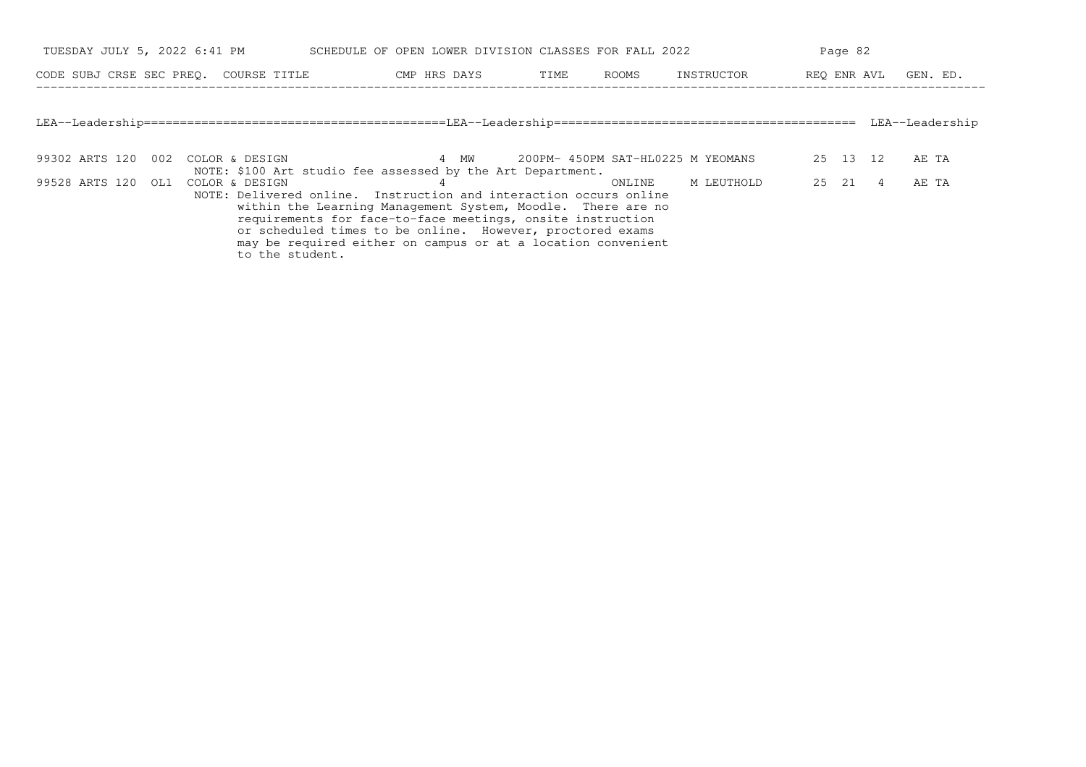| TUESDAY JULY 5, 2022 6:41 PM |     |                |                                                                                                                                                                                                                                                                                                                                                |      | SCHEDULE OF OPEN LOWER DIVISION CLASSES FOR FALL 2022 |        |                                   |             | Page 82  |   |          |
|------------------------------|-----|----------------|------------------------------------------------------------------------------------------------------------------------------------------------------------------------------------------------------------------------------------------------------------------------------------------------------------------------------------------------|------|-------------------------------------------------------|--------|-----------------------------------|-------------|----------|---|----------|
|                              |     |                | CODE SUBJ CRSE SEC PREO. COURSE TITLE THE CMP HRS DAYS                                                                                                                                                                                                                                                                                         |      | TIME                                                  | ROOMS  | INSTRUCTOR                        | REO ENR AVL |          |   | GEN. ED. |
|                              |     |                |                                                                                                                                                                                                                                                                                                                                                |      |                                                       |        |                                   |             |          |   |          |
|                              |     |                |                                                                                                                                                                                                                                                                                                                                                |      |                                                       |        |                                   |             |          |   |          |
| 99302 ARTS 120               | 002 | COLOR & DESIGN | NOTE: \$100 Art studio fee assessed by the Art Department.                                                                                                                                                                                                                                                                                     | 4 MW |                                                       |        | 200PM- 450PM SAT-HL0225 M YEOMANS |             | 25 13 12 |   | AE TA    |
| 99528 ARTS 120 OL1           |     | COLOR & DESIGN | NOTE: Delivered online. Instruction and interaction occurs online<br>within the Learning Management System, Moodle. There are no<br>requirements for face-to-face meetings, onsite instruction<br>or scheduled times to be online. However, proctored exams<br>may be required either on campus or at a location convenient<br>to the student. |      |                                                       | ONLINE | M LEUTHOLD                        | 25 21       |          | 4 | AE TA    |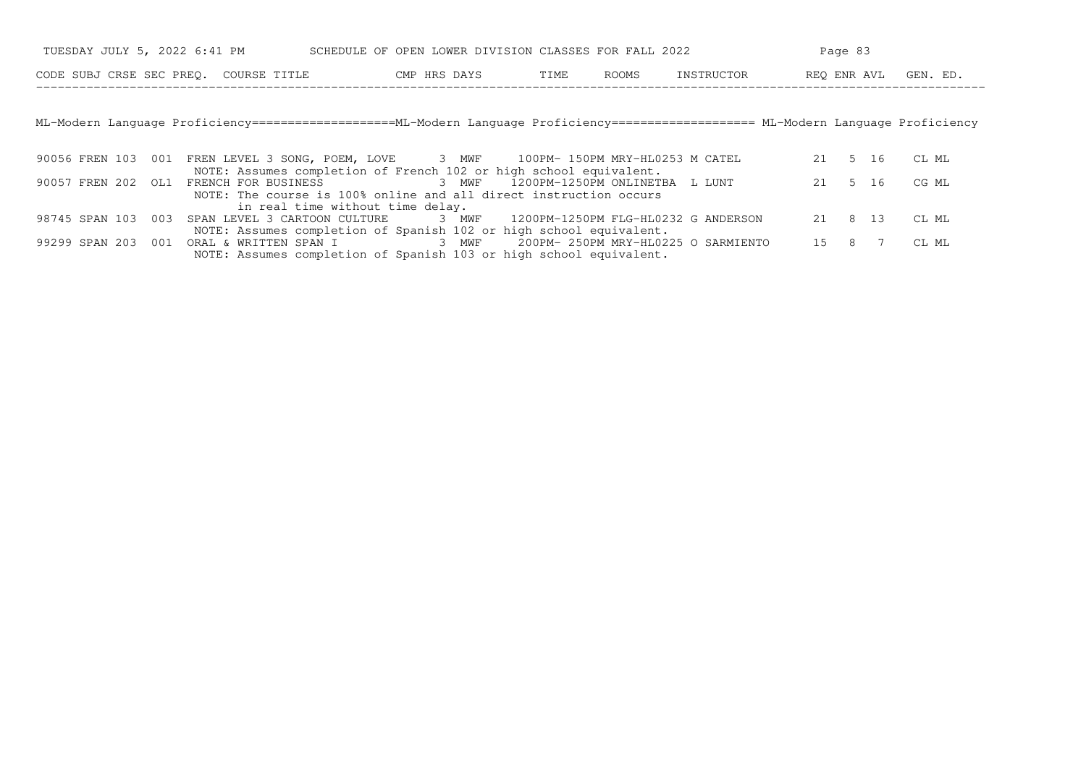| TUESDAY JULY 5, 2022 6:41 PM          | SCHEDULE OF OPEN LOWER DIVISION CLASSES FOR FALL 2022 |        |                            | Page 83                 |
|---------------------------------------|-------------------------------------------------------|--------|----------------------------|-------------------------|
| CODE SUBJ CRSE SEC PREO. COURSE TITLE | CMP HRS DAYS                                          | T TME. | <b>ROOMS</b><br>INSTRUCTOR | GEN. ED.<br>REO ENR AVL |

ML−Modern Language Proficiency====================ML−Modern Language Proficiency==================== ML−Modern Language Proficiency

|  | 90056 FREN 103 001 FREN LEVEL 3 SONG, POEM, LOVE 3 MWF 100PM-150PM MRY-HL0253 M CATEL          | 21 5 16 |  | CL ML |
|--|------------------------------------------------------------------------------------------------|---------|--|-------|
|  | NOTE: Assumes completion of French 102 or high school equivalent.                              |         |  |       |
|  | 90057 FREN 202 OL1 FRENCH FOR BUSINESS 3 MWF 1200PM-1250PM ONLINETBA L LUNT                    | 21 5 16 |  | CG ML |
|  | NOTE: The course is 100% online and all direct instruction occurs                              |         |  |       |
|  | in real time without time delay.                                                               |         |  |       |
|  | 98745 SPAN 103 003 SPAN LEVEL 3 CARTOON CULTURE 3 MWF 1200PM-1250PM FLG-HL0232 G ANDERSON      | 21 8 13 |  | CL ML |
|  | NOTE: Assumes completion of Spanish 102 or high school equivalent.                             |         |  |       |
|  | 99299 SPAN 203 001 ORAL & WRITTEN SPAN I 3 MWF 200PM-250PM MRY-HL0225 O SARMIENTO 15 8 7 CL ML |         |  |       |
|  | NOTE: Assumes completion of Spanish 103 or high school equivalent.                             |         |  |       |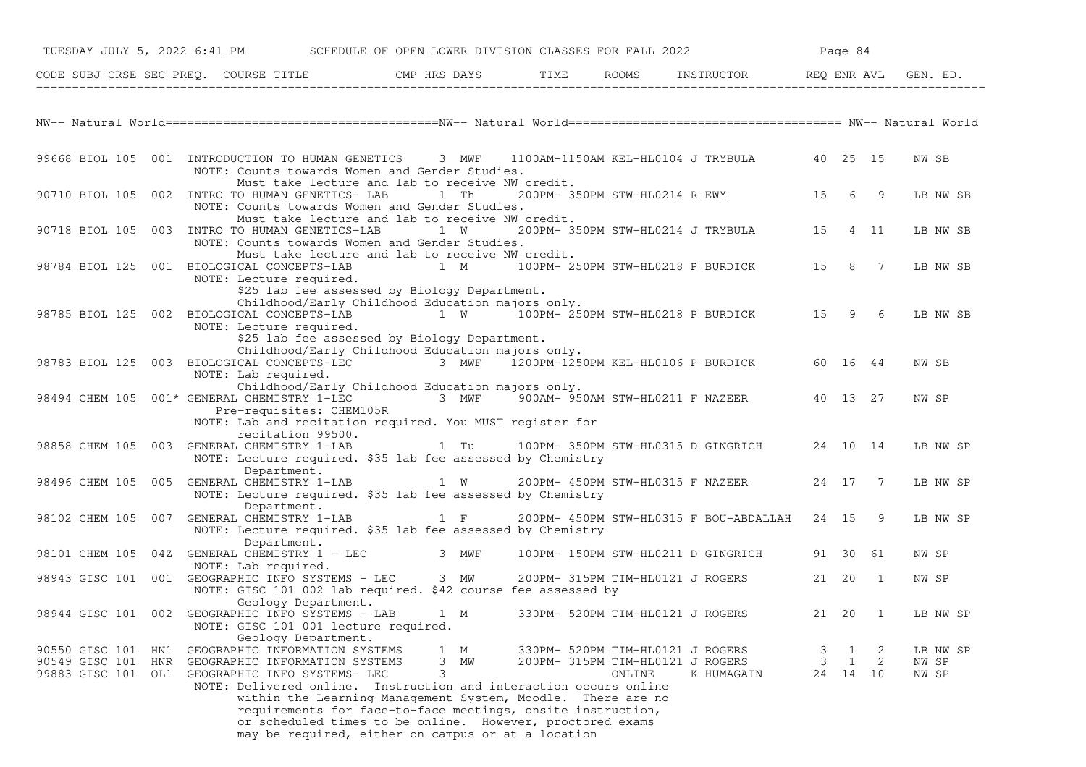|                                                                      | TUESDAY JULY 5, 2022 6:41 PM SCHEDULE OF OPEN LOWER DIVISION CLASSES FOR FALL 2022 Page 84                                                                                                                                                                                                                                                                                                                             |                                                   |                                                                                |                                                |         |                    |                            |
|----------------------------------------------------------------------|------------------------------------------------------------------------------------------------------------------------------------------------------------------------------------------------------------------------------------------------------------------------------------------------------------------------------------------------------------------------------------------------------------------------|---------------------------------------------------|--------------------------------------------------------------------------------|------------------------------------------------|---------|--------------------|----------------------------|
|                                                                      |                                                                                                                                                                                                                                                                                                                                                                                                                        |                                                   |                                                                                |                                                |         |                    |                            |
|                                                                      |                                                                                                                                                                                                                                                                                                                                                                                                                        |                                                   |                                                                                |                                                |         |                    |                            |
|                                                                      | 99668 BIOL 105 001 INTRODUCTION TO HUMAN GENETICS 3 MWF<br>NOTE: Counts towards Women and Gender Studies.                                                                                                                                                                                                                                                                                                              |                                                   |                                                                                | 1100AM-1150AM KEL-HL0104 J TRYBULA 40 25 15    |         |                    | NW SB                      |
|                                                                      | Must take lecture and lab to receive NW credit.<br>90710 BIOL 105 002 INTRO TO HUMAN GENETICS- LAB<br>NOTE: Counts towards Women and Gender Studies.<br>Must take lecture and lab to receive NW credit.                                                                                                                                                                                                                | 1 Th                                              |                                                                                | 200PM-350PM STW-HL0214 R EWY 15 6 9            |         |                    | LB NW SB                   |
|                                                                      | 90718 BIOL 105 003 INTRO TO HUMAN GENETICS-LAB     1 W<br>NOTE: Counts towards Women and Gender Studies.<br>Must take lecture and lab to receive NW credit.                                                                                                                                                                                                                                                            |                                                   |                                                                                | 200PM-350PM STW-HL0214 J TRYBULA 15 4 11       |         |                    | LB NW SB                   |
|                                                                      | 98784 BIOL 125 001 BIOLOGICAL CONCEPTS-LAB 1 M 100PM-250PM STW-HL0218 P BURDICK 15 8 7<br>NOTE: Lecture required.<br>\$25 lab fee assessed by Biology Department.                                                                                                                                                                                                                                                      |                                                   |                                                                                |                                                |         |                    | LB NW SB                   |
|                                                                      | Childhood/Early Childhood Education majors only.<br>98785 BIOL 125 002 BIOLOGICAL CONCEPTS-LAB 1 W 100PM- 250PM STW-HL0218 P BURDICK 15 9 6<br>NOTE: Lecture required.<br>\$25 lab fee assessed by Biology Department.                                                                                                                                                                                                 |                                                   |                                                                                |                                                |         |                    | LB NW SB                   |
|                                                                      | Childhood/Early Childhood Education majors only.<br>98783 BIOL 125 003 BIOLOGICAL CONCEPTS-LEC<br>NOTE: Lab required.                                                                                                                                                                                                                                                                                                  | 3 MWF 1200PM-1250PM KEL-HL0106 P BURDICK 60 16 44 |                                                                                |                                                |         |                    | NW SB                      |
|                                                                      | Childhood/Early Childhood Education majors only.<br>98494 CHEM 105 001* GENERAL CHEMISTRY 1-LEC<br>Pre-requisites: CHEM105R<br>NOTE: Lab and recitation required. You MUST register for                                                                                                                                                                                                                                | 3 MWF 900AM- 950AM STW-HL0211 F NAZEER 40 13 27   |                                                                                |                                                |         |                    | NW SP                      |
|                                                                      | recitation 99500.<br>98858 CHEM 105 003 GENERAL CHEMISTRY 1-LAB<br>NOTE: Lecture required. \$35 lab fee assessed by Chemistry                                                                                                                                                                                                                                                                                          |                                                   |                                                                                |                                                |         |                    | LB NW SP                   |
|                                                                      | Department.<br>98496 CHEM 105 005 GENERAL CHEMISTRY 1-LAB 1 W 200PM- 450PM STW-HL0315 F NAZEER 24 17 7<br>NOTE: Lecture required. \$35 lab fee assessed by Chemistry                                                                                                                                                                                                                                                   |                                                   |                                                                                |                                                |         |                    | LB NW SP                   |
| 98102 CHEM 105 007                                                   | Department.<br>GENERAL CHEMISTRY 1-LAB<br>NOTE: Lecture required. \$35 lab fee assessed by Chemistry<br>Department.                                                                                                                                                                                                                                                                                                    | $1 \tF$                                           |                                                                                | 200PM- 450PM STW-HL0315 F BOU-ABDALLAH 24 15 9 |         |                    | LB NW SP                   |
|                                                                      | 98101 CHEM 105 04Z GENERAL CHEMISTRY 1 - LEC 3 MWF                                                                                                                                                                                                                                                                                                                                                                     |                                                   |                                                                                | 100PM-150PM STW-HL0211 D GINGRICH 91 30 61     |         |                    | NW SP                      |
|                                                                      | NOTE: Lab required.<br>98943 GISC 101 001 GEOGRAPHIC INFO SYSTEMS - LEC 3 MW<br>NOTE: GISC 101 002 lab required. \$42 course fee assessed by<br>Geology Department.                                                                                                                                                                                                                                                    |                                                   |                                                                                | 200PM-315PM TIM-HL0121 J ROGERS 21 20 1        |         |                    | NW SP                      |
|                                                                      | 98944 GISC 101 002 GEOGRAPHIC INFO SYSTEMS - LAB 1 M 330PM- 520PM TIM-HL0121 J ROGERS 21 20 1<br>NOTE: GISC 101 001 lecture required.<br>Geology Department.                                                                                                                                                                                                                                                           |                                                   |                                                                                |                                                |         |                    | LB NW SP                   |
| 90550 GISC 101<br>HN1<br>90549 GISC 101<br>HNR<br>99883 GISC 101 OL1 | GEOGRAPHIC INFORMATION SYSTEMS<br>GEOGRAPHIC INFORMATION SYSTEMS<br>GEOGRAPHIC INFO SYSTEMS- LEC<br>NOTE: Delivered online. Instruction and interaction occurs online<br>within the Learning Management System, Moodle. There are no<br>requirements for face-to-face meetings, onsite instruction,<br>or scheduled times to be online. However, proctored exams<br>may be required, either on campus or at a location | M<br>1<br>3<br>MW<br>3                            | 330PM- 520PM TIM-HL0121 J ROGERS<br>200PM- 315PM TIM-HL0121 J ROGERS<br>ONLINE | K HUMAGAIN                                     | 3<br>24 | 2<br>1<br>14<br>10 | LB NW SP<br>NW SP<br>NW SP |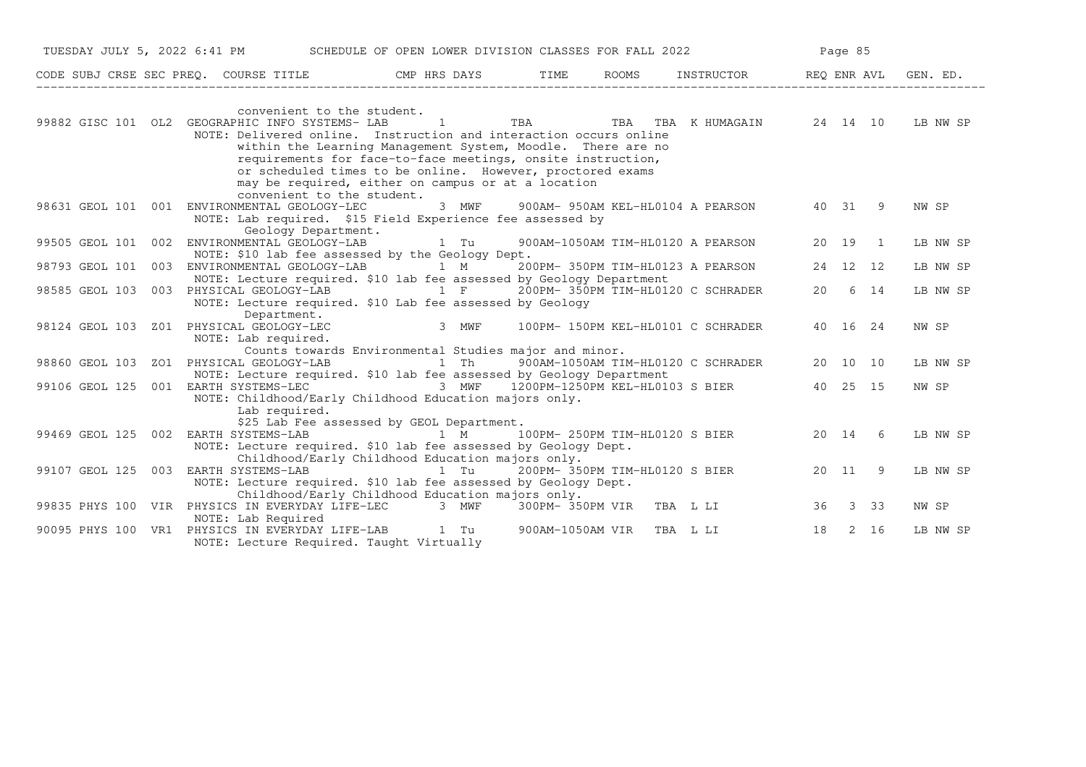|                    | TUESDAY JULY 5, 2022 6:41 PM SCHEDULE OF OPEN LOWER DIVISION CLASSES FOR FALL 2022 Page 85                                                                                                                      |                                                                                                                                                                                         |       |                                           |    |             |          |
|--------------------|-----------------------------------------------------------------------------------------------------------------------------------------------------------------------------------------------------------------|-----------------------------------------------------------------------------------------------------------------------------------------------------------------------------------------|-------|-------------------------------------------|----|-------------|----------|
|                    | CODE SUBJ CRSE SEC PREQ. COURSE TITLE THE CMP HRS DAYS TIME                                                                                                                                                     |                                                                                                                                                                                         | ROOMS | INSTRUCTOR                                |    | REQ ENR AVL | GEN. ED. |
|                    | convenient to the student.<br>99882 GISC 101 OL2 GEOGRAPHIC INFO SYSTEMS- LAB<br>NOTE: Delivered online. Instruction and interaction occurs online                                                              | within the Learning Management System, Moodle. There are no<br>requirements for face-to-face meetings, onsite instruction,<br>or scheduled times to be online. However, proctored exams |       | 1 TBA TBA TBA KHUMAGAIN 24 14 10 LB NW SP |    |             |          |
|                    | convenient to the student.<br>98631 GEOL 101 001 ENVIRONMENTAL GEOLOGY-LEC<br>NOTE: Lab required. \$15 Field Experience fee assessed by<br>Geology Department.                                                  | may be required, either on campus or at a location<br>3 MWF 900AM-950AM KEL-HL0104 A PEARSON 40 31 9                                                                                    |       |                                           |    |             | NW SP    |
| 99505 GEOL 101 002 | ENVIRONMENTAL GEOLOGY-LAB                                                                                                                                                                                       | 1 Tu                                                                                                                                                                                    |       | 900AM-1050AM TIM-HL0120 A PEARSON         |    | 20 19 1     | LB NW SP |
| 98793 GEOL 101 003 | NOTE: \$10 lab fee assessed by the Geology Dept.<br>ENVIRONMENTAL GEOLOGY-LAB 1 M<br>NOTE: Lecture required. \$10 lab fee assessed by Geology Department                                                        |                                                                                                                                                                                         |       | 200PM- 350PM TIM-HL0123 A PEARSON         |    | 24 12 12    | LB NW SP |
|                    | 98585 GEOL 103 003 PHYSICAL GEOLOGY-LAB 1 F 200PM-350PM TIM-HL0120 C SCHRADER<br>NOTE: Lecture required. \$10 Lab fee assessed by Geology<br>Department.                                                        |                                                                                                                                                                                         |       |                                           |    | 20 6 14     | LB NW SP |
|                    | 98124 GEOL 103 Z01 PHYSICAL GEOLOGY-LEC 3 MWF<br>NOTE: Lab required.                                                                                                                                            |                                                                                                                                                                                         |       | 100PM- 150PM KEL-HL0101 C SCHRADER        |    | 40 16 24    | NW SP    |
|                    | 98860 GEOL 103 ZO1 PHYSICAL GEOLOGY-LAB<br>NOTE: Lecture required. \$10 lab fee assessed by Geology Department                                                                                                  | Counts towards Environmental Studies major and minor.                                                                                                                                   |       | 1 Th 900AM-1050AM TIM-HL0120 C SCHRADER   |    | 20 10 10    | LB NW SP |
|                    | 99106 GEOL 125 001 EARTH SYSTEMS-LEC 3 MWF 1200PM-1250PM KEL-HL0103 S BIER 40 25 15<br>NOTE: Childhood/Early Childhood Education majors only.                                                                   |                                                                                                                                                                                         |       |                                           |    |             | NW SP    |
|                    | Lab required.<br>\$25 Lab Fee assessed by GEOL Department.<br>99469 GEOL 125 002 EARTH SYSTEMS-LAB 1 M 100PM- 250PM TIM-HL0120 S BIER 20 14 6<br>NOTE: Lecture required. \$10 lab fee assessed by Geology Dept. |                                                                                                                                                                                         |       |                                           |    |             | LB NW SP |
| 99107 GEOL 125 003 | EARTH SYSTEMS-LAB<br>NOTE: Lecture required. \$10 lab fee assessed by Geology Dept.                                                                                                                             | Childhood/Early Childhood Education majors only.<br>1 Tu                                                                                                                                |       | 200PM- 350PM TIM-HL0120 S BIER            |    | 20 11 9     | LB NW SP |
|                    | 99835 PHYS 100 VIR PHYSICS IN EVERYDAY LIFE-LEC 3 MWF                                                                                                                                                           | Childhood/Early Childhood Education majors only.                                                                                                                                        |       | 300PM-350PM VIR TBA L LI                  |    | 36 3 33     | NW SP    |
| 90095 PHYS 100 VR1 | NOTE: Lab Required<br>PHYSICS IN EVERYDAY LIFE-LAB 1 Tu 900AM-1050AM VIR TBA L LI<br>NOTE: Lecture Required. Taught Virtually                                                                                   |                                                                                                                                                                                         |       |                                           | 18 | 2 16        | LB NW SP |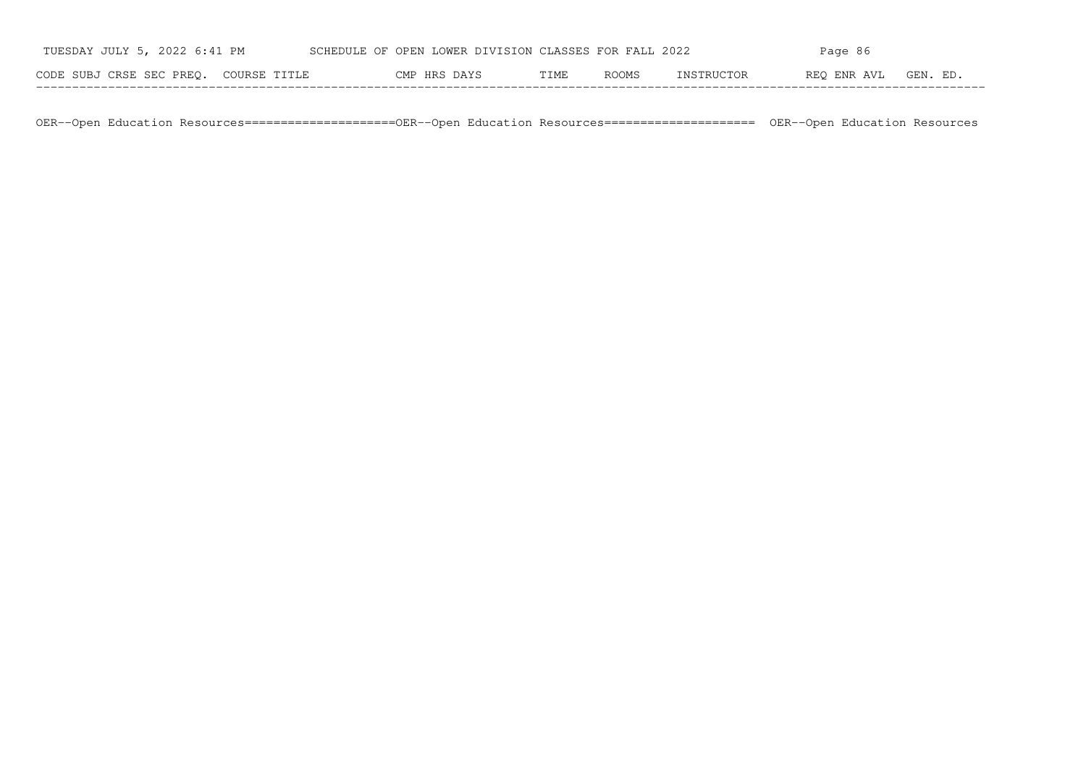| TUESDAY JULY 5, 2022 6:41 PM          | SCHEDULE OF OPEN LOWER DIVISION CLASSES FOR FALL 2022 |       |              |            | Page 86     |         |
|---------------------------------------|-------------------------------------------------------|-------|--------------|------------|-------------|---------|
| CODE SUBJ CRSE SEC PREO. COURSE TITLE | CMP HRS DAYS                                          | TTMF. | <b>ROOMS</b> | TNSTRHCTOR | REO ENR AVL | GEN, ED |

OER−−Open Education Resources=====================OER−−Open Education Resources===================== OER−−Open Education Resources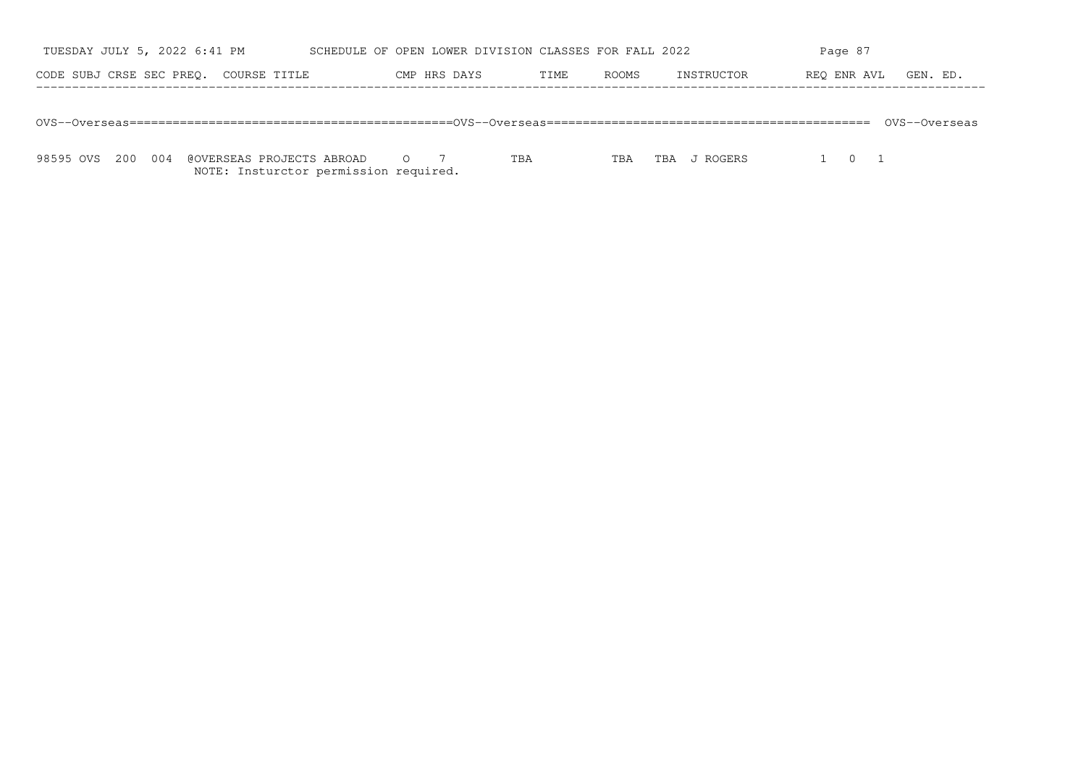| TUESDAY JULY 5, 2022 6:41 PM |  |                                       |                                                                        |  |              | SCHEDULE OF OPEN LOWER DIVISION CLASSES FOR FALL 2022 |       |              |            | Page 87             |  |          |               |
|------------------------------|--|---------------------------------------|------------------------------------------------------------------------|--|--------------|-------------------------------------------------------|-------|--------------|------------|---------------------|--|----------|---------------|
|                              |  | CODE SUBJ CRSE SEC PREO. COURSE TITLE |                                                                        |  | CMP HRS DAYS | TIME                                                  | ROOMS |              | INSTRUCTOR | REO ENR AVL         |  | GEN. ED. |               |
|                              |  |                                       |                                                                        |  |              |                                                       |       |              |            |                     |  |          |               |
|                              |  |                                       | $0VS--0/20VSS-0.0244$                                                  |  |              |                                                       |       |              |            |                     |  |          | OVS--Overseas |
|                              |  |                                       |                                                                        |  |              |                                                       |       |              |            |                     |  |          |               |
| 98595 OVS 200 004            |  |                                       | @OVERSEAS PROJECTS ABROAD 0 7<br>NOTE: Insturctor permission required. |  |              | TBA                                                   | TBA   | TBA J ROGERS |            | $1 \quad 0 \quad 1$ |  |          |               |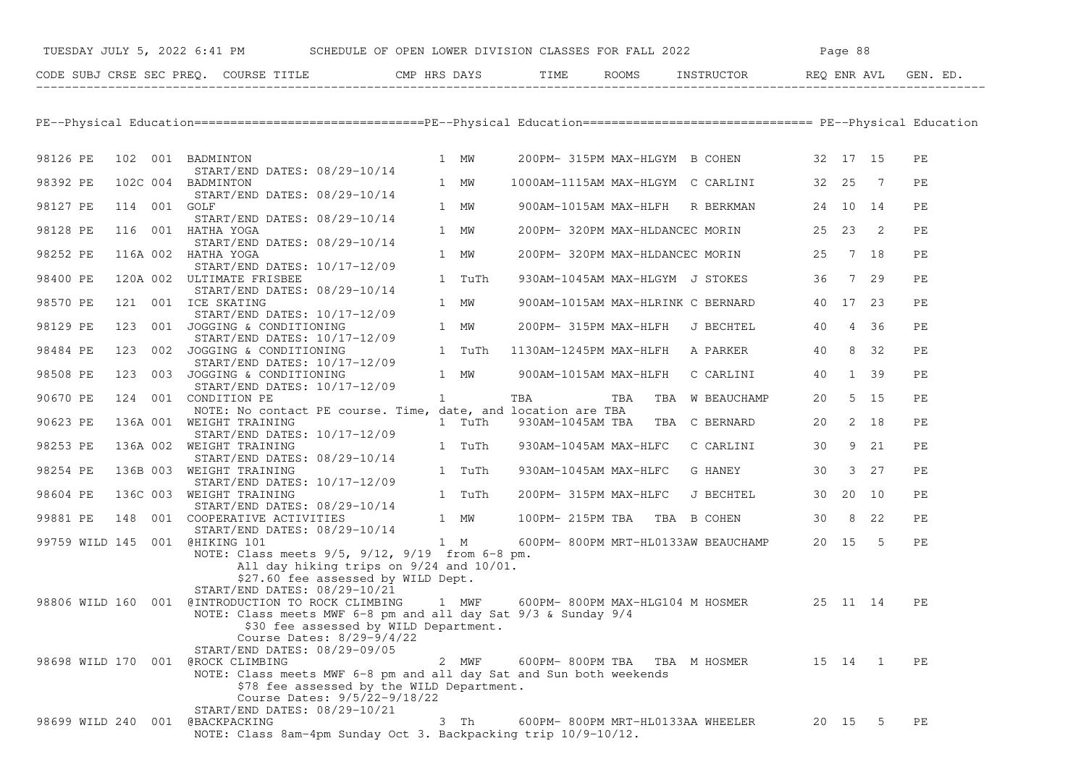| TUESDAY JULY 5, 2022 6:41 PM SCHEDULE OF OPEN LOWER DIVISION CLASSES FOR FALL 2022 Page 88 |  |  |                                                                                                                                                                                                                                         |         |                   |                                               |  |  |         |    |          |
|--------------------------------------------------------------------------------------------|--|--|-----------------------------------------------------------------------------------------------------------------------------------------------------------------------------------------------------------------------------------------|---------|-------------------|-----------------------------------------------|--|--|---------|----|----------|
|                                                                                            |  |  | CODE SUBJ CRSE SEC PREQ. COURSE TITLE THE THE THE ROOMS INSTRUCTOR THE REQ ENR AVL GEN. ED.                                                                                                                                             |         |                   |                                               |  |  |         |    |          |
|                                                                                            |  |  | PE--Physical Education===============================PE--Physical Education=============================== PE--Physical Education                                                                                                       |         |                   |                                               |  |  |         |    |          |
| 98126 PE                                                                                   |  |  | 102 001 BADMINTON 1 MW 200PM-315PM MAX-HLGYM B COHEN 32 17 15<br>START/END DATES: 08/29-10/14                                                                                                                                           |         |                   |                                               |  |  |         |    | PE       |
| 98392 PE                                                                                   |  |  | 102C 004 BADMINTON                                                                                                                                                                                                                      | 1 MW    |                   | 1000AM-1115AM MAX-HLGYM C CARLINI 32 25 7     |  |  |         |    | PE       |
| 98127 PE 114 001 GOLF                                                                      |  |  | START/END DATES: 08/29-10/14                                                                                                                                                                                                            | 1 MW    |                   | 900AM-1015AM MAX-HLFH R BERKMAN 24 10 14      |  |  |         |    | PE       |
| 98128 PE                                                                                   |  |  | START/END DATES: 08/29-10/14<br>116 001 HATHA YOGA                                                                                                                                                                                      | 1 MW    |                   | 200PM-320PM MAX-HLDANCEC MORIN 25 23 2        |  |  |         |    | PЕ       |
| 98252 PE                                                                                   |  |  | START/END DATES: 08/29-10/14<br>116A 002 HATHA YOGA                                                                                                                                                                                     | 1 MW    |                   | 200PM-320PM MAX-HLDANCEC MORIN 25 7 18        |  |  |         |    | PE       |
| 98400 PE                                                                                   |  |  | START/END DATES: 10/17-12/09<br>120A 002 ULTIMATE FRISBEE                                                                                                                                                                               | 1 TuTh  |                   | 930AM-1045AM MAX-HLGYM J STOKES 36 7 29       |  |  |         |    | PЕ       |
| 98570 PE                                                                                   |  |  | START/END DATES: 08/29-10/14<br>121 001 ICE SKATING                                                                                                                                                                                     | 1 MW    |                   | 900AM-1015AM MAX-HLRINK C BERNARD 40 17 23    |  |  |         |    | PE       |
| 98129 PE                                                                                   |  |  | START/END DATES: 10/17-12/09<br>JOGGING & CONDITIONING 1 MW<br>START/END DATES: 10/17-12/09<br>TOGGING & 2011 ----<br>123 001 JOGGING & CONDITIONING                                                                                    |         |                   | 200PM-315PM MAX-HLFH J BECHTEL 40 4 36        |  |  |         |    | $\rm PE$ |
| 98484 PE                                                                                   |  |  | 123 002 JOGGING & CONDITIONING<br>START/END DATES: 10/17-12/09<br>1 TuTh 1130AM-1245PM MAX-HLFH A PARKER<br>1 TuTh 1130AM-1245PM MAX-HLFH A PARKER<br>1 CONDITION                                                                       |         |                   |                                               |  |  |         |    | PЕ       |
| 98508 PE                                                                                   |  |  | 123 003 JOGGING & CONDITIONING 1 MW 900AM-1015AM MAX-HLFH C CARLINI 40 1 39                                                                                                                                                             |         |                   |                                               |  |  |         |    | PЕ       |
| 90670 PE                                                                                   |  |  | START/END DATES: 10/17-12/09<br>124 001 CONDITION PE                                                                                                                                                                                    |         | $1 \qquad \qquad$ | TBA TBA TBA W BEAUCHAMP 20 5 15               |  |  |         |    | PЕ       |
| 90623 PE                                                                                   |  |  | NOTE: No contact PE course. Time, date, and location are TBA<br>136A 001 WEIGHT TRAINING                                                                                                                                                |         |                   | 1 TuTh 930AM-1045AM TBA TBA C BERNARD 20 2 18 |  |  |         |    | PE       |
| 98253 PE                                                                                   |  |  | START/END DATES: 10/17-12/09<br>136A 002 WEIGHT TRAINING 1 TUTh 930AM-1045AM MAX-HLFC C CARLINI 30 9 21                                                                                                                                 |         |                   |                                               |  |  |         |    | PE       |
|                                                                                            |  |  | 98254 PE 136B 003 WEIGHT TRAINING                                                                                                                                                                                                       | 1 TuTh  |                   | 930AM-1045AM MAX-HLFC G HANEY 30 3 27         |  |  |         |    | PЕ       |
|                                                                                            |  |  | START/END DATES: 10/17-12/09                                                                                                                                                                                                            |         |                   |                                               |  |  |         |    | PЕ       |
|                                                                                            |  |  | 98604 PE 136C 003 WEIGHT TRAINING<br>START/END DATES: 08/29-10/14<br>99881 PE 148 001 COOPERATIVE ACTIVITIES<br>START/END DATES: 08/29-10/14<br>200PM-215PM TBA TBA B COHEN 30 8 22<br>200PM-215PM TBA TBA B COHEN 30 8 22              |         |                   |                                               |  |  |         |    | PE       |
|                                                                                            |  |  | 1 M 600PM-800PM MRT-HL0133AW BEAUCHAMP 20 15 5<br>99759 WILD 145 001 @HIKING 101                                                                                                                                                        |         |                   |                                               |  |  |         |    | PE       |
|                                                                                            |  |  | NOTE: Class meets 9/5, 9/12, 9/19 from 6-8 pm.<br>All day hiking trips on 9/24 and 10/01.<br>\$27.60 fee assessed by WILD Dept.<br>START/END DATES: 08/29-10/21                                                                         |         |                   |                                               |  |  |         |    |          |
|                                                                                            |  |  | 98806 WILD 160 001 @INTRODUCTION TO ROCK CLIMBING 1 MWF 600PM-800PM MAX-HLG104 M HOSMER 25 11 14<br>NOTE: Class meets MWF 6-8 pm and all day Sat 9/3 & Sunday 9/4<br>\$30 fee assessed by WILD Department.<br>Course Dates: 8/29-9/4/22 |         |                   |                                               |  |  |         |    | РE       |
|                                                                                            |  |  | START/END DATES: 08/29-09/05<br>98698 WILD 170 001 @ROCK CLIMBING<br>NOTE: Class meets MWF 6-8 pm and all day Sat and Sun both weekends<br>\$78 fee assessed by the WILD Department.                                                    | 2 MWF   |                   | 600PM-800PM TBA TBA M HOSMER                  |  |  | 15 14 1 |    | PЕ       |
|                                                                                            |  |  | Course Dates: 9/5/22-9/18/22<br>START/END DATES: 08/29-10/21<br>98699 WILD 240 001 @BACKPACKING<br>NOTE: Class 8am-4pm Sunday Oct 3. Backpacking trip 10/9-10/12.                                                                       | 3<br>Th |                   | 600PM- 800PM MRT-HL0133AA WHEELER             |  |  | 20 15   | -5 | PЕ       |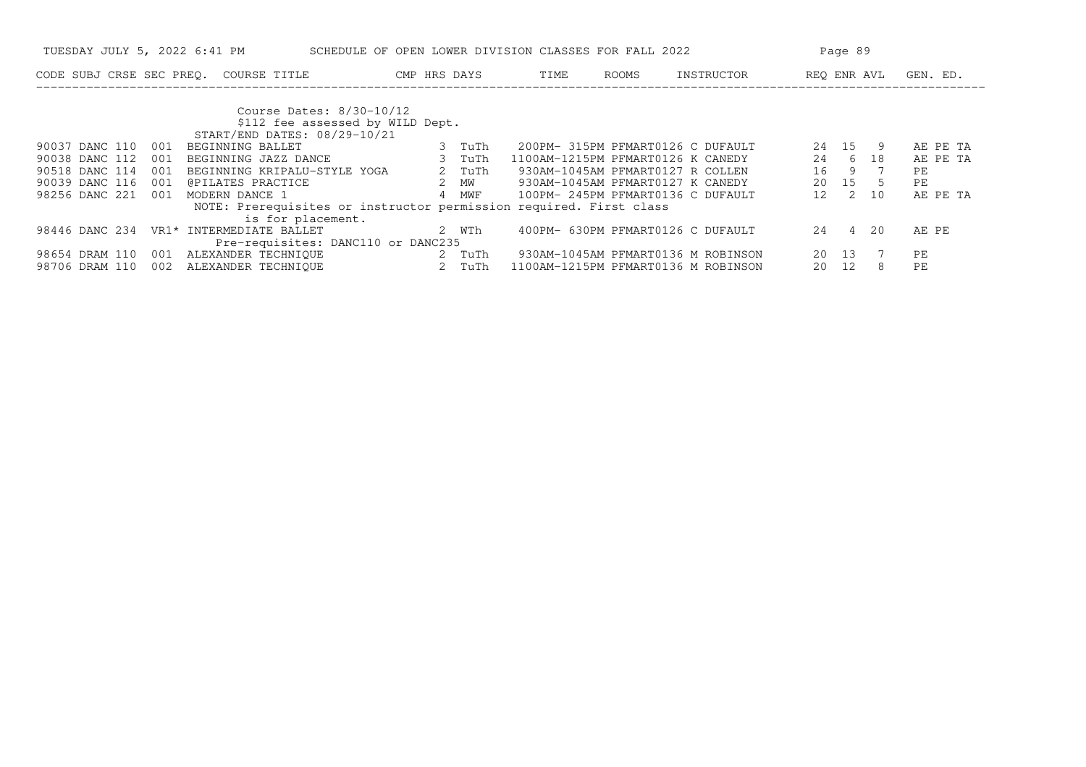| TUESDAY JULY 5, 2022 6:41 PM |       |                                       |                                                                    |              |        | SCHEDULE OF OPEN LOWER DIVISION CLASSES FOR FALL 2022 |                                   |                                     |    | Page 89   |             |          |
|------------------------------|-------|---------------------------------------|--------------------------------------------------------------------|--------------|--------|-------------------------------------------------------|-----------------------------------|-------------------------------------|----|-----------|-------------|----------|
|                              |       | CODE SUBJ CRSE SEC PREO. COURSE TITLE |                                                                    | CMP HRS DAYS |        | TIME                                                  | ROOMS                             | INSTRUCTOR                          |    |           | REO ENR AVL | GEN. ED. |
|                              |       |                                       |                                                                    |              |        |                                                       |                                   |                                     |    |           |             |          |
|                              |       |                                       | Course Dates: $8/30-10/12$                                         |              |        |                                                       |                                   |                                     |    |           |             |          |
|                              |       |                                       | \$112 fee assessed by WILD Dept.                                   |              |        |                                                       |                                   |                                     |    |           |             |          |
|                              |       |                                       | START/END DATES: 08/29-10/21                                       |              |        |                                                       |                                   |                                     |    |           |             |          |
| 90037 DANC 110               | 001   | BEGINNING BALLET                      |                                                                    |              | 3 TuTh |                                                       | 200PM- 315PM PFMART0126 C DUFAULT |                                     |    |           | 24 15 9     | AE PE TA |
| 90038 DANC 112               | - 001 | BEGINNING JAZZ DANCE                  |                                                                    |              | 3 TuTh |                                                       | 1100AM-1215PM PFMART0126 K CANEDY |                                     | 24 | 6 18      |             | AE PE TA |
| 90518 DANC 114               | 001   |                                       | BEGINNING KRIPALU-STYLE YOGA                                       |              | 2 TuTh |                                                       | 930AM-1045AM PFMART0127 R COLLEN  |                                     |    | 16 9 7    |             | PE       |
| 90039 DANC 116 001           |       | @PILATES PRACTICE                     |                                                                    |              | 2 MW   |                                                       | 930AM-1045AM PFMART0127 K CANEDY  |                                     |    |           | 20 15 5     | PЕ       |
| 98256 DANC 221 001           |       | MODERN DANCE 1                        |                                                                    |              | 4 MWF  | 100PM- 245PM PFMART0136 C DUFAULT                     |                                   |                                     |    | 12  2  10 |             | AE PE TA |
|                              |       |                                       | NOTE: Prerequisites or instructor permission required. First class |              |        |                                                       |                                   |                                     |    |           |             |          |
|                              |       |                                       | is for placement.                                                  |              |        |                                                       |                                   |                                     |    |           |             |          |
| 98446 DANC 234               |       | VR1* INTERMEDIATE BALLET              |                                                                    |              | 2 WTh  |                                                       | 400PM- 630PM PFMART0126 C DUFAULT |                                     |    | 24 4 20   |             | AE PE    |
|                              |       |                                       | Pre-requisites: DANC110 or DANC235                                 |              |        |                                                       |                                   |                                     |    |           |             |          |
| 98654 DRAM 110               | 001   | ALEXANDER TECHNIOUE                   |                                                                    |              | 2 TuTh |                                                       |                                   | 930AM-1045AM PFMART0136 M ROBINSON  |    | 20 13     | 7           | PE       |
| 98706 DRAM 110               | 002   | ALEXANDER TECHNIQUE                   |                                                                    |              | 2 TuTh |                                                       |                                   | 1100AM-1215PM PFMART0136 M ROBINSON |    | 20 12     | -8          | PE       |
|                              |       |                                       |                                                                    |              |        |                                                       |                                   |                                     |    |           |             |          |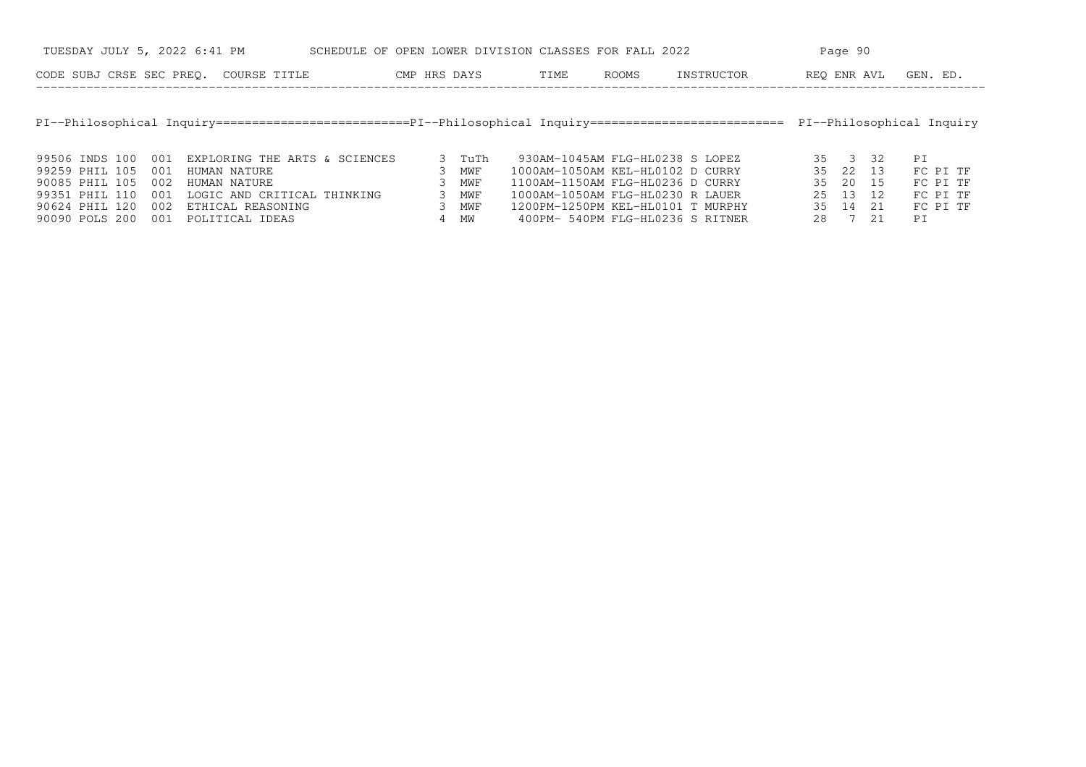| TUESDAY JULY 5, 2022 6:41 PM |                               |              | SCHEDULE OF OPEN LOWER DIVISION CLASSES FOR FALL 2022                                                     | Page 90                     |
|------------------------------|-------------------------------|--------------|-----------------------------------------------------------------------------------------------------------|-----------------------------|
| CODE SUBJ CRSE SEC PREO.     | COURSE TITLE                  | CMP HRS DAYS | <b>ROOMS</b><br>TIME<br>INSTRUCTOR                                                                        | REO ENR AVL<br>GEN. ED.     |
|                              |                               |              |                                                                                                           |                             |
|                              |                               |              | PI--Philosophical Inquiry=========================PI--Philosophical Inquiry============================== | PI--Philosophical Inquiry   |
|                              |                               |              |                                                                                                           |                             |
| 99506 INDS 100<br>001        | EXPLORING THE ARTS & SCIENCES | 3 TuTh       | 930AM-1045AM FLG-HL0238 S LOPEZ                                                                           | 3 32<br>PI<br>35            |
| 99259 PHIL 105<br>001        | HUMAN NATURE                  | MWF          | 1000AM-1050AM KEL-HL0102 D CURRY                                                                          | 35<br>2.2<br>13<br>FC PI TF |
| 90085 PHIL 105<br>002        | HUMAN NATURE                  | MWF          | 1100AM-1150AM FLG-HL0236 D CURRY                                                                          | 35<br>20<br>15<br>FC PI TF  |
| 99351 PHIL 110<br>001        | LOGIC AND CRITICAL THINKING   | MWF          | 1000AM-1050AM FLG-HL0230 R LAUER                                                                          | 25 13<br>12<br>FC PI TF     |
| 90624 PHIL 120<br>002        | ETHICAL REASONING             | MWF          | 1200PM-1250PM KEL-HL0101 T MURPHY                                                                         | 35 14<br>FC PI TF<br>21     |
| 90090 POLS 200<br>001        | POLITICAL IDEAS               | МW<br>4      | 400PM- 540PM FLG-HL0236 S RITNER                                                                          | 28<br>21<br>PI              |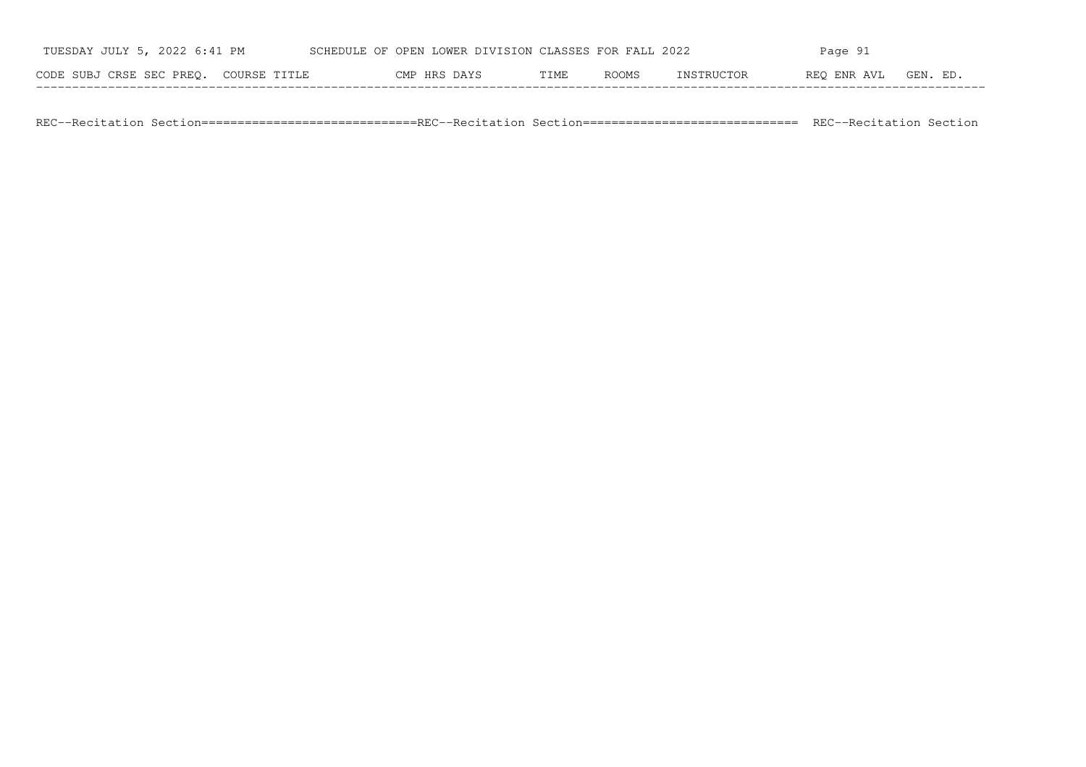| TUESDAY JULY 5, 2022 6:41 PM          | SCHEDULE OF OPEN LOWER DIVISION CLASSES FOR FALL 2022 |       |              |             | Page 91     |         |
|---------------------------------------|-------------------------------------------------------|-------|--------------|-------------|-------------|---------|
| CODE SUBJ CRSE SEC PREO. COURSE TITLE | CMP HRS DAYS                                          | TTME. | <b>ROOMS</b> | TNSTRIICTOR | REO ENR AVL | GEN, ED |

REC--Recitation Section===========================REC--Recitation Section============================= REC--Recitation Section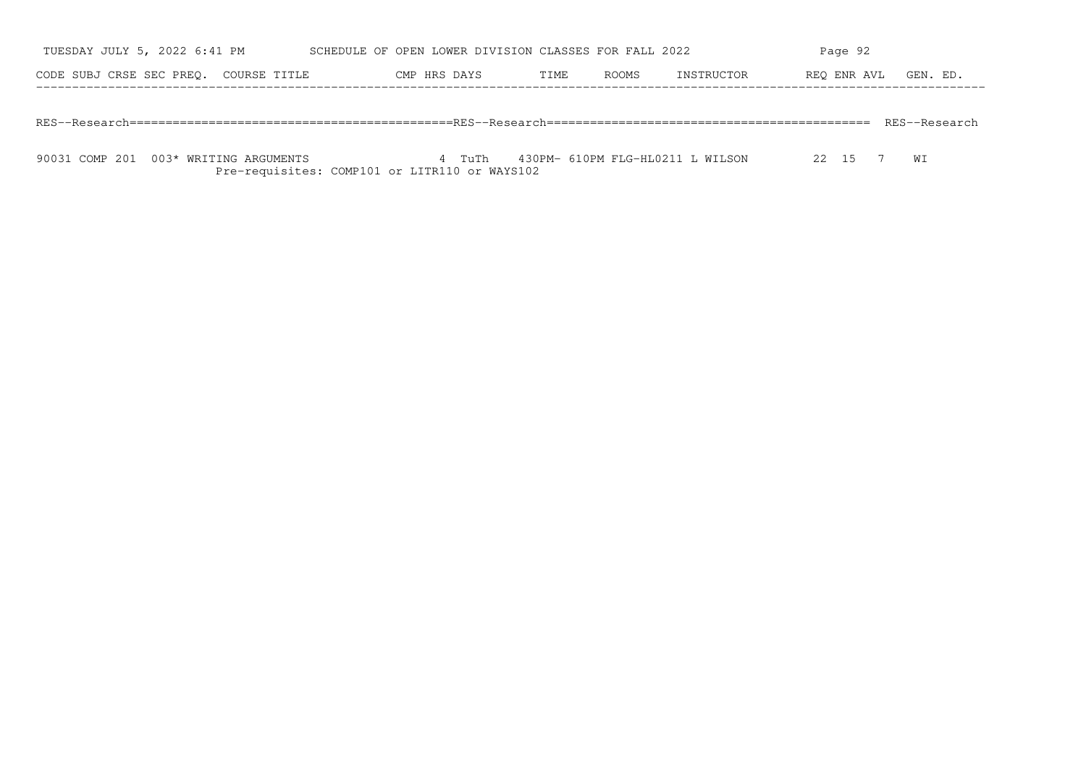| TUESDAY JULY 5, 2022 6:41 PM          | SCHEDULE OF OPEN LOWER DIVISION CLASSES FOR FALL 2022 |       |            | Page 92     |               |
|---------------------------------------|-------------------------------------------------------|-------|------------|-------------|---------------|
| CODE SUBJ CRSE SEC PREO. COURSE TITLE | CMP HRS DAYS<br>TIME                                  | ROOMS | INSTRUCTOR | REO ENR AVL | GEN. ED.      |
|                                       |                                                       |       |            |             |               |
|                                       |                                                       |       |            |             | RES--Research |

90031 COMP 201 003\* WRITING ARGUMENTS 4 TuTh 430PM- 610PM FLG-HL0211 L WILSON 22 15 7 WI Pre−requisites: COMP101 or LITR110 or WAYS102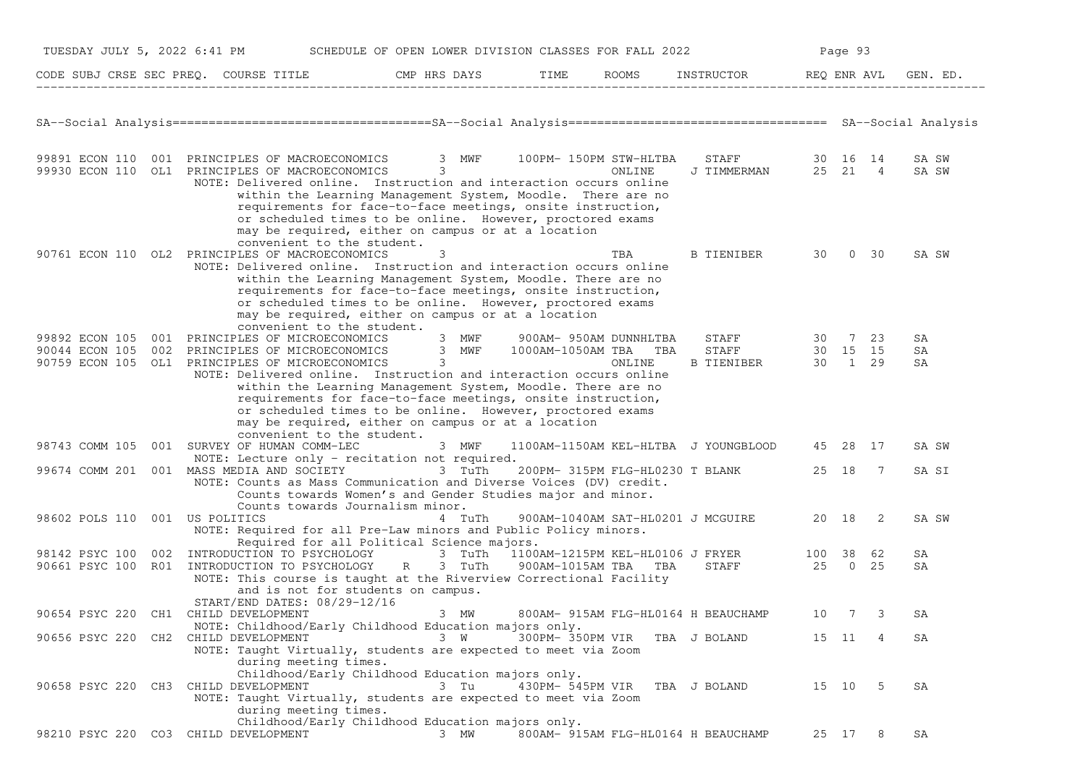| TUESDAY JULY 5, 2022 6:41 PM |                                                                                                                                                                                                                                                                                                                           | SCHEDULE OF OPEN LOWER DIVISION CLASSES FOR FALL 2022                                                                                                                                                                                              |                       |                                  |                                                               |         | Page 93  |             |                |
|------------------------------|---------------------------------------------------------------------------------------------------------------------------------------------------------------------------------------------------------------------------------------------------------------------------------------------------------------------------|----------------------------------------------------------------------------------------------------------------------------------------------------------------------------------------------------------------------------------------------------|-----------------------|----------------------------------|---------------------------------------------------------------|---------|----------|-------------|----------------|
|                              | CODE SUBJ CRSE SEC PREQ. COURSE TITLE THE CMP HRS DAYS                                                                                                                                                                                                                                                                    |                                                                                                                                                                                                                                                    | TIME                  |                                  | ROOMS INSTRUCTOR REQ ENR AVL                                  |         |          |             | GEN. ED.       |
|                              |                                                                                                                                                                                                                                                                                                                           |                                                                                                                                                                                                                                                    |                       |                                  |                                                               |         |          |             |                |
|                              | 99891 ECON 110 001 PRINCIPLES OF MACROECONOMICS 3 MWF 100PM-150PM STW-HLTBA<br>99930 ECON 110 OL1 PRINCIPLES OF MACROECONOMICS 3<br>NOTE: Delivered online. Instruction and interaction occurs online                                                                                                                     | within the Learning Management System, Moodle. There are no<br>requirements for face-to-face meetings, onsite instruction,<br>or scheduled times to be online. However, proctored exams<br>may be required, either on campus or at a location      |                       |                                  | STAFF 30 16 14<br>J TIMMERMAN 25 21 4                         |         |          |             | SA SW<br>SA SW |
|                              | convenient to the student.<br>90761 ECON 110 OL2 PRINCIPLES OF MACROECONOMICS<br>NOTE: Delivered online. Instruction and interaction occurs online<br>convenient to the student.                                                                                                                                          | 3<br>within the Learning Management System, Moodle. There are no<br>requirements for face-to-face meetings, onsite instruction,<br>or scheduled times to be online. However, proctored exams<br>may be required, either on campus or at a location |                       | TBA                              | B TIENIBER 30                                                 |         |          | $0\quad 30$ | SA SW          |
|                              | 99892 ECON 105 001 PRINCIPLES OF MICROECONOMICS 3 MWF<br>90044 ECON 105 002 PRINCIPLES OF MICROECONOMICS 3 MWF<br>90759 ECON 105 OL1 PRINCIPLES OF MICROECONOMICS 3<br>90759 ECON 105 OL1 PRINCIPLES OF MICROECONOMICS<br>NOTE: Delivered online. Instruction and interaction occurs online<br>convenient to the student. | 3<br>within the Learning Management System, Moodle. There are no<br>requirements for face-to-face meetings, onsite instruction,<br>or scheduled times to be online. However, proctored exams<br>may be required, either on campus or at a location | 1000AM-1050AM TBA TBA | 900AM- 950AM DUNNHLTBA<br>ONLINE | STAFF 30 7 23<br>STAFF 30 15 15<br>B TIENIBER 30 1 29         |         |          |             | SA<br>SA<br>SA |
| 98743 COMM 105               | 001 SURVEY OF HUMAN COMM-LEC<br>NOTE: Lecture only - recitation not required.                                                                                                                                                                                                                                             | 3 MWF                                                                                                                                                                                                                                              |                       |                                  | 1100AM-1150AM KEL-HLTBA J YOUNGBLOOD                          |         | 45 28 17 |             | SA SW          |
|                              | 99674 COMM 201 001 MASS MEDIA AND SOCIETY<br>NOTE: Counts as Mass Communication and Diverse Voices (DV) credit.<br>Counts towards Journalism minor.                                                                                                                                                                       | 3 TuTh<br>Counts towards Women's and Gender Studies major and minor.                                                                                                                                                                               |                       |                                  | 200PM- 315PM FLG-HL0230 T BLANK                               |         | 25 18    | 7           | SA SI          |
| 98602 POLS 110               | 001 US POLITICS<br>NOTE: Required for all Pre-Law minors and Public Policy minors.                                                                                                                                                                                                                                        | 4 TuTh<br>Required for all Political Science majors.                                                                                                                                                                                               |                       |                                  | 900AM-1040AM SAT-HL0201 J MCGUIRE                             |         | 20 18    | -2          | SA SW          |
| 98142 PSYC 100<br>002        | INTRODUCTION TO PSYCHOLOGY<br>90661 PSYC 100 R01 INTRODUCTION TO PSYCHOLOGY R 3 TuTh<br>NOTE: This course is taught at the Riverview Correctional Facility<br>and is not for students on campus.<br>START/END DATES: 08/29-12/16                                                                                          |                                                                                                                                                                                                                                                    |                       | 900AM-1015AM TBA TBA             | 3 TuTh  1100AM-1215PM KEL-HL0106 J FRYER   100 38 62<br>STAFF | 25 0 25 |          |             | SΑ<br>SA       |
|                              | 90654 PSYC 220 CH1 CHILD DEVELOPMENT<br>NOTE: Childhood/Early Childhood Education majors only.                                                                                                                                                                                                                            | 3 MW                                                                                                                                                                                                                                               |                       |                                  | 800AM- 915AM FLG-HL0164 H BEAUCHAMP                           |         | 10 7     | 3           | SA             |
|                              | 90656 PSYC 220 CH2 CHILD DEVELOPMENT<br>NOTE: Taught Virtually, students are expected to meet via Zoom<br>during meeting times.                                                                                                                                                                                           | $3 \quad W$<br>Childhood/Early Childhood Education majors only.                                                                                                                                                                                    | 300PM- 350PM VIR      |                                  | TBA J BOLAND                                                  |         | 15 11    | 4           | SA             |
|                              | 90658 PSYC 220 CH3 CHILD DEVELOPMENT<br>NOTE: Taught Virtually, students are expected to meet via Zoom<br>during meeting times.                                                                                                                                                                                           | 3 Tu                                                                                                                                                                                                                                               | 430PM- 545PM VIR      |                                  | TBA J BOLAND                                                  |         | 15 10    | -5          | SA             |
|                              | 98210 PSYC 220 CO3 CHILD DEVELOPMENT                                                                                                                                                                                                                                                                                      | Childhood/Early Childhood Education majors only.<br>3 MW                                                                                                                                                                                           |                       |                                  | 800AM- 915AM FLG-HL0164 H BEAUCHAMP                           |         | 25 17 8  |             | SA             |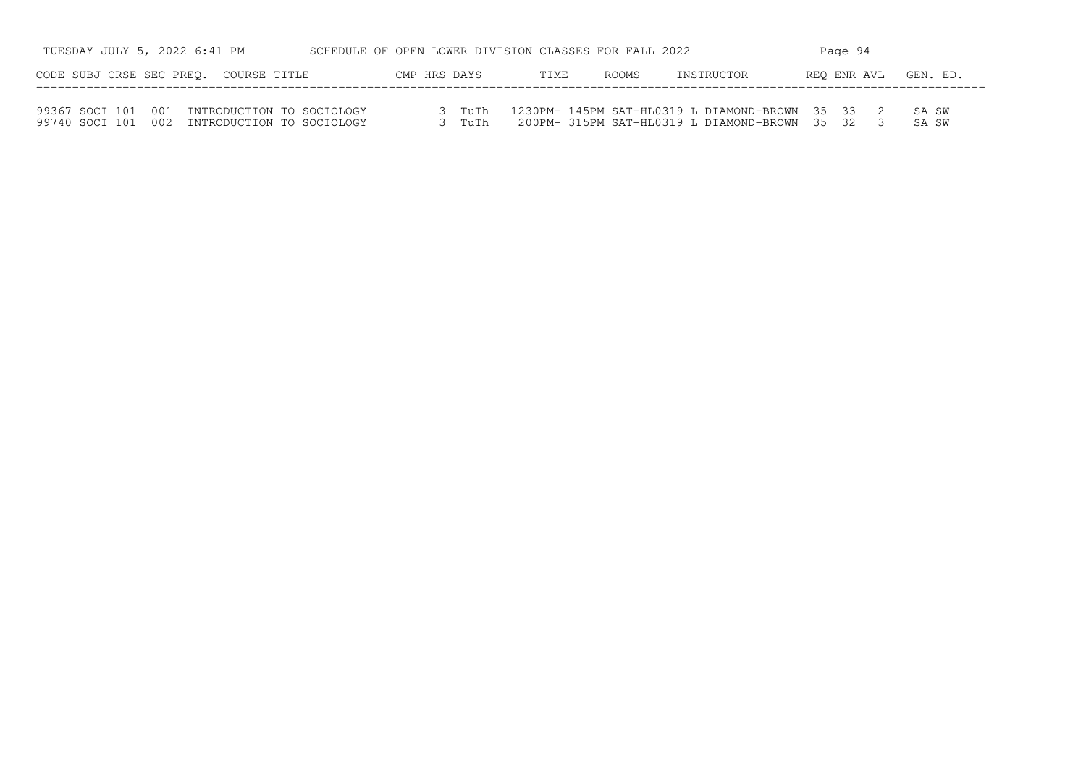| TUESDAY JULY 5, 2022 6:41 PM                 | SCHEDULE OF OPEN LOWER DIVISION CLASSES FOR FALL 2022 |                                                | Page 94              |       |
|----------------------------------------------|-------------------------------------------------------|------------------------------------------------|----------------------|-------|
| CODE SUBJ CRSE SEC PREO. COURSE TITLE        | CMP HRS DAYS<br>TIME                                  | ROOMS<br>INSTRUCTOR                            | REO ENR AVL GEN. ED. |       |
|                                              |                                                       |                                                |                      |       |
| 99367 SOCI 101 001 INTRODUCTION TO SOCIOLOGY | $3$ TuTh                                              | 1230PM- 145PM SAT-HL0319 L DIAMOND-BROWN 35 33 | $\overline{2}$       | SA SW |
| 99740 SOCI 101 002 INTRODUCTION TO SOCIOLOGY | $3$ TuTh                                              | 200PM-315PM SAT-HL0319 L DIAMOND-BROWN 35 32 3 |                      | SA SW |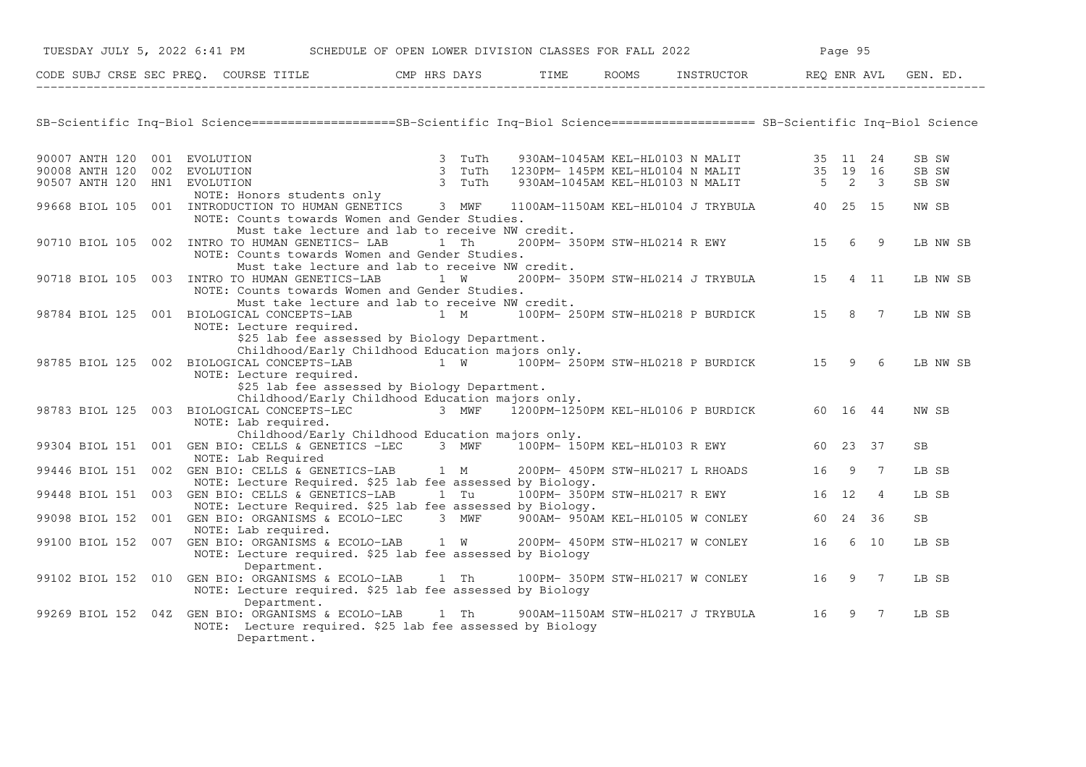| TUESDAY JULY 5, 2022 6:41 PM SCHEDULE OF OPEN LOWER DIVISION CLASSES FOR FALL 2022 Page 95                                                                                                                                           |             |  |                                                       |  |                         |
|--------------------------------------------------------------------------------------------------------------------------------------------------------------------------------------------------------------------------------------|-------------|--|-------------------------------------------------------|--|-------------------------|
| CODE SUBJ CRSE SEC PREQ. COURSE TITLE THE CMP HRS DAYS TIME ROOMS INSTRUCTOR REQ ENR AVL GEN. ED.                                                                                                                                    |             |  |                                                       |  |                         |
|                                                                                                                                                                                                                                      |             |  |                                                       |  |                         |
| SB-Scientific Inq-Biol Science==================SB-Scientific Inq-Biol Science===================== SB-Scientific Inq-Biol Science                                                                                                   |             |  |                                                       |  |                         |
| 90007 ANTH 120 001 EVOLUTION 3 TuTh 930AM-1045AM KEL-HL0103 N MALIT 35 11 24<br>90008 ANTH 120 002 EVOLUTION 3 TuTh 1230PM-145PM KEL-HL0104 N MALIT 35 19 16<br>90507 ANTH 120 HN1 EVOLUTION 70 HUMAN GENETICS 3 MWF 1100AM-1150AM K |             |  |                                                       |  | SB SW                   |
|                                                                                                                                                                                                                                      |             |  |                                                       |  | SB SW                   |
|                                                                                                                                                                                                                                      |             |  |                                                       |  | SB SW                   |
|                                                                                                                                                                                                                                      |             |  |                                                       |  |                         |
|                                                                                                                                                                                                                                      |             |  |                                                       |  | NW SB                   |
| NOTE: Counts towards Women and Gender Studies.                                                                                                                                                                                       |             |  |                                                       |  |                         |
| Must take lecture and lab to receive NW credit.                                                                                                                                                                                      |             |  |                                                       |  |                         |
| 90710 BIOL 105 002 INTRO TO HUMAN GENETICS- LAB 1 Th                                                                                                                                                                                 |             |  | 200PM-350PM STW-HL0214 R EWY 15 6 9                   |  | LB NW SB                |
| NOTE: Counts towards Women and Gender Studies.                                                                                                                                                                                       |             |  |                                                       |  |                         |
| Must take lecture and lab to receive NW credit.                                                                                                                                                                                      |             |  |                                                       |  |                         |
| 90718 BIOL 105 003 INTRO TO HUMAN GENETICS-LAB                                                                                                                                                                                       | $1 \quad W$ |  | . 010211.<br>200PM-350PM STW-HL0214 J TRYBULA 15 4 11 |  | LB NW SB                |
| NOTE: Counts towards Women and Gender Studies.                                                                                                                                                                                       |             |  |                                                       |  |                         |
| Must take lecture and lab to receive NW credit.                                                                                                                                                                                      |             |  |                                                       |  |                         |
| 98784 BIOL 125 001 BIOLOGICAL CONCEPTS-LAB 1 M 100PM- 250PM STW-HL0218 P BURDICK 15 8 7                                                                                                                                              |             |  |                                                       |  | LB NW SB                |
| NOTE: Lecture required.                                                                                                                                                                                                              |             |  |                                                       |  |                         |
| \$25 lab fee assessed by Biology Department.                                                                                                                                                                                         |             |  |                                                       |  |                         |
| Childhood/Early Childhood Education majors only.<br>98785 BIOL 125 002 BIOLOGICAL CONCEPTS-LAB 1 W 100PM- 250PM STW-HL0218 P BURDICK 15 9 6                                                                                          |             |  |                                                       |  | LB NW SB                |
| NOTE: Lecture required.                                                                                                                                                                                                              |             |  |                                                       |  |                         |
| \$25 lab fee assessed by Biology Department.                                                                                                                                                                                         |             |  |                                                       |  |                         |
| Childhood/Early Childhood Education majors only.                                                                                                                                                                                     |             |  |                                                       |  |                         |
| 98783 BIOL 125 003 BIOLOGICAL CONCEPTS-LEC 3 MWF 1200PM-1250PM KEL-HL0106 P BURDICK 60 16 44                                                                                                                                         |             |  |                                                       |  | NW SB                   |
| NOTE: Lab required.                                                                                                                                                                                                                  |             |  |                                                       |  |                         |
| Childhood/Early Childhood Education majors only.                                                                                                                                                                                     |             |  |                                                       |  |                         |
| 99304 BIOL 151 001 GEN BIO: CELLS & GENETICS -LEC 3 MWF 100PM- 150PM KEL-HL0103 R EWY 60 23 37                                                                                                                                       |             |  |                                                       |  | <b>SB</b>               |
| NOTE: Lab Required                                                                                                                                                                                                                   |             |  |                                                       |  |                         |
| 99446 BIOL 151 002 GEN BIO: CELLS & GENETICS-LAB 1 M 200PM-450PM STW-HL0217 L RHOADS 16 9 7                                                                                                                                          |             |  |                                                       |  | LB SB                   |
| NOTE: Lecture Required. \$25 lab fee assessed by Biology.                                                                                                                                                                            |             |  |                                                       |  |                         |
| 99448 BIOL 151 003 GEN BIO: CELLS & GENETICS-LAB 1 Tu 100PM-350PM STW-HL0217 R EWY 16 12                                                                                                                                             |             |  |                                                       |  | $\overline{4}$<br>LB SB |
| NOTE: Lecture Required. \$25 lab fee assessed by Biology.                                                                                                                                                                            |             |  |                                                       |  |                         |
| 99098 BIOL 152 001 GEN BIO: ORGANISMS & ECOLO-LEC 3 MWF 900AM-950AM KEL-HL0105 W CONLEY 60 24 36                                                                                                                                     |             |  |                                                       |  | <b>SB</b>               |
| NOTE: Lab required.                                                                                                                                                                                                                  |             |  |                                                       |  |                         |
| 99100 BIOL 152 007 GEN BIO: ORGANISMS & ECOLO-LAB 1 W 200PM-450PM STW-HL0217 W CONLEY 16 6 10                                                                                                                                        |             |  |                                                       |  | LB SB                   |
| NOTE: Lecture required. \$25 lab fee assessed by Biology                                                                                                                                                                             |             |  |                                                       |  |                         |
| Department.                                                                                                                                                                                                                          |             |  |                                                       |  |                         |
| 99102 BIOL 152 010 GEN BIO: ORGANISMS & ECOLO-LAB 1 Th 100PM-350PM STW-HL0217 W CONLEY 16 9 7                                                                                                                                        |             |  |                                                       |  | LB SB                   |
| NOTE: Lecture required. \$25 lab fee assessed by Biology                                                                                                                                                                             |             |  |                                                       |  |                         |
| Department.                                                                                                                                                                                                                          |             |  |                                                       |  |                         |
| 99269 BIOL 152 04Z GEN BIO: ORGANISMS & ECOLO-LAB 1 Th 900AM-1150AM STW-HL0217 J TRYBULA 16 9 7                                                                                                                                      |             |  |                                                       |  | LB SB                   |
| NOTE: Lecture required. \$25 lab fee assessed by Biology                                                                                                                                                                             |             |  |                                                       |  |                         |
| Department.                                                                                                                                                                                                                          |             |  |                                                       |  |                         |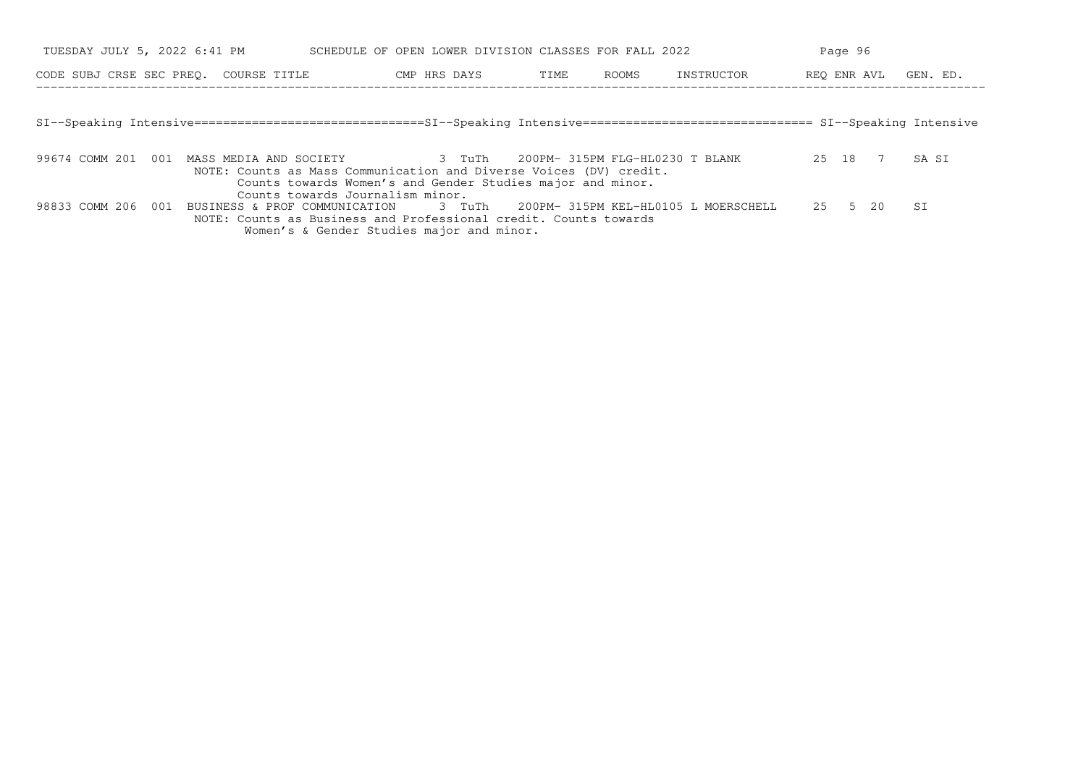| TUESDAY JULY 5, 2022 6:41 PM          |                                                                                                                                  | SCHEDULE OF OPEN LOWER DIVISION CLASSES FOR FALL 2022 |               |                                            | Page 96     |          |
|---------------------------------------|----------------------------------------------------------------------------------------------------------------------------------|-------------------------------------------------------|---------------|--------------------------------------------|-------------|----------|
| CODE SUBJ CRSE SEC PREO. COURSE TITLE |                                                                                                                                  | CMP HRS DAYS                                          | TIME<br>ROOMS | INSTRUCTOR                                 | REO ENR AVL | GEN. ED. |
|                                       |                                                                                                                                  |                                                       |               |                                            |             |          |
|                                       | SI--Speaking Intensive==============================SI--Speaking Intensive=============================== SI--Speaking Intensive |                                                       |               |                                            |             |          |
|                                       |                                                                                                                                  |                                                       |               |                                            |             |          |
|                                       | 99674 COMM 201 001 MASS MEDIA AND SOCIETY 3 TuTh<br>NOTE: Counts as Mass Communication and Diverse Voices (DV) credit.           |                                                       |               | 200PM- 315PM FLG-HL0230 T BLANK            | 25 18 7     | SA SI    |
|                                       | Counts towards Women's and Gender Studies major and minor.                                                                       |                                                       |               |                                            |             |          |
| 98833 COMM 206 001                    | Counts towards Journalism minor.<br>BUSINESS & PROF COMMUNICATION                                                                |                                                       |               | 3 TuTh 200PM-315PM KEL-HL0105 L MOERSCHELL | 25 5 20     | SI       |
|                                       | NOTE: Counts as Business and Professional credit. Counts towards                                                                 |                                                       |               |                                            |             |          |

Women's & Gender Studies major and minor.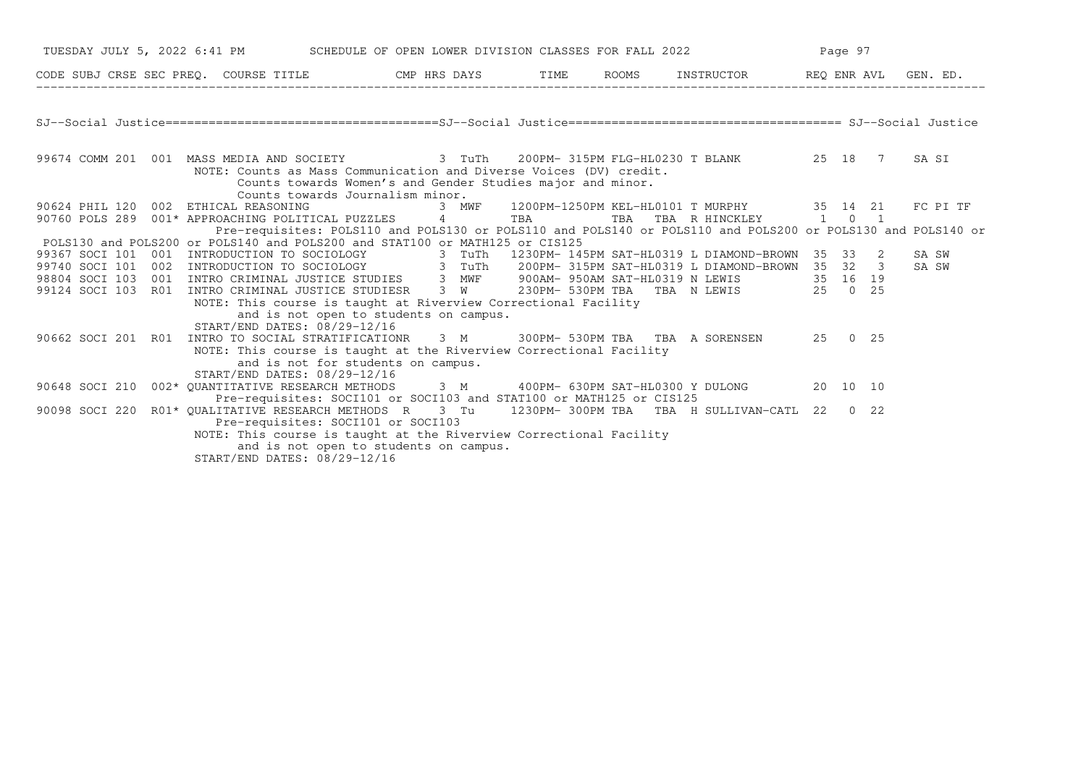|  |  |                                                                                                                                  |  |  | TUESDAY JULY 5, 2022 6:41 PM SCHEDULE OF OPEN LOWER DIVISION CLASSES FOR FALL 2022 Page 97                                                                                                                                           |  |          |
|--|--|----------------------------------------------------------------------------------------------------------------------------------|--|--|--------------------------------------------------------------------------------------------------------------------------------------------------------------------------------------------------------------------------------------|--|----------|
|  |  |                                                                                                                                  |  |  | CODE SUBJ CRSE SEC PREQ. COURSE TITLE THE RIS DAYS TIME ROOMS INSTRUCTOR THE REQ ENRAVL GEN. ED.                                                                                                                                     |  |          |
|  |  |                                                                                                                                  |  |  |                                                                                                                                                                                                                                      |  |          |
|  |  |                                                                                                                                  |  |  |                                                                                                                                                                                                                                      |  |          |
|  |  | NOTE: Counts as Mass Communication and Diverse Voices (DV) credit.<br>Counts towards Women's and Gender Studies major and minor. |  |  | 99674 COMM 201 001 MASS MEDIA AND SOCIETY 3 TuTh 200PM-315PM FLG-HL0230 T BLANK 25 18 7                                                                                                                                              |  | SA SI    |
|  |  | Counts towards Journalism minor.                                                                                                 |  |  |                                                                                                                                                                                                                                      |  |          |
|  |  |                                                                                                                                  |  |  | 1200PM-1250PM KEL-HL0101 T MURPHY 35 14 21                                                                                                                                                                                           |  | FC PI TF |
|  |  | 90624 PHIL 120 002 ETHICAL REASONING $3$ MWF 1200PM-90760 POLS 289 001* APPROACHING POLITICAL PUZZLES $4$ TBA                    |  |  | TBA TBA RHINCKLEY 1 0 1                                                                                                                                                                                                              |  |          |
|  |  |                                                                                                                                  |  |  | Pre-requisites: POLS110 and POLS130 or POLS110 and POLS140 or POLS110 and POLS200 or POLS130 and POLS140 or                                                                                                                          |  |          |
|  |  | POLS130 and POLS200 or POLS140 and POLS200 and STAT100 or MATH125 or CIS125                                                      |  |  |                                                                                                                                                                                                                                      |  | SA SW    |
|  |  |                                                                                                                                  |  |  | 99367 SOCI 101 001 INTRODUCTION TO SOCIOLOGY 3 TuTh 1230PM-145PM SAT-HL0319 L DIAMOND-BROWN 35 33 2                                                                                                                                  |  | SA SW    |
|  |  |                                                                                                                                  |  |  |                                                                                                                                                                                                                                      |  |          |
|  |  |                                                                                                                                  |  |  | 99740 SOCI 101 002 INTRODUCTION TO SOCIOLOGY<br>98804 SOCI 103 001 INTRO CRIMINAL JUSTICE STUDIES 3 MWF 900AM-950AM SAT-HL0319 L DIAMOND-BROWN 35 32 3<br>99124 SOCI 103 R01 INTRO CRIMINAL JUSTICE STUDIESR 3 W 230PM-530PM TBA TBA |  |          |
|  |  | NOTE: This course is taught at Riverview Correctional Facility                                                                   |  |  |                                                                                                                                                                                                                                      |  |          |
|  |  | and is not open to students on campus.                                                                                           |  |  |                                                                                                                                                                                                                                      |  |          |
|  |  | START/END DATES: 08/29-12/16                                                                                                     |  |  |                                                                                                                                                                                                                                      |  |          |
|  |  |                                                                                                                                  |  |  | 90662 SOCI 201 R01 INTRO TO SOCIAL STRATIFICATIONR 3 M 300PM-530PM TBA TBA A SORENSEN 25 0 25                                                                                                                                        |  |          |
|  |  | NOTE: This course is taught at the Riverview Correctional Facility                                                               |  |  |                                                                                                                                                                                                                                      |  |          |
|  |  | and is not for students on campus.<br>START/END DATES: 08/29-12/16                                                               |  |  |                                                                                                                                                                                                                                      |  |          |
|  |  |                                                                                                                                  |  |  | 90648 SOCI 210 002* QUANTITATIVE RESEARCH METHODS 3 M 400PM- 630PM SAT-HL0300 Y DULONG 20 10 10                                                                                                                                      |  |          |
|  |  | Pre-requisites: SOCI101 or SOCI103 and STAT100 or MATH125 or CIS125                                                              |  |  |                                                                                                                                                                                                                                      |  |          |
|  |  |                                                                                                                                  |  |  | 90098 SOCI 220 R01* OUALITATIVE RESEARCH METHODS R 3 Tu 1230PM-300PM TBA TBA H SULLIVAN-CATL 22 0 22                                                                                                                                 |  |          |
|  |  | Pre-requisites: SOCI101 or SOCI103                                                                                               |  |  |                                                                                                                                                                                                                                      |  |          |
|  |  | NOTE: This course is taught at the Riverview Correctional Facility                                                               |  |  |                                                                                                                                                                                                                                      |  |          |
|  |  | and is not open to students on campus.                                                                                           |  |  |                                                                                                                                                                                                                                      |  |          |
|  |  | START/END DATES: 08/29-12/16                                                                                                     |  |  |                                                                                                                                                                                                                                      |  |          |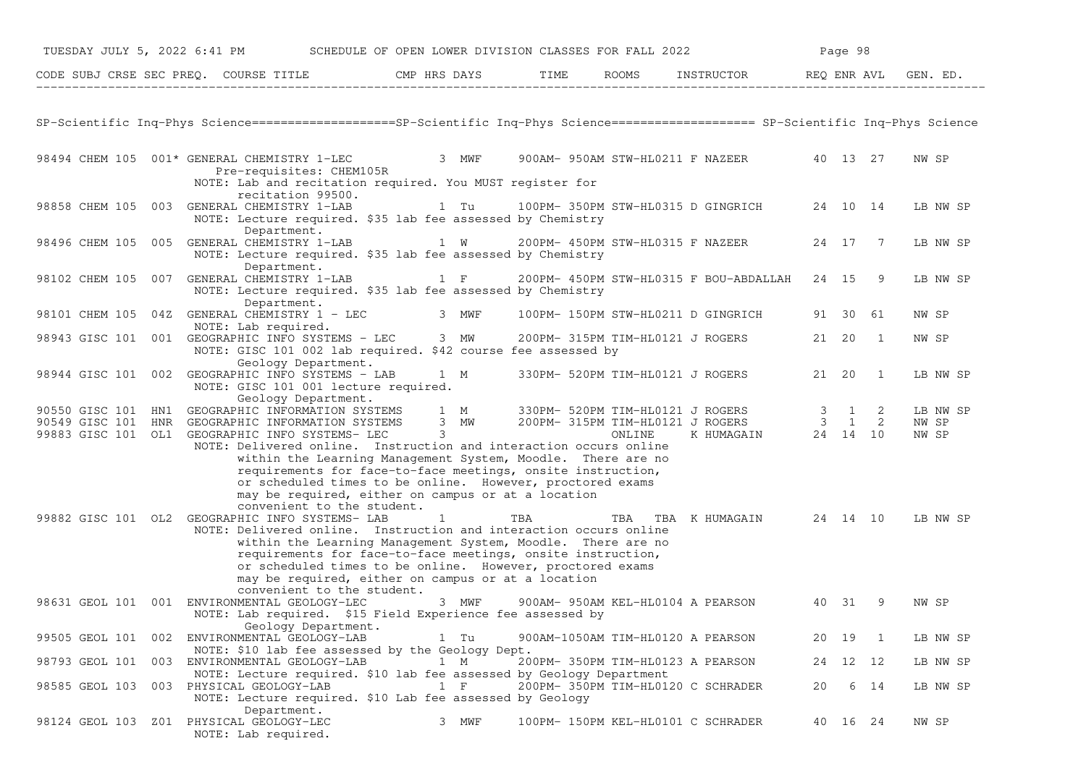| TUESDAY JULY 5, 2022 6:41 PM |                                                                                                                                                                                                                                                                                                                                                                                                                                                                                                                                                                                   | SCHEDULE OF OPEN LOWER DIVISION CLASSES FOR FALL 2022                                                           |     |                                            | Page 98 |           |                |                            |
|------------------------------|-----------------------------------------------------------------------------------------------------------------------------------------------------------------------------------------------------------------------------------------------------------------------------------------------------------------------------------------------------------------------------------------------------------------------------------------------------------------------------------------------------------------------------------------------------------------------------------|-----------------------------------------------------------------------------------------------------------------|-----|--------------------------------------------|---------|-----------|----------------|----------------------------|
|                              | CODE SUBJ CRSE SEC PREQ. COURSE TITLE CMP HRS DAYS TIME ROOMS INSTRUCTOR REQ ENR AVL GEN. ED.                                                                                                                                                                                                                                                                                                                                                                                                                                                                                     |                                                                                                                 |     |                                            |         |           |                |                            |
|                              | SP-Scientific Inq-Phys Science===================SP-Scientific Inq-Phys Science==================== SP-Scientific Inq-Phys Science                                                                                                                                                                                                                                                                                                                                                                                                                                                |                                                                                                                 |     |                                            |         |           |                |                            |
|                              | 98494 CHEM 105 001* GENERAL CHEMISTRY 1-LEC 3 MWF 900AM-950AM STW-HL0211 F NAZEER 40 13 27<br>Pre-requisites: CHEM105R<br>NOTE: Lab and recitation required. You MUST register for                                                                                                                                                                                                                                                                                                                                                                                                |                                                                                                                 |     |                                            |         |           |                | NW SP                      |
|                              | recitation 99500.<br>98858 CHEM 105 003 GENERAL CHEMISTRY 1-LAB<br>NOTE: Lecture required. \$35 lab fee assessed by Chemistry<br>Department.                                                                                                                                                                                                                                                                                                                                                                                                                                      | and the state of the state of the state of the state of the state of the state of the state of the state of the |     | 100PM-350PM STW-HL0315 D GINGRICH 24 10 14 |         |           |                | LB NW SP                   |
|                              | 98496 CHEM 105 005 GENERAL CHEMISTRY 1-LAB<br>NOTE: Lecture required. \$35 lab fee assessed by Chemistry<br>Department.                                                                                                                                                                                                                                                                                                                                                                                                                                                           | $1 \quad W$                                                                                                     |     | 200PM- 450PM STW-HL0315 F NAZEER           |         | 24 17 7   |                | LB NW SP                   |
|                              | 98102 CHEM 105 007 GENERAL CHEMISTRY 1-LAB 1 F 200PM-450PM STW-HL0315 F BOU-ABDALLAH 24 15 9<br>NOTE: Lecture required. \$35 lab fee assessed by Chemistry<br>Department.                                                                                                                                                                                                                                                                                                                                                                                                         |                                                                                                                 |     |                                            |         |           |                | LB NW SP                   |
|                              | 98101 CHEM 105 04Z GENERAL CHEMISTRY 1 - LEC<br>NOTE: Lab required.                                                                                                                                                                                                                                                                                                                                                                                                                                                                                                               | 3 MWF                                                                                                           |     | 100PM- 150PM STW-HL0211 D GINGRICH         |         | 91 30 61  |                | NW SP                      |
|                              | 98943 GISC 101 001 GEOGRAPHIC INFO SYSTEMS - LEC 3 MW<br>NOTE: GISC 101 002 lab required. \$42 course fee assessed by<br>Geology Department.                                                                                                                                                                                                                                                                                                                                                                                                                                      |                                                                                                                 |     | 200PM- 315PM TIM-HL0121 J ROGERS           |         | 21 20 1   |                | NW SP                      |
|                              | 98944 GISC 101 002 GEOGRAPHIC INFO SYSTEMS - LAB 1 M<br>NOTE: GISC 101 001 lecture required.                                                                                                                                                                                                                                                                                                                                                                                                                                                                                      |                                                                                                                 |     | 330PM- 520PM TIM-HL0121 J ROGERS           |         | 21  20  1 |                | LB NW SP                   |
|                              | Geology Department.<br>90550 GISC 101 HN1 GEOGRAPHIC INFORMATION SYSTEMS 1 M 330PM-520PM TIM-HL0121 J ROGERS 3 1 2<br>90549 GISC 101 HNR GEOGRAPHIC INFORMATION SYSTEMS 3 MW 200PM-315PM TIM-HL0121 J ROGERS 3 1 2<br>99883 GISC 101 OL1 GEOGRAPHIC INFO SY<br>NOTE: Delivered online. Instruction and interaction occurs online<br>within the Learning Management System, Moodle. There are no<br>requirements for face-to-face meetings, onsite instruction,<br>or scheduled times to be online. However, proctored exams<br>may be required, either on campus or at a location |                                                                                                                 |     |                                            |         |           |                | LB NW SP<br>NW SP<br>NW SP |
|                              | convenient to the student.<br>99882 GISC 101 OL2 GEOGRAPHIC INFO SYSTEMS- LAB<br>NOTE: Delivered online. Instruction and interaction occurs online<br>within the Learning Management System, Moodle. There are no<br>requirements for face-to-face meetings, onsite instruction,<br>or scheduled times to be online. However, proctored exams<br>may be required, either on campus or at a location<br>convenient to the student.                                                                                                                                                 | $\mathbf{1}$                                                                                                    | TBA | TBA TBA K HUMAGAIN 24 14 10 LB NW SP       |         |           |                |                            |
|                              | 98631 GEOL 101 001 ENVIRONMENTAL GEOLOGY-LEC<br>NOTE: Lab required. \$15 Field Experience fee assessed by<br>Geology Department.                                                                                                                                                                                                                                                                                                                                                                                                                                                  | 3 MWF                                                                                                           |     | 900AM- 950AM KEL-HL0104 A PEARSON 40 31    |         |           | -9             | NW SP                      |
|                              | 99505 GEOL 101 002 ENVIRONMENTAL GEOLOGY-LAB<br>NOTE: \$10 lab fee assessed by the Geology Dept.                                                                                                                                                                                                                                                                                                                                                                                                                                                                                  | 1 Tu                                                                                                            |     | 900AM-1050AM TIM-HL0120 A PEARSON          |         | 20 19     | $\overline{1}$ | LB NW SP                   |
|                              | 98793 GEOL 101 003 ENVIRONMENTAL GEOLOGY-LAB<br>NOTE: Lecture required. \$10 lab fee assessed by Geology Department                                                                                                                                                                                                                                                                                                                                                                                                                                                               | 1 M                                                                                                             |     | 200PM- 350PM TIM-HL0123 A PEARSON          |         | 24 12 12  |                | LB NW SP                   |
|                              | 98585 GEOL 103 003 PHYSICAL GEOLOGY-LAB<br>NOTE: Lecture required. \$10 Lab fee assessed by Geology<br>Department.                                                                                                                                                                                                                                                                                                                                                                                                                                                                | $1 \quad F$                                                                                                     |     | 200PM- 350PM TIM-HL0120 C SCHRADER         | 20      |           | 6 14           | LB NW SP                   |
|                              | 98124 GEOL 103 Z01 PHYSICAL GEOLOGY-LEC<br>NOTE: Lab required.                                                                                                                                                                                                                                                                                                                                                                                                                                                                                                                    | 3 MWF                                                                                                           |     | 100PM- 150PM KEL-HL0101 C SCHRADER         |         | 40 16 24  |                | NW SP                      |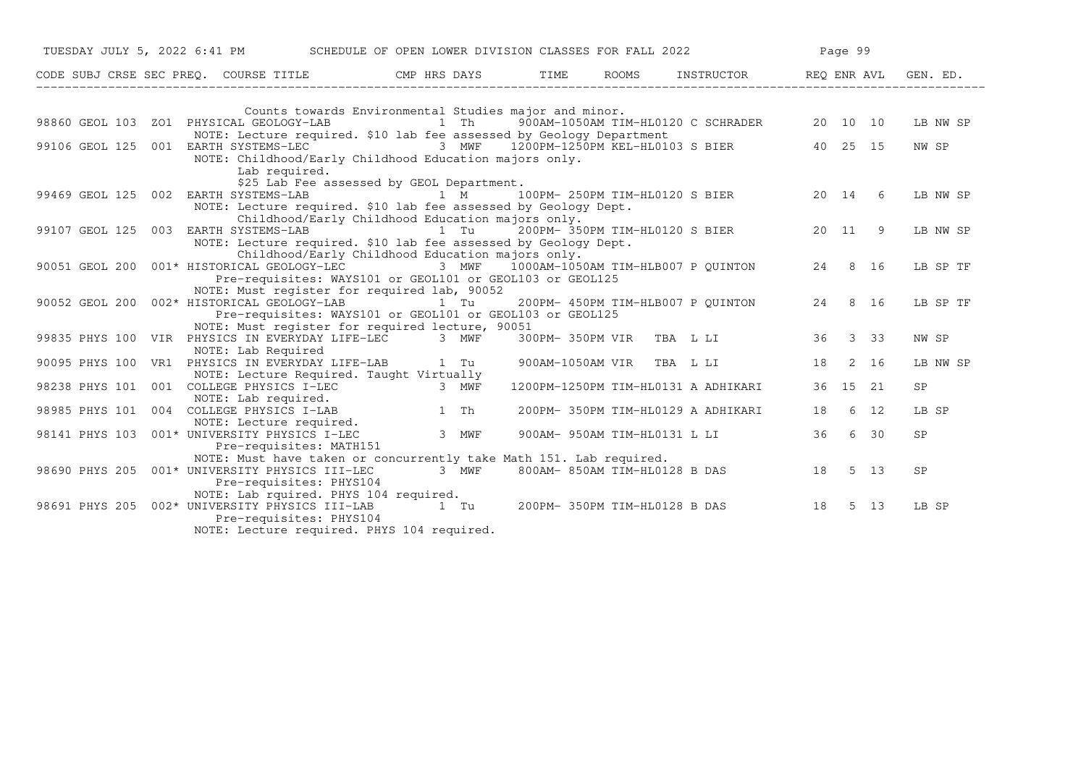|                    |  | TUESDAY JULY 5, 2022 6:41 PM SCHEDULE OF OPEN LOWER DIVISION CLASSES FOR FALL 2022 Page 99                                                            |       |                                                |                                    |                                           |    |          |         |           |          |
|--------------------|--|-------------------------------------------------------------------------------------------------------------------------------------------------------|-------|------------------------------------------------|------------------------------------|-------------------------------------------|----|----------|---------|-----------|----------|
|                    |  |                                                                                                                                                       |       |                                                |                                    |                                           |    |          |         |           |          |
|                    |  | Counts towards Environmental Studies major and minor.                                                                                                 |       |                                                |                                    |                                           |    |          |         |           |          |
|                    |  | 98860 GEOL 103 ZO1 PHYSICAL GEOLOGY-LAB 1 Th 900AM-1050AM TIM-HL0120 C SCHRADER 20 10 10                                                              |       |                                                |                                    |                                           |    |          |         |           | LB NW SP |
|                    |  | NOTE: Lecture required. \$10 lab fee assessed by Geology Department                                                                                   |       |                                                |                                    |                                           |    |          |         |           |          |
|                    |  | 99106 GEOL 125 001 EARTH SYSTEMS-LEC                                                                                                                  |       | 3 MWF 1200PM-1250PM REL-HL0103 S BIER 40 25 15 |                                    |                                           |    |          |         | NW SP     |          |
|                    |  | NOTE: Childhood/Early Childhood Education majors only.                                                                                                |       |                                                |                                    |                                           |    |          |         |           |          |
|                    |  | Lab required.                                                                                                                                         |       |                                                |                                    |                                           |    |          |         |           |          |
|                    |  | \$25 Lab Fee assessed by GEOL Department.                                                                                                             |       |                                                |                                    |                                           |    |          |         |           |          |
|                    |  | 99469 GEOL 125 002 EARTH SYSTEMS-LAB 1 M 100PM-250PM TIM-HL0120 S BIER 20 14 6                                                                        |       |                                                |                                    |                                           |    |          |         |           | LB NW SP |
|                    |  | NOTE: Lecture required. \$10 lab fee assessed by Geology Dept.                                                                                        |       |                                                |                                    |                                           |    |          |         |           |          |
|                    |  | Childhood/Early Childhood Education majors only.                                                                                                      |       |                                                |                                    |                                           |    |          |         |           |          |
| 99107 GEOL 125 003 |  |                                                                                                                                                       |       |                                                |                                    |                                           |    |          |         |           | LB NW SP |
|                    |  | NOTE: Lecture required. \$10 lab fee assessed by Geology Dept.                                                                                        |       |                                                |                                    |                                           |    |          |         |           |          |
|                    |  | Childhood/Early Childhood Education majors only.                                                                                                      |       |                                                |                                    |                                           |    |          |         |           |          |
|                    |  | 90051 GEOL 200 001* HISTORICAL GEOLOGY-LEC 3 MWF 1000AM-1050AM TIM-HLB007 P QUINTON                                                                   |       |                                                |                                    |                                           |    |          | 24 8 16 |           | LB SP TF |
|                    |  | Pre-requisites: WAYS101 or GEOL101 or GEOL103 or GEOL125                                                                                              |       |                                                |                                    |                                           |    |          |         |           |          |
|                    |  | NOTE: Must register for required lab, 90052                                                                                                           |       |                                                |                                    |                                           |    |          |         |           |          |
|                    |  | 90052 GEOL 200 002* HISTORICAL GEOLOGY-LAB                                                                                                            | 1 Tu  |                                                |                                    | 200PM- 450PM TIM-HLB007 P QUINTON 24 8 16 |    |          |         |           | LB SP TF |
|                    |  | Pre-requisites: WAYS101 or GEOL101 or GEOL103 or GEOL125                                                                                              |       |                                                |                                    |                                           |    |          |         |           |          |
|                    |  | NOTE: Must register for required lecture, 90051                                                                                                       |       |                                                |                                    |                                           |    |          |         |           |          |
|                    |  | 99835 PHYS 100 VIR PHYSICS IN EVERYDAY LIFE-LEC 3 MWF                                                                                                 |       |                                                |                                    | 300PM-350PM VIR TBA L LI                  |    | 36 3 33  |         | NW SP     |          |
|                    |  | NOTE: Lab Required<br>90095 PHYS 100 VR1 PHYSICS IN EVERYDAY LIFE-LAB 1 Tu                                                                            |       |                                                |                                    | 900AM-1050AM VIR TBA L LI                 | 18 |          | 2 16    |           | LB NW SP |
|                    |  | NOTE: Lecture Required. Taught Virtually                                                                                                              |       |                                                |                                    |                                           |    |          |         |           |          |
|                    |  |                                                                                                                                                       |       |                                                |                                    | 1200PM-1250PM TIM-HL0131 A ADHIKARI       |    | 36 15 21 |         | SP        |          |
|                    |  | 98238 PHYS 101 001 COLLEGE PHYSICS I-LEC 3 MWF<br>NOTE: Lab required.                                                                                 |       |                                                |                                    |                                           |    |          |         |           |          |
|                    |  | NOTE: Lab required.<br>98985 PHYS 101 004 COLLEGE PHYSICS I-LAB 1 Th<br>NOTE: Lecture required.<br>98141 PHYS 103 001* UNIVERSITY PHYSICS I-LEC 3 MWF |       |                                                | 200PM- 350PM TIM-HL0129 A ADHIKARI |                                           | 18 |          | 6 12    | LB SP     |          |
|                    |  |                                                                                                                                                       |       |                                                |                                    |                                           |    |          |         |           |          |
|                    |  |                                                                                                                                                       |       |                                                |                                    | 900AM- 950AM TIM-HL0131 L LI              | 36 |          | 6 30    | <b>SP</b> |          |
|                    |  | Pre-requisites: MATH151                                                                                                                               |       |                                                |                                    |                                           |    |          |         |           |          |
|                    |  | NOTE: Must have taken or concurrently take Math 151. Lab required.                                                                                    |       |                                                |                                    |                                           |    |          |         |           |          |
|                    |  | 98690 PHYS 205 001* UNIVERSITY PHYSICS III-LEC                                                                                                        | 3 MWF |                                                |                                    | 800AM- 850AM TIM-HL0128 B DAS             |    | 18 5 13  |         | <b>SP</b> |          |
|                    |  | Pre-requisites: PHYS104                                                                                                                               |       |                                                |                                    |                                           |    |          |         |           |          |
|                    |  | NOTE: Lab rquired. PHYS 104 required.                                                                                                                 |       |                                                |                                    |                                           |    |          |         |           |          |
|                    |  | 98691 PHYS 205 002* UNIVERSITY PHYSICS III-LAB 1 Tu                                                                                                   |       |                                                |                                    | 200PM-350PM TIM-HL0128 B DAS 18 5 13      |    |          |         | LB SP     |          |
|                    |  | Pre-requisites: PHYS104                                                                                                                               |       |                                                |                                    |                                           |    |          |         |           |          |
|                    |  | NOTE: Lecture required. PHYS 104 required.                                                                                                            |       |                                                |                                    |                                           |    |          |         |           |          |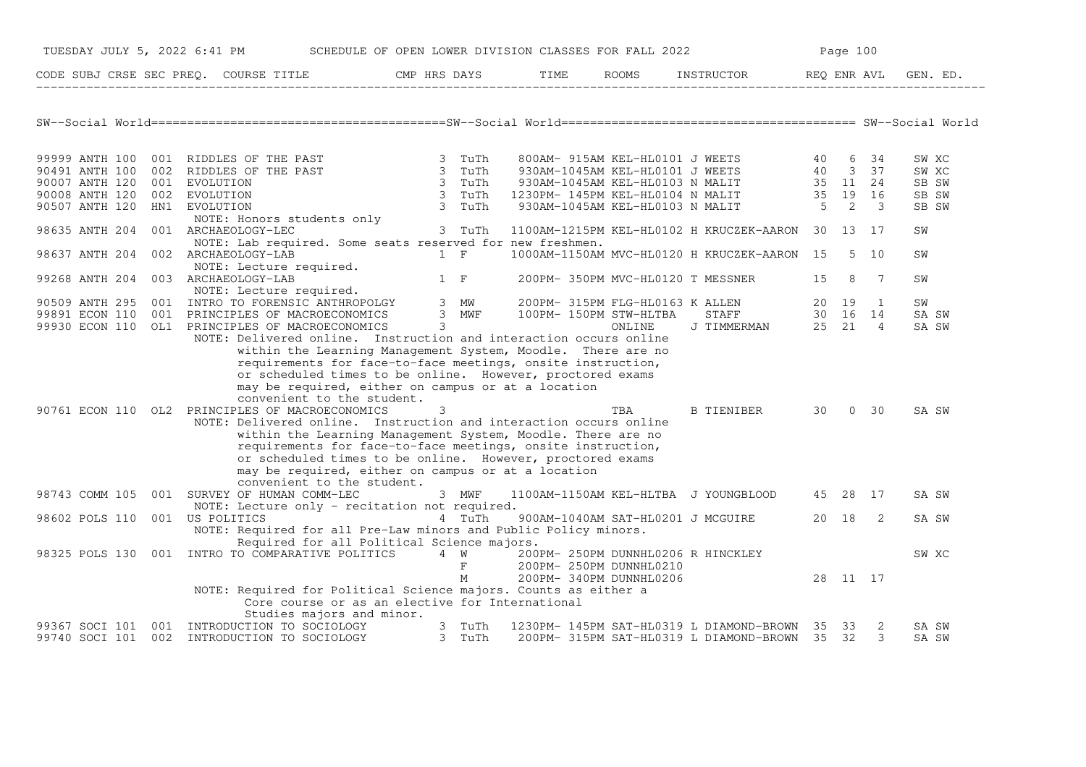|                                | TUESDAY JULY 5, 2022 6:41 PM                                                                                                                                                                                                                                                                                                                                                                                                                                                                                                                                                          | SCHEDULE OF OPEN LOWER DIVISION CLASSES FOR FALL 2022 |                                                     |     |                                                                                                 | Page 100 |                                           |
|--------------------------------|---------------------------------------------------------------------------------------------------------------------------------------------------------------------------------------------------------------------------------------------------------------------------------------------------------------------------------------------------------------------------------------------------------------------------------------------------------------------------------------------------------------------------------------------------------------------------------------|-------------------------------------------------------|-----------------------------------------------------|-----|-------------------------------------------------------------------------------------------------|----------|-------------------------------------------|
|                                |                                                                                                                                                                                                                                                                                                                                                                                                                                                                                                                                                                                       |                                                       |                                                     |     |                                                                                                 |          |                                           |
|                                |                                                                                                                                                                                                                                                                                                                                                                                                                                                                                                                                                                                       |                                                       |                                                     |     |                                                                                                 |          |                                           |
|                                | 99999 ANTH 100 001 RIDDLES OF THE PAST 3 TuTh 800AM-915AM KEL-HL0101 J WEETS 40 6 34<br>90007 ANTH 100 002 RIDDLES OF THE PAST 3 TuTh 930AM-1045AM KEL-HL0101 J WEETS 40 3 37<br>90007 ANTH 120 001 EVOLUTION 3 TuTh 930AM-1045AM                                                                                                                                                                                                                                                                                                                                                     |                                                       |                                                     |     |                                                                                                 |          | SW XC<br>SW XC<br>SB SW<br>SB SW<br>SB SW |
|                                | 98635 ANTH 204 001 ARCHAEOLOGY-LEC                                                                                                                                                                                                                                                                                                                                                                                                                                                                                                                                                    | 3 TuTh                                                |                                                     |     | 1100AM-1215PM KEL-HL0102 H KRUCZEK-AARON 30 13 17                                               |          | SW                                        |
|                                | NOTE: Lab required. Some seats reserved for new freshmen.                                                                                                                                                                                                                                                                                                                                                                                                                                                                                                                             |                                                       |                                                     |     |                                                                                                 |          | SW                                        |
|                                |                                                                                                                                                                                                                                                                                                                                                                                                                                                                                                                                                                                       |                                                       |                                                     |     |                                                                                                 |          | SW                                        |
|                                | 98637 ANTH 204 002 ARCHAEOLOGY-LAB<br>MOTE: Lecture required. 1 F 1000AM-1150AM MVC-HL0120 H KRUCZEK-AARON 15 5 10<br>MOTE: Lecture required. 1 F 200PM-350PM MVC-HL0120 T MESSNER 15 8 7<br>MOTE: Lecture required. 1 F 200PM-350PM<br>NOTE: Delivered online. Instruction and interaction occurs online<br>within the Learning Management System, Moodle. There are no                                                                                                                                                                                                              |                                                       |                                                     |     |                                                                                                 |          | SW<br>SA SW<br>SA SW                      |
|                                | requirements for face-to-face meetings, onsite instruction,<br>or scheduled times to be online. However, proctored exams<br>may be required, either on campus or at a location<br>convenient to the student.<br>90761 ECON 110 OL2 PRINCIPLES OF MACROECONOMICS<br>NOTE: Delivered online. Instruction and interaction occurs online<br>within the Learning Management System, Moodle. There are no<br>requirements for face-to-face meetings, onsite instruction,<br>or scheduled times to be online. However, proctored exams<br>may be required, either on campus or at a location | 3                                                     |                                                     | TBA | B TIENIBER 30 0 30                                                                              |          | SA SW                                     |
|                                | convenient to the student.<br>98743 COMM 105 001 SURVEY OF HUMAN COMM-LEC                                                                                                                                                                                                                                                                                                                                                                                                                                                                                                             | 3 MWF                                                 |                                                     |     | 1100AM-1150AM KEL-HLTBA J YOUNGBLOOD 45 28 17                                                   |          | SA SW                                     |
| 98602 POLS 110 001 US POLITICS | NOTE: Lecture only - recitation not required.<br>NOTE: Required for all Pre-Law minors and Public Policy minors.                                                                                                                                                                                                                                                                                                                                                                                                                                                                      | 4 TuTh                                                |                                                     |     | 900AM-1040AM SAT-HL0201 J MCGUIRE 20 18 2                                                       |          | SA SW                                     |
|                                | Required for all Political Science majors.<br>98325 POLS 130 001 INTRO TO COMPARATIVE POLITICS 4 W 200PM-250PM DUNNHL0206 R HINCKLEY                                                                                                                                                                                                                                                                                                                                                                                                                                                  | $\mathbf{F}$                                          | 200PM- 250PM DUNNHL0210<br>M 200PM-340PM DUNNHL0206 |     | 28 11 17                                                                                        |          | SW XC                                     |
|                                | NOTE: Required for Political Science majors. Counts as either a<br>Core course or as an elective for International                                                                                                                                                                                                                                                                                                                                                                                                                                                                    |                                                       |                                                     |     |                                                                                                 |          |                                           |
|                                | Studies majors and minor.<br>99367 SOCI 101 001 INTRODUCTION TO SOCIOLOGY<br>99740 SOCI 101 002 INTRODUCTION TO SOCIOLOGY 3 TuTh                                                                                                                                                                                                                                                                                                                                                                                                                                                      | 3 TuTh                                                |                                                     |     | 1230PM- 145PM SAT-HL0319 L DIAMOND-BROWN 35 33<br>200PM- 315PM SAT-HL0319 L DIAMOND-BROWN 35 32 | 3        | SA SW<br>SA SW                            |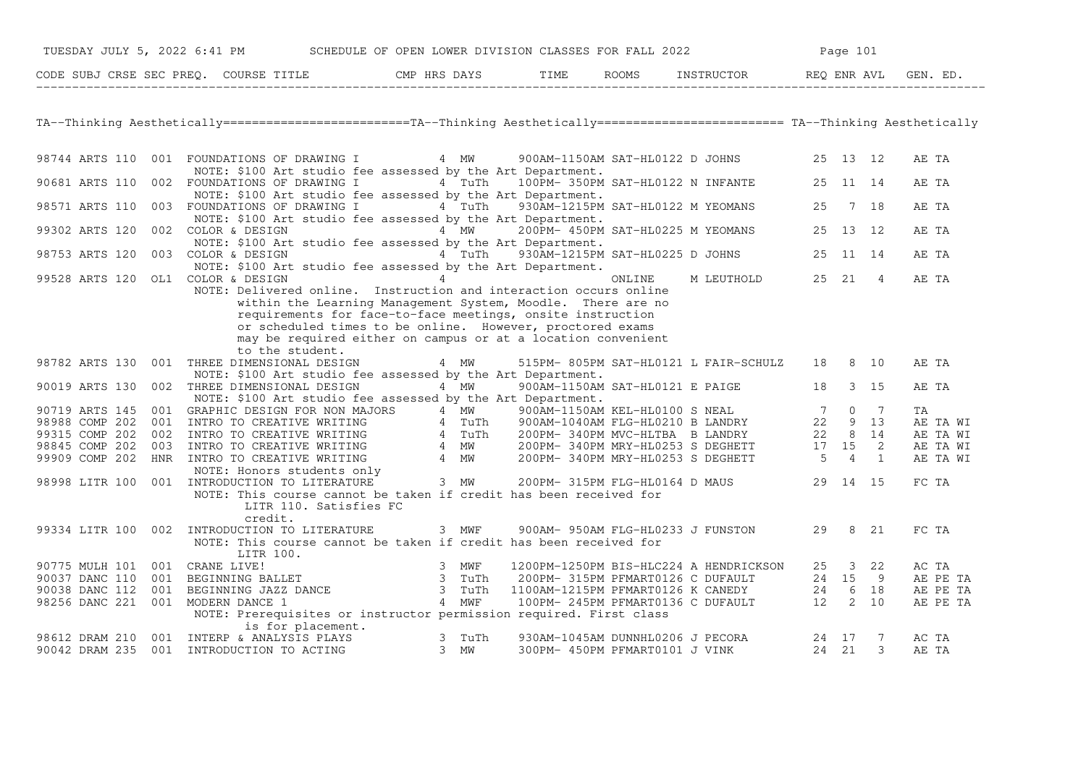|                                | TUESDAY JULY 5, 2022 6:41 PM          SCHEDULE OF OPEN LOWER DIVISION CLASSES FOR FALL 2022                                                                                                                                                                                                                                                       |       |        |                                  |        |                                                                                                                                   |          | Page 101 |         |       |          |
|--------------------------------|---------------------------------------------------------------------------------------------------------------------------------------------------------------------------------------------------------------------------------------------------------------------------------------------------------------------------------------------------|-------|--------|----------------------------------|--------|-----------------------------------------------------------------------------------------------------------------------------------|----------|----------|---------|-------|----------|
|                                |                                                                                                                                                                                                                                                                                                                                                   |       |        |                                  |        |                                                                                                                                   |          |          |         |       |          |
|                                |                                                                                                                                                                                                                                                                                                                                                   |       |        |                                  |        |                                                                                                                                   |          |          |         |       |          |
|                                | TA--Thinking Aesthetically========================TA--Thinking Aesthetically======================== TA--Thinking Aesthetically                                                                                                                                                                                                                   |       |        |                                  |        |                                                                                                                                   |          |          |         |       |          |
| 98744 ARTS 110                 | 001 FOUNDATIONS OF DRAWING I                                                                                                                                                                                                                                                                                                                      | 4 MW  |        |                                  |        | 900AM-1150AM SAT-HL0122 D JOHNS 25 13 12                                                                                          |          |          |         | AE TA |          |
| 90681 ARTS 110                 | NOTE: \$100 Art studio fee assessed by the Art Department.<br>002 FOUNDATIONS OF DRAWING I 4 TuTh 100PM-350PM SAT-HL0122 N INFANTE 25 11 14<br>NOTE: \$100 Art studio fee assessed by the Art Department.                                                                                                                                         |       |        |                                  |        |                                                                                                                                   |          |          |         | AE TA |          |
| 98571 ARTS 110                 | 003 FOUNDATIONS OF DRAWING I $4$ TuTh 930AM-1215PM SAT-HL0122 M YEOMANS<br>NOTE: \$100 Art studio fee assessed by the Art Department.                                                                                                                                                                                                             |       |        |                                  |        |                                                                                                                                   |          | 25 7 18  |         | AE TA |          |
| 99302 ARTS 120                 | 002 COLOR & DESIGN<br>NOTE: \$100 Art studio fee assessed by the Art Department.                                                                                                                                                                                                                                                                  |       |        |                                  |        | 4 MW 200PM- 450PM SAT-HL0225 M YEOMANS                                                                                            |          | 25 13 12 |         | AE TA |          |
| 98753 ARTS 120                 | NOTE: \$100 Art studio fee assessed by the Art Department.                                                                                                                                                                                                                                                                                        |       |        |                                  |        |                                                                                                                                   | 25 11 14 |          |         | AE TA |          |
| 99528 ARTS 120                 | OL1 COLOR & DESIGN<br>NOTE: Delivered online. Instruction and interaction occurs online<br>within the Learning Management System, Moodle. There are no<br>requirements for face-to-face meetings, onsite instruction<br>or scheduled times to be online. However, proctored exams<br>may be required either on campus or at a location convenient | $4-1$ |        |                                  | ONLINE | M LEUTHOLD                                                                                                                        |          | 25 21 4  |         | AE TA |          |
| 98782 ARTS 130                 | to the student.<br>001 THREE DIMENSIONAL DESIGN<br>NOTE: \$100 Art studio fee assessed by the Art Department.                                                                                                                                                                                                                                     |       | 4 MW   |                                  |        | 515PM- 805PM SAT-HL0121 L FAIR-SCHULZ                                                                                             | 18 8 10  |          |         | AE TA |          |
| 90019 ARTS 130                 | 002 THREE DIMENSIONAL DESIGN<br>NOTE: \$100 Art studio fee assessed by the Art Department.                                                                                                                                                                                                                                                        |       | 4 MW   |                                  |        | 900AM-1150AM SAT-HL0121 E PAIGE 18 3 15                                                                                           |          |          |         | AE TA |          |
|                                |                                                                                                                                                                                                                                                                                                                                                   |       |        |                                  |        |                                                                                                                                   |          |          |         | TA    |          |
|                                |                                                                                                                                                                                                                                                                                                                                                   |       |        |                                  |        |                                                                                                                                   |          |          |         |       | AE TA WI |
|                                |                                                                                                                                                                                                                                                                                                                                                   |       |        |                                  |        |                                                                                                                                   |          |          |         |       | AE TA WI |
|                                |                                                                                                                                                                                                                                                                                                                                                   |       |        |                                  |        |                                                                                                                                   |          |          |         |       | AE TA WI |
|                                | NOTE: \$100 Art studio fee assessed by the Art Department.<br>98988 COMP 202 001 INTRO TO CREATIVE WRITING 4 TuTh 900AM-1150AM KEL-HL0100 S NEAL 7 0 7<br>98988 COMP 202 001 INTRO TO CREATIVE WRITING 4 TuTh 900AM-1040AM FLG-HL02                                                                                                               |       |        |                                  |        |                                                                                                                                   |          |          |         |       | AE TA WI |
|                                | NOTE: This course cannot be taken if credit has been received for<br>LITR 110. Satisfies FC<br>credit.                                                                                                                                                                                                                                            |       |        |                                  |        |                                                                                                                                   |          |          |         | FC TA |          |
| 99334 LITR 100                 | 002 INTRODUCTION TO LITERATURE<br>NOTE: This course cannot be taken if credit has been received for<br>LITR 100.                                                                                                                                                                                                                                  |       | 3 MWF  |                                  |        | 900AM- 950AM FLG-HL0233 J FUNSTON 29 8 21                                                                                         |          |          |         | FC TA |          |
| 90775 MULH 101 001 CRANE LIVE! |                                                                                                                                                                                                                                                                                                                                                   |       |        |                                  |        | 1200PM-1250PM BIS-HLC224 A HENDRICKSON                                                                                            | 25 3 22  |          |         | AC TA |          |
| 90037 DANC 110                 | 001 CRANE LIVE!<br>001 BEGINNING BALLET 3 TuTh<br>001 BEGINNING JAZZ DANCE 3 TuTh<br>001 MODERN DANCE 1 4 MWF                                                                                                                                                                                                                                     |       |        |                                  |        | 200PM-315PM PFMART0126 C DUFAULT 24 15 9<br>1100AM-1215PM PFMART0126 K CANEDY 24 6 18<br>100PM-245PM PFMART0136 C DUFAULT 12 2 10 |          |          |         |       | AE PE TA |
| 90038 DANC 112                 |                                                                                                                                                                                                                                                                                                                                                   |       |        |                                  |        |                                                                                                                                   |          |          |         |       | AE PE TA |
| 98256 DANC 221                 |                                                                                                                                                                                                                                                                                                                                                   |       |        |                                  |        |                                                                                                                                   |          |          |         |       | AE PE TA |
|                                | NOTE: Prerequisites or instructor permission required. First class<br>is for placement.<br>98612 DRAM 210 001 INTERP & ANALYSIS PLAYS 3 TuT<br>90042 DRAM 235 001 INTRODUCTION TO ACTING 3 MW                                                                                                                                                     |       |        |                                  |        |                                                                                                                                   |          |          |         |       |          |
|                                |                                                                                                                                                                                                                                                                                                                                                   |       | 3 TuTh | 930AM-1045AM DUNNHL0206 J PECORA |        |                                                                                                                                   |          |          | 24 17 7 | AC TA |          |
|                                |                                                                                                                                                                                                                                                                                                                                                   |       |        |                                  |        | 300PM-450PM PFMART0101 J VINK 24 21 3                                                                                             |          |          |         | AE TA |          |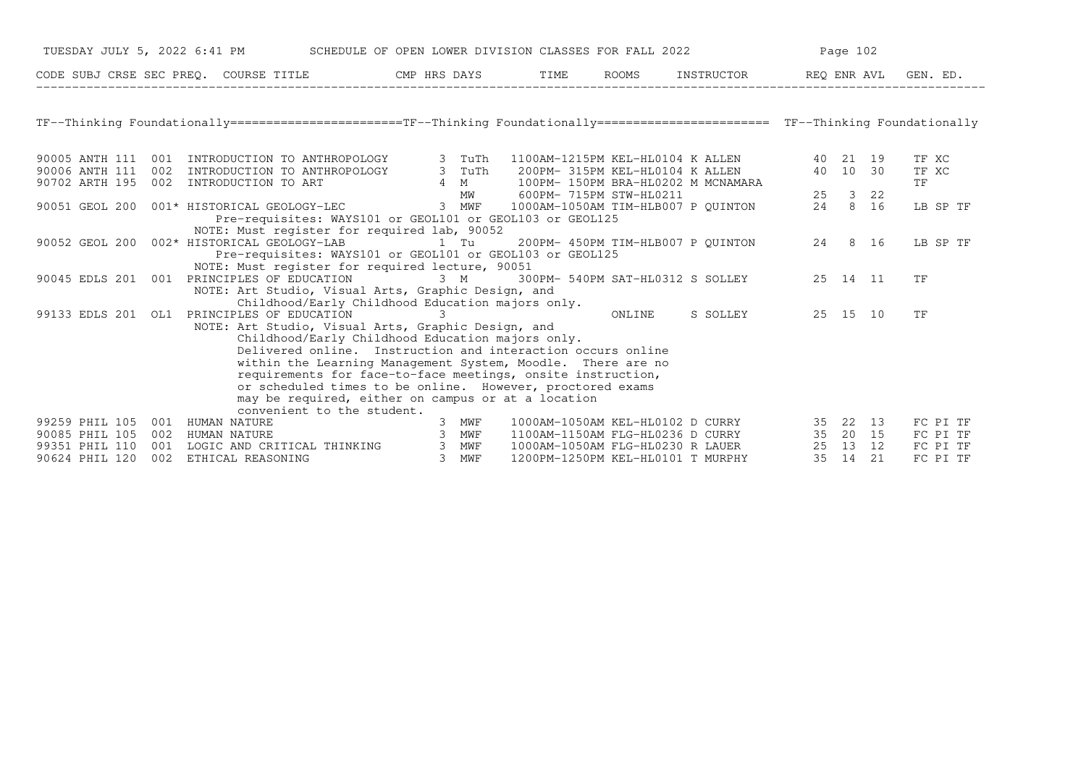|                                 |     | TUESDAY JULY 5, 2022 6:41 PM SCHEDULE OF OPEN LOWER DIVISION CLASSES FOR FALL 2022 Page 102                                                                                                                                            |  |  |                                   |          |          |
|---------------------------------|-----|----------------------------------------------------------------------------------------------------------------------------------------------------------------------------------------------------------------------------------------|--|--|-----------------------------------|----------|----------|
|                                 |     | CODE SUBJ CRSE SEC PREQ. COURSE TITLE THE THE THE ROOMS INSTRUCTOR THE REQ ENR AVL GEN. ED.                                                                                                                                            |  |  |                                   |          |          |
|                                 |     |                                                                                                                                                                                                                                        |  |  |                                   |          |          |
|                                 |     | TF--Thinking Foundationally======================TF--Thinking Foundationally======================= TF--Thinking Foundationally                                                                                                        |  |  |                                   |          |          |
|                                 |     | 90005 ANTH 111 001 INTRODUCTION TO ANTHROPOLOGY 3 TuTh 1100AM-1215PM KEL-HL0104 K ALLEN 40 21 19                                                                                                                                       |  |  |                                   |          | TF XC    |
|                                 |     |                                                                                                                                                                                                                                        |  |  |                                   |          | TF XC    |
|                                 |     |                                                                                                                                                                                                                                        |  |  |                                   |          | TF       |
|                                 |     |                                                                                                                                                                                                                                        |  |  |                                   |          |          |
|                                 |     | 90006 ANTH 111 001 INNODOCTION TO ANTHROPOLOGY<br>90006 ANTH 111 002 INTRODUCTION TO ANTHROPOLOGY<br>900051 GEOL 200 001* HISTORICAL GEOLOGY-LEC<br>90051 GEOL 200 001* HISTORICAL GEOLOGY-LEC<br>TRIANGLER CORPLETED 1000AM-1050AM TI |  |  |                                   |          | LB SP TF |
|                                 |     | Pre-requisites: WAYS101 or GEOL101 or GEOL103 or GEOL125                                                                                                                                                                               |  |  |                                   |          |          |
|                                 |     | NOTE: Must register for required lab, 90052                                                                                                                                                                                            |  |  |                                   |          |          |
|                                 |     | 90052 GEOL 200 002* HISTORICAL GEOLOGY-LAB 1 Tu 200PM-450PM TIM-HLB007 P QUINTON 24 8 16<br>Pre-requisites: WAYS101 or GEOL101 or GEOL103 or GEOL125                                                                                   |  |  |                                   |          | LB SP TF |
|                                 |     | NOTE: Must register for required lecture, 90051                                                                                                                                                                                        |  |  |                                   |          |          |
|                                 |     | 90045 EDLS 201 001 PRINCIPLES OF EDUCATION 3 M 300PM-540PM SAT-HL0312 S SOLLEY 25 14 11                                                                                                                                                |  |  |                                   |          | TF       |
|                                 |     | NOTE: Art Studio, Visual Arts, Graphic Design, and                                                                                                                                                                                     |  |  |                                   |          |          |
|                                 |     | Childhood/Early Childhood Education majors only.                                                                                                                                                                                       |  |  |                                   |          |          |
|                                 |     | 99133 EDLS 201 OL1 PRINCIPLES OF EDUCATION 3                                                                                                                                                                                           |  |  | S SOLLEY 25 15 10                 |          | TF       |
|                                 |     | NOTE: Art Studio, Visual Arts, Graphic Design, and                                                                                                                                                                                     |  |  |                                   |          |          |
|                                 |     | Childhood/Early Childhood Education majors only.                                                                                                                                                                                       |  |  |                                   |          |          |
|                                 |     | Delivered online. Instruction and interaction occurs online                                                                                                                                                                            |  |  |                                   |          |          |
|                                 |     | within the Learning Management System, Moodle. There are no                                                                                                                                                                            |  |  |                                   |          |          |
|                                 |     | requirements for face-to-face meetings, onsite instruction,                                                                                                                                                                            |  |  |                                   |          |          |
|                                 |     | or scheduled times to be online. However, proctored exams                                                                                                                                                                              |  |  |                                   |          |          |
|                                 |     | may be required, either on campus or at a location<br>convenient to the student.                                                                                                                                                       |  |  |                                   |          |          |
| 99259 PHIL 105 001 HUMAN NATURE |     |                                                                                                                                                                                                                                        |  |  |                                   |          |          |
| 90085 PHIL 105 002              |     | HUMAN NATURE<br>HUMAN NATURE<br>HUMAN NATURE 3 MWF 1000AM-1050AM FLG-HL0236 D CURRY 35 22 13 FC PI TF<br>1000AM-1050AM FLG-HL0236 D CURRY 35 20 15 FC PI TF<br>1000AM-1050AM FLG-HL0230 R LAUER 25 13 12 FC PI TF                      |  |  |                                   |          |          |
| 99351 PHIL 110 001              |     |                                                                                                                                                                                                                                        |  |  |                                   |          |          |
| 90624 PHIL 120                  | 002 | 3 MWF<br>ETHICAL REASONING                                                                                                                                                                                                             |  |  | 1200PM-1250PM KEL-HL0101 T MURPHY | 35 14 21 | FC PI TF |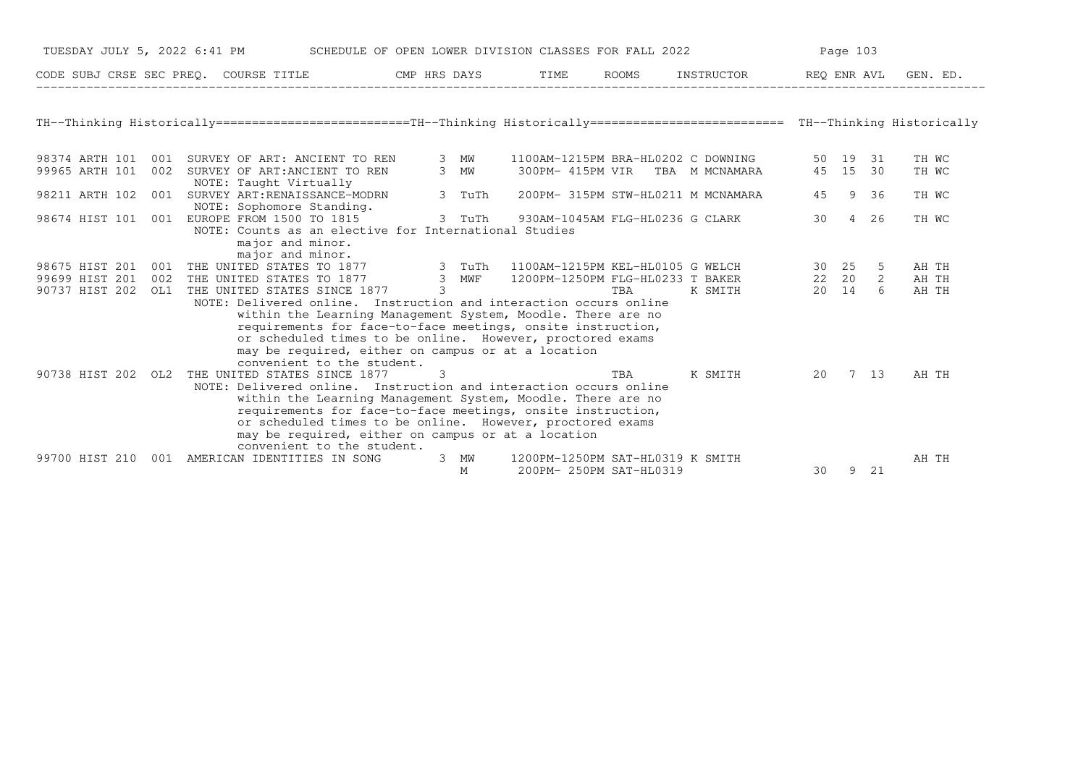|  | TUESDAY JULY 5, 2022 6:41 PM SCHEDULE OF OPEN LOWER DIVISION CLASSES FOR FALL 2022 Page 103                                                                                                                                                                                                                                                      |        |                         |     |                                           |  |                |
|--|--------------------------------------------------------------------------------------------------------------------------------------------------------------------------------------------------------------------------------------------------------------------------------------------------------------------------------------------------|--------|-------------------------|-----|-------------------------------------------|--|----------------|
|  | CODE SUBJ CRSE SEC PREQ. COURSE TITLE THE CMP HRS DAYS TIME ROOMS INSTRUCTOR THE REQ ENR AVL GEN. ED.                                                                                                                                                                                                                                            |        |                         |     |                                           |  |                |
|  | TH--Thinking Historically=========================TH--Thinking Historically========================== TH--Thinking Historically                                                                                                                                                                                                                  |        |                         |     |                                           |  |                |
|  | 98374 ARTH 101 001 SURVEY OF ART: ANCIENT TO REN 3 MW 1100AM-1215PM BRA-HL0202 C DOWNING 50 19 31<br>99965 ARTH 101 002 SURVEY OF ART:ANCIENT TO REN 3 MW<br>NOTE: Taught Virtually                                                                                                                                                              |        |                         |     | 300PM-415PM VIR TBA M MCNAMARA 45 15 30   |  | TH WC<br>TH WC |
|  | 98211 ARTH 102 001 SURVEY ART: RENAISSANCE-MODRN<br>NOTE: Sophomore Standing.                                                                                                                                                                                                                                                                    | 3 TuTh |                         |     | 200PM-315PM STW-HL0211 M MCNAMARA 45 9 36 |  | TH WC          |
|  | 98674 HIST 101 001 EUROPE FROM 1500 TO 1815 3 TuTh 930AM-1045AM FLG-HL0236 G CLARK 30 4 26<br>NOTE: Counts as an elective for International Studies<br>major and minor.                                                                                                                                                                          |        |                         |     |                                           |  | TH WC          |
|  | major and minor.                                                                                                                                                                                                                                                                                                                                 |        |                         |     |                                           |  |                |
|  |                                                                                                                                                                                                                                                                                                                                                  |        |                         |     |                                           |  |                |
|  | 98675 HIST 201 001 THE UNITED STATES TO 1877 3 TuTh 1100AM-1215PM KEL-HL0105 G WELCH 30 25 5 AH TH<br>99699 HIST 201 002 THE UNITED STATES TO 1877 3 MWF 1200PM-1250PM FLG-HL0233 T BAKER 22 20 2 AH TH<br>90737 HIST 202 OL1 THE UN<br>NOTE: Delivered online. Instruction and interaction occurs online                                        |        |                         |     |                                           |  |                |
|  | within the Learning Management System, Moodle. There are no<br>requirements for face-to-face meetings, onsite instruction,<br>or scheduled times to be online. However, proctored exams<br>may be required, either on campus or at a location<br>convenient to the student.                                                                      |        |                         |     |                                           |  |                |
|  | 90738 HIST 202 OL2 THE UNITED STATES SINCE 1877                                                                                                                                                                                                                                                                                                  |        | $\overline{\mathbf{3}}$ | TBA | K SMITH 20 7 13                           |  | AH TH          |
|  | NOTE: Delivered online. Instruction and interaction occurs online<br>within the Learning Management System, Moodle. There are no<br>requirements for face-to-face meetings, onsite instruction,<br>or scheduled times to be online. However, proctored exams<br>may be required, either on campus or at a location<br>convenient to the student. |        |                         |     |                                           |  |                |
|  | 99700 HIST 210 001 AMERICAN IDENTITIES IN SONG 3 MW 1200PM-1250PM SAT-HL0319 K SMITH<br>M 200PM-250PM SAT-HL0319 30 9 21                                                                                                                                                                                                                         |        |                         |     |                                           |  | AH TH          |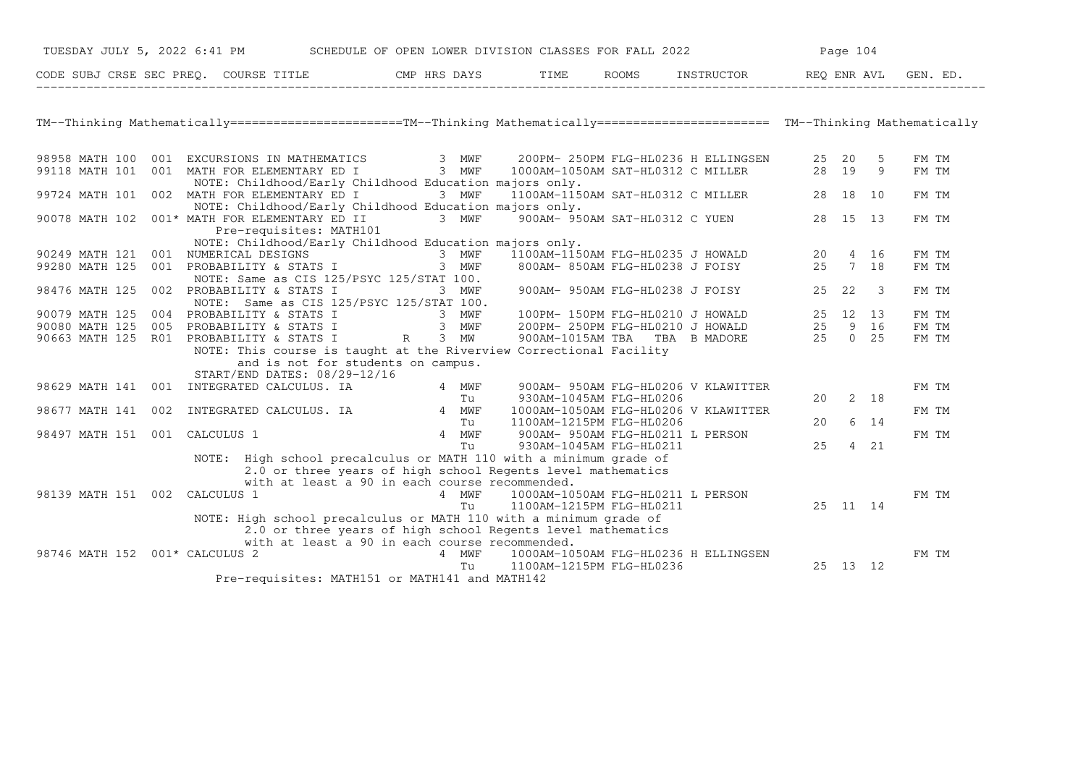| TUESDAY JULY 5, 2022 6:41 PM SCHEDULE OF OPEN LOWER DIVISION CLASSES FOR FALL 2022<br>Page 104 |  |                                                                                                                                                                                                                                                        |       |       |                                                                                                     |  |                                                                                                                                |    |          |                          |          |
|------------------------------------------------------------------------------------------------|--|--------------------------------------------------------------------------------------------------------------------------------------------------------------------------------------------------------------------------------------------------------|-------|-------|-----------------------------------------------------------------------------------------------------|--|--------------------------------------------------------------------------------------------------------------------------------|----|----------|--------------------------|----------|
|                                                                                                |  | CODE SUBJ CRSE SEC PREQ. COURSE TITLE THE CMP HRS DAYS TIME                                                                                                                                                                                            |       |       |                                                                                                     |  | ROOMS INSTRUCTOR REQ ENR AVL                                                                                                   |    |          |                          | GEN. ED. |
|                                                                                                |  | TM--Thinking Mathematically======================TM--Thinking Mathematically======================== TM--Thinking Mathematically                                                                                                                       |       |       |                                                                                                     |  |                                                                                                                                |    |          |                          |          |
|                                                                                                |  |                                                                                                                                                                                                                                                        |       |       |                                                                                                     |  |                                                                                                                                |    |          |                          |          |
|                                                                                                |  |                                                                                                                                                                                                                                                        |       |       |                                                                                                     |  |                                                                                                                                |    |          |                          | FM TM    |
|                                                                                                |  | 98958 MATH 100 001 EXCURSIONS IN MATHEMATICS 3 MWF 200PM-250PM FLG-HL0236 H ELLINGSEN 25 20 5<br>99118 MATH 101 001 MATH FOR ELEMENTARY ED I 3 MWF 1000AM-1050AM SAT-HL0312 C MILLER 28 19 9<br>NOTE: Childhood/Early Childhood Education majors only. |       |       |                                                                                                     |  |                                                                                                                                |    |          |                          | FM TM    |
|                                                                                                |  | 99724 MATH 101 002 MATH FOR ELEMENTARY ED I                                                                                                                                                                                                            | 3 MWF |       |                                                                                                     |  |                                                                                                                                |    |          |                          | FM TM    |
|                                                                                                |  | NOTE: Childhood/Early Childhood Education majors only.<br>90078 MATH 102 001* MATH FOR ELEMENTARY ED II                                                                                                                                                | 3 MWF |       | 900AM- 950AM SAT-HL0312 C YUEN 28 15 13                                                             |  |                                                                                                                                |    |          |                          | FM TM    |
|                                                                                                |  | Pre-requisites: MATH101                                                                                                                                                                                                                                |       |       |                                                                                                     |  |                                                                                                                                |    |          |                          |          |
|                                                                                                |  | NOTE: Childhood/Early Childhood Education majors only.                                                                                                                                                                                                 |       |       |                                                                                                     |  |                                                                                                                                |    |          |                          |          |
|                                                                                                |  | 90249 MATH 121 001 NUMERICAL DESIGNS <sup>-</sup> 3 MWF<br>99280 MATH 125 001 PROBABILITY & STATS I 3 MWF                                                                                                                                              |       |       | majors only.<br>1100AM-1150AM FLG-HL0235 J HOWALD 20 4 16<br>800AM-850AM FLG-HL0238 J FOISY 25 7 18 |  |                                                                                                                                |    |          |                          | FM TM    |
|                                                                                                |  |                                                                                                                                                                                                                                                        |       |       |                                                                                                     |  |                                                                                                                                |    |          |                          | FM TM    |
|                                                                                                |  | NOTE: Same as CIS 125/PSYC 125/STAT 100.                                                                                                                                                                                                               |       |       |                                                                                                     |  |                                                                                                                                |    |          |                          |          |
| 98476 MATH 125                                                                                 |  | 002 PROBABILITY & STATS I<br>NOTE: Same as CIS 125/PSYC 125/STAT 100.                                                                                                                                                                                  |       | 3 MWF |                                                                                                     |  | 900AM- 950AM FLG-HL0238 J FOISY 25 22                                                                                          |    |          | $\overline{\phantom{a}}$ | FM TM    |
|                                                                                                |  |                                                                                                                                                                                                                                                        |       |       |                                                                                                     |  | 100PM- 150PM FLG-HL0210 J HOWALD 25 12 13<br>200PM- 250PM FLG-HL0210 J HOWALD 25 9 16<br>900AM-1015AM TBA TBA B MADORE 25 0 25 |    |          |                          | FM TM    |
|                                                                                                |  | 90079 MATH 125 004 PROBABILITY & STATS I 3 MWF 90080 MATH 125 005 PROBABILITY & STATS I 3 MWF                                                                                                                                                          |       |       |                                                                                                     |  |                                                                                                                                |    |          |                          | FM TM    |
|                                                                                                |  | 90663 MATH 125 RO1 PROBABILITY & STATS I R 3 MW                                                                                                                                                                                                        |       |       |                                                                                                     |  |                                                                                                                                |    |          |                          | FM TM    |
|                                                                                                |  | NOTE: This course is taught at the Riverview Correctional Facility                                                                                                                                                                                     |       |       |                                                                                                     |  |                                                                                                                                |    |          |                          |          |
|                                                                                                |  | and is not for students on campus.                                                                                                                                                                                                                     |       |       |                                                                                                     |  |                                                                                                                                |    |          |                          |          |
|                                                                                                |  | START/END DATES: 08/29-12/16                                                                                                                                                                                                                           |       |       |                                                                                                     |  |                                                                                                                                |    |          |                          |          |
|                                                                                                |  | 98629 MATH 141 001 INTEGRATED CALCULUS. IA 4 MWF                                                                                                                                                                                                       |       |       |                                                                                                     |  | 900AM- 950AM FLG-HL0206 V KLAWITTER                                                                                            |    |          |                          | FM TM    |
|                                                                                                |  |                                                                                                                                                                                                                                                        |       | Tu    | 930AM-1045AM FLG-HL0206                                                                             |  |                                                                                                                                | 20 |          | 2 18                     |          |
|                                                                                                |  |                                                                                                                                                                                                                                                        |       |       | 1100AM-1215PM FLG-HL0206                                                                            |  | 1000AM-1050AM FLG-HL0206 V KLAWITTER                                                                                           | 20 |          | 6 14                     | FM TM    |
|                                                                                                |  | 98677 MATH 141 002 INTEGRATED CALCULUS. IA 14 MWF<br>98497 MATH 151 001 CALCULUS 1 4 MWF                                                                                                                                                               |       |       | 900AM- 950AM FLG-HL0211 L PERSON                                                                    |  |                                                                                                                                |    |          |                          | FM TM    |
|                                                                                                |  |                                                                                                                                                                                                                                                        |       | Tu    | 930AM-1045AM FLG-HL0211                                                                             |  |                                                                                                                                | 25 |          | 4 21                     |          |
|                                                                                                |  | NOTE: High school precalculus or MATH 110 with a minimum grade of                                                                                                                                                                                      |       |       |                                                                                                     |  |                                                                                                                                |    |          |                          |          |
|                                                                                                |  |                                                                                                                                                                                                                                                        |       |       | 2.0 or three years of high school Regents level mathematics                                         |  |                                                                                                                                |    |          |                          |          |
|                                                                                                |  | with at least a 90 in each course recommended.                                                                                                                                                                                                         |       |       |                                                                                                     |  |                                                                                                                                |    |          |                          |          |
| 98139 MATH 151 002                                                                             |  | CALCULUS <sub>1</sub>                                                                                                                                                                                                                                  |       | 4 MWF |                                                                                                     |  | 1000AM-1050AM FLG-HL0211 L PERSON<br>1100AM-1215PM FLG-HL0211 25 11 14                                                         |    |          |                          | FM TM    |
|                                                                                                |  |                                                                                                                                                                                                                                                        |       | Tu    | 1100AM-1215PM FLG-HL0211                                                                            |  |                                                                                                                                |    |          |                          |          |
|                                                                                                |  | NOTE: High school precalculus or MATH 110 with a minimum grade of                                                                                                                                                                                      |       |       |                                                                                                     |  |                                                                                                                                |    |          |                          |          |
|                                                                                                |  | with at least a 90 in each course recommended.                                                                                                                                                                                                         |       |       | 2.0 or three years of high school Regents level mathematics                                         |  |                                                                                                                                |    |          |                          |          |
| 98746 MATH 152 001* CALCULUS 2                                                                 |  |                                                                                                                                                                                                                                                        |       | 4 MWF |                                                                                                     |  | 1000AM-1050AM FLG-HL0236 H ELLINGSEN                                                                                           |    |          |                          | FM TM    |
|                                                                                                |  |                                                                                                                                                                                                                                                        |       | Tu    | 1100AM-1215PM FLG-HL0236                                                                            |  |                                                                                                                                |    | 25 13 12 |                          |          |
|                                                                                                |  | Pre-requisites: MATH151 or MATH141 and MATH142                                                                                                                                                                                                         |       |       |                                                                                                     |  |                                                                                                                                |    |          |                          |          |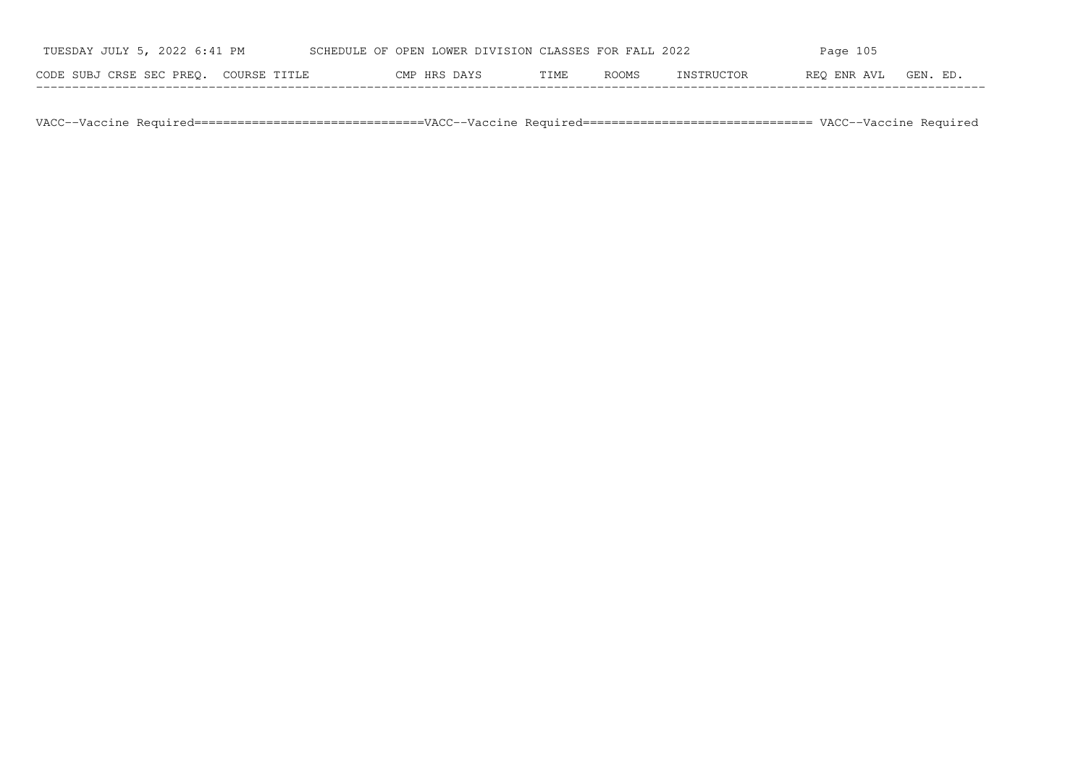| TUESDAY JULY 5, 2022 6:41 PM          | SCHEDULE OF OPEN LOWER DIVISION CLASSES FOR FALL 2022 |      |              |            | Page $105$  |          |
|---------------------------------------|-------------------------------------------------------|------|--------------|------------|-------------|----------|
| CODE SUBJ CRSE SEC PREO. COURSE TITLE | CMP HRS DAYS                                          | TIME | <b>ROOMS</b> | INSTRUCTOR | REO ENR AVL | GEN. ED. |

VACC−−Vaccine Required================================VACC−−Vaccine Required================================ VACC−−Vaccine Required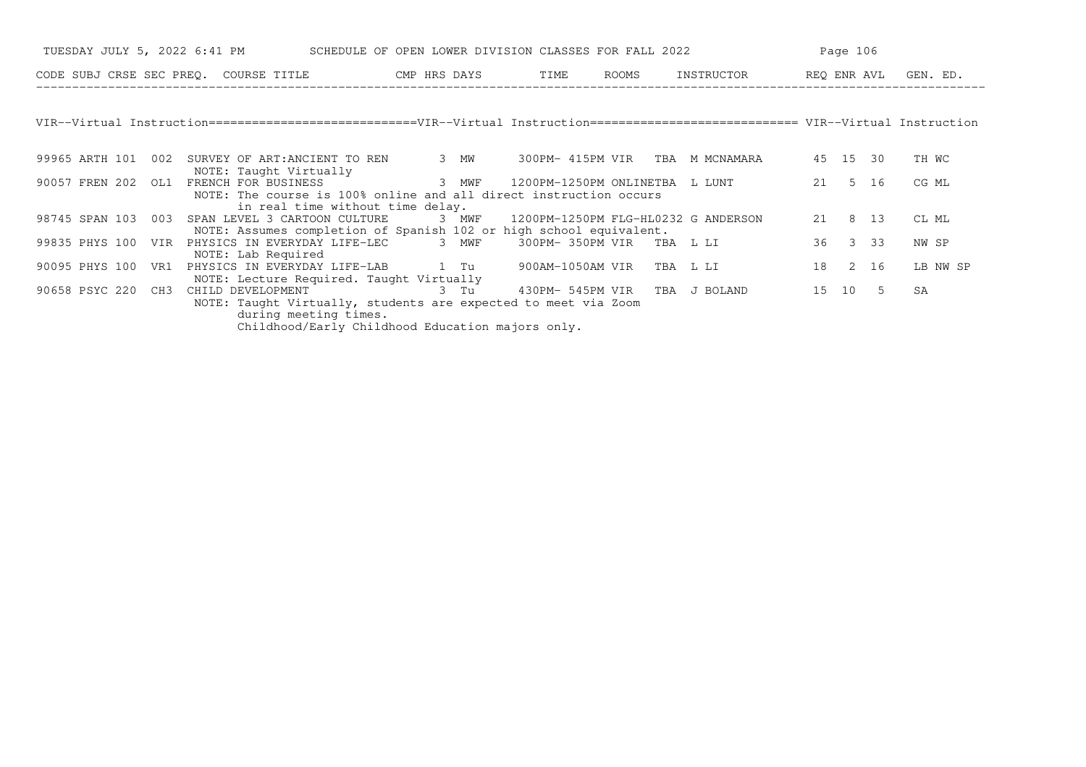| TUESDAY JULY 5, 2022 6:41 PM |                                                                                                                                      |       | SCHEDULE OF OPEN LOWER DIVISION CLASSES FOR FALL 2022 |                                 | Page 106             |          |
|------------------------------|--------------------------------------------------------------------------------------------------------------------------------------|-------|-------------------------------------------------------|---------------------------------|----------------------|----------|
|                              | CODE SUBJ CRSE SEC PREQ. COURSE TITLE THE CMP HRS DAYS                                                                               |       | ROOMS<br>TIME                                         | INSTRUCTOR                      | REQ ENR AVL GEN. ED. |          |
|                              |                                                                                                                                      |       |                                                       |                                 |                      |          |
|                              | VIR--Virtual Instruction==============================VIR--Virtual Instruction============================= VIR--Virtual Instruction |       |                                                       |                                 |                      |          |
| 99965 ARTH 101<br>002        | SURVEY OF ART:ANCIENT TO REN                                                                                                         | 3 MW  |                                                       | 300PM- 415PM VIR TBA M MCNAMARA | 45 15 30             | TH WC    |
| 90057 FREN 202 OL1           | NOTE: Taught Virtually<br>FRENCH FOR BUSINESS                                                                                        |       | 3 MWF 1200PM-1250PM ONLINETBA L LUNT                  |                                 | 21 5 16              | CG ML    |
|                              | NOTE: The course is 100% online and all direct instruction occurs<br>in real time without time delay.                                |       |                                                       |                                 |                      |          |
| 98745 SPAN 103 003           | SPAN LEVEL 3 CARTOON CULTURE<br>NOTE: Assumes completion of Spanish 102 or high school equivalent.                                   | 3 MWF | 1200PM-1250PM FLG-HL0232 G ANDERSON                   |                                 | 21 8 13              | CL ML    |
| 99835 PHYS 100 VIR           | PHYSICS IN EVERYDAY LIFE-LEC<br>NOTE: Lab Required                                                                                   | 3 MWF | 300PM-350PM VIR TBA L LI                              |                                 | 36 3 33              | NW SP    |
| 90095 PHYS 100 VR1           | PHYSICS IN EVERYDAY LIFE-LAB 1 Tu<br>NOTE: Lecture Required. Taught Virtually                                                        |       | 900AM-1050AM VIR                                      | TBA L LI                        | 2 16<br>18           | LB NW SP |
| 90658 PSYC 220 CH3           | CHILD DEVELOPMENT<br>NOTE: Taught Virtually, students are expected to meet via Zoom                                                  | 3 Tu  | 430PM- 545PM VIR                                      | TBA<br>J BOLAND                 | 15 10 5              | SA       |
|                              | during meeting times.                                                                                                                |       |                                                       |                                 |                      |          |
|                              | Childhood/Early Childhood Education majors only.                                                                                     |       |                                                       |                                 |                      |          |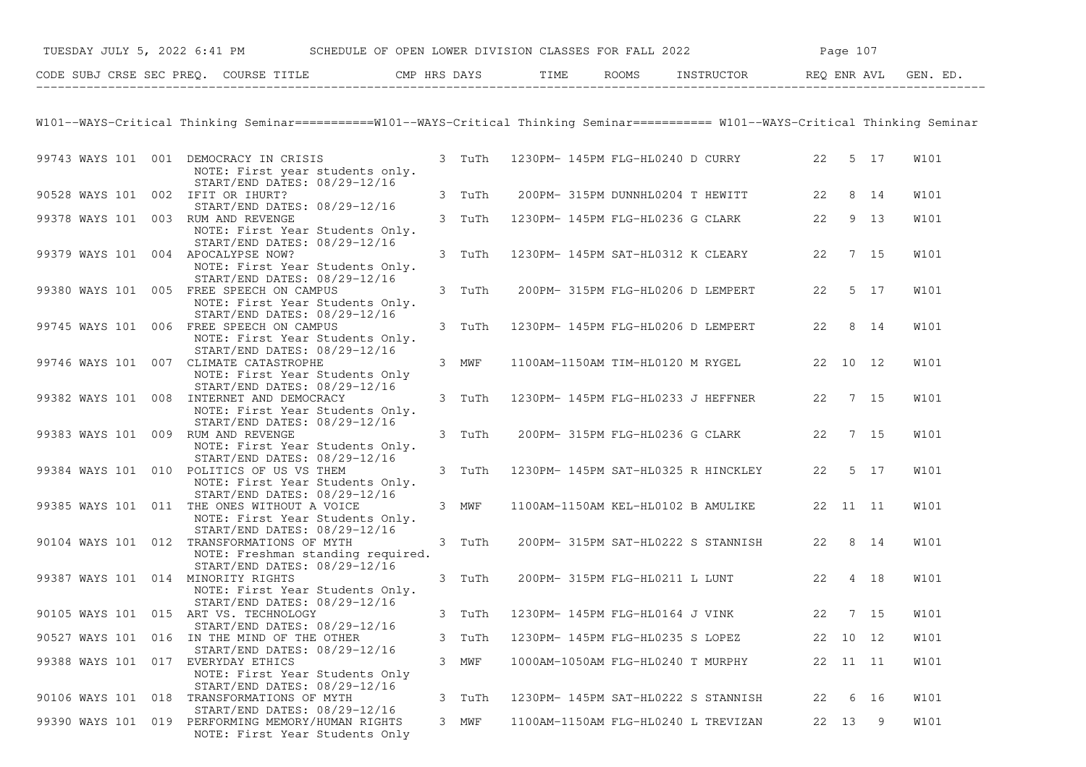| TUESDAY JULY 5, 2022 6:41 PM SCHEDULE OF OPEN LOWER DIVISION CLASSES FOR FALL 2022 Page 107 |  |                                                                                                                                    |  |        |  |  |                                             |    |          |      |             |
|---------------------------------------------------------------------------------------------|--|------------------------------------------------------------------------------------------------------------------------------------|--|--------|--|--|---------------------------------------------|----|----------|------|-------------|
|                                                                                             |  |                                                                                                                                    |  |        |  |  |                                             |    |          |      |             |
|                                                                                             |  |                                                                                                                                    |  |        |  |  |                                             |    |          |      |             |
|                                                                                             |  | W101--WAYS-Critical Thinking Seminar===========W101--WAYS-Critical Thinking Seminar========== W101--WAYS-Critical Thinking Seminar |  |        |  |  |                                             |    |          |      |             |
|                                                                                             |  | 99743 WAYS 101 001 DEMOCRACY IN CRISIS                                                                                             |  | 3 TuTh |  |  | 1230PM- 145PM FLG-HL0240 D CURRY 22 5 17    |    |          |      | W101        |
|                                                                                             |  | NOTE: First year students only.<br>START/END DATES: 08/29-12/16                                                                    |  |        |  |  |                                             |    |          |      |             |
|                                                                                             |  | 90528 WAYS 101 002 IFIT OR IHURT?<br>START/END DATES: 08/29-12/16                                                                  |  | 3 TuTh |  |  | 200PM- 315PM DUNNHL0204 T HEWITT 22 8 14    |    |          |      | <b>W101</b> |
|                                                                                             |  | 99378 WAYS 101 003 RUM AND REVENGE                                                                                                 |  | 3 TuTh |  |  | 1230PM- 145PM FLG-HL0236 G CLARK 22 9 13    |    |          |      | <b>W101</b> |
|                                                                                             |  | NOTE: First Year Students Only.<br>START/END DATES: 08/29-12/16                                                                    |  |        |  |  |                                             |    |          |      |             |
|                                                                                             |  | 99379 WAYS 101 004 APOCALYPSE NOW?<br>NOTE: First Year Students Only.                                                              |  | 3 TuTh |  |  | 1230PM- 145PM SAT-HL0312 K CLEARY 22 7 15   |    |          |      | W101        |
|                                                                                             |  | START/END DATES: 08/29-12/16<br>99380 WAYS 101 005 FREE SPEECH ON CAMPUS                                                           |  | 3 TuTh |  |  | 200PM- 315PM FLG-HL0206 D LEMPERT 22 5 17   |    |          |      | <b>W101</b> |
|                                                                                             |  | NOTE: First Year Students Only.<br>START/END DATES: 08/29-12/16                                                                    |  |        |  |  |                                             |    |          |      |             |
|                                                                                             |  | 99745 WAYS 101 006 FREE SPEECH ON CAMPUS<br>NOTE: First Year Students Only.                                                        |  | 3 TuTh |  |  | 1230PM- 145PM FLG-HL0206 D LEMPERT 22 8 14  |    |          |      | W101        |
|                                                                                             |  | START/END DATES: 08/29-12/16<br>99746 WAYS 101 007 CLIMATE CATASTROPHE                                                             |  | 3 MWF  |  |  | 1100AM-1150AM TIM-HL0120 M RYGEL 22 10 12   |    |          |      | W101        |
|                                                                                             |  | NOTE: First Year Students Only                                                                                                     |  |        |  |  |                                             |    |          |      |             |
|                                                                                             |  | START/END DATES: 08/29-12/16<br>99382 WAYS 101 008 INTERNET AND DEMOCRACY                                                          |  | 3 TuTh |  |  | 1230PM-145PM FLG-HL0233 J HEFFNER 22 7 15   |    |          |      | <b>W101</b> |
|                                                                                             |  | NOTE: First Year Students Only.<br>START/END DATES: 08/29-12/16                                                                    |  |        |  |  |                                             |    |          |      |             |
|                                                                                             |  | 99383 WAYS 101 009 RUM AND REVENGE<br>NOTE: First Year Students Only.                                                              |  | 3 TuTh |  |  | 200PM- 315PM FLG-HL0236 G CLARK 22 7 15     |    |          |      | W101        |
|                                                                                             |  | START/END DATES: 08/29-12/16<br>99384 WAYS 101 010 POLITICS OF US VS THEM                                                          |  | 3 TuTh |  |  | 1230PM- 145PM SAT-HL0325 R HINCKLEY 22 5 17 |    |          |      | W101        |
|                                                                                             |  | NOTE: First Year Students Only.                                                                                                    |  |        |  |  |                                             |    |          |      |             |
|                                                                                             |  | START/END DATES: 08/29-12/16<br>99385 WAYS 101 011 THE ONES WITHOUT A VOICE                                                        |  | 3 MWF  |  |  | 1100AM-1150AM KEL-HL0102 B AMULIKE 22 11 11 |    |          |      | W101        |
|                                                                                             |  | NOTE: First Year Students Only.<br>START/END DATES: 08/29-12/16                                                                    |  |        |  |  |                                             |    |          |      |             |
|                                                                                             |  | 90104 WAYS 101 012 TRANSFORMATIONS OF MYTH<br>NOTE: Freshman standing required.                                                    |  | 3 TuTh |  |  | 200PM- 315PM SAT-HL0222 S STANNISH 22 8 14  |    |          |      | W101        |
|                                                                                             |  | START/END DATES: 08/29-12/16<br>99387 WAYS 101 014 MINORITY RIGHTS                                                                 |  | 3 TuTh |  |  | 200PM- 315PM FLG-HL0211 L LUNT 22 4 18      |    |          |      | W101        |
|                                                                                             |  | NOTE: First Year Students Only.<br>START/END DATES: 08/29-12/16                                                                    |  |        |  |  |                                             |    |          |      |             |
|                                                                                             |  | 90105 WAYS 101 015 ART VS. TECHNOLOGY                                                                                              |  | 3 TuTh |  |  | 1230PM- 145PM FLG-HL0164 J VINK 22 7 15     |    |          |      | W101        |
|                                                                                             |  | START/END DATES: 08/29-12/16<br>90527 WAYS 101 016 IN THE MIND OF THE OTHER                                                        |  | 3 TuTh |  |  | 1230PM- 145PM FLG-HL0235 S LOPEZ            |    | 22 10 12 |      | <b>W101</b> |
|                                                                                             |  | START/END DATES: 08/29-12/16<br>99388 WAYS 101 017 EVERYDAY ETHICS                                                                 |  | 3 MWF  |  |  | 1000AM-1050AM FLG-HL0240 T MURPHY           |    | 22 11 11 |      | W101        |
|                                                                                             |  | NOTE: First Year Students Only<br>START/END DATES: 08/29-12/16                                                                     |  |        |  |  |                                             |    |          |      |             |
|                                                                                             |  | 90106 WAYS 101 018 TRANSFORMATIONS OF MYTH<br>START/END DATES: 08/29-12/16                                                         |  | 3 TuTh |  |  | 1230PM- 145PM SAT-HL0222 S STANNISH         | 22 |          | 6 16 | <b>W101</b> |
|                                                                                             |  | 99390 WAYS 101 019 PERFORMING MEMORY/HUMAN RIGHTS<br>NOTE: First Year Students Only                                                |  | 3 MWF  |  |  | 1100AM-1150AM FLG-HL0240 L TREVIZAN         |    | 22 13    | 9    | W101        |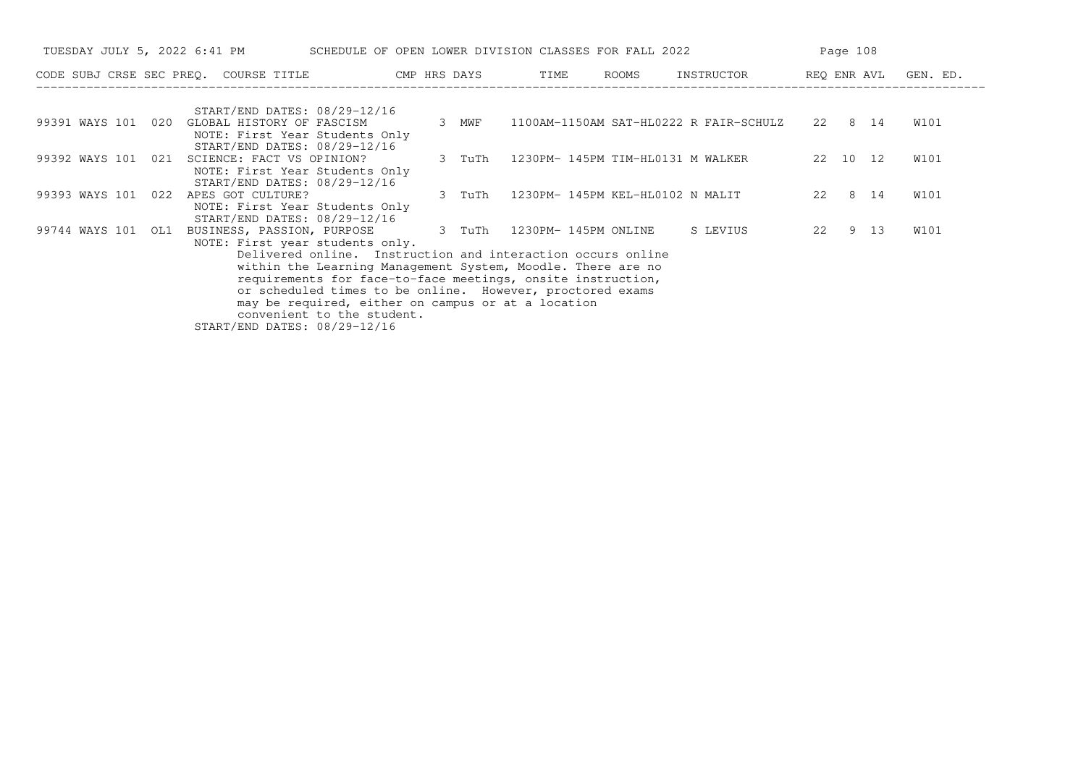|                                                             | TUESDAY JULY 5, 2022 6:41 PM                                |  |  |                                                                |  |  |  |        |                            |  | SCHEDULE OF OPEN LOWER DIVISION CLASSES FOR FALL 2022 |                                        |             | Page 108 |      |          |
|-------------------------------------------------------------|-------------------------------------------------------------|--|--|----------------------------------------------------------------|--|--|--|--------|----------------------------|--|-------------------------------------------------------|----------------------------------------|-------------|----------|------|----------|
|                                                             |                                                             |  |  | CODE SUBJ CRSE SEC PREQ. COURSE TITLE THE CMP HRS DAYS         |  |  |  |        | TIME                       |  | ROOMS                                                 | INSTRUCTOR                             | REQ ENR AVL |          |      | GEN. ED. |
|                                                             |                                                             |  |  | START/END DATES: 08/29-12/16                                   |  |  |  |        |                            |  |                                                       |                                        |             |          |      |          |
|                                                             | 99391 WAYS 101 020                                          |  |  | GLOBAL HISTORY OF FASCISM                                      |  |  |  | 3 MWF  |                            |  |                                                       | 1100AM-1150AM SAT-HL0222 R FAIR-SCHULZ |             | 22 8 14  |      | W101     |
|                                                             |                                                             |  |  | NOTE: First Year Students Only<br>START/END DATES: 08/29-12/16 |  |  |  |        |                            |  |                                                       |                                        |             |          |      |          |
|                                                             | 99392 WAYS 101 021                                          |  |  | SCIENCE: FACT VS OPINION?                                      |  |  |  | 3 TuTh |                            |  | 1230PM- 145PM TIM-HL0131 M WALKER                     |                                        |             | 22 10 12 |      | W101     |
|                                                             |                                                             |  |  | NOTE: First Year Students Only<br>START/END DATES: 08/29-12/16 |  |  |  |        |                            |  |                                                       |                                        |             |          |      |          |
|                                                             | 99393 WAYS 101 022                                          |  |  | APES GOT CULTURE?                                              |  |  |  | 3 TuTh |                            |  | 1230PM- 145PM KEL-HL0102 N MALIT                      |                                        |             | 22 8 14  |      | W101     |
|                                                             |                                                             |  |  | NOTE: First Year Students Only                                 |  |  |  |        |                            |  |                                                       |                                        |             |          |      |          |
|                                                             | 99744 WAYS 101 OL1                                          |  |  | START/END DATES: 08/29-12/16<br>BUSINESS, PASSION, PURPOSE     |  |  |  |        | 3 TuTh 1230PM-145PM ONLINE |  |                                                       | S LEVIUS                               | 22          |          | 9 13 | W101     |
|                                                             |                                                             |  |  | NOTE: First year students only.                                |  |  |  |        |                            |  |                                                       |                                        |             |          |      |          |
| Delivered online. Instruction and interaction occurs online |                                                             |  |  |                                                                |  |  |  |        |                            |  |                                                       |                                        |             |          |      |          |
|                                                             | within the Learning Management System, Moodle. There are no |  |  |                                                                |  |  |  |        |                            |  |                                                       |                                        |             |          |      |          |
|                                                             | requirements for face-to-face meetings, onsite instruction, |  |  |                                                                |  |  |  |        |                            |  |                                                       |                                        |             |          |      |          |
|                                                             |                                                             |  |  | or scheduled times to be online. However, proctored exams      |  |  |  |        |                            |  |                                                       |                                        |             |          |      |          |
|                                                             |                                                             |  |  | may be required, either on campus or at a location             |  |  |  |        |                            |  |                                                       |                                        |             |          |      |          |
|                                                             | convenient to the student.                                  |  |  |                                                                |  |  |  |        |                            |  |                                                       |                                        |             |          |      |          |
|                                                             | START/END DATES: 08/29-12/16                                |  |  |                                                                |  |  |  |        |                            |  |                                                       |                                        |             |          |      |          |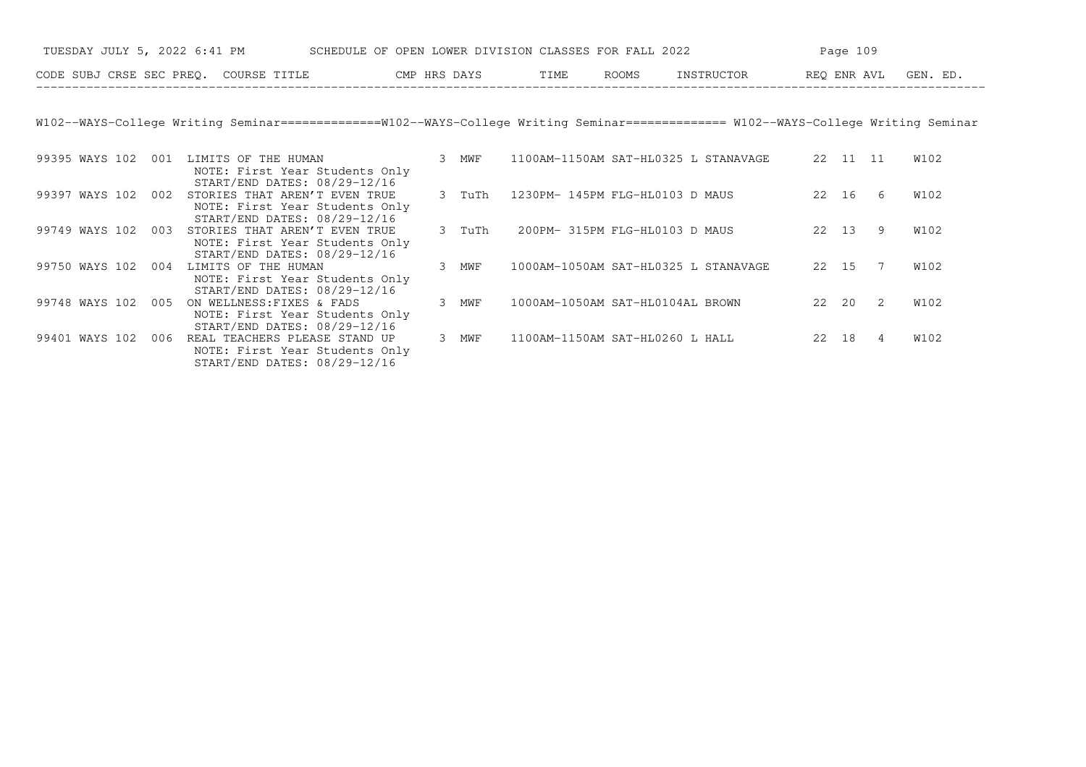| TUESDAY JULY 5, 2022 6:41 PM<br>SCHEDULE OF OPEN LOWER DIVISION CLASSES FOR FALL 2022<br>Page 109                                     |  |                                                                                                 |  |  |        |                                  |  |       |                                      |       |          |                |      |
|---------------------------------------------------------------------------------------------------------------------------------------|--|-------------------------------------------------------------------------------------------------|--|--|--------|----------------------------------|--|-------|--------------------------------------|-------|----------|----------------|------|
|                                                                                                                                       |  | CODE SUBJ CRSE SEC PREQ. COURSE TITLE THE CMP HRS DAYS TIME                                     |  |  |        |                                  |  | ROOMS | INSTRUCTOR REO ENR AVL GEN. ED.      |       |          |                |      |
|                                                                                                                                       |  |                                                                                                 |  |  |        |                                  |  |       |                                      |       |          |                |      |
| W102--WAYS-College Writing Seminar================W102--WAYS-College Writing Seminar============== W102--WAYS-College Writing Seminar |  |                                                                                                 |  |  |        |                                  |  |       |                                      |       |          |                |      |
| 99395 WAYS 102 001                                                                                                                    |  | LIMITS OF THE HUMAN                                                                             |  |  | 3 MWF  |                                  |  |       | 1100AM-1150AM SAT-HL0325 L STANAVAGE |       | 22 11 11 |                | W102 |
|                                                                                                                                       |  | NOTE: First Year Students Only<br>START/END DATES: 08/29-12/16                                  |  |  |        |                                  |  |       |                                      |       |          |                |      |
| 99397 WAYS 102 002                                                                                                                    |  | STORIES THAT AREN'T EVEN TRUE<br>NOTE: First Year Students Only<br>START/END DATES: 08/29-12/16 |  |  | 3 TuTh | 1230PM- 145PM FLG-HL0103 D MAUS  |  |       |                                      |       | 22 16 6  |                | W102 |
| 99749 WAYS 102 003                                                                                                                    |  | STORIES THAT AREN'T EVEN TRUE<br>NOTE: First Year Students Only                                 |  |  | 3 TuTh | 200PM- 315PM FLG-HL0103 D MAUS   |  |       |                                      |       | 22 13 9  |                | W102 |
|                                                                                                                                       |  | START/END DATES: 08/29-12/16                                                                    |  |  |        |                                  |  |       |                                      |       |          |                |      |
| 99750 WAYS 102 004                                                                                                                    |  | LIMITS OF THE HUMAN<br>NOTE: First Year Students Only                                           |  |  | 3 MWF  |                                  |  |       | 1000AM-1050AM SAT-HL0325 L STANAVAGE |       | 22 15 7  |                | W102 |
| 99748 WAYS 102 005                                                                                                                    |  | START/END DATES: 08/29-12/16<br>ON WELLNESS: FIXES & FADS                                       |  |  | 3 MWF  | 1000AM-1050AM SAT-HL0104AL BROWN |  |       |                                      |       | 22 20    | $\overline{2}$ | W102 |
|                                                                                                                                       |  | NOTE: First Year Students Only                                                                  |  |  |        |                                  |  |       |                                      |       |          |                |      |
| 99401 WAYS 102 006                                                                                                                    |  | START/END DATES: 08/29-12/16<br>REAL TEACHERS PLEASE STAND UP<br>NOTE: First Year Students Only |  |  | 3 MWF  | 1100AM-1150AM SAT-HL0260 L HALL  |  |       |                                      | 22 18 |          | $\overline{4}$ | W102 |

START/END DATES: 08/29−12/16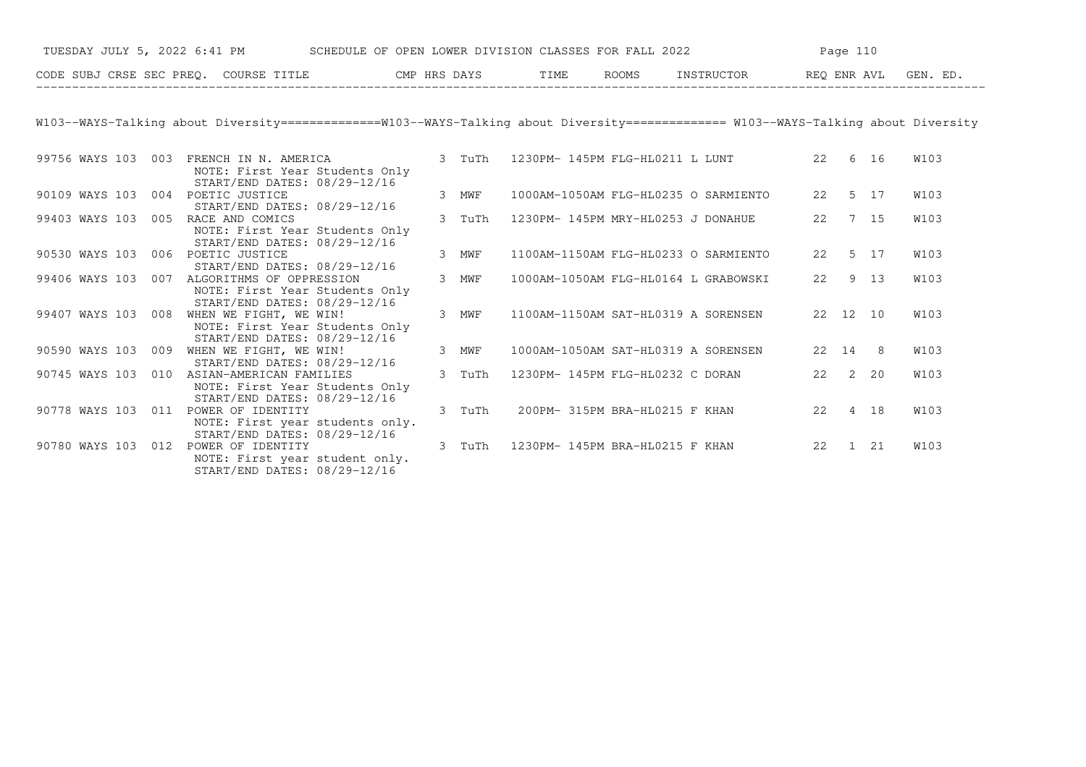|                                                                                                                                        | TUESDAY JULY 5, 2022 6:41 PM SCHEDULE OF OPEN LOWER DIVISION CLASSES FOR FALL 2022 Page 110 |        |  |  |                                               |          |  |  |             |
|----------------------------------------------------------------------------------------------------------------------------------------|---------------------------------------------------------------------------------------------|--------|--|--|-----------------------------------------------|----------|--|--|-------------|
| CODE SUBJ CRSE SEC PREQ. COURSE TITLE CMP HRS DAYS TIME ROOMS INSTRUCTOR REQ ENR AVL GEN. ED.                                          |                                                                                             |        |  |  |                                               |          |  |  |             |
|                                                                                                                                        |                                                                                             |        |  |  |                                               |          |  |  |             |
| W103--WAYS-Talking about Diversity ==============W103--WAYS-Talking about Diversity =============== W103--WAYS-Talking about Diversity |                                                                                             |        |  |  |                                               |          |  |  |             |
| 99756 WAYS 103 003 FRENCH IN N. AMERICA<br>NOTE: First Year Students Only<br>START/END DATES: 08/29-12/16                              |                                                                                             | 3 TuTh |  |  | 1230PM- 145PM FLG-HL0211 L LUNT 22 6 16       |          |  |  | <b>W103</b> |
| 90109 WAYS 103 004 POETIC JUSTICE<br>START/END DATES: 08/29-12/16                                                                      |                                                                                             | 3 MWF  |  |  | 1000AM-1050AM FLG-HL0235 O SARMIENTO          | 22 5 17  |  |  | W103        |
| 99403 WAYS 103 005 RACE AND COMICS<br>NOTE: First Year Students Only<br>START/END DATES: 08/29-12/16                                   |                                                                                             | 3 TuTh |  |  | 1230PM- 145PM MRY-HL0253 J DONAHUE            | 22 7 15  |  |  | <b>W103</b> |
| 90530 WAYS 103 006 POETIC JUSTICE<br>START/END DATES: 08/29-12/16                                                                      |                                                                                             | 3 MWF  |  |  | 1100AM-1150AM FLG-HL0233 O SARMIENTO          | 22 5 17  |  |  | <b>W103</b> |
| 99406 WAYS 103 007 ALGORITHMS OF OPPRESSION<br>NOTE: First Year Students Only<br>START/END DATES: 08/29-12/16                          |                                                                                             | 3 MWF  |  |  | 1000AM-1050AM FLG-HL0164 L GRABOWSKI          | 22 9 13  |  |  | W103        |
| 99407 WAYS 103 008 WHEN WE FIGHT, WE WIN!<br>NOTE: First Year Students Only<br>START/END DATES: 08/29-12/16                            |                                                                                             | 3 MWF  |  |  | 1100AM-1150AM SAT-HL0319 A SORENSEN           | 22 12 10 |  |  | W103        |
| 90590 WAYS 103 009 WHEN WE FIGHT, WE WIN!<br>START/END DATES: 08/29-12/16                                                              |                                                                                             | 3 MWF  |  |  | 1000AM-1050AM SAT-HL0319 A SORENSEN 22 14 8   |          |  |  | <b>W103</b> |
| 90745 WAYS 103 010 ASIAN-AMERICAN FAMILIES<br>NOTE: First Year Students Only<br>START/END DATES: 08/29-12/16                           |                                                                                             | 3 TuTh |  |  | 1230PM- 145PM FLG-HL0232 C DORAN 22 2 20      |          |  |  | W103        |
| 90778 WAYS 103 011 POWER OF IDENTITY<br>NOTE: First year students only.<br>START/END DATES: 08/29-12/16                                |                                                                                             | 3 TuTh |  |  | 200PM-315PM BRA-HL0215 F KHAN 22 4 18         |          |  |  | <b>W103</b> |
| 90780 WAYS 103 012 POWER OF IDENTITY<br>NOTE: First year student only.<br>START/END DATES: 08/29-12/16                                 |                                                                                             |        |  |  | 3 TuTh 1230PM-145PM BRA-HL0215 F KHAN 22 1 21 |          |  |  | W103        |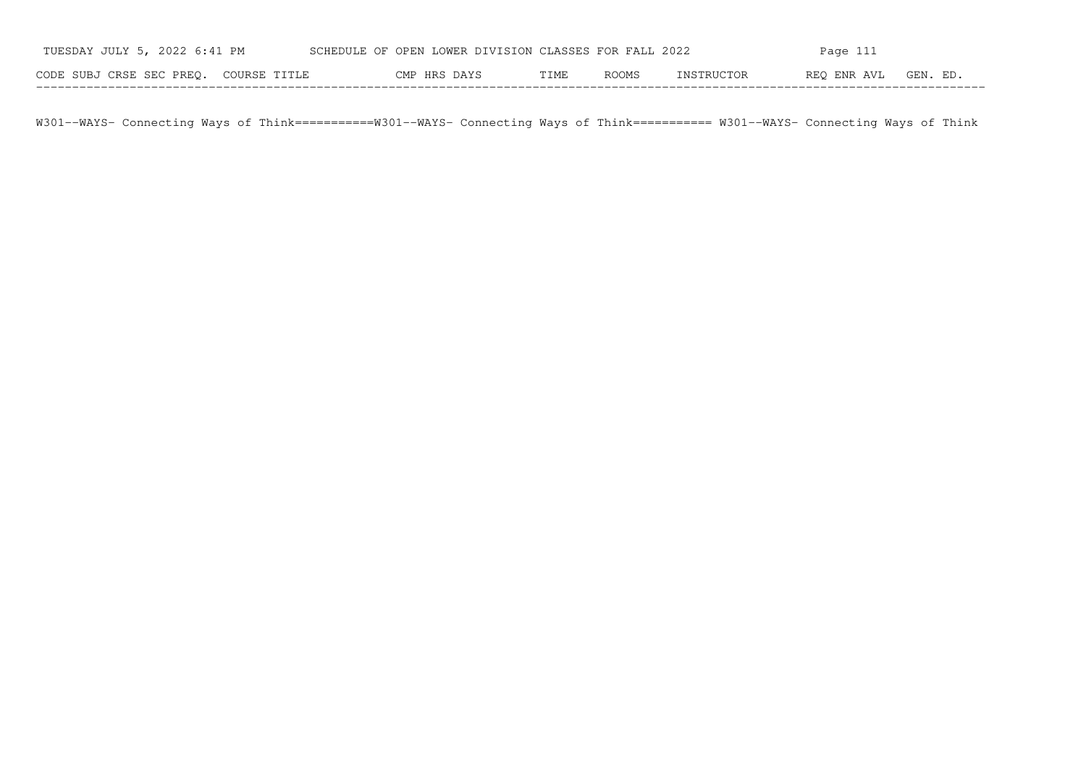| TUESDAY JULY 5, 2022 6:41 PM          | SCHEDULE OF OPEN LOWER DIVISION CLASSES FOR FALL 2022 |                       |            | Page 111    |          |
|---------------------------------------|-------------------------------------------------------|-----------------------|------------|-------------|----------|
| CODE SUBJ CRSE SEC PREO. COURSE TITLE | CMP HRS DAYS                                          | <b>ROOMS</b><br>TTME. | INSTRUCTOR | REO ENR AVL | GEN. ED. |

W301−−WAYS− Connecting Ways of Think===========W301−−WAYS− Connecting Ways of Think=========== W301−−WAYS− Connecting Ways of Think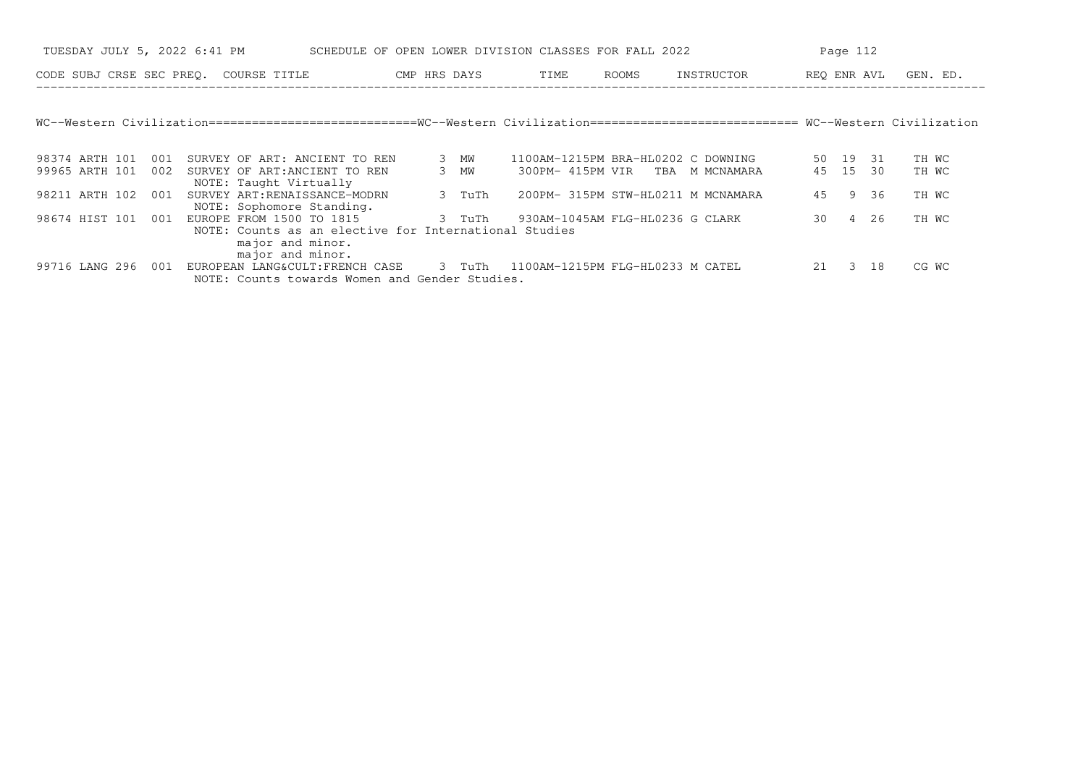| TUESDAY JULY 5, 2022 6:41 PM<br>SCHEDULE OF OPEN LOWER DIVISION CLASSES FOR FALL 2022<br>Page 112                                   |                                                                                                                                  |              |        |      |                                  |                                    |             |          |      |          |
|-------------------------------------------------------------------------------------------------------------------------------------|----------------------------------------------------------------------------------------------------------------------------------|--------------|--------|------|----------------------------------|------------------------------------|-------------|----------|------|----------|
| CODE SUBJ CRSE SEC PREO. COURSE TITLE                                                                                               |                                                                                                                                  | CMP HRS DAYS |        | TIME | ROOMS                            | INSTRUCTOR                         | REO ENR AVL |          |      | GEN. ED. |
|                                                                                                                                     |                                                                                                                                  |              |        |      |                                  |                                    |             |          |      |          |
| WC--Western Civilization===============================WC--Western Civilization=========================== WC--Western Civilization |                                                                                                                                  |              |        |      |                                  |                                    |             |          |      |          |
| 98374 ARTH 101<br>001                                                                                                               | SURVEY OF ART: ANCIENT TO REN                                                                                                    | 3 MW         |        |      |                                  | 1100AM-1215PM BRA-HL0202 C DOWNING |             | 50 19 31 |      | TH WC    |
| 99965 ARTH 101<br>002                                                                                                               | SURVEY OF ART: ANCIENT TO REN<br>NOTE: Taught Virtually                                                                          | 3 MW         |        |      |                                  | 300PM- 415PM VIR TBA M MCNAMARA    |             | 45 15 30 |      | TH WC    |
| 98211 ARTH 102<br>001                                                                                                               | SURVEY ART: RENAISSANCE-MODRN<br>NOTE: Sophomore Standing.                                                                       | 3 TuTh       |        |      |                                  | 200PM- 315PM STW-HL0211 M MCNAMARA | 45          | 9 36     |      | TH WC    |
| 98674 HIST 101<br>001                                                                                                               | EUROPE FROM 1500 TO 1815<br>NOTE: Counts as an elective for International Studies                                                |              | 3 TuTh |      | 930AM-1045AM FLG-HL0236 G CLARK  |                                    |             | 30 4 26  |      | TH WC    |
| 99716 LANG 296<br>001                                                                                                               | major and minor.<br>major and minor.<br>EUROPEAN LANG&CULT: FRENCH CASE 3 TuTh<br>NOTE: Counts towards Women and Gender Studies. |              |        |      | 1100AM-1215PM FLG-HL0233 M CATEL |                                    | 2.1         |          | 3 18 | CG WC    |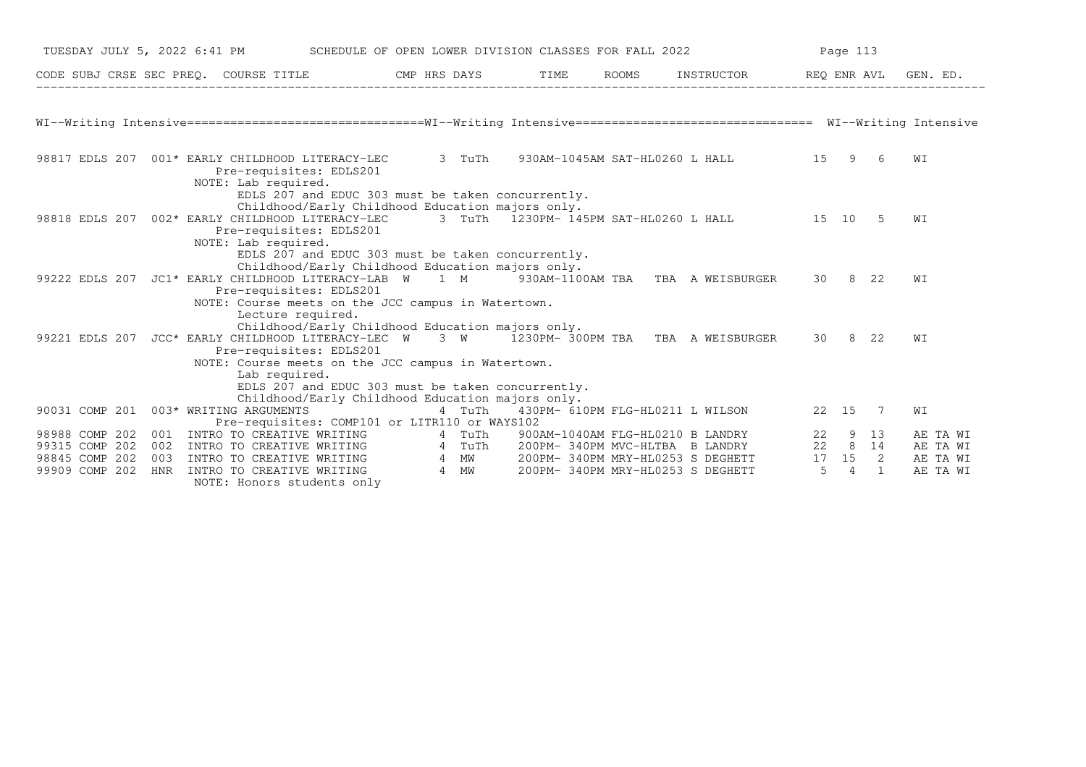| TUESDAY JULY 5, 2022 6:41 PM SCHEDULE OF OPEN LOWER DIVISION CLASSES FOR FALL 2022 | Page 113                                                                                                                                                                                                                                           |                                                                                                       |                                                                                                                                  |                      |          |
|------------------------------------------------------------------------------------|----------------------------------------------------------------------------------------------------------------------------------------------------------------------------------------------------------------------------------------------------|-------------------------------------------------------------------------------------------------------|----------------------------------------------------------------------------------------------------------------------------------|----------------------|----------|
|                                                                                    | CODE SUBJ CRSE SEC PREQ. COURSE TITLE TO THE ROOMS INSTRUCTOR THE ROOMS ENGLAVI GEN. ED.                                                                                                                                                           |                                                                                                       |                                                                                                                                  |                      |          |
|                                                                                    |                                                                                                                                                                                                                                                    |                                                                                                       |                                                                                                                                  |                      |          |
|                                                                                    |                                                                                                                                                                                                                                                    |                                                                                                       |                                                                                                                                  |                      |          |
|                                                                                    | 98817 EDLS 207 001* EARLY CHILDHOOD LITERACY-LEC 3 TuTh 930AM-1045AM SAT-HL0260 L HALL 3 9 6<br>Pre-requisites: EDLS201<br>NOTE: Lab required.                                                                                                     |                                                                                                       |                                                                                                                                  |                      | WΙ       |
|                                                                                    |                                                                                                                                                                                                                                                    | EDLS 207 and EDUC 303 must be taken concurrently.                                                     |                                                                                                                                  |                      |          |
|                                                                                    | 98818 EDLS 207 002* EARLY CHILDHOOD LITERACY-LEC 3 TuTh 1230PM-145PM SAT-HL0260 L HALL 315 10 5<br>Pre-requisites: EDLS201                                                                                                                         | Childhood/Early Childhood Education majors only.                                                      |                                                                                                                                  |                      | WI       |
|                                                                                    | NOTE: Lab required.                                                                                                                                                                                                                                | EDLS 207 and EDUC 303 must be taken concurrently.                                                     |                                                                                                                                  |                      |          |
|                                                                                    | 99222 EDLS 207 JC1* EARLY CHILDHOOD LITERACY-LAB W 1 M 330AM-1100AM TBA TBA A WEISBURGER<br>Pre-requisites: EDLS201                                                                                                                                | Childhood/Early Childhood Education majors only.                                                      |                                                                                                                                  | 30 8 22              | WΙ       |
|                                                                                    | NOTE: Course meets on the JCC campus in Watertown.                                                                                                                                                                                                 |                                                                                                       |                                                                                                                                  |                      |          |
|                                                                                    | Lecture required.                                                                                                                                                                                                                                  | Childhood/Early Childhood Education majors only.                                                      |                                                                                                                                  |                      |          |
|                                                                                    | 99221 EDLS 207 JCC* EARLY CHILDHOOD LITERACY-LEC W 3 W 1230PM-300PM TBA TBA A WEISBURGER                                                                                                                                                           |                                                                                                       |                                                                                                                                  | 30 8 22              | WI       |
|                                                                                    | Pre-requisites: EDLS201<br>NOTE: Course meets on the JCC campus in Watertown.                                                                                                                                                                      |                                                                                                       |                                                                                                                                  |                      |          |
|                                                                                    | Lab required.                                                                                                                                                                                                                                      |                                                                                                       |                                                                                                                                  |                      |          |
|                                                                                    |                                                                                                                                                                                                                                                    | EDLS 207 and EDUC 303 must be taken concurrently.<br>Childhood/Early Childhood Education majors only. |                                                                                                                                  |                      |          |
|                                                                                    | 90031 COMP 201 003* WRITING ARGUMENTS                                                                                                                                                                                                              | 4 TuTh                                                                                                | 430PM- 610PM FLG-HL0211 L WILSON 22 15 7                                                                                         |                      | WI       |
|                                                                                    | Pre-requisites: COMP101 or LITR110 or WAYS102                                                                                                                                                                                                      |                                                                                                       |                                                                                                                                  |                      | AE TA WI |
|                                                                                    |                                                                                                                                                                                                                                                    |                                                                                                       |                                                                                                                                  |                      | AE TA WI |
|                                                                                    |                                                                                                                                                                                                                                                    |                                                                                                       | 900AM-1040AM FLG-HL0210 B LANDRY 22 9 13<br>200PM- 340PM MVC-HLTBA B LANDRY 22 8 14<br>200PM- 340PM MRY-HL0253 S DEGHETT 17 15 2 |                      | AE TA WI |
|                                                                                    | 98988 COMP 202 001 INTRO TO CREATIVE WRITING 4 TuTh<br>99315 COMP 202 002 INTRO TO CREATIVE WRITING 4 TuTh<br>98845 COMP 202 003 INTRO TO CREATIVE WRITING 4 MW<br>99909 COMP 202 HNR INTRO TO CREATIVE WRITING 4 MW<br>NOTE: Honors students only |                                                                                                       | 200PM- 340PM MRY-HL0253 S DEGHETT                                                                                                | $4 \quad 1$<br>$5 -$ | AE TA WI |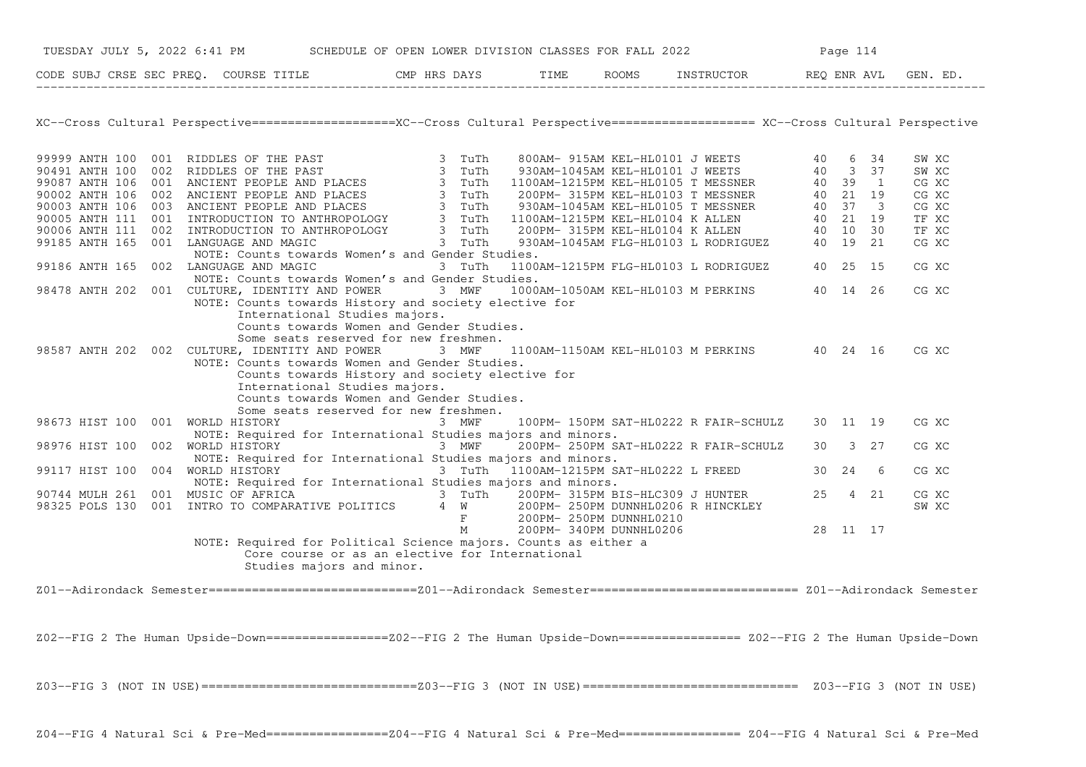| TUESDAY JULY 5, 2022 6:41 PM SCHEDULE OF OPEN LOWER DIVISION CLASSES FOR FALL 2022 Page 114 |  |                                                                                                                                   |       |  |  |                                                               |  |  |  |       |
|---------------------------------------------------------------------------------------------|--|-----------------------------------------------------------------------------------------------------------------------------------|-------|--|--|---------------------------------------------------------------|--|--|--|-------|
|                                                                                             |  | CODE SUBJ CRSE SEC PREQ. COURSE TITLE CMP HRS DAYS TIME ROOMS INSTRUCTOR REQ ENR AVL GEN. ED.                                     |       |  |  |                                                               |  |  |  |       |
|                                                                                             |  |                                                                                                                                   |       |  |  |                                                               |  |  |  |       |
|                                                                                             |  | XC--Cross Cultural Perspective====================XC--Cross Cultural Perspective================== XC--Cross Cultural Perspective |       |  |  |                                                               |  |  |  |       |
|                                                                                             |  |                                                                                                                                   |       |  |  |                                                               |  |  |  | SW XC |
|                                                                                             |  |                                                                                                                                   |       |  |  |                                                               |  |  |  | SW XC |
|                                                                                             |  |                                                                                                                                   |       |  |  |                                                               |  |  |  | CG XC |
|                                                                                             |  |                                                                                                                                   |       |  |  |                                                               |  |  |  |       |
|                                                                                             |  |                                                                                                                                   |       |  |  |                                                               |  |  |  | CG XC |
|                                                                                             |  |                                                                                                                                   |       |  |  |                                                               |  |  |  | CG XC |
|                                                                                             |  |                                                                                                                                   |       |  |  |                                                               |  |  |  | TF XC |
|                                                                                             |  |                                                                                                                                   |       |  |  |                                                               |  |  |  | TF XC |
|                                                                                             |  |                                                                                                                                   |       |  |  |                                                               |  |  |  | CG XC |
|                                                                                             |  | NOTE: Counts towards Women's and Gender Studies.                                                                                  |       |  |  |                                                               |  |  |  |       |
|                                                                                             |  | 99186 ANTH 165 002 LANGUAGE AND MAGIC 3 TuTh 1100AM-1215PM FLG-HL0103 L RODRIGUEZ 40 25 15                                        |       |  |  |                                                               |  |  |  | CG XC |
|                                                                                             |  | NOTE: Counts towards Women's and Gender Studies.                                                                                  |       |  |  |                                                               |  |  |  |       |
|                                                                                             |  | 98478 ANTH 202 001 CULTURE, IDENTITY AND POWER 3 MWF                                                                              |       |  |  | 1000AM-1050AM KEL-HL0103 M PERKINS 40 14 26                   |  |  |  | CG XC |
|                                                                                             |  | NOTE: Counts towards History and society elective for                                                                             |       |  |  |                                                               |  |  |  |       |
|                                                                                             |  | International Studies majors.                                                                                                     |       |  |  |                                                               |  |  |  |       |
|                                                                                             |  | Counts towards Women and Gender Studies.                                                                                          |       |  |  |                                                               |  |  |  |       |
|                                                                                             |  | Some seats reserved for new freshmen.                                                                                             |       |  |  |                                                               |  |  |  |       |
|                                                                                             |  | 98587 ANTH 202 002 CULTURE, IDENTITY AND POWER 3 MWF                                                                              |       |  |  | 1100AM-1150AM KEL-HL0103 M PERKINS 40 24 16                   |  |  |  | CG XC |
|                                                                                             |  | NOTE: Counts towards Women and Gender Studies.                                                                                    |       |  |  |                                                               |  |  |  |       |
|                                                                                             |  | Counts towards History and society elective for                                                                                   |       |  |  |                                                               |  |  |  |       |
|                                                                                             |  | International Studies majors.                                                                                                     |       |  |  |                                                               |  |  |  |       |
|                                                                                             |  | Counts towards Women and Gender Studies.                                                                                          |       |  |  |                                                               |  |  |  |       |
|                                                                                             |  | Some seats reserved for new freshmen.                                                                                             |       |  |  |                                                               |  |  |  |       |
| 98673 HIST 100 001 WORLD HISTORY                                                            |  |                                                                                                                                   | 3 MWF |  |  |                                                               |  |  |  |       |
|                                                                                             |  |                                                                                                                                   |       |  |  | 100PM- 150PM SAT-HL0222 R FAIR-SCHULZ 30 11 19                |  |  |  | CG XC |
|                                                                                             |  | NOTE: Required for International Studies majors and minors.                                                                       | 3 MWF |  |  | 200PM- 250PM SAT-HL0222 R FAIR-SCHULZ 30 3 27                 |  |  |  |       |
| 98976 HIST 100 002 WORLD HISTORY                                                            |  |                                                                                                                                   |       |  |  |                                                               |  |  |  | CG XC |
|                                                                                             |  | NOTE: Required for International Studies majors and minors.                                                                       |       |  |  |                                                               |  |  |  |       |
|                                                                                             |  | 99117 HIST 100 004 WORLD HISTORY 3 TuTh 1100AM-1215PM SAT-HL0222 L FREED 30 24 6                                                  |       |  |  |                                                               |  |  |  | CG XC |
|                                                                                             |  | NOTE: Required for International Studies majors and minors.                                                                       |       |  |  |                                                               |  |  |  |       |
|                                                                                             |  | 90744 MULH 261 001 MUSIC OF AFRICA<br>98325 POLS 130 001 INTRO TO COMPARATIVE POLITICS 4 W 200PM- 250PM DUNNHL0206 R HINCKLEY     |       |  |  |                                                               |  |  |  | CG XC |
|                                                                                             |  |                                                                                                                                   |       |  |  |                                                               |  |  |  | SW XC |
|                                                                                             |  |                                                                                                                                   |       |  |  |                                                               |  |  |  |       |
|                                                                                             |  |                                                                                                                                   |       |  |  | F 200PM-250PM DUNNHL0210<br>M 200PM-340PM DUNNHL0206 28 11 17 |  |  |  |       |
|                                                                                             |  | NOTE: Required for Political Science majors. Counts as either a                                                                   |       |  |  |                                                               |  |  |  |       |
|                                                                                             |  | Core course or as an elective for International                                                                                   |       |  |  |                                                               |  |  |  |       |
|                                                                                             |  | Studies majors and minor.                                                                                                         |       |  |  |                                                               |  |  |  |       |
|                                                                                             |  |                                                                                                                                   |       |  |  |                                                               |  |  |  |       |
|                                                                                             |  |                                                                                                                                   |       |  |  |                                                               |  |  |  |       |

Z02−−FIG 2 The Human Upside−Down=================Z02−−FIG 2 The Human Upside−Down================= Z02−−FIG 2 The Human Upside−Down

Z03−−FIG 3 (NOT IN USE)==============================Z03−−FIG 3 (NOT IN USE)============================== Z03−−FIG 3 (NOT IN USE)

Z04−−FIG 4 Natural Sci & Pre−Med=================Z04−−FIG 4 Natural Sci & Pre−Med================= Z04−−FIG 4 Natural Sci & Pre−Med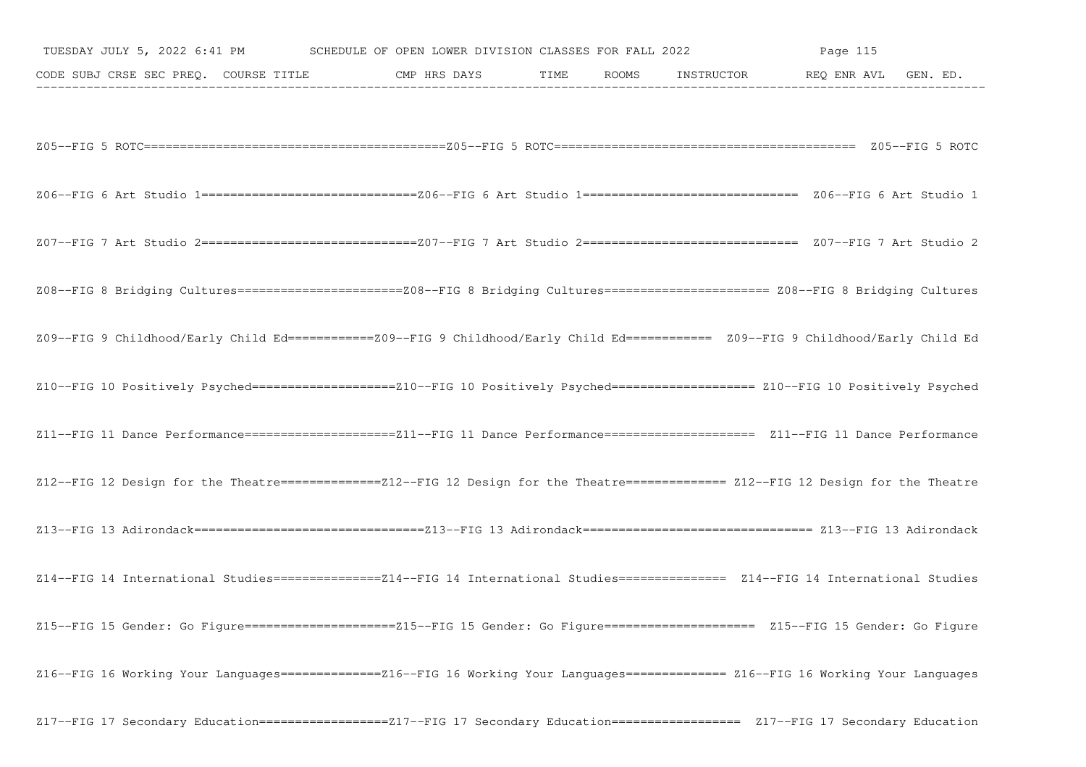| TUESDAY JULY 5, 2022 6:41 PM SCHEDULE OF OPEN LOWER DIVISION CLASSES FOR FALL 2022                                                  |  | Page 115 |  |
|-------------------------------------------------------------------------------------------------------------------------------------|--|----------|--|
| CODE SUBJ CRSE SEC PREQ. COURSE TITLE TIME CMP HRS DAYS TIME ROOMS INSTRUCTOR THEQ ENR AVL GEN. ED.                                 |  |          |  |
|                                                                                                                                     |  |          |  |
|                                                                                                                                     |  |          |  |
|                                                                                                                                     |  |          |  |
|                                                                                                                                     |  |          |  |
|                                                                                                                                     |  |          |  |
| Z09--FIG 9 Childhood/Early Child Ed===========Z09--FIG 9 Childhood/Early Child Ed=========== Z09--FIG 9 Childhood/Early Child Ed    |  |          |  |
| Z10--FIG 10 Positively Psyched===================Z10--FIG 10 Positively Psyched=================== Z10--FIG 10 Positively Psyched   |  |          |  |
| Z11--FIG 11 Dance Performance=======================Z11--FIG 11 Dance Performance==================== Z11--FIG 11 Dance Performance |  |          |  |
| Z12--FIG 12 Design for the Theatre==============Z12--FIG 12 Design for the Theatre============== Z12--FIG 12 Design for the Theatre |  |          |  |
|                                                                                                                                     |  |          |  |
| Z14--FIG 14 International Studies===============214--FIG 14 International Studies=============== Z14--FIG 14 International Studies  |  |          |  |
| Z15--FIG 15 Gender: Go Figure=====================Z15--FIG 15 Gender: Go Figure==================== Z15--FIG 15 Gender: Go Figure   |  |          |  |
| Z16--FIG 16 Working Your Languages==============Z16--FIG 16 Working Your Languages============= Z16--FIG 16 Working Your Languages  |  |          |  |
|                                                                                                                                     |  |          |  |

Z17−−FIG 17 Secondary Education==================Z17−−FIG 17 Secondary Education================== Z17−−FIG 17 Secondary Education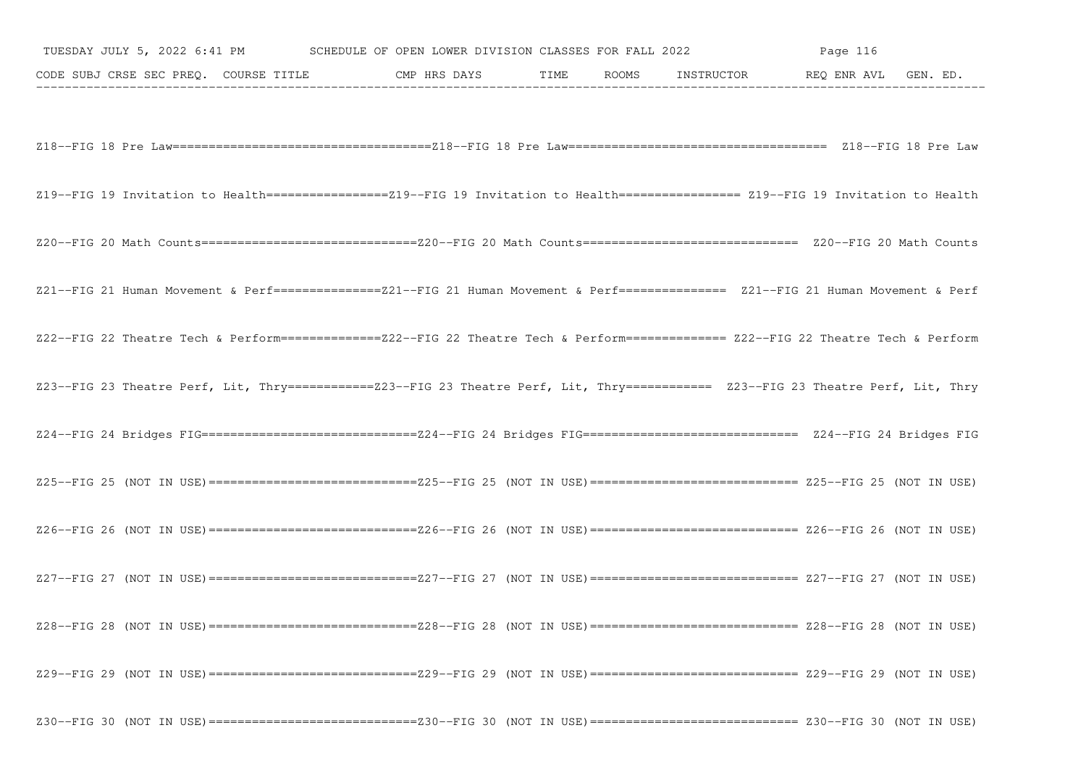| TUESDAY JULY 5, 2022 6:41 PM SCHEDULE OF OPEN LOWER DIVISION CLASSES FOR FALL 2022                                                   |  | Page 116 |  |
|--------------------------------------------------------------------------------------------------------------------------------------|--|----------|--|
| CODE SUBJ CRSE SEC PREQ. COURSE TITLE CMP HRS DAYS TIME ROOMS INSTRUCTOR REQ ENR AVL GEN. ED.                                        |  |          |  |
|                                                                                                                                      |  |          |  |
|                                                                                                                                      |  |          |  |
| Z19--FIG 19 Invitation to Health=================Z19--FIG 19 Invitation to Health================= Z19--FIG 19 Invitation to Health  |  |          |  |
|                                                                                                                                      |  |          |  |
| Z21--FIG 21 Human Movement & Perf===============221--FIG 21 Human Movement & Perf============== Z21--FIG 21 Human Movement & Perf    |  |          |  |
| Z22--FIG 22 Theatre Tech & Perform===============Z22--FIG 22 Theatre Tech & Perform============= Z22--FIG 22 Theatre Tech & Perform  |  |          |  |
| Z23--FIG 23 Theatre Perf, Lit, Thry ============Z23--FIG 23 Theatre Perf, Lit, Thry =========== Z23--FIG 23 Theatre Perf, Lit, Thry  |  |          |  |
|                                                                                                                                      |  |          |  |
|                                                                                                                                      |  |          |  |
|                                                                                                                                      |  |          |  |
|                                                                                                                                      |  |          |  |
|                                                                                                                                      |  |          |  |
|                                                                                                                                      |  |          |  |
| Z30--FIG 30 (NOT IN USE)===============================Z30--FIG 30 (NOT IN USE)============================ Z30--FIG 30 (NOT IN USE) |  |          |  |